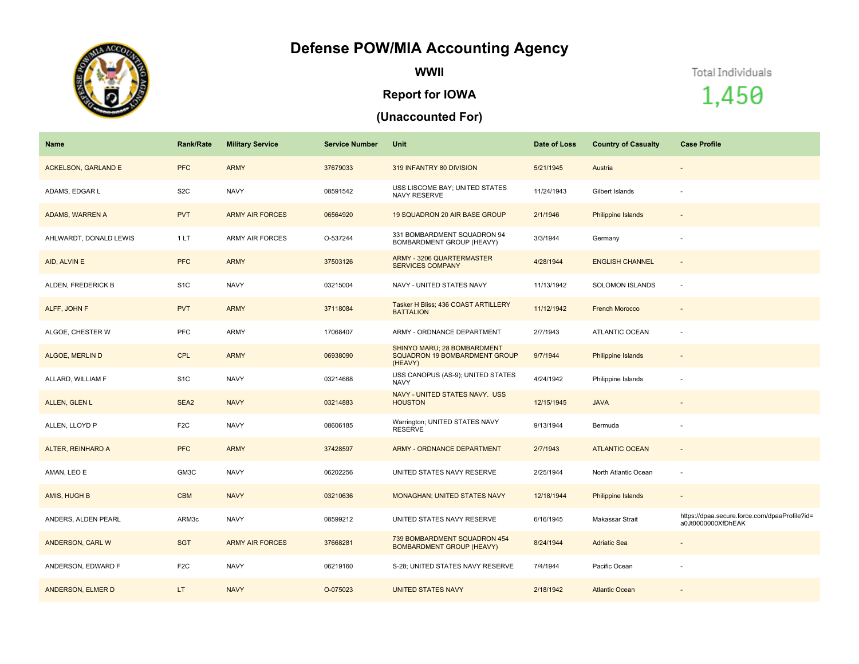## **Defense POW/MIA Accounting Agency**



**WWII**

## **Report for IOWA**

## **(Unaccounted For)**

Total Individuals

1,450

| Name                       | <b>Rank/Rate</b> | <b>Military Service</b> | <b>Service Number</b> | Unit                                                                    | Date of Loss | <b>Country of Casualty</b> | <b>Case Profile</b>                                                 |
|----------------------------|------------------|-------------------------|-----------------------|-------------------------------------------------------------------------|--------------|----------------------------|---------------------------------------------------------------------|
| <b>ACKELSON, GARLAND E</b> | <b>PFC</b>       | <b>ARMY</b>             | 37679033              | 319 INFANTRY 80 DIVISION                                                | 5/21/1945    | Austria                    | $\overline{\phantom{a}}$                                            |
| ADAMS, EDGAR L             | S <sub>2</sub> C | <b>NAVY</b>             | 08591542              | USS LISCOME BAY; UNITED STATES<br><b>NAVY RESERVE</b>                   | 11/24/1943   | Gilbert Islands            |                                                                     |
| <b>ADAMS, WARREN A</b>     | <b>PVT</b>       | <b>ARMY AIR FORCES</b>  | 06564920              | 19 SQUADRON 20 AIR BASE GROUP                                           | 2/1/1946     | Philippine Islands         | $\sim$                                                              |
| AHLWARDT, DONALD LEWIS     | 1LT              | <b>ARMY AIR FORCES</b>  | O-537244              | 331 BOMBARDMENT SQUADRON 94<br>BOMBARDMENT GROUP (HEAVY)                | 3/3/1944     | Germany                    |                                                                     |
| AID, ALVIN E               | <b>PFC</b>       | <b>ARMY</b>             | 37503126              | ARMY - 3206 QUARTERMASTER<br><b>SERVICES COMPANY</b>                    | 4/28/1944    | <b>ENGLISH CHANNEL</b>     | $\sim$                                                              |
| ALDEN, FREDERICK B         | S <sub>1</sub> C | <b>NAVY</b>             | 03215004              | NAVY - UNITED STATES NAVY                                               | 11/13/1942   | <b>SOLOMON ISLANDS</b>     | $\sim$                                                              |
| ALFF, JOHN F               | <b>PVT</b>       | <b>ARMY</b>             | 37118084              | Tasker H Bliss; 436 COAST ARTILLERY<br><b>BATTALION</b>                 | 11/12/1942   | <b>French Morocco</b>      | $\sim$                                                              |
| ALGOE, CHESTER W           | PFC              | ARMY                    | 17068407              | ARMY - ORDNANCE DEPARTMENT                                              | 2/7/1943     | <b>ATLANTIC OCEAN</b>      | ÷.                                                                  |
| ALGOE, MERLIN D            | <b>CPL</b>       | <b>ARMY</b>             | 06938090              | SHINYO MARU; 28 BOMBARDMENT<br>SQUADRON 19 BOMBARDMENT GROUP<br>(HEAVY) | 9/7/1944     | Philippine Islands         | $\sim$                                                              |
| ALLARD, WILLIAM F          | S <sub>1</sub> C | <b>NAVY</b>             | 03214668              | USS CANOPUS (AS-9); UNITED STATES<br><b>NAVY</b>                        | 4/24/1942    | Philippine Islands         |                                                                     |
| ALLEN, GLEN L              | SEA2             | <b>NAVY</b>             | 03214883              | NAVY - UNITED STATES NAVY. USS<br><b>HOUSTON</b>                        | 12/15/1945   | <b>JAVA</b>                |                                                                     |
| ALLEN, LLOYD P             | F <sub>2</sub> C | NAVY                    | 08606185              | Warrington; UNITED STATES NAVY<br><b>RESERVE</b>                        | 9/13/1944    | Bermuda                    |                                                                     |
| ALTER, REINHARD A          | <b>PFC</b>       | <b>ARMY</b>             | 37428597              | ARMY - ORDNANCE DEPARTMENT                                              | 2/7/1943     | <b>ATLANTIC OCEAN</b>      | $\sim$                                                              |
| AMAN, LEO E                | GM3C             | <b>NAVY</b>             | 06202256              | UNITED STATES NAVY RESERVE                                              | 2/25/1944    | North Atlantic Ocean       |                                                                     |
| AMIS, HUGH B               | <b>CBM</b>       | <b>NAVY</b>             | 03210636              | <b>MONAGHAN; UNITED STATES NAVY</b>                                     | 12/18/1944   | Philippine Islands         | $\overline{\phantom{a}}$                                            |
| ANDERS, ALDEN PEARL        | ARM3c            | <b>NAVY</b>             | 08599212              | UNITED STATES NAVY RESERVE                                              | 6/16/1945    | Makassar Strait            | https://dpaa.secure.force.com/dpaaProfile?id=<br>a0Jt0000000XfDhEAK |
| ANDERSON, CARL W           | <b>SGT</b>       | <b>ARMY AIR FORCES</b>  | 37668281              | 739 BOMBARDMENT SQUADRON 454<br>BOMBARDMENT GROUP (HEAVY)               | 8/24/1944    | <b>Adriatic Sea</b>        |                                                                     |
| ANDERSON, EDWARD F         | F <sub>2</sub> C | <b>NAVY</b>             | 06219160              | S-28; UNITED STATES NAVY RESERVE                                        | 7/4/1944     | Pacific Ocean              |                                                                     |
| ANDERSON, ELMER D          | LT.              | <b>NAVY</b>             | O-075023              | <b>UNITED STATES NAVY</b>                                               | 2/18/1942    | <b>Atlantic Ocean</b>      |                                                                     |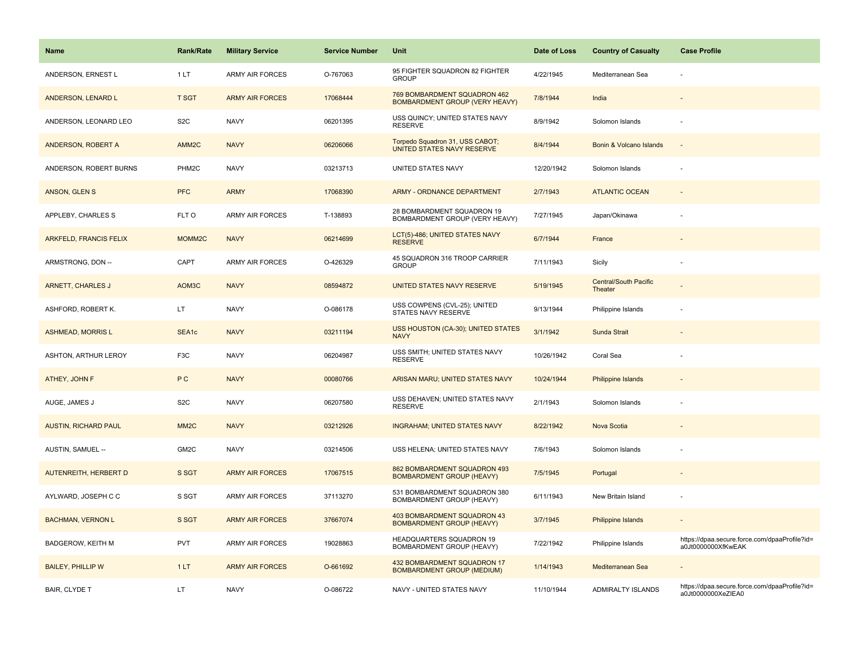| Name                         | <b>Rank/Rate</b>  | <b>Military Service</b> | <b>Service Number</b> | Unit                                                             | Date of Loss | <b>Country of Casualty</b>              | <b>Case Profile</b>                                                 |
|------------------------------|-------------------|-------------------------|-----------------------|------------------------------------------------------------------|--------------|-----------------------------------------|---------------------------------------------------------------------|
| ANDERSON, ERNEST L           | 1LT               | <b>ARMY AIR FORCES</b>  | O-767063              | 95 FIGHTER SQUADRON 82 FIGHTER<br><b>GROUP</b>                   | 4/22/1945    | Mediterranean Sea                       |                                                                     |
| ANDERSON, LENARD L           | <b>T SGT</b>      | <b>ARMY AIR FORCES</b>  | 17068444              | 769 BOMBARDMENT SQUADRON 462<br>BOMBARDMENT GROUP (VERY HEAVY)   | 7/8/1944     | India                                   |                                                                     |
| ANDERSON, LEONARD LEO        | S <sub>2</sub> C  | <b>NAVY</b>             | 06201395              | USS QUINCY; UNITED STATES NAVY<br><b>RESERVE</b>                 | 8/9/1942     | Solomon Islands                         |                                                                     |
| ANDERSON, ROBERT A           | AMM <sub>2C</sub> | <b>NAVY</b>             | 06206066              | Torpedo Squadron 31, USS CABOT;<br>UNITED STATES NAVY RESERVE    | 8/4/1944     | Bonin & Volcano Islands                 |                                                                     |
| ANDERSON, ROBERT BURNS       | PHM2C             | <b>NAVY</b>             | 03213713              | UNITED STATES NAVY                                               | 12/20/1942   | Solomon Islands                         |                                                                     |
| ANSON, GLEN S                | <b>PFC</b>        | <b>ARMY</b>             | 17068390              | ARMY - ORDNANCE DEPARTMENT                                       | 2/7/1943     | <b>ATLANTIC OCEAN</b>                   |                                                                     |
| APPLEBY, CHARLES S           | FLT O             | <b>ARMY AIR FORCES</b>  | T-138893              | 28 BOMBARDMENT SQUADRON 19<br>BOMBARDMENT GROUP (VERY HEAVY)     | 7/27/1945    | Japan/Okinawa                           |                                                                     |
| ARKFELD, FRANCIS FELIX       | MOMM2C            | <b>NAVY</b>             | 06214699              | LCT(5)-486; UNITED STATES NAVY<br><b>RESERVE</b>                 | 6/7/1944     | France                                  |                                                                     |
| ARMSTRONG, DON --            | CAPT              | <b>ARMY AIR FORCES</b>  | O-426329              | 45 SQUADRON 316 TROOP CARRIER<br><b>GROUP</b>                    | 7/11/1943    | Sicily                                  |                                                                     |
| ARNETT, CHARLES J            | AOM3C             | <b>NAVY</b>             | 08594872              | UNITED STATES NAVY RESERVE                                       | 5/19/1945    | <b>Central/South Pacific</b><br>Theater |                                                                     |
| ASHFORD, ROBERT K.           | LT.               | <b>NAVY</b>             | O-086178              | USS COWPENS (CVL-25); UNITED<br>STATES NAVY RESERVE              | 9/13/1944    | Philippine Islands                      |                                                                     |
| <b>ASHMEAD, MORRIS L</b>     | SEA <sub>1c</sub> | <b>NAVY</b>             | 03211194              | USS HOUSTON (CA-30); UNITED STATES<br><b>NAVY</b>                | 3/1/1942     | Sunda Strait                            |                                                                     |
| ASHTON, ARTHUR LEROY         | F <sub>3</sub> C  | <b>NAVY</b>             | 06204987              | USS SMITH: UNITED STATES NAVY<br><b>RESERVE</b>                  | 10/26/1942   | Coral Sea                               |                                                                     |
| ATHEY, JOHN F                | P C               | <b>NAVY</b>             | 00080766              | ARISAN MARU; UNITED STATES NAVY                                  | 10/24/1944   | Philippine Islands                      |                                                                     |
| AUGE, JAMES J                | S <sub>2</sub> C  | <b>NAVY</b>             | 06207580              | USS DEHAVEN; UNITED STATES NAVY<br><b>RESERVE</b>                | 2/1/1943     | Solomon Islands                         |                                                                     |
| <b>AUSTIN, RICHARD PAUL</b>  | MM <sub>2</sub> C | <b>NAVY</b>             | 03212926              | <b>INGRAHAM; UNITED STATES NAVY</b>                              | 8/22/1942    | Nova Scotia                             |                                                                     |
| AUSTIN, SAMUEL --            | GM2C              | <b>NAVY</b>             | 03214506              | USS HELENA; UNITED STATES NAVY                                   | 7/6/1943     | Solomon Islands                         |                                                                     |
| <b>AUTENREITH, HERBERT D</b> | S SGT             | <b>ARMY AIR FORCES</b>  | 17067515              | 862 BOMBARDMENT SQUADRON 493<br><b>BOMBARDMENT GROUP (HEAVY)</b> | 7/5/1945     | Portugal                                |                                                                     |
| AYLWARD, JOSEPH C C          | S SGT             | <b>ARMY AIR FORCES</b>  | 37113270              | 531 BOMBARDMENT SQUADRON 380<br>BOMBARDMENT GROUP (HEAVY)        | 6/11/1943    | New Britain Island                      |                                                                     |
| <b>BACHMAN, VERNON L</b>     | S SGT             | <b>ARMY AIR FORCES</b>  | 37667074              | 403 BOMBARDMENT SQUADRON 43<br><b>BOMBARDMENT GROUP (HEAVY)</b>  | 3/7/1945     | Philippine Islands                      |                                                                     |
| <b>BADGEROW, KEITH M</b>     | <b>PVT</b>        | <b>ARMY AIR FORCES</b>  | 19028863              | HEADQUARTERS SQUADRON 19<br><b>BOMBARDMENT GROUP (HEAVY)</b>     | 7/22/1942    | Philippine Islands                      | https://dpaa.secure.force.com/dpaaProfile?id=<br>a0Jt0000000XfKwEAK |
| <b>BAILEY, PHILLIP W</b>     | 1LT               | <b>ARMY AIR FORCES</b>  | O-661692              | 432 BOMBARDMENT SQUADRON 17<br><b>BOMBARDMENT GROUP (MEDIUM)</b> | 1/14/1943    | Mediterranean Sea                       |                                                                     |
| <b>BAIR, CLYDE T</b>         | LT.               | <b>NAVY</b>             | O-086722              | NAVY - UNITED STATES NAVY                                        | 11/10/1944   | ADMIRALTY ISLANDS                       | https://dpaa.secure.force.com/dpaaProfile?id=<br>a0Jt0000000XeZIEA0 |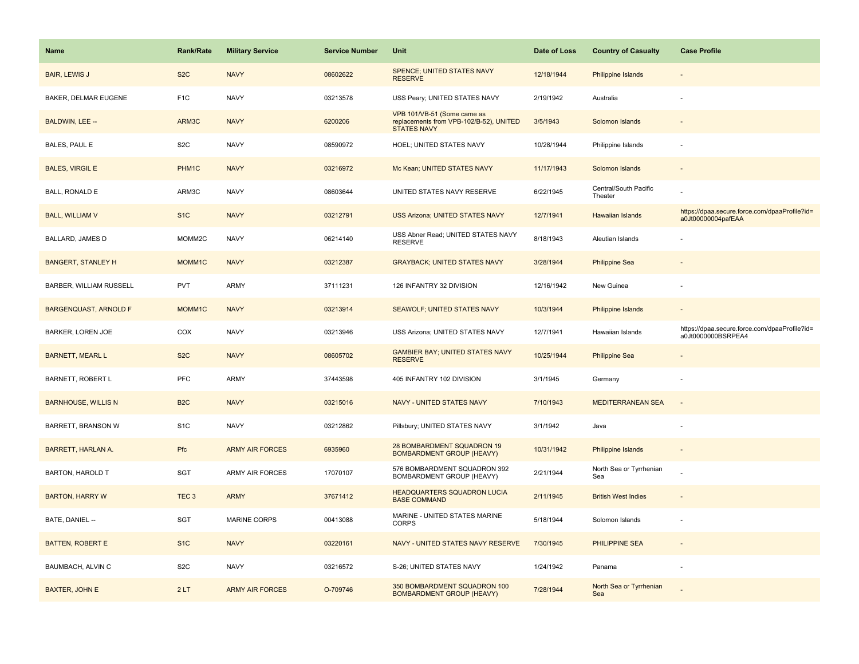| <b>Name</b>                  | <b>Rank/Rate</b>   | <b>Military Service</b> | <b>Service Number</b> | Unit                                                                                         | Date of Loss | <b>Country of Casualty</b>       | <b>Case Profile</b>                                                 |
|------------------------------|--------------------|-------------------------|-----------------------|----------------------------------------------------------------------------------------------|--------------|----------------------------------|---------------------------------------------------------------------|
| <b>BAIR, LEWIS J</b>         | S <sub>2</sub> C   | <b>NAVY</b>             | 08602622              | <b>SPENCE: UNITED STATES NAVY</b><br><b>RESERVE</b>                                          | 12/18/1944   | <b>Philippine Islands</b>        |                                                                     |
| BAKER, DELMAR EUGENE         | F <sub>1</sub> C   | <b>NAVY</b>             | 03213578              | USS Peary; UNITED STATES NAVY                                                                | 2/19/1942    | Australia                        |                                                                     |
| BALDWIN, LEE --              | ARM3C              | <b>NAVY</b>             | 6200206               | VPB 101/VB-51 (Some came as<br>replacements from VPB-102/B-52), UNITED<br><b>STATES NAVY</b> | 3/5/1943     | Solomon Islands                  |                                                                     |
| BALES, PAUL E                | S <sub>2</sub> C   | <b>NAVY</b>             | 08590972              | HOEL; UNITED STATES NAVY                                                                     | 10/28/1944   | Philippine Islands               |                                                                     |
| <b>BALES, VIRGIL E</b>       | PHM <sub>1</sub> C | <b>NAVY</b>             | 03216972              | Mc Kean; UNITED STATES NAVY                                                                  | 11/17/1943   | Solomon Islands                  |                                                                     |
| BALL, RONALD E               | ARM3C              | <b>NAVY</b>             | 08603644              | UNITED STATES NAVY RESERVE                                                                   | 6/22/1945    | Central/South Pacific<br>Theater |                                                                     |
| <b>BALL, WILLIAM V</b>       | S <sub>1C</sub>    | <b>NAVY</b>             | 03212791              | <b>USS Arizona: UNITED STATES NAVY</b>                                                       | 12/7/1941    | <b>Hawaiian Islands</b>          | https://dpaa.secure.force.com/dpaaProfile?id=<br>a0Jt00000004pafEAA |
| <b>BALLARD, JAMES D</b>      | MOMM2C             | <b>NAVY</b>             | 06214140              | USS Abner Read; UNITED STATES NAVY<br><b>RESERVE</b>                                         | 8/18/1943    | Aleutian Islands                 |                                                                     |
| <b>BANGERT, STANLEY H</b>    | MOMM1C             | <b>NAVY</b>             | 03212387              | <b>GRAYBACK: UNITED STATES NAVY</b>                                                          | 3/28/1944    | <b>Philippine Sea</b>            |                                                                     |
| BARBER, WILLIAM RUSSELL      | PVT                | <b>ARMY</b>             | 37111231              | 126 INFANTRY 32 DIVISION                                                                     | 12/16/1942   | New Guinea                       |                                                                     |
| <b>BARGENQUAST, ARNOLD F</b> | MOMM1C             | <b>NAVY</b>             | 03213914              | SEAWOLF; UNITED STATES NAVY                                                                  | 10/3/1944    | <b>Philippine Islands</b>        |                                                                     |
| <b>BARKER, LOREN JOE</b>     | COX                | <b>NAVY</b>             | 03213946              | USS Arizona; UNITED STATES NAVY                                                              | 12/7/1941    | Hawaiian Islands                 | https://dpaa.secure.force.com/dpaaProfile?id=<br>a0Jt0000000BSRPEA4 |
| <b>BARNETT, MEARL L</b>      | S <sub>2</sub> C   | <b>NAVY</b>             | 08605702              | <b>GAMBIER BAY; UNITED STATES NAVY</b><br><b>RESERVE</b>                                     | 10/25/1944   | <b>Philippine Sea</b>            |                                                                     |
| <b>BARNETT, ROBERT L</b>     | PFC                | ARMY                    | 37443598              | 405 INFANTRY 102 DIVISION                                                                    | 3/1/1945     | Germany                          |                                                                     |
| <b>BARNHOUSE, WILLIS N</b>   | B <sub>2</sub> C   | <b>NAVY</b>             | 03215016              | NAVY - UNITED STATES NAVY                                                                    | 7/10/1943    | <b>MEDITERRANEAN SEA</b>         | $\sim$                                                              |
| <b>BARRETT, BRANSON W</b>    | S <sub>1</sub> C   | <b>NAVY</b>             | 03212862              | Pillsbury; UNITED STATES NAVY                                                                | 3/1/1942     | Java                             |                                                                     |
| <b>BARRETT, HARLAN A.</b>    | Pfc                | <b>ARMY AIR FORCES</b>  | 6935960               | 28 BOMBARDMENT SQUADRON 19<br><b>BOMBARDMENT GROUP (HEAVY)</b>                               | 10/31/1942   | <b>Philippine Islands</b>        |                                                                     |
| <b>BARTON, HAROLD T</b>      | SGT                | <b>ARMY AIR FORCES</b>  | 17070107              | 576 BOMBARDMENT SQUADRON 392<br><b>BOMBARDMENT GROUP (HEAVY)</b>                             | 2/21/1944    | North Sea or Tyrrhenian<br>Sea   |                                                                     |
| <b>BARTON, HARRY W</b>       | TEC <sub>3</sub>   | <b>ARMY</b>             | 37671412              | <b>HEADQUARTERS SQUADRON LUCIA</b><br><b>BASE COMMAND</b>                                    | 2/11/1945    | <b>British West Indies</b>       |                                                                     |
| BATE, DANIEL --              | SGT                | <b>MARINE CORPS</b>     | 00413088              | MARINE - UNITED STATES MARINE<br><b>CORPS</b>                                                | 5/18/1944    | Solomon Islands                  |                                                                     |
| <b>BATTEN, ROBERT E</b>      | S <sub>1</sub> C   | <b>NAVY</b>             | 03220161              | NAVY - UNITED STATES NAVY RESERVE                                                            | 7/30/1945    | <b>PHILIPPINE SEA</b>            | $\sim$                                                              |
| BAUMBACH, ALVIN C            | S <sub>2</sub> C   | <b>NAVY</b>             | 03216572              | S-26; UNITED STATES NAVY                                                                     | 1/24/1942    | Panama                           |                                                                     |
| <b>BAXTER, JOHN E</b>        | 2LT                | <b>ARMY AIR FORCES</b>  | O-709746              | 350 BOMBARDMENT SQUADRON 100<br><b>BOMBARDMENT GROUP (HEAVY)</b>                             | 7/28/1944    | North Sea or Tyrrhenian<br>Sea   |                                                                     |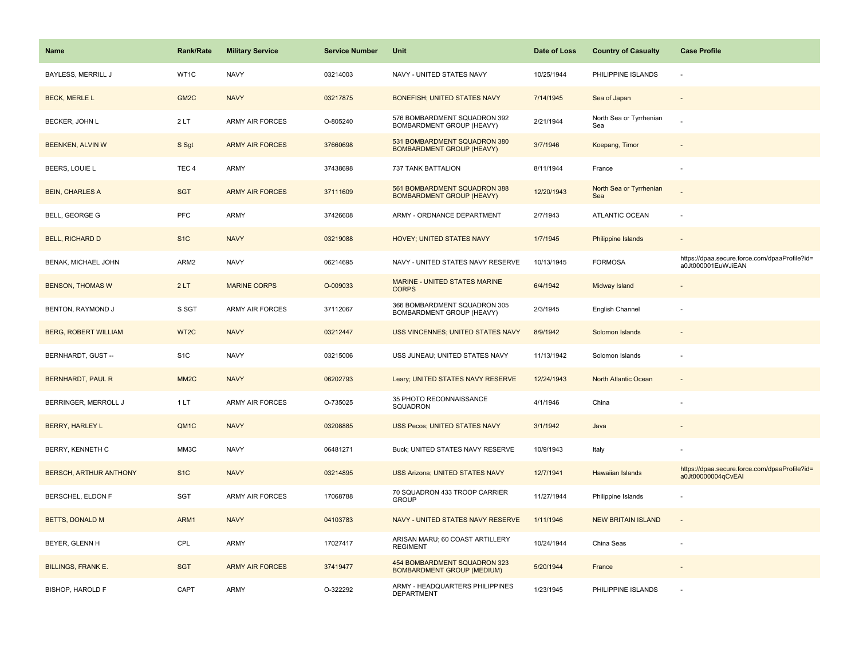| <b>Name</b>                   | <b>Rank/Rate</b>  | <b>Military Service</b> | <b>Service Number</b> | Unit                                                              | Date of Loss | <b>Country of Casualty</b>     | <b>Case Profile</b>                                                 |
|-------------------------------|-------------------|-------------------------|-----------------------|-------------------------------------------------------------------|--------------|--------------------------------|---------------------------------------------------------------------|
| <b>BAYLESS, MERRILL J</b>     | WT1C              | <b>NAVY</b>             | 03214003              | NAVY - UNITED STATES NAVY                                         | 10/25/1944   | PHILIPPINE ISLANDS             |                                                                     |
| <b>BECK, MERLE L</b>          | GM <sub>2</sub> C | <b>NAVY</b>             | 03217875              | <b>BONEFISH; UNITED STATES NAVY</b>                               | 7/14/1945    | Sea of Japan                   |                                                                     |
| BECKER, JOHN L                | 2LT               | <b>ARMY AIR FORCES</b>  | O-805240              | 576 BOMBARDMENT SQUADRON 392<br>BOMBARDMENT GROUP (HEAVY)         | 2/21/1944    | North Sea or Tyrrhenian<br>Sea |                                                                     |
| BEENKEN, ALVIN W              | S Sgt             | <b>ARMY AIR FORCES</b>  | 37660698              | 531 BOMBARDMENT SQUADRON 380<br><b>BOMBARDMENT GROUP (HEAVY)</b>  | 3/7/1946     | Koepang, Timor                 |                                                                     |
| BEERS, LOUIE L                | TEC <sub>4</sub>  | <b>ARMY</b>             | 37438698              | 737 TANK BATTALION                                                | 8/11/1944    | France                         |                                                                     |
| <b>BEIN, CHARLES A</b>        | <b>SGT</b>        | <b>ARMY AIR FORCES</b>  | 37111609              | 561 BOMBARDMENT SQUADRON 388<br><b>BOMBARDMENT GROUP (HEAVY)</b>  | 12/20/1943   | North Sea or Tyrrhenian<br>Sea |                                                                     |
| BELL, GEORGE G                | PFC               | ARMY                    | 37426608              | ARMY - ORDNANCE DEPARTMENT                                        | 2/7/1943     | ATLANTIC OCEAN                 |                                                                     |
| <b>BELL, RICHARD D</b>        | S <sub>1</sub> C  | <b>NAVY</b>             | 03219088              | HOVEY; UNITED STATES NAVY                                         | 1/7/1945     | Philippine Islands             |                                                                     |
| BENAK, MICHAEL JOHN           | ARM2              | <b>NAVY</b>             | 06214695              | NAVY - UNITED STATES NAVY RESERVE                                 | 10/13/1945   | <b>FORMOSA</b>                 | https://dpaa.secure.force.com/dpaaProfile?id=<br>a0Jt000001EuWJiEAN |
| <b>BENSON, THOMAS W</b>       | 2LT               | <b>MARINE CORPS</b>     | O-009033              | <b>MARINE - UNITED STATES MARINE</b><br><b>CORPS</b>              | 6/4/1942     | Midway Island                  |                                                                     |
| BENTON, RAYMOND J             | S SGT             | ARMY AIR FORCES         | 37112067              | 366 BOMBARDMENT SQUADRON 305<br>BOMBARDMENT GROUP (HEAVY)         | 2/3/1945     | English Channel                |                                                                     |
| <b>BERG, ROBERT WILLIAM</b>   | WT <sub>2C</sub>  | <b>NAVY</b>             | 03212447              | <b>USS VINCENNES; UNITED STATES NAVY</b>                          | 8/9/1942     | Solomon Islands                |                                                                     |
| BERNHARDT, GUST --            | S <sub>1</sub> C  | <b>NAVY</b>             | 03215006              | USS JUNEAU; UNITED STATES NAVY                                    | 11/13/1942   | Solomon Islands                |                                                                     |
| <b>BERNHARDT, PAUL R</b>      | MM <sub>2</sub> C | <b>NAVY</b>             | 06202793              | Leary; UNITED STATES NAVY RESERVE                                 | 12/24/1943   | North Atlantic Ocean           | $\sim$                                                              |
| BERRINGER, MERROLL J          | 1LT               | <b>ARMY AIR FORCES</b>  | O-735025              | 35 PHOTO RECONNAISSANCE<br>SQUADRON                               | 4/1/1946     | China                          |                                                                     |
| <b>BERRY, HARLEY L</b>        | QM <sub>1</sub> C | <b>NAVY</b>             | 03208885              | <b>USS Pecos; UNITED STATES NAVY</b>                              | 3/1/1942     | Java                           |                                                                     |
| BERRY, KENNETH C              | MM3C              | <b>NAVY</b>             | 06481271              | Buck; UNITED STATES NAVY RESERVE                                  | 10/9/1943    | Italy                          |                                                                     |
| <b>BERSCH, ARTHUR ANTHONY</b> | S <sub>1C</sub>   | <b>NAVY</b>             | 03214895              | USS Arizona; UNITED STATES NAVY                                   | 12/7/1941    | Hawaiian Islands               | https://dpaa.secure.force.com/dpaaProfile?id=<br>a0Jt00000004qCvEAI |
| BERSCHEL, ELDON F             | <b>SGT</b>        | <b>ARMY AIR FORCES</b>  | 17068788              | 70 SQUADRON 433 TROOP CARRIER<br><b>GROUP</b>                     | 11/27/1944   | Philippine Islands             |                                                                     |
| <b>BETTS, DONALD M</b>        | ARM1              | <b>NAVY</b>             | 04103783              | NAVY - UNITED STATES NAVY RESERVE                                 | 1/11/1946    | <b>NEW BRITAIN ISLAND</b>      | $\overline{a}$                                                      |
| BEYER, GLENN H                | CPL               | ARMY                    | 17027417              | ARISAN MARU; 60 COAST ARTILLERY<br><b>REGIMENT</b>                | 10/24/1944   | China Seas                     |                                                                     |
| <b>BILLINGS, FRANK E.</b>     | <b>SGT</b>        | <b>ARMY AIR FORCES</b>  | 37419477              | 454 BOMBARDMENT SQUADRON 323<br><b>BOMBARDMENT GROUP (MEDIUM)</b> | 5/20/1944    | France                         |                                                                     |
| <b>BISHOP, HAROLD F</b>       | CAPT              | ARMY                    | O-322292              | ARMY - HEADQUARTERS PHILIPPINES<br><b>DEPARTMENT</b>              | 1/23/1945    | PHILIPPINE ISLANDS             |                                                                     |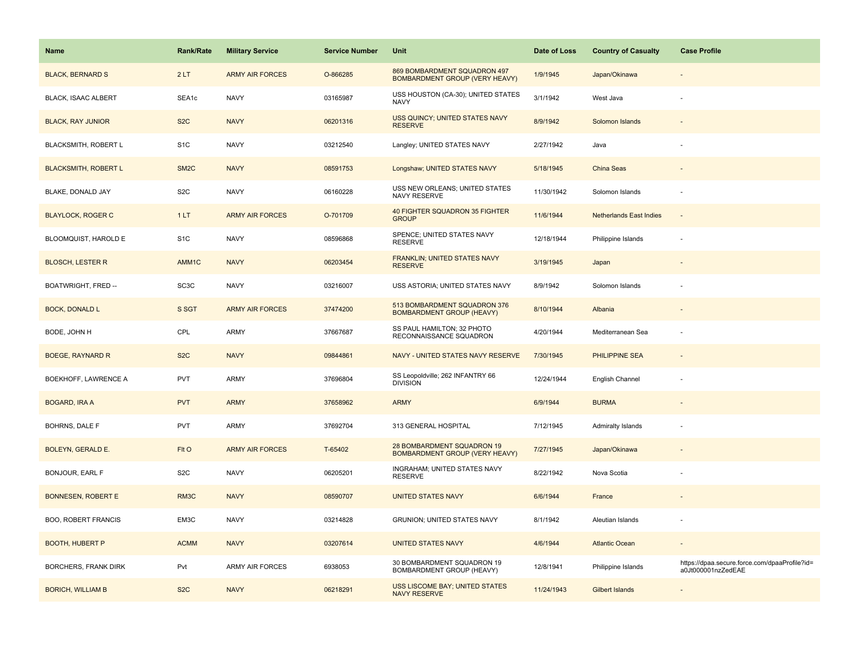| Name                        | <b>Rank/Rate</b>  | <b>Military Service</b> | <b>Service Number</b> | Unit                                                                  | Date of Loss | <b>Country of Casualty</b>     | <b>Case Profile</b>                                                 |
|-----------------------------|-------------------|-------------------------|-----------------------|-----------------------------------------------------------------------|--------------|--------------------------------|---------------------------------------------------------------------|
| <b>BLACK, BERNARD S</b>     | 2LT               | <b>ARMY AIR FORCES</b>  | O-866285              | 869 BOMBARDMENT SQUADRON 497<br><b>BOMBARDMENT GROUP (VERY HEAVY)</b> | 1/9/1945     | Japan/Okinawa                  |                                                                     |
| <b>BLACK, ISAAC ALBERT</b>  | SEA1c             | <b>NAVY</b>             | 03165987              | USS HOUSTON (CA-30); UNITED STATES<br><b>NAVY</b>                     | 3/1/1942     | West Java                      |                                                                     |
| <b>BLACK, RAY JUNIOR</b>    | S <sub>2</sub> C  | <b>NAVY</b>             | 06201316              | USS QUINCY; UNITED STATES NAVY<br><b>RESERVE</b>                      | 8/9/1942     | Solomon Islands                |                                                                     |
| BLACKSMITH, ROBERT L        | S <sub>1</sub> C  | <b>NAVY</b>             | 03212540              | Langley; UNITED STATES NAVY                                           | 2/27/1942    | Java                           |                                                                     |
| <b>BLACKSMITH, ROBERT L</b> | SM <sub>2</sub> C | <b>NAVY</b>             | 08591753              | Longshaw; UNITED STATES NAVY                                          | 5/18/1945    | China Seas                     |                                                                     |
| BLAKE, DONALD JAY           | S <sub>2</sub> C  | <b>NAVY</b>             | 06160228              | USS NEW ORLEANS; UNITED STATES<br>NAVY RESERVE                        | 11/30/1942   | Solomon Islands                |                                                                     |
| <b>BLAYLOCK, ROGER C</b>    | 1LT               | <b>ARMY AIR FORCES</b>  | O-701709              | 40 FIGHTER SQUADRON 35 FIGHTER<br><b>GROUP</b>                        | 11/6/1944    | <b>Netherlands East Indies</b> | $\sim$                                                              |
| BLOOMQUIST, HAROLD E        | S <sub>1</sub> C  | <b>NAVY</b>             | 08596868              | SPENCE; UNITED STATES NAVY<br><b>RESERVE</b>                          | 12/18/1944   | Philippine Islands             |                                                                     |
| <b>BLOSCH, LESTER R</b>     | AMM1C             | <b>NAVY</b>             | 06203454              | <b>FRANKLIN; UNITED STATES NAVY</b><br><b>RESERVE</b>                 | 3/19/1945    | Japan                          |                                                                     |
| BOATWRIGHT, FRED --         | SC <sub>3</sub> C | <b>NAVY</b>             | 03216007              | USS ASTORIA; UNITED STATES NAVY                                       | 8/9/1942     | Solomon Islands                |                                                                     |
| <b>BOCK, DONALD L</b>       | S SGT             | <b>ARMY AIR FORCES</b>  | 37474200              | 513 BOMBARDMENT SQUADRON 376<br><b>BOMBARDMENT GROUP (HEAVY)</b>      | 8/10/1944    | Albania                        |                                                                     |
| BODE, JOHN H                | CPL               | ARMY                    | 37667687              | SS PAUL HAMILTON; 32 PHOTO<br>RECONNAISSANCE SQUADRON                 | 4/20/1944    | Mediterranean Sea              |                                                                     |
| <b>BOEGE, RAYNARD R</b>     | S <sub>2</sub> C  | <b>NAVY</b>             | 09844861              | NAVY - UNITED STATES NAVY RESERVE                                     | 7/30/1945    | <b>PHILIPPINE SEA</b>          |                                                                     |
| BOEKHOFF, LAWRENCE A        | <b>PVT</b>        | ARMY                    | 37696804              | SS Leopoldville; 262 INFANTRY 66<br><b>DIVISION</b>                   | 12/24/1944   | English Channel                |                                                                     |
| <b>BOGARD, IRA A</b>        | <b>PVT</b>        | <b>ARMY</b>             | 37658962              | <b>ARMY</b>                                                           | 6/9/1944     | <b>BURMA</b>                   |                                                                     |
| BOHRNS, DALE F              | <b>PVT</b>        | ARMY                    | 37692704              | 313 GENERAL HOSPITAL                                                  | 7/12/1945    | Admiralty Islands              |                                                                     |
| <b>BOLEYN, GERALD E.</b>    | FIt O             | <b>ARMY AIR FORCES</b>  | T-65402               | 28 BOMBARDMENT SQUADRON 19<br>BOMBARDMENT GROUP (VERY HEAVY)          | 7/27/1945    | Japan/Okinawa                  |                                                                     |
| BONJOUR, EARL F             | S <sub>2</sub> C  | <b>NAVY</b>             | 06205201              | INGRAHAM; UNITED STATES NAVY<br><b>RESERVE</b>                        | 8/22/1942    | Nova Scotia                    |                                                                     |
| <b>BONNESEN, ROBERT E</b>   | RM3C              | <b>NAVY</b>             | 08590707              | <b>UNITED STATES NAVY</b>                                             | 6/6/1944     | France                         |                                                                     |
| <b>BOO, ROBERT FRANCIS</b>  | EM3C              | <b>NAVY</b>             | 03214828              | <b>GRUNION; UNITED STATES NAVY</b>                                    | 8/1/1942     | Aleutian Islands               |                                                                     |
| <b>BOOTH, HUBERT P</b>      | <b>ACMM</b>       | <b>NAVY</b>             | 03207614              | <b>UNITED STATES NAVY</b>                                             | 4/6/1944     | <b>Atlantic Ocean</b>          |                                                                     |
| <b>BORCHERS, FRANK DIRK</b> | Pvt               | <b>ARMY AIR FORCES</b>  | 6938053               | 30 BOMBARDMENT SQUADRON 19<br>BOMBARDMENT GROUP (HEAVY)               | 12/8/1941    | Philippine Islands             | https://dpaa.secure.force.com/dpaaProfile?id=<br>a0Jt000001nzZedEAE |
| <b>BORICH, WILLIAM B</b>    | S <sub>2</sub> C  | <b>NAVY</b>             | 06218291              | <b>USS LISCOME BAY; UNITED STATES</b><br><b>NAVY RESERVE</b>          | 11/24/1943   | <b>Gilbert Islands</b>         |                                                                     |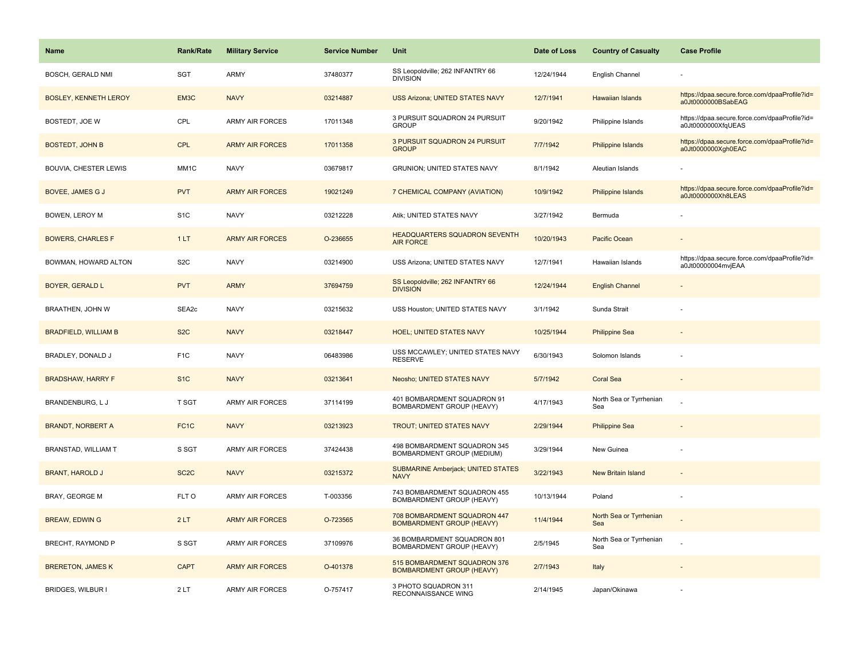| Name                         | <b>Rank/Rate</b>  | <b>Military Service</b> | <b>Service Number</b> | Unit                                                             | Date of Loss | <b>Country of Casualty</b>     | <b>Case Profile</b>                                                 |
|------------------------------|-------------------|-------------------------|-----------------------|------------------------------------------------------------------|--------------|--------------------------------|---------------------------------------------------------------------|
| BOSCH, GERALD NMI            | SGT               | ARMY                    | 37480377              | SS Leopoldville; 262 INFANTRY 66<br><b>DIVISION</b>              | 12/24/1944   | English Channel                |                                                                     |
| <b>BOSLEY, KENNETH LEROY</b> | EM3C              | <b>NAVY</b>             | 03214887              | <b>USS Arizona; UNITED STATES NAVY</b>                           | 12/7/1941    | <b>Hawaiian Islands</b>        | https://dpaa.secure.force.com/dpaaProfile?id=<br>a0Jt0000000BSabEAG |
| BOSTEDT, JOE W               | CPL               | <b>ARMY AIR FORCES</b>  | 17011348              | 3 PURSUIT SQUADRON 24 PURSUIT<br><b>GROUP</b>                    | 9/20/1942    | Philippine Islands             | https://dpaa.secure.force.com/dpaaProfile?id=<br>a0Jt0000000XfqUEAS |
| <b>BOSTEDT, JOHN B</b>       | <b>CPL</b>        | <b>ARMY AIR FORCES</b>  | 17011358              | 3 PURSUIT SQUADRON 24 PURSUIT<br><b>GROUP</b>                    | 7/7/1942     | Philippine Islands             | https://dpaa.secure.force.com/dpaaProfile?id=<br>a0Jt0000000Xgh0EAC |
| <b>BOUVIA, CHESTER LEWIS</b> | MM1C              | <b>NAVY</b>             | 03679817              | <b>GRUNION; UNITED STATES NAVY</b>                               | 8/1/1942     | Aleutian Islands               |                                                                     |
| BOVEE, JAMES G J             | <b>PVT</b>        | <b>ARMY AIR FORCES</b>  | 19021249              | 7 CHEMICAL COMPANY (AVIATION)                                    | 10/9/1942    | Philippine Islands             | https://dpaa.secure.force.com/dpaaProfile?id=<br>a0Jt0000000Xh8LEAS |
| BOWEN, LEROY M               | S <sub>1</sub> C  | <b>NAVY</b>             | 03212228              | Atik; UNITED STATES NAVY                                         | 3/27/1942    | Bermuda                        |                                                                     |
| <b>BOWERS, CHARLES F</b>     | 1LT               | <b>ARMY AIR FORCES</b>  | O-236655              | HEADQUARTERS SQUADRON SEVENTH<br><b>AIR FORCE</b>                | 10/20/1943   | Pacific Ocean                  |                                                                     |
| BOWMAN, HOWARD ALTON         | S <sub>2</sub> C  | <b>NAVY</b>             | 03214900              | USS Arizona; UNITED STATES NAVY                                  | 12/7/1941    | Hawaiian Islands               | https://dpaa.secure.force.com/dpaaProfile?id=<br>a0Jt00000004mvjEAA |
| <b>BOYER, GERALD L</b>       | <b>PVT</b>        | <b>ARMY</b>             | 37694759              | SS Leopoldville; 262 INFANTRY 66<br><b>DIVISION</b>              | 12/24/1944   | <b>English Channel</b>         |                                                                     |
| BRAATHEN, JOHN W             | SEA2c             | <b>NAVY</b>             | 03215632              | USS Houston; UNITED STATES NAVY                                  | 3/1/1942     | Sunda Strait                   |                                                                     |
| <b>BRADFIELD, WILLIAM B</b>  | S <sub>2</sub> C  | <b>NAVY</b>             | 03218447              | <b>HOEL; UNITED STATES NAVY</b>                                  | 10/25/1944   | <b>Philippine Sea</b>          |                                                                     |
| BRADLEY, DONALD J            | F <sub>1</sub> C  | <b>NAVY</b>             | 06483986              | USS MCCAWLEY; UNITED STATES NAVY<br><b>RESERVE</b>               | 6/30/1943    | Solomon Islands                |                                                                     |
| <b>BRADSHAW, HARRY F</b>     | S <sub>1C</sub>   | <b>NAVY</b>             | 03213641              | Neosho; UNITED STATES NAVY                                       | 5/7/1942     | <b>Coral Sea</b>               |                                                                     |
| <b>BRANDENBURG, LJ</b>       | T SGT             | <b>ARMY AIR FORCES</b>  | 37114199              | 401 BOMBARDMENT SQUADRON 91<br>BOMBARDMENT GROUP (HEAVY)         | 4/17/1943    | North Sea or Tyrrhenian<br>Sea |                                                                     |
| <b>BRANDT, NORBERT A</b>     | FC <sub>1</sub> C | <b>NAVY</b>             | 03213923              | <b>TROUT; UNITED STATES NAVY</b>                                 | 2/29/1944    | <b>Philippine Sea</b>          |                                                                     |
| BRANSTAD, WILLIAM T          | S SGT             | ARMY AIR FORCES         | 37424438              | 498 BOMBARDMENT SQUADRON 345<br>BOMBARDMENT GROUP (MEDIUM)       | 3/29/1944    | New Guinea                     |                                                                     |
| <b>BRANT, HAROLD J</b>       | SC <sub>2</sub> C | <b>NAVY</b>             | 03215372              | <b>SUBMARINE Amberjack; UNITED STATES</b><br><b>NAVY</b>         | 3/22/1943    | <b>New Britain Island</b>      |                                                                     |
| <b>BRAY, GEORGE M</b>        | FLT O             | <b>ARMY AIR FORCES</b>  | T-003356              | 743 BOMBARDMENT SQUADRON 455<br>BOMBARDMENT GROUP (HEAVY)        | 10/13/1944   | Poland                         |                                                                     |
| <b>BREAW, EDWING</b>         | 2LT               | <b>ARMY AIR FORCES</b>  | O-723565              | 708 BOMBARDMENT SQUADRON 447<br><b>BOMBARDMENT GROUP (HEAVY)</b> | 11/4/1944    | North Sea or Tyrrhenian<br>Sea |                                                                     |
| BRECHT, RAYMOND P            | S SGT             | ARMY AIR FORCES         | 37109976              | 36 BOMBARDMENT SQUADRON 801<br>BOMBARDMENT GROUP (HEAVY)         | 2/5/1945     | North Sea or Tyrrhenian<br>Sea |                                                                     |
| <b>BRERETON, JAMES K</b>     | <b>CAPT</b>       | <b>ARMY AIR FORCES</b>  | O-401378              | 515 BOMBARDMENT SQUADRON 376<br><b>BOMBARDMENT GROUP (HEAVY)</b> | 2/7/1943     | Italy                          |                                                                     |
| BRIDGES, WILBUR I            | 2LT               | <b>ARMY AIR FORCES</b>  | O-757417              | 3 PHOTO SQUADRON 311<br>RECONNAISSANCE WING                      | 2/14/1945    | Japan/Okinawa                  |                                                                     |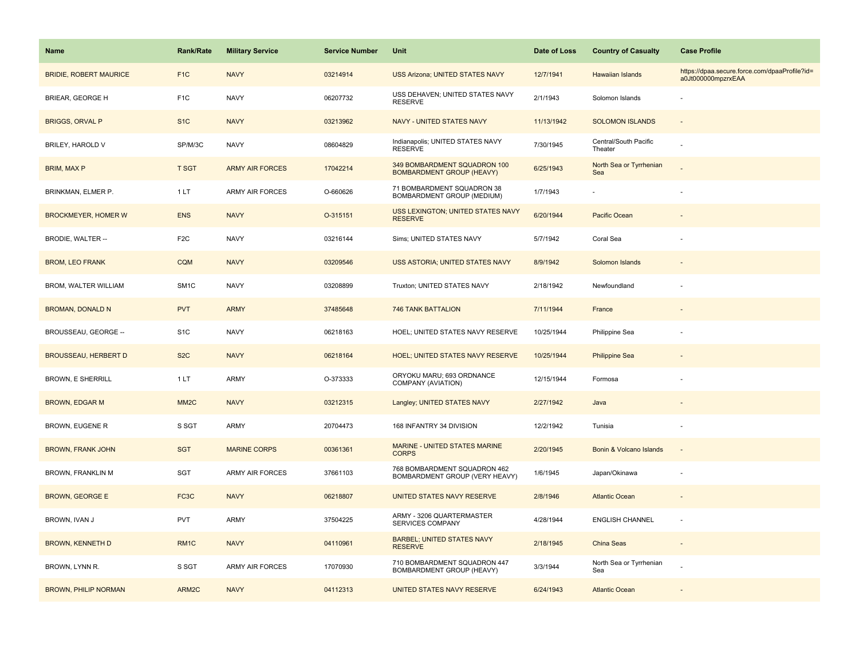| <b>Name</b>                   | Rank/Rate         | <b>Military Service</b> | <b>Service Number</b> | Unit                                                             | Date of Loss | <b>Country of Casualty</b>       | <b>Case Profile</b>                                                 |
|-------------------------------|-------------------|-------------------------|-----------------------|------------------------------------------------------------------|--------------|----------------------------------|---------------------------------------------------------------------|
| <b>BRIDIE, ROBERT MAURICE</b> | F <sub>1</sub> C  | <b>NAVY</b>             | 03214914              | <b>USS Arizona; UNITED STATES NAVY</b>                           | 12/7/1941    | Hawaiian Islands                 | https://dpaa.secure.force.com/dpaaProfile?id=<br>a0Jt000000mpzrxEAA |
| BRIEAR, GEORGE H              | F <sub>1</sub> C  | <b>NAVY</b>             | 06207732              | USS DEHAVEN; UNITED STATES NAVY<br><b>RESERVE</b>                | 2/1/1943     | Solomon Islands                  |                                                                     |
| <b>BRIGGS, ORVAL P</b>        | S <sub>1</sub> C  | <b>NAVY</b>             | 03213962              | NAVY - UNITED STATES NAVY                                        | 11/13/1942   | <b>SOLOMON ISLANDS</b>           |                                                                     |
| BRILEY, HAROLD V              | SP/M/3C           | <b>NAVY</b>             | 08604829              | Indianapolis; UNITED STATES NAVY<br><b>RESERVE</b>               | 7/30/1945    | Central/South Pacific<br>Theater |                                                                     |
| <b>BRIM, MAX P</b>            | T SGT             | <b>ARMY AIR FORCES</b>  | 17042214              | 349 BOMBARDMENT SQUADRON 100<br><b>BOMBARDMENT GROUP (HEAVY)</b> | 6/25/1943    | North Sea or Tyrrhenian<br>Sea   |                                                                     |
| BRINKMAN, ELMER P.            | 1LT               | <b>ARMY AIR FORCES</b>  | O-660626              | 71 BOMBARDMENT SQUADRON 38<br>BOMBARDMENT GROUP (MEDIUM)         | 1/7/1943     |                                  |                                                                     |
| <b>BROCKMEYER, HOMER W</b>    | <b>ENS</b>        | <b>NAVY</b>             | O-315151              | <b>USS LEXINGTON; UNITED STATES NAVY</b><br><b>RESERVE</b>       | 6/20/1944    | Pacific Ocean                    |                                                                     |
| BRODIE, WALTER --             | F <sub>2</sub> C  | <b>NAVY</b>             | 03216144              | Sims; UNITED STATES NAVY                                         | 5/7/1942     | Coral Sea                        |                                                                     |
| <b>BROM, LEO FRANK</b>        | <b>CQM</b>        | <b>NAVY</b>             | 03209546              | USS ASTORIA; UNITED STATES NAVY                                  | 8/9/1942     | Solomon Islands                  |                                                                     |
| BROM, WALTER WILLIAM          | SM <sub>1</sub> C | <b>NAVY</b>             | 03208899              | Truxton; UNITED STATES NAVY                                      | 2/18/1942    | Newfoundland                     |                                                                     |
| <b>BROMAN, DONALD N</b>       | <b>PVT</b>        | <b>ARMY</b>             | 37485648              | <b>746 TANK BATTALION</b>                                        | 7/11/1944    | France                           |                                                                     |
| BROUSSEAU, GEORGE --          | S <sub>1</sub> C  | <b>NAVY</b>             | 06218163              | HOEL; UNITED STATES NAVY RESERVE                                 | 10/25/1944   | Philippine Sea                   |                                                                     |
| <b>BROUSSEAU, HERBERT D</b>   | S <sub>2</sub> C  | <b>NAVY</b>             | 06218164              | <b>HOEL: UNITED STATES NAVY RESERVE</b>                          | 10/25/1944   | <b>Philippine Sea</b>            |                                                                     |
| <b>BROWN, E SHERRILL</b>      | 1LT               | <b>ARMY</b>             | O-373333              | ORYOKU MARU; 693 ORDNANCE<br>COMPANY (AVIATION)                  | 12/15/1944   | Formosa                          |                                                                     |
| <b>BROWN, EDGAR M</b>         | MM <sub>2</sub> C | <b>NAVY</b>             | 03212315              | Langley; UNITED STATES NAVY                                      | 2/27/1942    | Java                             |                                                                     |
| BROWN, EUGENE R               | S SGT             | ARMY                    | 20704473              | 168 INFANTRY 34 DIVISION                                         | 12/2/1942    | Tunisia                          |                                                                     |
| <b>BROWN, FRANK JOHN</b>      | <b>SGT</b>        | <b>MARINE CORPS</b>     | 00361361              | <b>MARINE - UNITED STATES MARINE</b><br><b>CORPS</b>             | 2/20/1945    | Bonin & Volcano Islands          | $\sim$                                                              |
| BROWN, FRANKLIN M             | SGT               | ARMY AIR FORCES         | 37661103              | 768 BOMBARDMENT SQUADRON 462<br>BOMBARDMENT GROUP (VERY HEAVY)   | 1/6/1945     | Japan/Okinawa                    |                                                                     |
| <b>BROWN, GEORGE E</b>        | FC3C              | <b>NAVY</b>             | 06218807              | UNITED STATES NAVY RESERVE                                       | 2/8/1946     | <b>Atlantic Ocean</b>            |                                                                     |
| BROWN, IVAN J                 | <b>PVT</b>        | <b>ARMY</b>             | 37504225              | ARMY - 3206 QUARTERMASTER<br>SERVICES COMPANY                    | 4/28/1944    | <b>ENGLISH CHANNEL</b>           |                                                                     |
| <b>BROWN, KENNETH D</b>       | RM1C              | <b>NAVY</b>             | 04110961              | <b>BARBEL; UNITED STATES NAVY</b><br><b>RESERVE</b>              | 2/18/1945    | China Seas                       | $\overline{\phantom{a}}$                                            |
| BROWN, LYNN R.                | S SGT             | <b>ARMY AIR FORCES</b>  | 17070930              | 710 BOMBARDMENT SQUADRON 447<br>BOMBARDMENT GROUP (HEAVY)        | 3/3/1944     | North Sea or Tyrrhenian<br>Sea   |                                                                     |
| <b>BROWN, PHILIP NORMAN</b>   | ARM2C             | <b>NAVY</b>             | 04112313              | UNITED STATES NAVY RESERVE                                       | 6/24/1943    | <b>Atlantic Ocean</b>            |                                                                     |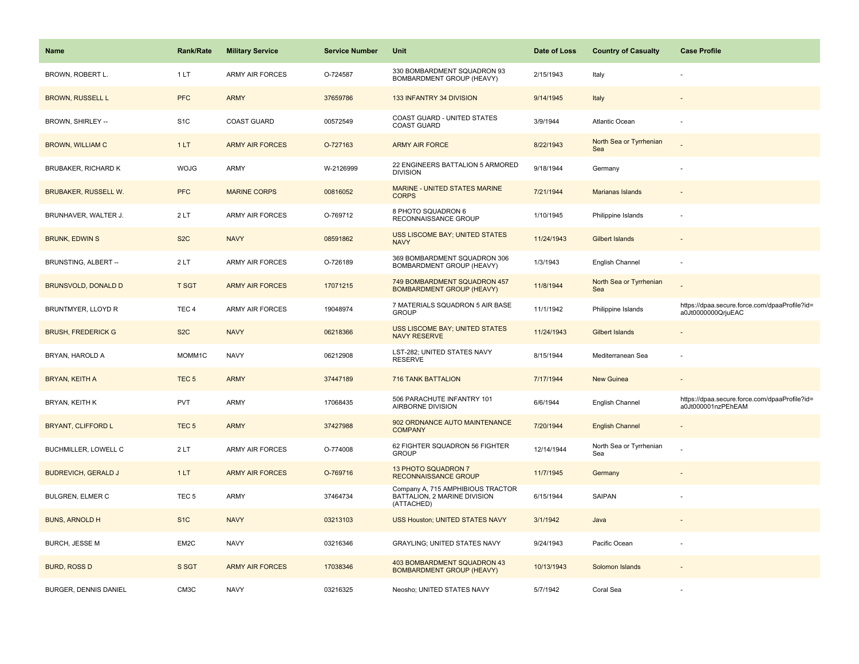| Name                         | <b>Rank/Rate</b>  | <b>Military Service</b> | <b>Service Number</b> | Unit                                                                            | Date of Loss | <b>Country of Casualty</b>     | <b>Case Profile</b>                                                 |
|------------------------------|-------------------|-------------------------|-----------------------|---------------------------------------------------------------------------------|--------------|--------------------------------|---------------------------------------------------------------------|
| BROWN, ROBERT L.             | 1LT               | <b>ARMY AIR FORCES</b>  | O-724587              | 330 BOMBARDMENT SQUADRON 93<br>BOMBARDMENT GROUP (HEAVY)                        | 2/15/1943    | Italy                          |                                                                     |
| <b>BROWN, RUSSELL L</b>      | <b>PFC</b>        | <b>ARMY</b>             | 37659786              | 133 INFANTRY 34 DIVISION                                                        | 9/14/1945    | Italy                          |                                                                     |
| BROWN, SHIRLEY --            | S <sub>1</sub> C  | <b>COAST GUARD</b>      | 00572549              | COAST GUARD - UNITED STATES<br><b>COAST GUARD</b>                               | 3/9/1944     | Atlantic Ocean                 |                                                                     |
| <b>BROWN, WILLIAM C</b>      | 1LT               | <b>ARMY AIR FORCES</b>  | O-727163              | <b>ARMY AIR FORCE</b>                                                           | 8/22/1943    | North Sea or Tyrrhenian<br>Sea |                                                                     |
| <b>BRUBAKER, RICHARD K</b>   | <b>WOJG</b>       | ARMY                    | W-2126999             | 22 ENGINEERS BATTALION 5 ARMORED<br><b>DIVISION</b>                             | 9/18/1944    | Germany                        |                                                                     |
| <b>BRUBAKER, RUSSELL W.</b>  | <b>PFC</b>        | <b>MARINE CORPS</b>     | 00816052              | MARINE - UNITED STATES MARINE<br><b>CORPS</b>                                   | 7/21/1944    | <b>Marianas Islands</b>        |                                                                     |
| BRUNHAVER, WALTER J.         | 2LT               | ARMY AIR FORCES         | O-769712              | 8 PHOTO SQUADRON 6<br>RECONNAISSANCE GROUP                                      | 1/10/1945    | Philippine Islands             |                                                                     |
| <b>BRUNK, EDWIN S</b>        | S <sub>2</sub> C  | <b>NAVY</b>             | 08591862              | USS LISCOME BAY; UNITED STATES<br><b>NAVY</b>                                   | 11/24/1943   | <b>Gilbert Islands</b>         |                                                                     |
| BRUNSTING, ALBERT --         | 2LT               | ARMY AIR FORCES         | O-726189              | 369 BOMBARDMENT SQUADRON 306<br>BOMBARDMENT GROUP (HEAVY)                       | 1/3/1943     | English Channel                |                                                                     |
| <b>BRUNSVOLD, DONALD D</b>   | <b>T SGT</b>      | <b>ARMY AIR FORCES</b>  | 17071215              | 749 BOMBARDMENT SQUADRON 457<br><b>BOMBARDMENT GROUP (HEAVY)</b>                | 11/8/1944    | North Sea or Tyrrhenian<br>Sea |                                                                     |
| BRUNTMYER, LLOYD R           | TEC <sub>4</sub>  | <b>ARMY AIR FORCES</b>  | 19048974              | 7 MATERIALS SQUADRON 5 AIR BASE<br><b>GROUP</b>                                 | 11/1/1942    | Philippine Islands             | https://dpaa.secure.force.com/dpaaProfile?id=<br>a0Jt0000000QrjuEAC |
| <b>BRUSH, FREDERICK G</b>    | S <sub>2</sub> C  | <b>NAVY</b>             | 06218366              | USS LISCOME BAY; UNITED STATES<br><b>NAVY RESERVE</b>                           | 11/24/1943   | <b>Gilbert Islands</b>         |                                                                     |
| BRYAN, HAROLD A              | MOMM1C            | <b>NAVY</b>             | 06212908              | LST-282; UNITED STATES NAVY<br><b>RESERVE</b>                                   | 8/15/1944    | Mediterranean Sea              |                                                                     |
| <b>BRYAN, KEITH A</b>        | TEC <sub>5</sub>  | <b>ARMY</b>             | 37447189              | 716 TANK BATTALION                                                              | 7/17/1944    | New Guinea                     |                                                                     |
| BRYAN, KEITH K               | <b>PVT</b>        | ARMY                    | 17068435              | 506 PARACHUTE INFANTRY 101<br>AIRBORNE DIVISION                                 | 6/6/1944     | English Channel                | https://dpaa.secure.force.com/dpaaProfile?id=<br>a0Jt000001nzPEhEAM |
| <b>BRYANT, CLIFFORD L</b>    | TEC <sub>5</sub>  | <b>ARMY</b>             | 37427988              | 902 ORDNANCE AUTO MAINTENANCE<br><b>COMPANY</b>                                 | 7/20/1944    | <b>English Channel</b>         |                                                                     |
| BUCHMILLER, LOWELL C         | 2LT               | <b>ARMY AIR FORCES</b>  | O-774008              | 62 FIGHTER SQUADRON 56 FIGHTER<br><b>GROUP</b>                                  | 12/14/1944   | North Sea or Tyrrhenian<br>Sea |                                                                     |
| <b>BUDREVICH, GERALD J</b>   | 1LT               | <b>ARMY AIR FORCES</b>  | O-769716              | <b>13 PHOTO SQUADRON 7</b><br><b>RECONNAISSANCE GROUP</b>                       | 11/7/1945    | Germany                        |                                                                     |
| <b>BULGREN, ELMER C</b>      | TEC <sub>5</sub>  | ARMY                    | 37464734              | Company A, 715 AMPHIBIOUS TRACTOR<br>BATTALION, 2 MARINE DIVISION<br>(ATTACHED) | 6/15/1944    | <b>SAIPAN</b>                  |                                                                     |
| <b>BUNS, ARNOLD H</b>        | S <sub>1C</sub>   | <b>NAVY</b>             | 03213103              | USS Houston; UNITED STATES NAVY                                                 | 3/1/1942     | Java                           |                                                                     |
| <b>BURCH, JESSE M</b>        | EM2C              | <b>NAVY</b>             | 03216346              | <b>GRAYLING: UNITED STATES NAVY</b>                                             | 9/24/1943    | Pacific Ocean                  |                                                                     |
| <b>BURD, ROSS D</b>          | S SGT             | <b>ARMY AIR FORCES</b>  | 17038346              | 403 BOMBARDMENT SQUADRON 43<br><b>BOMBARDMENT GROUP (HEAVY)</b>                 | 10/13/1943   | Solomon Islands                |                                                                     |
| <b>BURGER, DENNIS DANIEL</b> | CM <sub>3</sub> C | <b>NAVY</b>             | 03216325              | Neosho; UNITED STATES NAVY                                                      | 5/7/1942     | Coral Sea                      |                                                                     |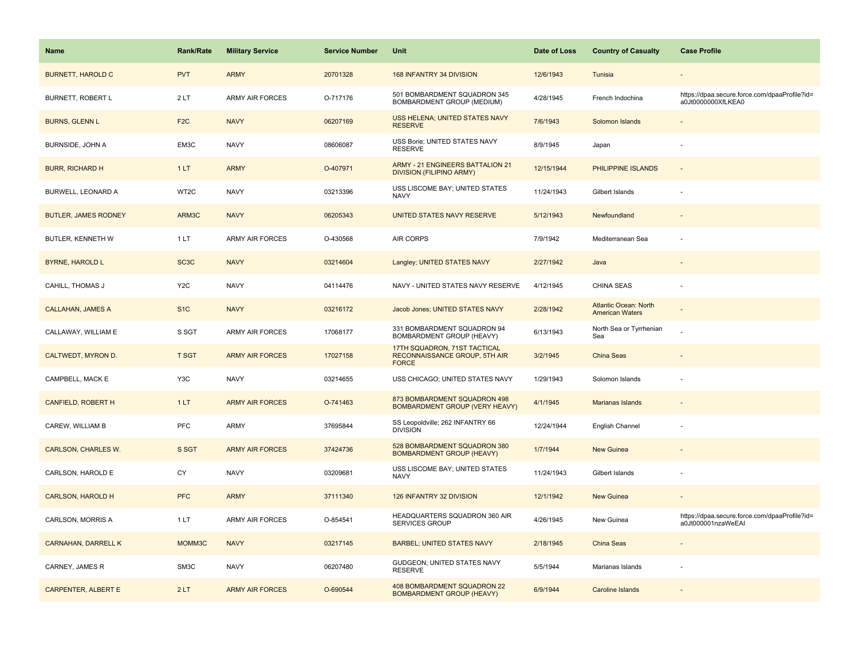| <b>Name</b>                 | <b>Rank/Rate</b>  | <b>Military Service</b> | <b>Service Number</b> | Unit                                                                          | Date of Loss | <b>Country of Casualty</b>                             | <b>Case Profile</b>                                                 |
|-----------------------------|-------------------|-------------------------|-----------------------|-------------------------------------------------------------------------------|--------------|--------------------------------------------------------|---------------------------------------------------------------------|
| <b>BURNETT, HAROLD C</b>    | <b>PVT</b>        | <b>ARMY</b>             | 20701328              | 168 INFANTRY 34 DIVISION                                                      | 12/6/1943    | Tunisia                                                |                                                                     |
| BURNETT, ROBERT L           | 2LT               | <b>ARMY AIR FORCES</b>  | O-717176              | 501 BOMBARDMENT SQUADRON 345<br>BOMBARDMENT GROUP (MEDIUM)                    | 4/28/1945    | French Indochina                                       | https://dpaa.secure.force.com/dpaaProfile?id=<br>a0Jt0000000XfLKEA0 |
| <b>BURNS, GLENN L</b>       | F <sub>2</sub> C  | <b>NAVY</b>             | 06207169              | USS HELENA; UNITED STATES NAVY<br><b>RESERVE</b>                              | 7/6/1943     | Solomon Islands                                        |                                                                     |
| BURNSIDE, JOHN A            | EM3C              | <b>NAVY</b>             | 08606087              | USS Borie; UNITED STATES NAVY<br><b>RESERVE</b>                               | 8/9/1945     | Japan                                                  |                                                                     |
| <b>BURR, RICHARD H</b>      | 1LT               | <b>ARMY</b>             | O-407971              | <b>ARMY - 21 ENGINEERS BATTALION 21</b><br><b>DIVISION (FILIPINO ARMY)</b>    | 12/15/1944   | PHILIPPINE ISLANDS                                     |                                                                     |
| BURWELL, LEONARD A          | WT2C              | <b>NAVY</b>             | 03213396              | USS LISCOME BAY; UNITED STATES<br><b>NAVY</b>                                 | 11/24/1943   | Gilbert Islands                                        |                                                                     |
| <b>BUTLER, JAMES RODNEY</b> | ARM3C             | <b>NAVY</b>             | 06205343              | UNITED STATES NAVY RESERVE                                                    | 5/12/1943    | Newfoundland                                           |                                                                     |
| BUTLER, KENNETH W           | 1LT               | <b>ARMY AIR FORCES</b>  | O-430568              | AIR CORPS                                                                     | 7/9/1942     | Mediterranean Sea                                      | ÷,                                                                  |
| <b>BYRNE, HAROLD L</b>      | SC <sub>3</sub> C | <b>NAVY</b>             | 03214604              | Langley; UNITED STATES NAVY                                                   | 2/27/1942    | Java                                                   |                                                                     |
| CAHILL, THOMAS J            | Y <sub>2</sub> C  | <b>NAVY</b>             | 04114476              | NAVY - UNITED STATES NAVY RESERVE                                             | 4/12/1945    | CHINA SEAS                                             |                                                                     |
| <b>CALLAHAN, JAMES A</b>    | S <sub>1</sub> C  | <b>NAVY</b>             | 03216172              | Jacob Jones; UNITED STATES NAVY                                               | 2/28/1942    | <b>Atlantic Ocean: North</b><br><b>American Waters</b> |                                                                     |
| CALLAWAY, WILLIAM E         | S SGT             | ARMY AIR FORCES         | 17068177              | 331 BOMBARDMENT SQUADRON 94<br>BOMBARDMENT GROUP (HEAVY)                      | 6/13/1943    | North Sea or Tyrrhenian<br>Sea                         |                                                                     |
| CALTWEDT, MYRON D.          | <b>T SGT</b>      | <b>ARMY AIR FORCES</b>  | 17027158              | 17TH SQUADRON, 71ST TACTICAL<br>RECONNAISSANCE GROUP, 5TH AIR<br><b>FORCE</b> | 3/2/1945     | <b>China Seas</b>                                      |                                                                     |
| CAMPBELL, MACK E            | Y3C               | <b>NAVY</b>             | 03214655              | USS CHICAGO; UNITED STATES NAVY                                               | 1/29/1943    | Solomon Islands                                        |                                                                     |
| CANFIELD, ROBERT H          | 1LT               | <b>ARMY AIR FORCES</b>  | O-741463              | 873 BOMBARDMENT SQUADRON 498<br><b>BOMBARDMENT GROUP (VERY HEAVY)</b>         | 4/1/1945     | <b>Marianas Islands</b>                                |                                                                     |
| CAREW, WILLIAM B            | PFC               | ARMY                    | 37695844              | SS Leopoldville; 262 INFANTRY 66<br><b>DIVISION</b>                           | 12/24/1944   | English Channel                                        |                                                                     |
| CARLSON, CHARLES W.         | S SGT             | <b>ARMY AIR FORCES</b>  | 37424736              | 528 BOMBARDMENT SQUADRON 380<br><b>BOMBARDMENT GROUP (HEAVY)</b>              | 1/7/1944     | <b>New Guinea</b>                                      |                                                                     |
| CARLSON, HAROLD E           | CY                | <b>NAVY</b>             | 03209681              | USS LISCOME BAY; UNITED STATES<br><b>NAVY</b>                                 | 11/24/1943   | Gilbert Islands                                        |                                                                     |
| <b>CARLSON, HAROLD H</b>    | <b>PFC</b>        | <b>ARMY</b>             | 37111340              | 126 INFANTRY 32 DIVISION                                                      | 12/1/1942    | New Guinea                                             |                                                                     |
| CARLSON, MORRIS A           | 1 LT              | ARMY AIR FORCES         | O-854541              | HEADQUARTERS SQUADRON 360 AIR<br><b>SERVICES GROUP</b>                        | 4/26/1945    | New Guinea                                             | https://dpaa.secure.force.com/dpaaProfile?id=<br>a0Jt000001nzaWeEAI |
| <b>CARNAHAN, DARRELL K</b>  | MOMM3C            | <b>NAVY</b>             | 03217145              | <b>BARBEL; UNITED STATES NAVY</b>                                             | 2/18/1945    | China Seas                                             |                                                                     |
| CARNEY, JAMES R             | SM3C              | <b>NAVY</b>             | 06207480              | GUDGEON; UNITED STATES NAVY<br><b>RESERVE</b>                                 | 5/5/1944     | Marianas Islands                                       |                                                                     |
| <b>CARPENTER, ALBERT E</b>  | 2LT               | <b>ARMY AIR FORCES</b>  | O-690544              | 408 BOMBARDMENT SQUADRON 22<br><b>BOMBARDMENT GROUP (HEAVY)</b>               | 6/9/1944     | Caroline Islands                                       |                                                                     |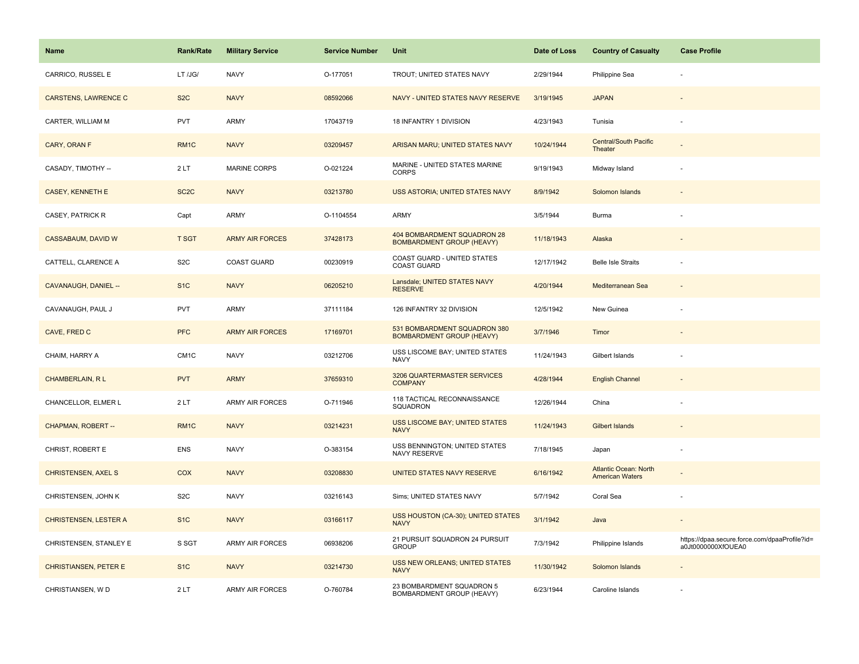| <b>Name</b>                  | Rank/Rate         | <b>Military Service</b> | <b>Service Number</b> | Unit                                                             | Date of Loss | <b>Country of Casualty</b>                             | <b>Case Profile</b>                                                 |
|------------------------------|-------------------|-------------------------|-----------------------|------------------------------------------------------------------|--------------|--------------------------------------------------------|---------------------------------------------------------------------|
| CARRICO, RUSSEL E            | LT /JG/           | <b>NAVY</b>             | O-177051              | TROUT; UNITED STATES NAVY                                        | 2/29/1944    | Philippine Sea                                         |                                                                     |
| <b>CARSTENS, LAWRENCE C</b>  | S <sub>2</sub> C  | <b>NAVY</b>             | 08592066              | NAVY - UNITED STATES NAVY RESERVE                                | 3/19/1945    | <b>JAPAN</b>                                           |                                                                     |
| CARTER, WILLIAM M            | <b>PVT</b>        | ARMY                    | 17043719              | 18 INFANTRY 1 DIVISION                                           | 4/23/1943    | Tunisia                                                |                                                                     |
| CARY, ORAN F                 | RM <sub>1C</sub>  | <b>NAVY</b>             | 03209457              | ARISAN MARU; UNITED STATES NAVY                                  | 10/24/1944   | <b>Central/South Pacific</b><br>Theater                |                                                                     |
| CASADY, TIMOTHY --           | 2LT               | <b>MARINE CORPS</b>     | O-021224              | MARINE - UNITED STATES MARINE<br><b>CORPS</b>                    | 9/19/1943    | Midway Island                                          |                                                                     |
| <b>CASEY, KENNETH E</b>      | SC <sub>2</sub> C | <b>NAVY</b>             | 03213780              | USS ASTORIA; UNITED STATES NAVY                                  | 8/9/1942     | Solomon Islands                                        |                                                                     |
| CASEY, PATRICK R             | Capt              | ARMY                    | O-1104554             | <b>ARMY</b>                                                      | 3/5/1944     | Burma                                                  |                                                                     |
| CASSABAUM, DAVID W           | <b>T SGT</b>      | <b>ARMY AIR FORCES</b>  | 37428173              | 404 BOMBARDMENT SQUADRON 28<br><b>BOMBARDMENT GROUP (HEAVY)</b>  | 11/18/1943   | Alaska                                                 |                                                                     |
| CATTELL, CLARENCE A          | S <sub>2</sub> C  | <b>COAST GUARD</b>      | 00230919              | COAST GUARD - UNITED STATES<br>COAST GUARD                       | 12/17/1942   | <b>Belle Isle Straits</b>                              |                                                                     |
| CAVANAUGH, DANIEL --         | S <sub>1</sub> C  | <b>NAVY</b>             | 06205210              | Lansdale; UNITED STATES NAVY<br><b>RESERVE</b>                   | 4/20/1944    | Mediterranean Sea                                      |                                                                     |
| CAVANAUGH, PAUL J            | <b>PVT</b>        | <b>ARMY</b>             | 37111184              | 126 INFANTRY 32 DIVISION                                         | 12/5/1942    | New Guinea                                             |                                                                     |
| CAVE, FRED C                 | <b>PFC</b>        | <b>ARMY AIR FORCES</b>  | 17169701              | 531 BOMBARDMENT SQUADRON 380<br><b>BOMBARDMENT GROUP (HEAVY)</b> | 3/7/1946     | Timor                                                  |                                                                     |
| CHAIM, HARRY A               | CM <sub>1</sub> C | <b>NAVY</b>             | 03212706              | USS LISCOME BAY; UNITED STATES<br><b>NAVY</b>                    | 11/24/1943   | Gilbert Islands                                        |                                                                     |
| <b>CHAMBERLAIN, RL</b>       | <b>PVT</b>        | <b>ARMY</b>             | 37659310              | 3206 QUARTERMASTER SERVICES<br><b>COMPANY</b>                    | 4/28/1944    | <b>English Channel</b>                                 |                                                                     |
| CHANCELLOR, ELMER L          | 2LT               | <b>ARMY AIR FORCES</b>  | O-711946              | 118 TACTICAL RECONNAISSANCE<br>SQUADRON                          | 12/26/1944   | China                                                  |                                                                     |
| CHAPMAN, ROBERT --           | RM1C              | <b>NAVY</b>             | 03214231              | USS LISCOME BAY; UNITED STATES<br><b>NAVY</b>                    | 11/24/1943   | <b>Gilbert Islands</b>                                 |                                                                     |
| CHRIST, ROBERT E             | ENS               | <b>NAVY</b>             | O-383154              | USS BENNINGTON; UNITED STATES<br>NAVY RESERVE                    | 7/18/1945    | Japan                                                  |                                                                     |
| <b>CHRISTENSEN, AXEL S</b>   | COX               | <b>NAVY</b>             | 03208830              | UNITED STATES NAVY RESERVE                                       | 6/16/1942    | <b>Atlantic Ocean: North</b><br><b>American Waters</b> |                                                                     |
| CHRISTENSEN, JOHN K          | S <sub>2</sub> C  | <b>NAVY</b>             | 03216143              | Sims; UNITED STATES NAVY                                         | 5/7/1942     | Coral Sea                                              |                                                                     |
| <b>CHRISTENSEN, LESTER A</b> | S <sub>1</sub> C  | <b>NAVY</b>             | 03166117              | USS HOUSTON (CA-30); UNITED STATES<br><b>NAVY</b>                | 3/1/1942     | Java                                                   |                                                                     |
| CHRISTENSEN, STANLEY E       | S SGT             | <b>ARMY AIR FORCES</b>  | 06938206              | 21 PURSUIT SQUADRON 24 PURSUIT<br><b>GROUP</b>                   | 7/3/1942     | Philippine Islands                                     | https://dpaa.secure.force.com/dpaaProfile?id=<br>a0Jt0000000XfOUEA0 |
| <b>CHRISTIANSEN, PETER E</b> | S <sub>1</sub> C  | <b>NAVY</b>             | 03214730              | USS NEW ORLEANS; UNITED STATES<br><b>NAVY</b>                    | 11/30/1942   | Solomon Islands                                        |                                                                     |
| CHRISTIANSEN, WD             | 2LT               | ARMY AIR FORCES         | O-760784              | 23 BOMBARDMENT SQUADRON 5<br>BOMBARDMENT GROUP (HEAVY)           | 6/23/1944    | Caroline Islands                                       |                                                                     |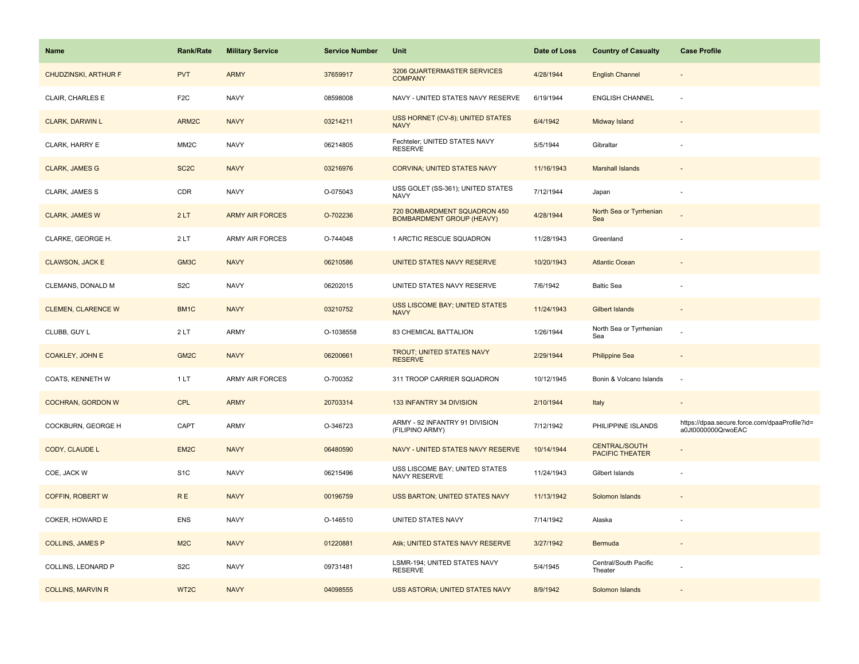| Name                      | <b>Rank/Rate</b>  | <b>Military Service</b> | <b>Service Number</b> | Unit                                                             | Date of Loss | <b>Country of Casualty</b>                     | <b>Case Profile</b>                                                 |
|---------------------------|-------------------|-------------------------|-----------------------|------------------------------------------------------------------|--------------|------------------------------------------------|---------------------------------------------------------------------|
| CHUDZINSKI, ARTHUR F      | <b>PVT</b>        | <b>ARMY</b>             | 37659917              | 3206 QUARTERMASTER SERVICES<br><b>COMPANY</b>                    | 4/28/1944    | <b>English Channel</b>                         |                                                                     |
| CLAIR, CHARLES E          | F <sub>2</sub> C  | <b>NAVY</b>             | 08598008              | NAVY - UNITED STATES NAVY RESERVE                                | 6/19/1944    | <b>ENGLISH CHANNEL</b>                         |                                                                     |
| <b>CLARK, DARWIN L</b>    | ARM2C             | <b>NAVY</b>             | 03214211              | USS HORNET (CV-8); UNITED STATES<br><b>NAVY</b>                  | 6/4/1942     | Midway Island                                  |                                                                     |
| CLARK, HARRY E            | MM <sub>2</sub> C | <b>NAVY</b>             | 06214805              | Fechteler; UNITED STATES NAVY<br><b>RESERVE</b>                  | 5/5/1944     | Gibraltar                                      |                                                                     |
| <b>CLARK, JAMES G</b>     | SC <sub>2</sub> C | <b>NAVY</b>             | 03216976              | <b>CORVINA; UNITED STATES NAVY</b>                               | 11/16/1943   | <b>Marshall Islands</b>                        |                                                                     |
| CLARK, JAMES S            | CDR               | <b>NAVY</b>             | O-075043              | USS GOLET (SS-361); UNITED STATES<br><b>NAVY</b>                 | 7/12/1944    | Japan                                          |                                                                     |
| <b>CLARK, JAMES W</b>     | 2LT               | <b>ARMY AIR FORCES</b>  | O-702236              | 720 BOMBARDMENT SQUADRON 450<br><b>BOMBARDMENT GROUP (HEAVY)</b> | 4/28/1944    | North Sea or Tyrrhenian<br>Sea                 |                                                                     |
| CLARKE, GEORGE H.         | 2LT               | ARMY AIR FORCES         | O-744048              | 1 ARCTIC RESCUE SQUADRON                                         | 11/28/1943   | Greenland                                      |                                                                     |
| <b>CLAWSON, JACK E</b>    | GM3C              | <b>NAVY</b>             | 06210586              | UNITED STATES NAVY RESERVE                                       | 10/20/1943   | <b>Atlantic Ocean</b>                          |                                                                     |
| CLEMANS, DONALD M         | S <sub>2</sub> C  | <b>NAVY</b>             | 06202015              | UNITED STATES NAVY RESERVE                                       | 7/6/1942     | <b>Baltic Sea</b>                              |                                                                     |
| <b>CLEMEN, CLARENCE W</b> | BM <sub>1</sub> C | <b>NAVY</b>             | 03210752              | <b>USS LISCOME BAY; UNITED STATES</b><br><b>NAVY</b>             | 11/24/1943   | <b>Gilbert Islands</b>                         |                                                                     |
| CLUBB, GUY L              | 2LT               | <b>ARMY</b>             | O-1038558             | 83 CHEMICAL BATTALION                                            | 1/26/1944    | North Sea or Tyrrhenian<br>Sea                 |                                                                     |
| <b>COAKLEY, JOHN E</b>    | GM <sub>2C</sub>  | <b>NAVY</b>             | 06200661              | <b>TROUT: UNITED STATES NAVY</b><br><b>RESERVE</b>               | 2/29/1944    | <b>Philippine Sea</b>                          |                                                                     |
| COATS, KENNETH W          | 1LT               | ARMY AIR FORCES         | O-700352              | 311 TROOP CARRIER SQUADRON                                       | 10/12/1945   | Bonin & Volcano Islands                        | $\sim$                                                              |
| <b>COCHRAN, GORDON W</b>  | <b>CPL</b>        | <b>ARMY</b>             | 20703314              | 133 INFANTRY 34 DIVISION                                         | 2/10/1944    | Italy                                          | $\sim$                                                              |
| COCKBURN, GEORGE H        | CAPT              | <b>ARMY</b>             | O-346723              | ARMY - 92 INFANTRY 91 DIVISION<br>(FILIPINO ARMY)                | 7/12/1942    | PHILIPPINE ISLANDS                             | https://dpaa.secure.force.com/dpaaProfile?id=<br>a0Jt0000000QrwoEAC |
| CODY, CLAUDE L            | EM <sub>2C</sub>  | <b>NAVY</b>             | 06480590              | NAVY - UNITED STATES NAVY RESERVE                                | 10/14/1944   | <b>CENTRAL/SOUTH</b><br><b>PACIFIC THEATER</b> |                                                                     |
| COE, JACK W               | S <sub>1</sub> C  | <b>NAVY</b>             | 06215496              | USS LISCOME BAY; UNITED STATES<br>NAVY RESERVE                   | 11/24/1943   | Gilbert Islands                                |                                                                     |
| <b>COFFIN, ROBERT W</b>   | <b>RE</b>         | <b>NAVY</b>             | 00196759              | USS BARTON; UNITED STATES NAVY                                   | 11/13/1942   | Solomon Islands                                |                                                                     |
| COKER, HOWARD E           | <b>ENS</b>        | <b>NAVY</b>             | O-146510              | UNITED STATES NAVY                                               | 7/14/1942    | Alaska                                         |                                                                     |
| <b>COLLINS, JAMES P</b>   | M2C               | <b>NAVY</b>             | 01220881              | Atik; UNITED STATES NAVY RESERVE                                 | 3/27/1942    | Bermuda                                        | $\sim$                                                              |
| COLLINS, LEONARD P        | S <sub>2</sub> C  | <b>NAVY</b>             | 09731481              | LSMR-194; UNITED STATES NAVY<br><b>RESERVE</b>                   | 5/4/1945     | Central/South Pacific<br>Theater               |                                                                     |
| <b>COLLINS, MARVIN R</b>  | WT2C              | <b>NAVY</b>             | 04098555              | USS ASTORIA; UNITED STATES NAVY                                  | 8/9/1942     | Solomon Islands                                |                                                                     |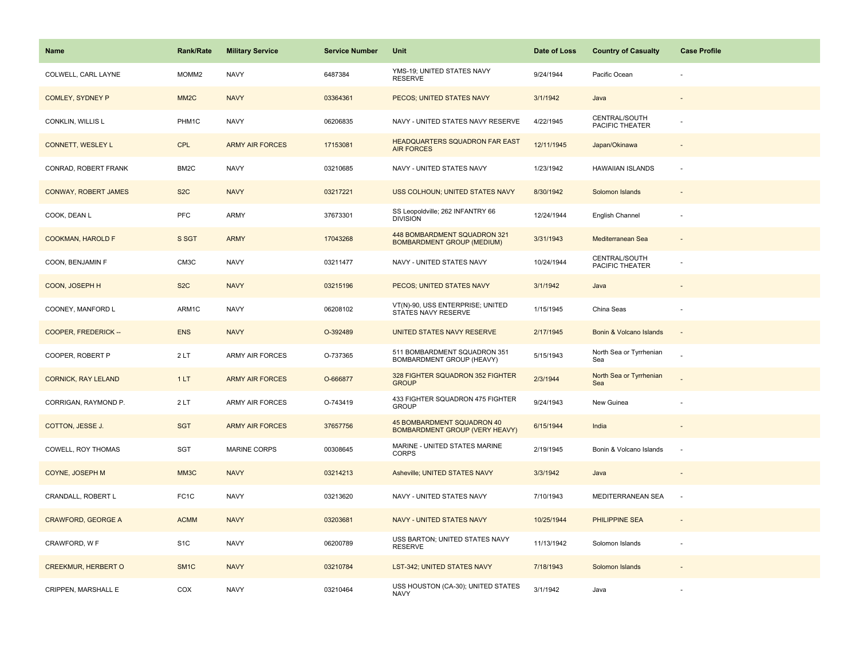| <b>Name</b>                 | <b>Rank/Rate</b>  | <b>Military Service</b> | <b>Service Number</b> | Unit                                                                | Date of Loss | <b>Country of Casualty</b>       | <b>Case Profile</b> |
|-----------------------------|-------------------|-------------------------|-----------------------|---------------------------------------------------------------------|--------------|----------------------------------|---------------------|
| COLWELL, CARL LAYNE         | MOMM <sub>2</sub> | <b>NAVY</b>             | 6487384               | YMS-19; UNITED STATES NAVY<br><b>RESERVE</b>                        | 9/24/1944    | Pacific Ocean                    |                     |
| <b>COMLEY, SYDNEY P</b>     | MM <sub>2</sub> C | <b>NAVY</b>             | 03364361              | PECOS; UNITED STATES NAVY                                           | 3/1/1942     | Java                             |                     |
| CONKLIN, WILLIS L           | PHM1C             | <b>NAVY</b>             | 06206835              | NAVY - UNITED STATES NAVY RESERVE                                   | 4/22/1945    | CENTRAL/SOUTH<br>PACIFIC THEATER |                     |
| <b>CONNETT, WESLEY L</b>    | <b>CPL</b>        | <b>ARMY AIR FORCES</b>  | 17153081              | HEADQUARTERS SQUADRON FAR EAST<br><b>AIR FORCES</b>                 | 12/11/1945   | Japan/Okinawa                    |                     |
| CONRAD, ROBERT FRANK        | BM <sub>2</sub> C | <b>NAVY</b>             | 03210685              | NAVY - UNITED STATES NAVY                                           | 1/23/1942    | <b>HAWAIIAN ISLANDS</b>          |                     |
| <b>CONWAY, ROBERT JAMES</b> | S <sub>2</sub> C  | <b>NAVY</b>             | 03217221              | USS COLHOUN; UNITED STATES NAVY                                     | 8/30/1942    | Solomon Islands                  |                     |
| COOK, DEAN L                | <b>PFC</b>        | ARMY                    | 37673301              | SS Leopoldville; 262 INFANTRY 66<br><b>DIVISION</b>                 | 12/24/1944   | English Channel                  |                     |
| <b>COOKMAN, HAROLD F</b>    | S SGT             | <b>ARMY</b>             | 17043268              | 448 BOMBARDMENT SQUADRON 321<br><b>BOMBARDMENT GROUP (MEDIUM)</b>   | 3/31/1943    | Mediterranean Sea                |                     |
| COON, BENJAMIN F            | CM3C              | <b>NAVY</b>             | 03211477              | NAVY - UNITED STATES NAVY                                           | 10/24/1944   | CENTRAL/SOUTH<br>PACIFIC THEATER |                     |
| COON, JOSEPH H              | S <sub>2</sub> C  | <b>NAVY</b>             | 03215196              | PECOS; UNITED STATES NAVY                                           | 3/1/1942     | Java                             |                     |
| COONEY, MANFORD L           | ARM1C             | <b>NAVY</b>             | 06208102              | VT(N)-90, USS ENTERPRISE; UNITED<br>STATES NAVY RESERVE             | 1/15/1945    | China Seas                       |                     |
| COOPER, FREDERICK --        | <b>ENS</b>        | <b>NAVY</b>             | O-392489              | UNITED STATES NAVY RESERVE                                          | 2/17/1945    | Bonin & Volcano Islands          |                     |
| COOPER, ROBERT P            | 2LT               | ARMY AIR FORCES         | O-737365              | 511 BOMBARDMENT SQUADRON 351<br>BOMBARDMENT GROUP (HEAVY)           | 5/15/1943    | North Sea or Tyrrhenian<br>Sea   |                     |
| <b>CORNICK, RAY LELAND</b>  | 1LT               | <b>ARMY AIR FORCES</b>  | O-666877              | 328 FIGHTER SQUADRON 352 FIGHTER<br><b>GROUP</b>                    | 2/3/1944     | North Sea or Tyrrhenian<br>Sea   |                     |
| CORRIGAN, RAYMOND P.        | 2LT               | ARMY AIR FORCES         | O-743419              | 433 FIGHTER SQUADRON 475 FIGHTER<br><b>GROUP</b>                    | 9/24/1943    | New Guinea                       |                     |
| COTTON, JESSE J.            | <b>SGT</b>        | <b>ARMY AIR FORCES</b>  | 37657756              | 45 BOMBARDMENT SQUADRON 40<br><b>BOMBARDMENT GROUP (VERY HEAVY)</b> | 6/15/1944    | India                            |                     |
| COWELL, ROY THOMAS          | SGT               | <b>MARINE CORPS</b>     | 00308645              | MARINE - UNITED STATES MARINE<br><b>CORPS</b>                       | 2/19/1945    | Bonin & Volcano Islands          | $\sim$              |
| COYNE, JOSEPH M             | MM3C              | <b>NAVY</b>             | 03214213              | Asheville; UNITED STATES NAVY                                       | 3/3/1942     | Java                             |                     |
| CRANDALL, ROBERT L          | FC <sub>1</sub> C | <b>NAVY</b>             | 03213620              | NAVY - UNITED STATES NAVY                                           | 7/10/1943    | MEDITERRANEAN SEA                | ÷.                  |
| <b>CRAWFORD, GEORGE A</b>   | <b>ACMM</b>       | <b>NAVY</b>             | 03203681              | NAVY - UNITED STATES NAVY                                           | 10/25/1944   | PHILIPPINE SEA                   |                     |
| CRAWFORD, W F               | S <sub>1</sub> C  | <b>NAVY</b>             | 06200789              | USS BARTON; UNITED STATES NAVY<br><b>RESERVE</b>                    | 11/13/1942   | Solomon Islands                  |                     |
| <b>CREEKMUR, HERBERT O</b>  | SM <sub>1</sub> C | <b>NAVY</b>             | 03210784              | LST-342; UNITED STATES NAVY                                         | 7/18/1943    | Solomon Islands                  |                     |
| CRIPPEN, MARSHALL E         | COX               | <b>NAVY</b>             | 03210464              | USS HOUSTON (CA-30); UNITED STATES<br><b>NAVY</b>                   | 3/1/1942     | Java                             |                     |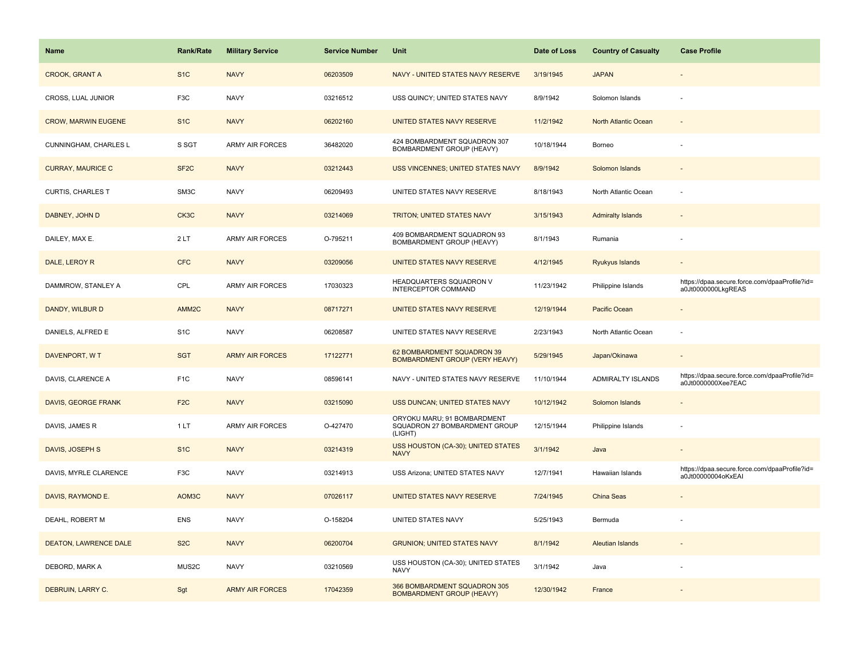| <b>Name</b>                  | <b>Rank/Rate</b>  | <b>Military Service</b> | <b>Service Number</b> | Unit                                                                    | Date of Loss | <b>Country of Casualty</b> | <b>Case Profile</b>                                                 |
|------------------------------|-------------------|-------------------------|-----------------------|-------------------------------------------------------------------------|--------------|----------------------------|---------------------------------------------------------------------|
| <b>CROOK, GRANT A</b>        | S <sub>1</sub> C  | <b>NAVY</b>             | 06203509              | NAVY - UNITED STATES NAVY RESERVE                                       | 3/19/1945    | <b>JAPAN</b>               |                                                                     |
| CROSS, LUAL JUNIOR           | F3C               | <b>NAVY</b>             | 03216512              | USS QUINCY; UNITED STATES NAVY                                          | 8/9/1942     | Solomon Islands            |                                                                     |
| <b>CROW, MARWIN EUGENE</b>   | S <sub>1</sub> C  | <b>NAVY</b>             | 06202160              | UNITED STATES NAVY RESERVE                                              | 11/2/1942    | North Atlantic Ocean       |                                                                     |
| CUNNINGHAM, CHARLES L        | S SGT             | <b>ARMY AIR FORCES</b>  | 36482020              | 424 BOMBARDMENT SQUADRON 307<br>BOMBARDMENT GROUP (HEAVY)               | 10/18/1944   | Borneo                     |                                                                     |
| <b>CURRAY, MAURICE C</b>     | SF <sub>2</sub> C | <b>NAVY</b>             | 03212443              | USS VINCENNES; UNITED STATES NAVY                                       | 8/9/1942     | Solomon Islands            |                                                                     |
| CURTIS, CHARLES T            | SM3C              | <b>NAVY</b>             | 06209493              | UNITED STATES NAVY RESERVE                                              | 8/18/1943    | North Atlantic Ocean       |                                                                     |
| DABNEY, JOHN D               | CK3C              | <b>NAVY</b>             | 03214069              | TRITON; UNITED STATES NAVY                                              | 3/15/1943    | <b>Admiralty Islands</b>   |                                                                     |
| DAILEY, MAX E.               | 2LT               | <b>ARMY AIR FORCES</b>  | O-795211              | 409 BOMBARDMENT SQUADRON 93<br>BOMBARDMENT GROUP (HEAVY)                | 8/1/1943     | Rumania                    |                                                                     |
| DALE, LEROY R                | <b>CFC</b>        | <b>NAVY</b>             | 03209056              | UNITED STATES NAVY RESERVE                                              | 4/12/1945    | Ryukyus Islands            |                                                                     |
| DAMMROW, STANLEY A           | CPL               | <b>ARMY AIR FORCES</b>  | 17030323              | HEADQUARTERS SQUADRON V<br>INTERCEPTOR COMMAND                          | 11/23/1942   | Philippine Islands         | https://dpaa.secure.force.com/dpaaProfile?id=<br>a0Jt0000000LkgREAS |
| DANDY, WILBUR D              | AMM <sub>2C</sub> | <b>NAVY</b>             | 08717271              | UNITED STATES NAVY RESERVE                                              | 12/19/1944   | Pacific Ocean              |                                                                     |
| DANIELS, ALFRED E            | S <sub>1</sub> C  | <b>NAVY</b>             | 06208587              | UNITED STATES NAVY RESERVE                                              | 2/23/1943    | North Atlantic Ocean       |                                                                     |
| DAVENPORT, W T               | <b>SGT</b>        | <b>ARMY AIR FORCES</b>  | 17122771              | 62 BOMBARDMENT SQUADRON 39<br>BOMBARDMENT GROUP (VERY HEAVY)            | 5/29/1945    | Japan/Okinawa              |                                                                     |
| DAVIS, CLARENCE A            | F <sub>1</sub> C  | <b>NAVY</b>             | 08596141              | NAVY - UNITED STATES NAVY RESERVE                                       | 11/10/1944   | ADMIRALTY ISLANDS          | https://dpaa.secure.force.com/dpaaProfile?id=<br>a0Jt0000000Xee7EAC |
| DAVIS, GEORGE FRANK          | F <sub>2C</sub>   | <b>NAVY</b>             | 03215090              | USS DUNCAN; UNITED STATES NAVY                                          | 10/12/1942   | Solomon Islands            | $\sim$                                                              |
| DAVIS, JAMES R               | 1 LT              | ARMY AIR FORCES         | O-427470              | ORYOKU MARU; 91 BOMBARDMENT<br>SQUADRON 27 BOMBARDMENT GROUP<br>(LIGHT) | 12/15/1944   | Philippine Islands         |                                                                     |
| DAVIS, JOSEPH S              | S <sub>1</sub> C  | <b>NAVY</b>             | 03214319              | USS HOUSTON (CA-30); UNITED STATES<br><b>NAVY</b>                       | 3/1/1942     | Java                       |                                                                     |
| DAVIS, MYRLE CLARENCE        | F <sub>3</sub> C  | <b>NAVY</b>             | 03214913              | USS Arizona; UNITED STATES NAVY                                         | 12/7/1941    | Hawaiian Islands           | https://dpaa.secure.force.com/dpaaProfile?id=<br>a0Jt00000004oKxEAI |
| DAVIS, RAYMOND E.            | AOM3C             | <b>NAVY</b>             | 07026117              | UNITED STATES NAVY RESERVE                                              | 7/24/1945    | China Seas                 |                                                                     |
| DEAHL, ROBERT M              | ENS               | <b>NAVY</b>             | O-158204              | UNITED STATES NAVY                                                      | 5/25/1943    | Bermuda                    |                                                                     |
| <b>DEATON, LAWRENCE DALE</b> | S <sub>2</sub> C  | <b>NAVY</b>             | 06200704              | <b>GRUNION; UNITED STATES NAVY</b>                                      | 8/1/1942     | <b>Aleutian Islands</b>    |                                                                     |
| DEBORD, MARK A               | MUS2C             | <b>NAVY</b>             | 03210569              | USS HOUSTON (CA-30); UNITED STATES<br><b>NAVY</b>                       | 3/1/1942     | Java                       |                                                                     |
| DEBRUIN, LARRY C.            | Sgt               | <b>ARMY AIR FORCES</b>  | 17042359              | 366 BOMBARDMENT SQUADRON 305<br><b>BOMBARDMENT GROUP (HEAVY)</b>        | 12/30/1942   | France                     |                                                                     |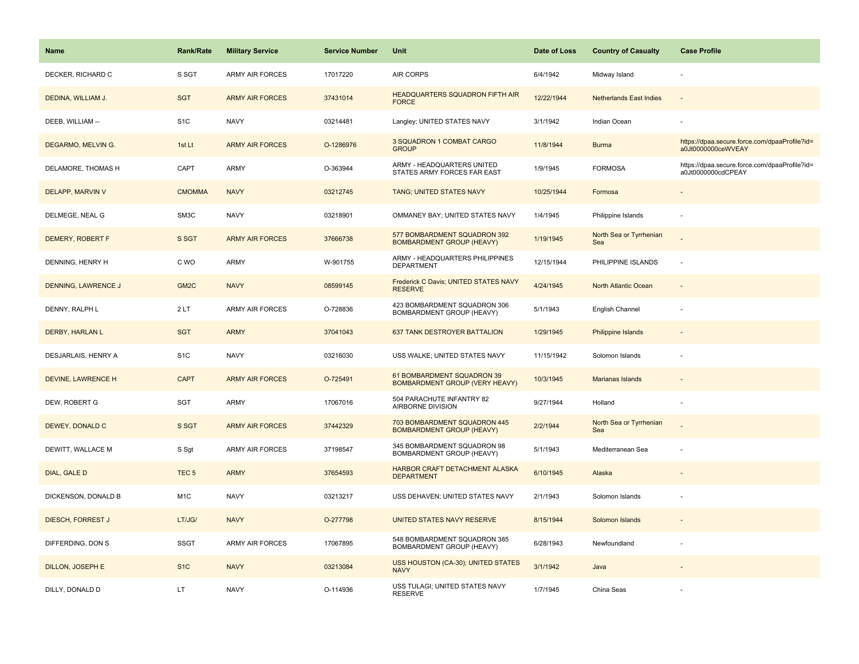| <b>Name</b>                | Rank/Rate         | <b>Military Service</b> | <b>Service Number</b> | Unit                                                                | Date of Loss | <b>Country of Casualty</b>     | <b>Case Profile</b>                                                 |
|----------------------------|-------------------|-------------------------|-----------------------|---------------------------------------------------------------------|--------------|--------------------------------|---------------------------------------------------------------------|
| DECKER, RICHARD C          | S SGT             | <b>ARMY AIR FORCES</b>  | 17017220              | <b>AIR CORPS</b>                                                    | 6/4/1942     | Midway Island                  |                                                                     |
| DEDINA, WILLIAM J.         | <b>SGT</b>        | <b>ARMY AIR FORCES</b>  | 37431014              | HEADQUARTERS SQUADRON FIFTH AIR<br><b>FORCE</b>                     | 12/22/1944   | <b>Netherlands East Indies</b> | $\sim$                                                              |
| DEEB, WILLIAM --           | S <sub>1</sub> C  | <b>NAVY</b>             | 03214481              | Langley; UNITED STATES NAVY                                         | 3/1/1942     | Indian Ocean                   |                                                                     |
| DEGARMO, MELVIN G.         | 1st Lt            | <b>ARMY AIR FORCES</b>  | O-1286976             | 3 SQUADRON 1 COMBAT CARGO<br><b>GROUP</b>                           | 11/8/1944    | <b>Burma</b>                   | https://dpaa.secure.force.com/dpaaProfile?id=<br>a0Jt0000000ceWVEAY |
| DELAMORE, THOMAS H         | CAPT              | <b>ARMY</b>             | O-363944              | ARMY - HEADQUARTERS UNITED<br>STATES ARMY FORCES FAR EAST           | 1/9/1945     | <b>FORMOSA</b>                 | https://dpaa.secure.force.com/dpaaProfile?id=<br>a0Jt0000000cdCPEAY |
| DELAPP, MARVIN V           | <b>CMOMMA</b>     | <b>NAVY</b>             | 03212745              | TANG; UNITED STATES NAVY                                            | 10/25/1944   | Formosa                        | $\overline{\phantom{a}}$                                            |
| DELMEGE, NEAL G            | SM3C              | <b>NAVY</b>             | 03218901              | OMMANEY BAY; UNITED STATES NAVY                                     | 1/4/1945     | Philippine Islands             | ÷,                                                                  |
| DEMERY, ROBERT F           | S SGT             | <b>ARMY AIR FORCES</b>  | 37666738              | 577 BOMBARDMENT SQUADRON 392<br><b>BOMBARDMENT GROUP (HEAVY)</b>    | 1/19/1945    | North Sea or Tyrrhenian<br>Sea |                                                                     |
| DENNING, HENRY H           | C WO              | ARMY                    | W-901755              | ARMY - HEADQUARTERS PHILIPPINES<br><b>DEPARTMENT</b>                | 12/15/1944   | PHILIPPINE ISLANDS             | ÷,                                                                  |
| <b>DENNING, LAWRENCE J</b> | GM <sub>2</sub> C | <b>NAVY</b>             | 08599145              | Frederick C Davis; UNITED STATES NAVY<br><b>RESERVE</b>             | 4/24/1945    | <b>North Atlantic Ocean</b>    |                                                                     |
| DENNY, RALPH L             | 2LT               | ARMY AIR FORCES         | O-728836              | 423 BOMBARDMENT SQUADRON 306<br>BOMBARDMENT GROUP (HEAVY)           | 5/1/1943     | English Channel                |                                                                     |
| <b>DERBY, HARLAN L</b>     | <b>SGT</b>        | <b>ARMY</b>             | 37041043              | 637 TANK DESTROYER BATTALION                                        | 1/29/1945    | Philippine Islands             |                                                                     |
| DESJARLAIS, HENRY A        | S <sub>1</sub> C  | <b>NAVY</b>             | 03216030              | USS WALKE; UNITED STATES NAVY                                       | 11/15/1942   | Solomon Islands                |                                                                     |
| DEVINE, LAWRENCE H         | <b>CAPT</b>       | <b>ARMY AIR FORCES</b>  | O-725491              | 61 BOMBARDMENT SQUADRON 39<br><b>BOMBARDMENT GROUP (VERY HEAVY)</b> | 10/3/1945    | Marianas Islands               | $\overline{a}$                                                      |
| DEW, ROBERT G              | SGT               | <b>ARMY</b>             | 17067016              | 504 PARACHUTE INFANTRY 82<br>AIRBORNE DIVISION                      | 9/27/1944    | Holland                        | ÷,                                                                  |
| DEWEY, DONALD C            | S SGT             | <b>ARMY AIR FORCES</b>  | 37442329              | 703 BOMBARDMENT SQUADRON 445<br><b>BOMBARDMENT GROUP (HEAVY)</b>    | 2/2/1944     | North Sea or Tyrrhenian<br>Sea |                                                                     |
| DEWITT, WALLACE M          | S Sgt             | <b>ARMY AIR FORCES</b>  | 37198547              | 345 BOMBARDMENT SQUADRON 98<br>BOMBARDMENT GROUP (HEAVY)            | 5/1/1943     | Mediterranean Sea              |                                                                     |
| DIAL, GALE D               | TEC <sub>5</sub>  | <b>ARMY</b>             | 37654593              | HARBOR CRAFT DETACHMENT ALASKA<br><b>DEPARTMENT</b>                 | 6/10/1945    | Alaska                         |                                                                     |
| DICKENSON, DONALD B        | M <sub>1</sub> C  | <b>NAVY</b>             | 03213217              | USS DEHAVEN; UNITED STATES NAVY                                     | 2/1/1943     | Solomon Islands                |                                                                     |
| <b>DIESCH, FORREST J</b>   | LT/JG/            | <b>NAVY</b>             | O-277798              | UNITED STATES NAVY RESERVE                                          | 8/15/1944    | Solomon Islands                |                                                                     |
| DIFFERDING, DON S          | <b>SSGT</b>       | <b>ARMY AIR FORCES</b>  | 17067895              | 548 BOMBARDMENT SQUADRON 385<br>BOMBARDMENT GROUP (HEAVY)           | 6/28/1943    | Newfoundland                   |                                                                     |
| <b>DILLON, JOSEPH E</b>    | S <sub>1</sub> C  | <b>NAVY</b>             | 03213084              | <b>USS HOUSTON (CA-30); UNITED STATES</b><br><b>NAVY</b>            | 3/1/1942     | Java                           |                                                                     |
| DILLY, DONALD D            | LT                | <b>NAVY</b>             | O-114936              | USS TULAGI; UNITED STATES NAVY<br><b>RESERVE</b>                    | 1/7/1945     | China Seas                     |                                                                     |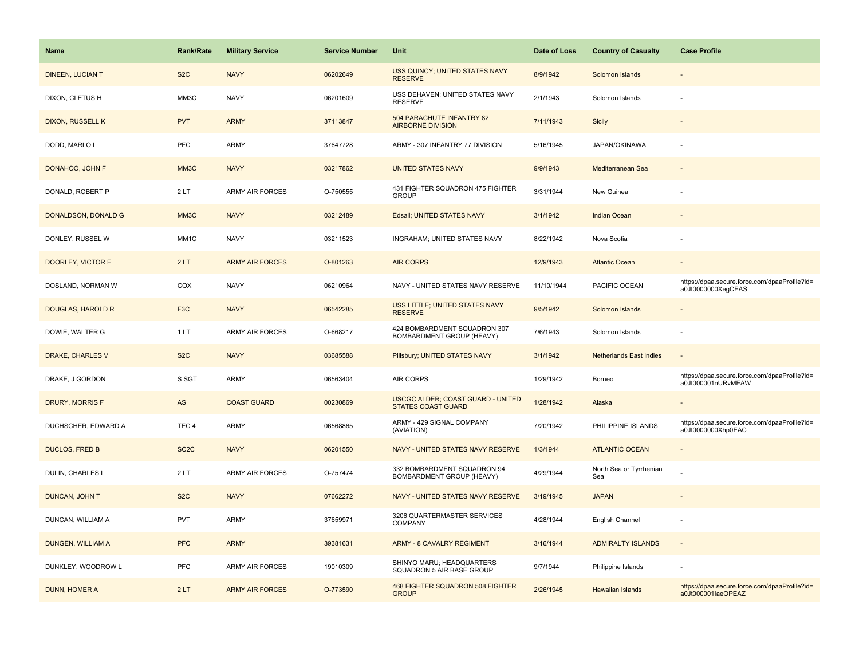| <b>Name</b>              | <b>Rank/Rate</b>  | <b>Military Service</b> | <b>Service Number</b> | Unit                                                                  | Date of Loss | <b>Country of Casualty</b>     | <b>Case Profile</b>                                                 |
|--------------------------|-------------------|-------------------------|-----------------------|-----------------------------------------------------------------------|--------------|--------------------------------|---------------------------------------------------------------------|
| <b>DINEEN, LUCIAN T</b>  | S <sub>2</sub> C  | <b>NAVY</b>             | 06202649              | USS QUINCY; UNITED STATES NAVY<br><b>RESERVE</b>                      | 8/9/1942     | Solomon Islands                |                                                                     |
| DIXON, CLETUS H          | MM3C              | <b>NAVY</b>             | 06201609              | USS DEHAVEN; UNITED STATES NAVY<br><b>RESERVE</b>                     | 2/1/1943     | Solomon Islands                |                                                                     |
| <b>DIXON, RUSSELL K</b>  | <b>PVT</b>        | <b>ARMY</b>             | 37113847              | 504 PARACHUTE INFANTRY 82<br><b>AIRBORNE DIVISION</b>                 | 7/11/1943    | <b>Sicily</b>                  |                                                                     |
| DODD, MARLO L            | <b>PFC</b>        | ARMY                    | 37647728              | ARMY - 307 INFANTRY 77 DIVISION                                       | 5/16/1945    | JAPAN/OKINAWA                  |                                                                     |
| DONAHOO, JOHN F          | MM3C              | <b>NAVY</b>             | 03217862              | <b>UNITED STATES NAVY</b>                                             | 9/9/1943     | Mediterranean Sea              |                                                                     |
| DONALD, ROBERT P         | 2LT               | <b>ARMY AIR FORCES</b>  | O-750555              | 431 FIGHTER SQUADRON 475 FIGHTER<br><b>GROUP</b>                      | 3/31/1944    | New Guinea                     |                                                                     |
| DONALDSON, DONALD G      | MM3C              | <b>NAVY</b>             | 03212489              | Edsall; UNITED STATES NAVY                                            | 3/1/1942     | <b>Indian Ocean</b>            |                                                                     |
| DONLEY, RUSSEL W         | MM1C              | <b>NAVY</b>             | 03211523              | INGRAHAM; UNITED STATES NAVY                                          | 8/22/1942    | Nova Scotia                    |                                                                     |
| <b>DOORLEY, VICTOR E</b> | 2LT               | <b>ARMY AIR FORCES</b>  | O-801263              | <b>AIR CORPS</b>                                                      | 12/9/1943    | <b>Atlantic Ocean</b>          |                                                                     |
| DOSLAND, NORMAN W        | COX               | <b>NAVY</b>             | 06210964              | NAVY - UNITED STATES NAVY RESERVE                                     | 11/10/1944   | PACIFIC OCEAN                  | https://dpaa.secure.force.com/dpaaProfile?id=<br>a0Jt0000000XeqCEAS |
| <b>DOUGLAS, HAROLD R</b> | F <sub>3</sub> C  | <b>NAVY</b>             | 06542285              | USS LITTLE; UNITED STATES NAVY<br><b>RESERVE</b>                      | 9/5/1942     | Solomon Islands                |                                                                     |
| DOWIE, WALTER G          | 1LT               | <b>ARMY AIR FORCES</b>  | O-668217              | 424 BOMBARDMENT SQUADRON 307<br>BOMBARDMENT GROUP (HEAVY)             | 7/6/1943     | Solomon Islands                |                                                                     |
| DRAKE, CHARLES V         | S <sub>2</sub> C  | <b>NAVY</b>             | 03685588              | Pillsbury; UNITED STATES NAVY                                         | 3/1/1942     | <b>Netherlands East Indies</b> |                                                                     |
| DRAKE, J GORDON          | S SGT             | <b>ARMY</b>             | 06563404              | <b>AIR CORPS</b>                                                      | 1/29/1942    | Borneo                         | https://dpaa.secure.force.com/dpaaProfile?id=<br>a0Jt000001nURvMEAW |
| <b>DRURY, MORRIS F</b>   | AS                | <b>COAST GUARD</b>      | 00230869              | <b>USCGC ALDER; COAST GUARD - UNITED</b><br><b>STATES COAST GUARD</b> | 1/28/1942    | Alaska                         |                                                                     |
| DUCHSCHER, EDWARD A      | TEC <sub>4</sub>  | <b>ARMY</b>             | 06568865              | ARMY - 429 SIGNAL COMPANY<br>(AVIATION)                               | 7/20/1942    | PHILIPPINE ISLANDS             | https://dpaa.secure.force.com/dpaaProfile?id=<br>a0Jt0000000Xhp0EAC |
| <b>DUCLOS, FRED B</b>    | SC <sub>2</sub> C | <b>NAVY</b>             | 06201550              | NAVY - UNITED STATES NAVY RESERVE                                     | 1/3/1944     | <b>ATLANTIC OCEAN</b>          |                                                                     |
| DULIN, CHARLES L         | 2LT               | <b>ARMY AIR FORCES</b>  | O-757474              | 332 BOMBARDMENT SQUADRON 94<br>BOMBARDMENT GROUP (HEAVY)              | 4/29/1944    | North Sea or Tyrrhenian<br>Sea |                                                                     |
| DUNCAN, JOHN T           | S <sub>2</sub> C  | <b>NAVY</b>             | 07662272              | NAVY - UNITED STATES NAVY RESERVE                                     | 3/19/1945    | <b>JAPAN</b>                   |                                                                     |
| DUNCAN, WILLIAM A        | <b>PVT</b>        | ARMY                    | 37659971              | 3206 QUARTERMASTER SERVICES<br><b>COMPANY</b>                         | 4/28/1944    | English Channel                |                                                                     |
| DUNGEN, WILLIAM A        | <b>PFC</b>        | <b>ARMY</b>             | 39381631              | <b>ARMY - 8 CAVALRY REGIMENT</b>                                      | 3/16/1944    | <b>ADMIRALTY ISLANDS</b>       |                                                                     |
| DUNKLEY, WOODROW L       | <b>PFC</b>        | <b>ARMY AIR FORCES</b>  | 19010309              | SHINYO MARU; HEADQUARTERS<br>SQUADRON 5 AIR BASE GROUP                | 9/7/1944     | Philippine Islands             |                                                                     |
| <b>DUNN, HOMER A</b>     | 2LT               | <b>ARMY AIR FORCES</b>  | O-773590              | 468 FIGHTER SQUADRON 508 FIGHTER<br><b>GROUP</b>                      | 2/26/1945    | <b>Hawaiian Islands</b>        | https://dpaa.secure.force.com/dpaaProfile?id=<br>a0Jt000001laeOPEAZ |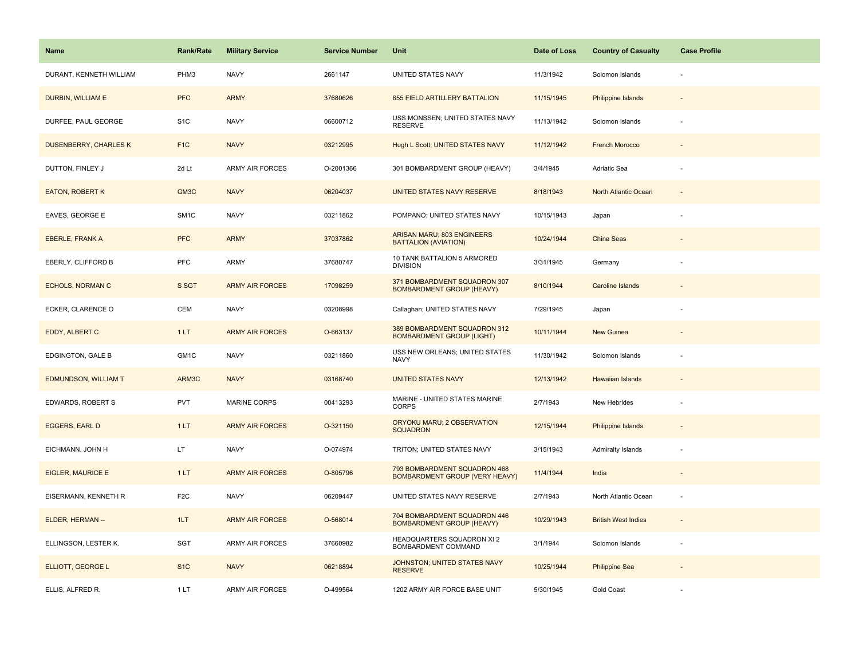| Name                         | <b>Rank/Rate</b> | <b>Military Service</b> | <b>Service Number</b> | Unit                                                             | Date of Loss | <b>Country of Casualty</b> | <b>Case Profile</b>      |
|------------------------------|------------------|-------------------------|-----------------------|------------------------------------------------------------------|--------------|----------------------------|--------------------------|
| DURANT, KENNETH WILLIAM      | PHM3             | <b>NAVY</b>             | 2661147               | UNITED STATES NAVY                                               | 11/3/1942    | Solomon Islands            |                          |
| DURBIN, WILLIAM E            | <b>PFC</b>       | <b>ARMY</b>             | 37680626              | 655 FIELD ARTILLERY BATTALION                                    | 11/15/1945   | <b>Philippine Islands</b>  |                          |
| DURFEE, PAUL GEORGE          | S <sub>1</sub> C | <b>NAVY</b>             | 06600712              | USS MONSSEN; UNITED STATES NAVY<br><b>RESERVE</b>                | 11/13/1942   | Solomon Islands            |                          |
| <b>DUSENBERRY, CHARLES K</b> | F <sub>1</sub> C | <b>NAVY</b>             | 03212995              | Hugh L Scott; UNITED STATES NAVY                                 | 11/12/1942   | <b>French Morocco</b>      |                          |
| DUTTON, FINLEY J             | 2d Lt            | <b>ARMY AIR FORCES</b>  | O-2001366             | 301 BOMBARDMENT GROUP (HEAVY)                                    | 3/4/1945     | Adriatic Sea               |                          |
| <b>EATON, ROBERT K</b>       | GM3C             | <b>NAVY</b>             | 06204037              | UNITED STATES NAVY RESERVE                                       | 8/18/1943    | North Atlantic Ocean       | $\sim$                   |
| EAVES, GEORGE E              | SM <sub>1C</sub> | <b>NAVY</b>             | 03211862              | POMPANO; UNITED STATES NAVY                                      | 10/15/1943   | Japan                      |                          |
| <b>EBERLE, FRANK A</b>       | <b>PFC</b>       | <b>ARMY</b>             | 37037862              | ARISAN MARU; 803 ENGINEERS<br><b>BATTALION (AVIATION)</b>        | 10/24/1944   | China Seas                 |                          |
| EBERLY, CLIFFORD B           | PFC              | ARMY                    | 37680747              | 10 TANK BATTALION 5 ARMORED<br><b>DIVISION</b>                   | 3/31/1945    | Germany                    |                          |
| <b>ECHOLS, NORMAN C</b>      | S SGT            | <b>ARMY AIR FORCES</b>  | 17098259              | 371 BOMBARDMENT SQUADRON 307<br><b>BOMBARDMENT GROUP (HEAVY)</b> | 8/10/1944    | <b>Caroline Islands</b>    |                          |
| ECKER, CLARENCE O            | <b>CEM</b>       | <b>NAVY</b>             | 03208998              | Callaghan; UNITED STATES NAVY                                    | 7/29/1945    | Japan                      |                          |
| EDDY, ALBERT C.              | 1LT              | <b>ARMY AIR FORCES</b>  | O-663137              | 389 BOMBARDMENT SQUADRON 312<br><b>BOMBARDMENT GROUP (LIGHT)</b> | 10/11/1944   | New Guinea                 |                          |
| EDGINGTON, GALE B            | GM1C             | <b>NAVY</b>             | 03211860              | USS NEW ORLEANS; UNITED STATES<br><b>NAVY</b>                    | 11/30/1942   | Solomon Islands            |                          |
| <b>EDMUNDSON, WILLIAM T</b>  | ARM3C            | <b>NAVY</b>             | 03168740              | <b>UNITED STATES NAVY</b>                                        | 12/13/1942   | Hawaiian Islands           |                          |
| EDWARDS, ROBERT S            | PVT              | <b>MARINE CORPS</b>     | 00413293              | MARINE - UNITED STATES MARINE<br><b>CORPS</b>                    | 2/7/1943     | New Hebrides               |                          |
| <b>EGGERS, EARL D</b>        | 1LT              | <b>ARMY AIR FORCES</b>  | O-321150              | ORYOKU MARU; 2 OBSERVATION<br><b>SQUADRON</b>                    | 12/15/1944   | <b>Philippine Islands</b>  |                          |
| EICHMANN, JOHN H             | LT.              | <b>NAVY</b>             | O-074974              | TRITON; UNITED STATES NAVY                                       | 3/15/1943    | <b>Admiralty Islands</b>   |                          |
| <b>EIGLER, MAURICE E</b>     | 1LT              | <b>ARMY AIR FORCES</b>  | O-805796              | 793 BOMBARDMENT SQUADRON 468<br>BOMBARDMENT GROUP (VERY HEAVY)   | 11/4/1944    | India                      |                          |
| EISERMANN, KENNETH R         | F <sub>2</sub> C | <b>NAVY</b>             | 06209447              | UNITED STATES NAVY RESERVE                                       | 2/7/1943     | North Atlantic Ocean       | $\overline{\phantom{a}}$ |
| ELDER, HERMAN --             | 1LT              | <b>ARMY AIR FORCES</b>  | O-568014              | 704 BOMBARDMENT SQUADRON 446<br><b>BOMBARDMENT GROUP (HEAVY)</b> | 10/29/1943   | <b>British West Indies</b> | $\sim$                   |
| ELLINGSON, LESTER K.         | SGT              | <b>ARMY AIR FORCES</b>  | 37660982              | HEADQUARTERS SQUADRON XI 2<br>BOMBARDMENT COMMAND                | 3/1/1944     | Solomon Islands            | $\overline{\phantom{a}}$ |
| ELLIOTT, GEORGE L            | S <sub>1</sub> C | <b>NAVY</b>             | 06218894              | JOHNSTON; UNITED STATES NAVY<br><b>RESERVE</b>                   | 10/25/1944   | <b>Philippine Sea</b>      |                          |
| ELLIS, ALFRED R.             | 1LT              | <b>ARMY AIR FORCES</b>  | O-499564              | 1202 ARMY AIR FORCE BASE UNIT                                    | 5/30/1945    | <b>Gold Coast</b>          |                          |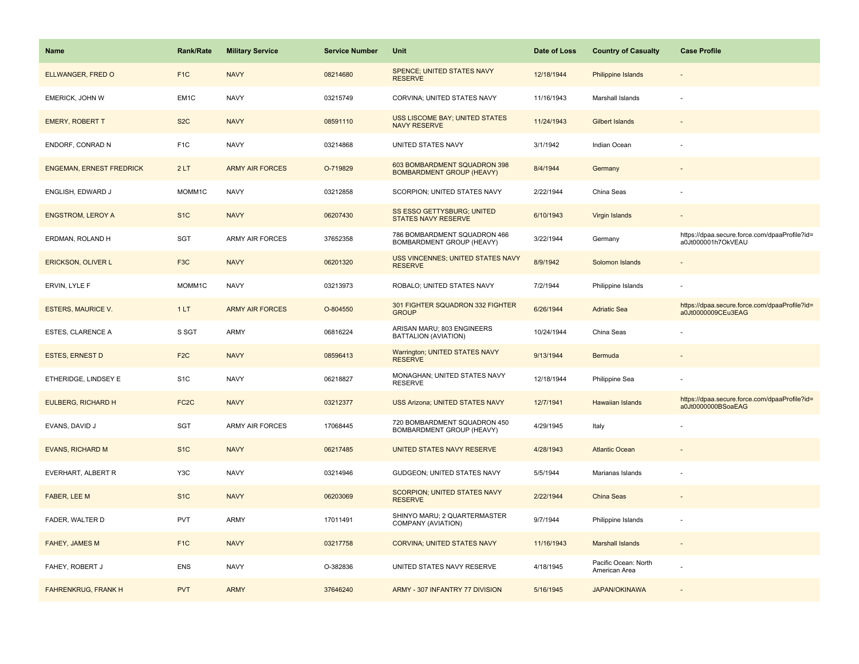| Name                            | <b>Rank/Rate</b>  | <b>Military Service</b> | <b>Service Number</b> | Unit                                                             | Date of Loss | <b>Country of Casualty</b>            | <b>Case Profile</b>                                                 |
|---------------------------------|-------------------|-------------------------|-----------------------|------------------------------------------------------------------|--------------|---------------------------------------|---------------------------------------------------------------------|
| ELLWANGER, FRED O               | F <sub>1C</sub>   | <b>NAVY</b>             | 08214680              | SPENCE; UNITED STATES NAVY<br><b>RESERVE</b>                     | 12/18/1944   | Philippine Islands                    |                                                                     |
| EMERICK, JOHN W                 | EM <sub>1</sub> C | <b>NAVY</b>             | 03215749              | CORVINA; UNITED STATES NAVY                                      | 11/16/1943   | Marshall Islands                      |                                                                     |
| <b>EMERY, ROBERT T</b>          | S <sub>2</sub> C  | <b>NAVY</b>             | 08591110              | <b>USS LISCOME BAY; UNITED STATES</b><br><b>NAVY RESERVE</b>     | 11/24/1943   | <b>Gilbert Islands</b>                |                                                                     |
| ENDORF, CONRAD N                | F <sub>1C</sub>   | <b>NAVY</b>             | 03214868              | UNITED STATES NAVY                                               | 3/1/1942     | Indian Ocean                          |                                                                     |
| <b>ENGEMAN, ERNEST FREDRICK</b> | 2LT               | <b>ARMY AIR FORCES</b>  | O-719829              | 603 BOMBARDMENT SQUADRON 398<br><b>BOMBARDMENT GROUP (HEAVY)</b> | 8/4/1944     | Germany                               |                                                                     |
| ENGLISH, EDWARD J               | MOMM1C            | <b>NAVY</b>             | 03212858              | SCORPION; UNITED STATES NAVY                                     | 2/22/1944    | China Seas                            |                                                                     |
| <b>ENGSTROM, LEROY A</b>        | S <sub>1C</sub>   | <b>NAVY</b>             | 06207430              | SS ESSO GETTYSBURG; UNITED<br><b>STATES NAVY RESERVE</b>         | 6/10/1943    | Virgin Islands                        |                                                                     |
| ERDMAN, ROLAND H                | <b>SGT</b>        | <b>ARMY AIR FORCES</b>  | 37652358              | 786 BOMBARDMENT SQUADRON 466<br>BOMBARDMENT GROUP (HEAVY)        | 3/22/1944    | Germany                               | https://dpaa.secure.force.com/dpaaProfile?id=<br>a0Jt000001h7OkVEAU |
| <b>ERICKSON, OLIVER L</b>       | F <sub>3</sub> C  | <b>NAVY</b>             | 06201320              | USS VINCENNES; UNITED STATES NAVY<br><b>RESERVE</b>              | 8/9/1942     | Solomon Islands                       |                                                                     |
| ERVIN, LYLE F                   | MOMM1C            | <b>NAVY</b>             | 03213973              | ROBALO; UNITED STATES NAVY                                       | 7/2/1944     | Philippine Islands                    |                                                                     |
| <b>ESTERS, MAURICE V.</b>       | 1LT               | <b>ARMY AIR FORCES</b>  | O-804550              | 301 FIGHTER SQUADRON 332 FIGHTER<br><b>GROUP</b>                 | 6/26/1944    | <b>Adriatic Sea</b>                   | https://dpaa.secure.force.com/dpaaProfile?id=<br>a0Jt0000009CEu3EAG |
| <b>ESTES, CLARENCE A</b>        | S SGT             | <b>ARMY</b>             | 06816224              | ARISAN MARU; 803 ENGINEERS<br>BATTALION (AVIATION)               | 10/24/1944   | China Seas                            |                                                                     |
| <b>ESTES, ERNEST D</b>          | F <sub>2C</sub>   | <b>NAVY</b>             | 08596413              | Warrington; UNITED STATES NAVY<br><b>RESERVE</b>                 | 9/13/1944    | Bermuda                               |                                                                     |
| ETHERIDGE, LINDSEY E            | S <sub>1</sub> C  | <b>NAVY</b>             | 06218827              | MONAGHAN; UNITED STATES NAVY<br><b>RESERVE</b>                   | 12/18/1944   | Philippine Sea                        |                                                                     |
| <b>EULBERG, RICHARD H</b>       | FC <sub>2</sub> C | <b>NAVY</b>             | 03212377              | <b>USS Arizona: UNITED STATES NAVY</b>                           | 12/7/1941    | Hawaiian Islands                      | https://dpaa.secure.force.com/dpaaProfile?id=<br>a0Jt0000000BSoaEAG |
| EVANS, DAVID J                  | <b>SGT</b>        | ARMY AIR FORCES         | 17068445              | 720 BOMBARDMENT SQUADRON 450<br>BOMBARDMENT GROUP (HEAVY)        | 4/29/1945    | Italy                                 |                                                                     |
| <b>EVANS, RICHARD M</b>         | S <sub>1C</sub>   | <b>NAVY</b>             | 06217485              | UNITED STATES NAVY RESERVE                                       | 4/28/1943    | <b>Atlantic Ocean</b>                 |                                                                     |
| EVERHART, ALBERT R              | Y3C               | <b>NAVY</b>             | 03214946              | GUDGEON; UNITED STATES NAVY                                      | 5/5/1944     | Marianas Islands                      |                                                                     |
| FABER, LEE M                    | S <sub>1C</sub>   | <b>NAVY</b>             | 06203069              | <b>SCORPION; UNITED STATES NAVY</b><br><b>RESERVE</b>            | 2/22/1944    | <b>China Seas</b>                     |                                                                     |
| FADER, WALTER D                 | <b>PVT</b>        | ARMY                    | 17011491              | SHINYO MARU; 2 QUARTERMASTER<br>COMPANY (AVIATION)               | 9/7/1944     | Philippine Islands                    |                                                                     |
| FAHEY, JAMES M                  | F <sub>1C</sub>   | <b>NAVY</b>             | 03217758              | CORVINA; UNITED STATES NAVY                                      | 11/16/1943   | <b>Marshall Islands</b>               |                                                                     |
| FAHEY, ROBERT J                 | ENS               | <b>NAVY</b>             | O-382836              | UNITED STATES NAVY RESERVE                                       | 4/18/1945    | Pacific Ocean: North<br>American Area |                                                                     |
| <b>FAHRENKRUG, FRANK H</b>      | <b>PVT</b>        | <b>ARMY</b>             | 37646240              | ARMY - 307 INFANTRY 77 DIVISION                                  | 5/16/1945    | <b>JAPAN/OKINAWA</b>                  |                                                                     |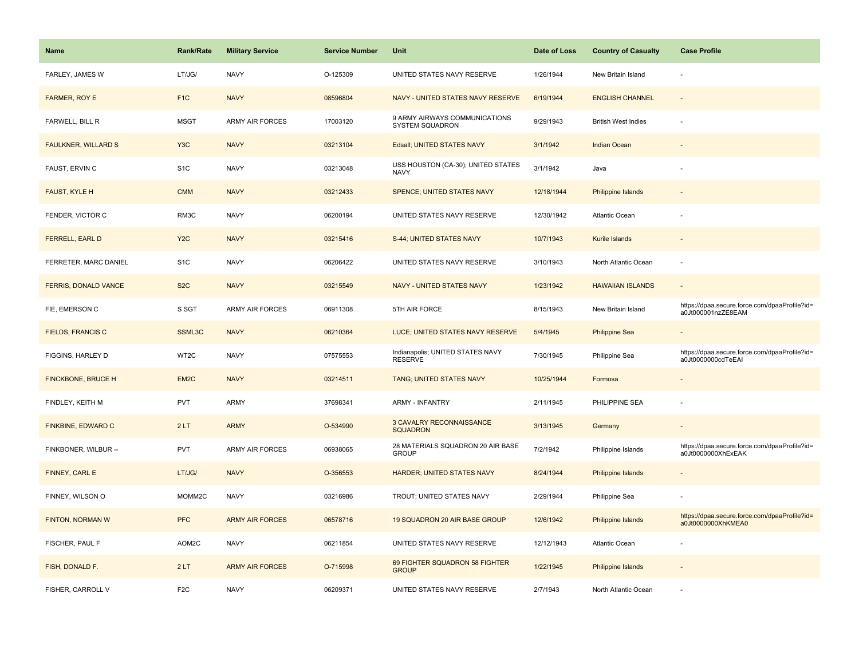| <b>Name</b>                 | <b>Rank/Rate</b>  | <b>Military Service</b> | <b>Service Number</b> | Unit                                               | Date of Loss | <b>Country of Casualty</b> | <b>Case Profile</b>                                                 |
|-----------------------------|-------------------|-------------------------|-----------------------|----------------------------------------------------|--------------|----------------------------|---------------------------------------------------------------------|
| FARLEY, JAMES W             | LT/JG/            | <b>NAVY</b>             | O-125309              | UNITED STATES NAVY RESERVE                         | 1/26/1944    | New Britain Island         |                                                                     |
| FARMER, ROY E               | F <sub>1</sub> C  | <b>NAVY</b>             | 08596804              | NAVY - UNITED STATES NAVY RESERVE                  | 6/19/1944    | <b>ENGLISH CHANNEL</b>     |                                                                     |
| FARWELL, BILL R             | <b>MSGT</b>       | ARMY AIR FORCES         | 17003120              | 9 ARMY AIRWAYS COMMUNICATIONS<br>SYSTEM SQUADRON   | 9/29/1943    | <b>British West Indies</b> |                                                                     |
| <b>FAULKNER, WILLARD S</b>  | Y <sub>3</sub> C  | <b>NAVY</b>             | 03213104              | Edsall; UNITED STATES NAVY                         | 3/1/1942     | <b>Indian Ocean</b>        |                                                                     |
| FAUST, ERVIN C              | S <sub>1</sub> C  | <b>NAVY</b>             | 03213048              | USS HOUSTON (CA-30); UNITED STATES<br><b>NAVY</b>  | 3/1/1942     | Java                       |                                                                     |
| FAUST, KYLE H               | <b>CMM</b>        | <b>NAVY</b>             | 03212433              | SPENCE; UNITED STATES NAVY                         | 12/18/1944   | Philippine Islands         |                                                                     |
| FENDER, VICTOR C            | RM3C              | <b>NAVY</b>             | 06200194              | UNITED STATES NAVY RESERVE                         | 12/30/1942   | Atlantic Ocean             |                                                                     |
| <b>FERRELL, EARL D</b>      | Y <sub>2</sub> C  | <b>NAVY</b>             | 03215416              | S-44; UNITED STATES NAVY                           | 10/7/1943    | Kurile Islands             |                                                                     |
| FERRETER, MARC DANIEL       | S <sub>1</sub> C  | <b>NAVY</b>             | 06206422              | UNITED STATES NAVY RESERVE                         | 3/10/1943    | North Atlantic Ocean       |                                                                     |
| <b>FERRIS, DONALD VANCE</b> | S <sub>2</sub> C  | <b>NAVY</b>             | 03215549              | <b>NAVY - UNITED STATES NAVY</b>                   | 1/23/1942    | <b>HAWAIIAN ISLANDS</b>    |                                                                     |
| FIE, EMERSON C              | S SGT             | <b>ARMY AIR FORCES</b>  | 06911308              | 5TH AIR FORCE                                      | 8/15/1943    | New Britain Island         | https://dpaa.secure.force.com/dpaaProfile?id=<br>a0Jt000001nzZE8EAM |
| <b>FIELDS, FRANCIS C</b>    | SSML3C            | <b>NAVY</b>             | 06210364              | LUCE; UNITED STATES NAVY RESERVE                   | 5/4/1945     | <b>Philippine Sea</b>      |                                                                     |
| FIGGINS, HARLEY D           | WT2C              | <b>NAVY</b>             | 07575553              | Indianapolis; UNITED STATES NAVY<br><b>RESERVE</b> | 7/30/1945    | Philippine Sea             | https://dpaa.secure.force.com/dpaaProfile?id=<br>a0Jt0000000cdTeEAI |
| FINCKBONE, BRUCE H          | EM <sub>2</sub> C | <b>NAVY</b>             | 03214511              | TANG; UNITED STATES NAVY                           | 10/25/1944   | Formosa                    |                                                                     |
| FINDLEY, KEITH M            | PVT               | ARMY                    | 37698341              | <b>ARMY - INFANTRY</b>                             | 2/11/1945    | PHILIPPINE SEA             |                                                                     |
| FINKBINE, EDWARD C          | 2LT               | <b>ARMY</b>             | O-534990              | <b>3 CAVALRY RECONNAISSANCE</b><br><b>SQUADRON</b> | 3/13/1945    | Germany                    |                                                                     |
| FINKBONER, WILBUR --        | <b>PVT</b>        | <b>ARMY AIR FORCES</b>  | 06938065              | 28 MATERIALS SQUADRON 20 AIR BASE<br><b>GROUP</b>  | 7/2/1942     | Philippine Islands         | https://dpaa.secure.force.com/dpaaProfile?id=<br>a0Jt0000000XhExEAK |
| FINNEY, CARL E              | LT/JG/            | <b>NAVY</b>             | O-356553              | HARDER; UNITED STATES NAVY                         | 8/24/1944    | Philippine Islands         |                                                                     |
| FINNEY, WILSON O            | MOMM2C            | <b>NAVY</b>             | 03216986              | TROUT; UNITED STATES NAVY                          | 2/29/1944    | Philippine Sea             |                                                                     |
| FINTON, NORMAN W            | <b>PFC</b>        | <b>ARMY AIR FORCES</b>  | 06578716              | 19 SQUADRON 20 AIR BASE GROUP                      | 12/6/1942    | Philippine Islands         | https://dpaa.secure.force.com/dpaaProfile?id=<br>a0Jt0000000XhKMEA0 |
| FISCHER, PAUL F             | AOM2C             | <b>NAVY</b>             | 06211854              | UNITED STATES NAVY RESERVE                         | 12/12/1943   | Atlantic Ocean             |                                                                     |
| FISH, DONALD F.             | 2LT               | <b>ARMY AIR FORCES</b>  | O-715998              | 69 FIGHTER SQUADRON 58 FIGHTER<br><b>GROUP</b>     | 1/22/1945    | <b>Philippine Islands</b>  |                                                                     |
| FISHER, CARROLL V           | F <sub>2</sub> C  | <b>NAVY</b>             | 06209371              | UNITED STATES NAVY RESERVE                         | 2/7/1943     | North Atlantic Ocean       |                                                                     |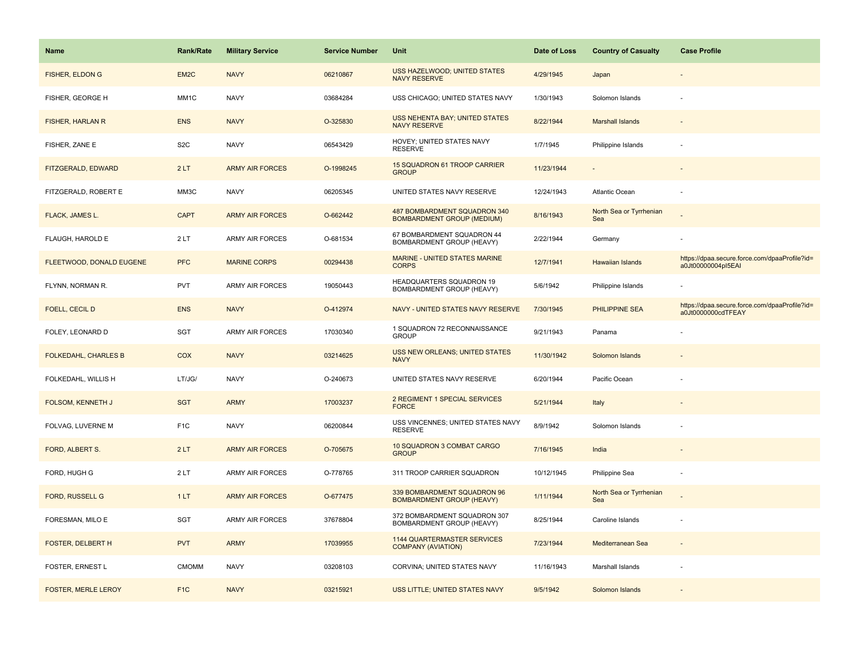| <b>Name</b>                 | Rank/Rate         | <b>Military Service</b> | <b>Service Number</b> | Unit                                                              | Date of Loss | <b>Country of Casualty</b>     | <b>Case Profile</b>                                                 |
|-----------------------------|-------------------|-------------------------|-----------------------|-------------------------------------------------------------------|--------------|--------------------------------|---------------------------------------------------------------------|
| <b>FISHER, ELDON G</b>      | EM <sub>2</sub> C | <b>NAVY</b>             | 06210867              | USS HAZELWOOD; UNITED STATES<br><b>NAVY RESERVE</b>               | 4/29/1945    | Japan                          |                                                                     |
| FISHER, GEORGE H            | MM1C              | <b>NAVY</b>             | 03684284              | USS CHICAGO; UNITED STATES NAVY                                   | 1/30/1943    | Solomon Islands                |                                                                     |
| <b>FISHER, HARLAN R</b>     | <b>ENS</b>        | <b>NAVY</b>             | O-325830              | <b>USS NEHENTA BAY; UNITED STATES</b><br><b>NAVY RESERVE</b>      | 8/22/1944    | <b>Marshall Islands</b>        |                                                                     |
| FISHER, ZANE E              | S <sub>2</sub> C  | <b>NAVY</b>             | 06543429              | HOVEY; UNITED STATES NAVY<br><b>RESERVE</b>                       | 1/7/1945     | Philippine Islands             |                                                                     |
| FITZGERALD, EDWARD          | 2LT               | <b>ARMY AIR FORCES</b>  | O-1998245             | <b>15 SQUADRON 61 TROOP CARRIER</b><br><b>GROUP</b>               | 11/23/1944   |                                |                                                                     |
| FITZGERALD, ROBERT E        | MM3C              | <b>NAVY</b>             | 06205345              | UNITED STATES NAVY RESERVE                                        | 12/24/1943   | Atlantic Ocean                 |                                                                     |
| FLACK, JAMES L.             | <b>CAPT</b>       | <b>ARMY AIR FORCES</b>  | O-662442              | 487 BOMBARDMENT SQUADRON 340<br><b>BOMBARDMENT GROUP (MEDIUM)</b> | 8/16/1943    | North Sea or Tyrrhenian<br>Sea |                                                                     |
| FLAUGH, HAROLD E            | 2LT               | <b>ARMY AIR FORCES</b>  | O-681534              | 67 BOMBARDMENT SQUADRON 44<br>BOMBARDMENT GROUP (HEAVY)           | 2/22/1944    | Germany                        |                                                                     |
| FLEETWOOD, DONALD EUGENE    | <b>PFC</b>        | <b>MARINE CORPS</b>     | 00294438              | <b>MARINE - UNITED STATES MARINE</b><br><b>CORPS</b>              | 12/7/1941    | Hawaiian Islands               | https://dpaa.secure.force.com/dpaaProfile?id=<br>a0Jt00000004pI5EAI |
| FLYNN, NORMAN R.            | PVT               | <b>ARMY AIR FORCES</b>  | 19050443              | HEADQUARTERS SQUADRON 19<br>BOMBARDMENT GROUP (HEAVY)             | 5/6/1942     | Philippine Islands             |                                                                     |
| <b>FOELL, CECIL D</b>       | <b>ENS</b>        | <b>NAVY</b>             | O-412974              | NAVY - UNITED STATES NAVY RESERVE                                 | 7/30/1945    | <b>PHILIPPINE SEA</b>          | https://dpaa.secure.force.com/dpaaProfile?id=<br>a0Jt0000000cdTFEAY |
| FOLEY, LEONARD D            | SGT               | <b>ARMY AIR FORCES</b>  | 17030340              | 1 SQUADRON 72 RECONNAISSANCE<br><b>GROUP</b>                      | 9/21/1943    | Panama                         |                                                                     |
| <b>FOLKEDAHL, CHARLES B</b> | COX               | <b>NAVY</b>             | 03214625              | <b>USS NEW ORLEANS; UNITED STATES</b><br><b>NAVY</b>              | 11/30/1942   | Solomon Islands                |                                                                     |
| FOLKEDAHL, WILLIS H         | LT/JG/            | <b>NAVY</b>             | O-240673              | UNITED STATES NAVY RESERVE                                        | 6/20/1944    | Pacific Ocean                  |                                                                     |
| FOLSOM, KENNETH J           | <b>SGT</b>        | <b>ARMY</b>             | 17003237              | 2 REGIMENT 1 SPECIAL SERVICES<br><b>FORCE</b>                     | 5/21/1944    | Italy                          |                                                                     |
| FOLVAG, LUVERNE M           | F <sub>1</sub> C  | <b>NAVY</b>             | 06200844              | USS VINCENNES; UNITED STATES NAVY<br><b>RESERVE</b>               | 8/9/1942     | Solomon Islands                |                                                                     |
| FORD, ALBERT S.             | 2LT               | <b>ARMY AIR FORCES</b>  | O-705675              | 10 SQUADRON 3 COMBAT CARGO<br><b>GROUP</b>                        | 7/16/1945    | India                          |                                                                     |
| FORD, HUGH G                | 2LT               | ARMY AIR FORCES         | O-778765              | 311 TROOP CARRIER SQUADRON                                        | 10/12/1945   | Philippine Sea                 |                                                                     |
| FORD, RUSSELL G             | 1LT               | <b>ARMY AIR FORCES</b>  | O-677475              | 339 BOMBARDMENT SQUADRON 96<br><b>BOMBARDMENT GROUP (HEAVY)</b>   | 1/11/1944    | North Sea or Tyrrhenian<br>Sea |                                                                     |
| FORESMAN, MILO E            | SGT               | <b>ARMY AIR FORCES</b>  | 37678804              | 372 BOMBARDMENT SQUADRON 307<br>BOMBARDMENT GROUP (HEAVY)         | 8/25/1944    | Caroline Islands               |                                                                     |
| <b>FOSTER, DELBERT H</b>    | <b>PVT</b>        | <b>ARMY</b>             | 17039955              | <b>1144 QUARTERMASTER SERVICES</b><br><b>COMPANY (AVIATION)</b>   | 7/23/1944    | Mediterranean Sea              | $\overline{\phantom{a}}$                                            |
| FOSTER, ERNEST L            | <b>CMOMM</b>      | <b>NAVY</b>             | 03208103              | CORVINA; UNITED STATES NAVY                                       | 11/16/1943   | Marshall Islands               |                                                                     |
| <b>FOSTER, MERLE LEROY</b>  | F <sub>1C</sub>   | <b>NAVY</b>             | 03215921              | USS LITTLE; UNITED STATES NAVY                                    | 9/5/1942     | Solomon Islands                |                                                                     |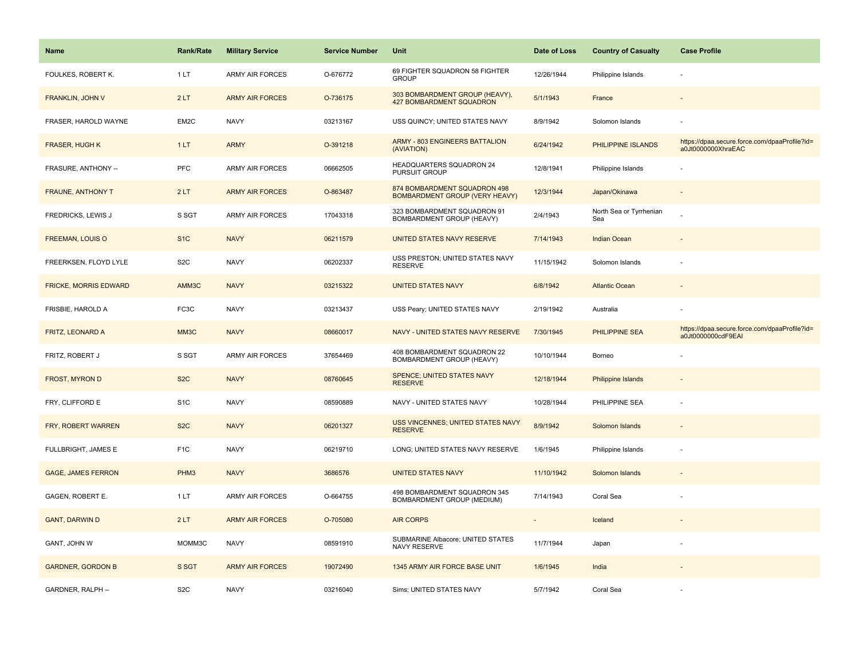| <b>Name</b>                  | Rank/Rate         | <b>Military Service</b> | <b>Service Number</b> | Unit                                                                  | Date of Loss | <b>Country of Casualty</b>     | <b>Case Profile</b>                                                 |
|------------------------------|-------------------|-------------------------|-----------------------|-----------------------------------------------------------------------|--------------|--------------------------------|---------------------------------------------------------------------|
| FOULKES, ROBERT K.           | 1LT               | <b>ARMY AIR FORCES</b>  | O-676772              | 69 FIGHTER SQUADRON 58 FIGHTER<br><b>GROUP</b>                        | 12/26/1944   | Philippine Islands             |                                                                     |
| FRANKLIN, JOHN V             | 2LT               | <b>ARMY AIR FORCES</b>  | O-736175              | 303 BOMBARDMENT GROUP (HEAVY),<br><b>427 BOMBARDMENT SQUADRON</b>     | 5/1/1943     | France                         |                                                                     |
| FRASER, HAROLD WAYNE         | EM <sub>2</sub> C | <b>NAVY</b>             | 03213167              | USS QUINCY; UNITED STATES NAVY                                        | 8/9/1942     | Solomon Islands                |                                                                     |
| <b>FRASER, HUGH K</b>        | 1LT               | <b>ARMY</b>             | O-391218              | <b>ARMY - 803 ENGINEERS BATTALION</b><br>(AVIATION)                   | 6/24/1942    | PHILIPPINE ISLANDS             | https://dpaa.secure.force.com/dpaaProfile?id=<br>a0Jt0000000XhraEAC |
| FRASURE, ANTHONY --          | PFC               | <b>ARMY AIR FORCES</b>  | 06662505              | HEADQUARTERS SQUADRON 24<br>PURSUIT GROUP                             | 12/8/1941    | Philippine Islands             |                                                                     |
| <b>FRAUNE, ANTHONY T</b>     | 2LT               | <b>ARMY AIR FORCES</b>  | O-863487              | 874 BOMBARDMENT SQUADRON 498<br><b>BOMBARDMENT GROUP (VERY HEAVY)</b> | 12/3/1944    | Japan/Okinawa                  |                                                                     |
| FREDRICKS, LEWIS J           | S SGT             | ARMY AIR FORCES         | 17043318              | 323 BOMBARDMENT SQUADRON 91<br>BOMBARDMENT GROUP (HEAVY)              | 2/4/1943     | North Sea or Tyrrhenian<br>Sea |                                                                     |
| <b>FREEMAN, LOUIS O</b>      | S <sub>1</sub> C  | <b>NAVY</b>             | 06211579              | UNITED STATES NAVY RESERVE                                            | 7/14/1943    | <b>Indian Ocean</b>            |                                                                     |
| FREERKSEN, FLOYD LYLE        | S <sub>2</sub> C  | <b>NAVY</b>             | 06202337              | USS PRESTON; UNITED STATES NAVY<br><b>RESERVE</b>                     | 11/15/1942   | Solomon Islands                |                                                                     |
| <b>FRICKE, MORRIS EDWARD</b> | AMM3C             | <b>NAVY</b>             | 03215322              | <b>UNITED STATES NAVY</b>                                             | 6/8/1942     | <b>Atlantic Ocean</b>          |                                                                     |
| FRISBIE, HAROLD A            | FC <sub>3</sub> C | <b>NAVY</b>             | 03213437              | USS Peary; UNITED STATES NAVY                                         | 2/19/1942    | Australia                      |                                                                     |
| FRITZ, LEONARD A             | MM3C              | <b>NAVY</b>             | 08660017              | NAVY - UNITED STATES NAVY RESERVE                                     | 7/30/1945    | PHILIPPINE SEA                 | https://dpaa.secure.force.com/dpaaProfile?id=<br>a0Jt0000000cdF9EAI |
| FRITZ, ROBERT J              | S SGT             | <b>ARMY AIR FORCES</b>  | 37654469              | 408 BOMBARDMENT SQUADRON 22<br>BOMBARDMENT GROUP (HEAVY)              | 10/10/1944   | Borneo                         |                                                                     |
| <b>FROST, MYRON D</b>        | S <sub>2</sub> C  | <b>NAVY</b>             | 08760645              | <b>SPENCE: UNITED STATES NAVY</b><br><b>RESERVE</b>                   | 12/18/1944   | <b>Philippine Islands</b>      |                                                                     |
| FRY, CLIFFORD E              | S <sub>1</sub> C  | <b>NAVY</b>             | 08590889              | NAVY - UNITED STATES NAVY                                             | 10/28/1944   | PHILIPPINE SEA                 | ÷,                                                                  |
| FRY, ROBERT WARREN           | S <sub>2</sub> C  | <b>NAVY</b>             | 06201327              | USS VINCENNES; UNITED STATES NAVY<br><b>RESERVE</b>                   | 8/9/1942     | Solomon Islands                |                                                                     |
| FULLBRIGHT, JAMES E          | F <sub>1</sub> C  | <b>NAVY</b>             | 06219710              | LONG; UNITED STATES NAVY RESERVE                                      | 1/6/1945     | Philippine Islands             |                                                                     |
| <b>GAGE, JAMES FERRON</b>    | PHM <sub>3</sub>  | <b>NAVY</b>             | 3686576               | <b>UNITED STATES NAVY</b>                                             | 11/10/1942   | Solomon Islands                | $\sim$                                                              |
| GAGEN, ROBERT E.             | 1LT               | <b>ARMY AIR FORCES</b>  | O-664755              | 498 BOMBARDMENT SQUADRON 345<br>BOMBARDMENT GROUP (MEDIUM)            | 7/14/1943    | Coral Sea                      | ÷,                                                                  |
| <b>GANT, DARWIN D</b>        | 2LT               | <b>ARMY AIR FORCES</b>  | O-705080              | <b>AIR CORPS</b>                                                      |              | Iceland                        |                                                                     |
| GANT, JOHN W                 | MOMM3C            | <b>NAVY</b>             | 08591910              | SUBMARINE Albacore; UNITED STATES<br><b>NAVY RESERVE</b>              | 11/7/1944    | Japan                          |                                                                     |
| <b>GARDNER, GORDON B</b>     | S SGT             | <b>ARMY AIR FORCES</b>  | 19072490              | 1345 ARMY AIR FORCE BASE UNIT                                         | 1/6/1945     | India                          |                                                                     |
| GARDNER, RALPH --            | S <sub>2</sub> C  | <b>NAVY</b>             | 03216040              | Sims; UNITED STATES NAVY                                              | 5/7/1942     | Coral Sea                      |                                                                     |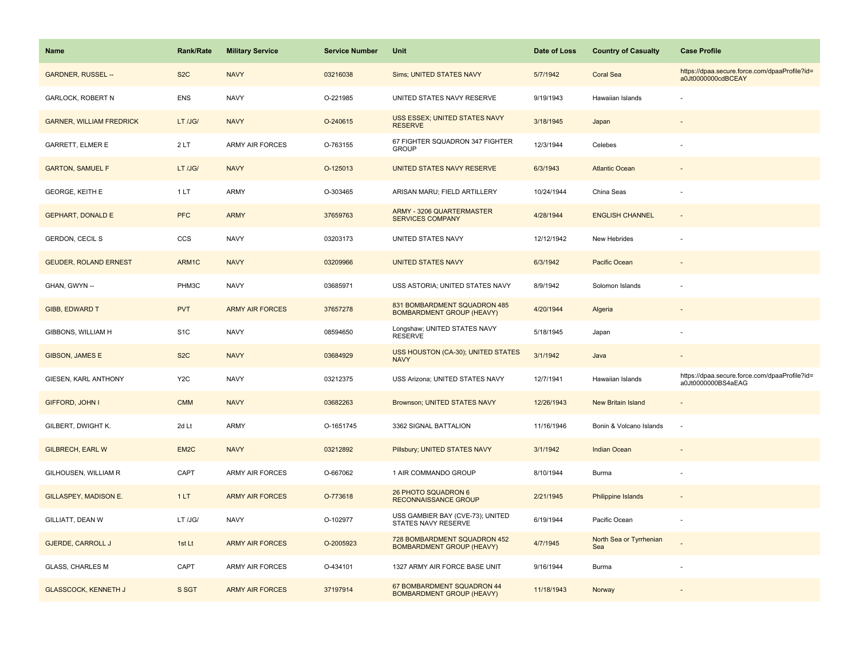| <b>Name</b>                     | Rank/Rate        | <b>Military Service</b> | <b>Service Number</b> | Unit                                                             | Date of Loss | <b>Country of Casualty</b>     | <b>Case Profile</b>                                                 |
|---------------------------------|------------------|-------------------------|-----------------------|------------------------------------------------------------------|--------------|--------------------------------|---------------------------------------------------------------------|
| <b>GARDNER, RUSSEL --</b>       | S <sub>2</sub> C | <b>NAVY</b>             | 03216038              | Sims; UNITED STATES NAVY                                         | 5/7/1942     | <b>Coral Sea</b>               | https://dpaa.secure.force.com/dpaaProfile?id=<br>a0Jt0000000cdBCEAY |
| <b>GARLOCK, ROBERT N</b>        | <b>ENS</b>       | <b>NAVY</b>             | O-221985              | UNITED STATES NAVY RESERVE                                       | 9/19/1943    | Hawaiian Islands               |                                                                     |
| <b>GARNER, WILLIAM FREDRICK</b> | LT /JG/          | <b>NAVY</b>             | O-240615              | USS ESSEX; UNITED STATES NAVY<br><b>RESERVE</b>                  | 3/18/1945    | Japan                          |                                                                     |
| <b>GARRETT, ELMER E</b>         | 2LT              | <b>ARMY AIR FORCES</b>  | O-763155              | 67 FIGHTER SQUADRON 347 FIGHTER<br><b>GROUP</b>                  | 12/3/1944    | Celebes                        |                                                                     |
| <b>GARTON, SAMUEL F</b>         | LT /JG/          | <b>NAVY</b>             | O-125013              | UNITED STATES NAVY RESERVE                                       | 6/3/1943     | <b>Atlantic Ocean</b>          |                                                                     |
| <b>GEORGE, KEITH E</b>          | 1LT              | ARMY                    | O-303465              | ARISAN MARU; FIELD ARTILLERY                                     | 10/24/1944   | China Seas                     |                                                                     |
| <b>GEPHART, DONALD E</b>        | <b>PFC</b>       | <b>ARMY</b>             | 37659763              | <b>ARMY - 3206 QUARTERMASTER</b><br><b>SERVICES COMPANY</b>      | 4/28/1944    | <b>ENGLISH CHANNEL</b>         | $\blacksquare$                                                      |
| GERDON, CECIL S                 | CCS              | <b>NAVY</b>             | 03203173              | UNITED STATES NAVY                                               | 12/12/1942   | New Hebrides                   |                                                                     |
| <b>GEUDER, ROLAND ERNEST</b>    | ARM1C            | <b>NAVY</b>             | 03209966              | <b>UNITED STATES NAVY</b>                                        | 6/3/1942     | Pacific Ocean                  |                                                                     |
| GHAN, GWYN --                   | PHM3C            | <b>NAVY</b>             | 03685971              | USS ASTORIA; UNITED STATES NAVY                                  | 8/9/1942     | Solomon Islands                |                                                                     |
| <b>GIBB, EDWARD T</b>           | <b>PVT</b>       | <b>ARMY AIR FORCES</b>  | 37657278              | 831 BOMBARDMENT SQUADRON 485<br><b>BOMBARDMENT GROUP (HEAVY)</b> | 4/20/1944    | Algeria                        |                                                                     |
| GIBBONS, WILLIAM H              | S <sub>1</sub> C | <b>NAVY</b>             | 08594650              | Longshaw; UNITED STATES NAVY<br><b>RESERVE</b>                   | 5/18/1945    | Japan                          |                                                                     |
| <b>GIBSON, JAMES E</b>          | S <sub>2</sub> C | <b>NAVY</b>             | 03684929              | USS HOUSTON (CA-30); UNITED STATES<br><b>NAVY</b>                | 3/1/1942     | Java                           |                                                                     |
| GIESEN, KARL ANTHONY            | Y <sub>2</sub> C | <b>NAVY</b>             | 03212375              | USS Arizona; UNITED STATES NAVY                                  | 12/7/1941    | Hawaiian Islands               | https://dpaa.secure.force.com/dpaaProfile?id=<br>a0Jt0000000BS4aEAG |
| GIFFORD, JOHN I                 | <b>CMM</b>       | <b>NAVY</b>             | 03682263              | <b>Brownson; UNITED STATES NAVY</b>                              | 12/26/1943   | <b>New Britain Island</b>      | $\overline{\phantom{a}}$                                            |
| GILBERT, DWIGHT K.              | 2d Lt            | ARMY                    | O-1651745             | 3362 SIGNAL BATTALION                                            | 11/16/1946   | Bonin & Volcano Islands        | ÷.                                                                  |
| <b>GILBRECH, EARL W</b>         | EM <sub>2C</sub> | <b>NAVY</b>             | 03212892              | Pillsbury; UNITED STATES NAVY                                    | 3/1/1942     | <b>Indian Ocean</b>            |                                                                     |
| GILHOUSEN, WILLIAM R            | CAPT             | ARMY AIR FORCES         | O-667062              | 1 AIR COMMANDO GROUP                                             | 8/10/1944    | Burma                          |                                                                     |
| GILLASPEY, MADISON E.           | 1LT              | <b>ARMY AIR FORCES</b>  | O-773618              | 26 PHOTO SQUADRON 6<br><b>RECONNAISSANCE GROUP</b>               | 2/21/1945    | Philippine Islands             |                                                                     |
| GILLIATT, DEAN W                | LT /JG/          | <b>NAVY</b>             | O-102977              | USS GAMBIER BAY (CVE-73); UNITED<br>STATES NAVY RESERVE          | 6/19/1944    | Pacific Ocean                  |                                                                     |
| <b>GJERDE, CARROLL J</b>        | 1st Lt           | <b>ARMY AIR FORCES</b>  | O-2005923             | 728 BOMBARDMENT SQUADRON 452<br><b>BOMBARDMENT GROUP (HEAVY)</b> | 4/7/1945     | North Sea or Tyrrhenian<br>Sea |                                                                     |
| <b>GLASS, CHARLES M</b>         | CAPT             | <b>ARMY AIR FORCES</b>  | O-434101              | 1327 ARMY AIR FORCE BASE UNIT                                    | 9/16/1944    | Burma                          |                                                                     |
| <b>GLASSCOCK, KENNETH J</b>     | S SGT            | <b>ARMY AIR FORCES</b>  | 37197914              | 67 BOMBARDMENT SQUADRON 44<br><b>BOMBARDMENT GROUP (HEAVY)</b>   | 11/18/1943   | Norway                         |                                                                     |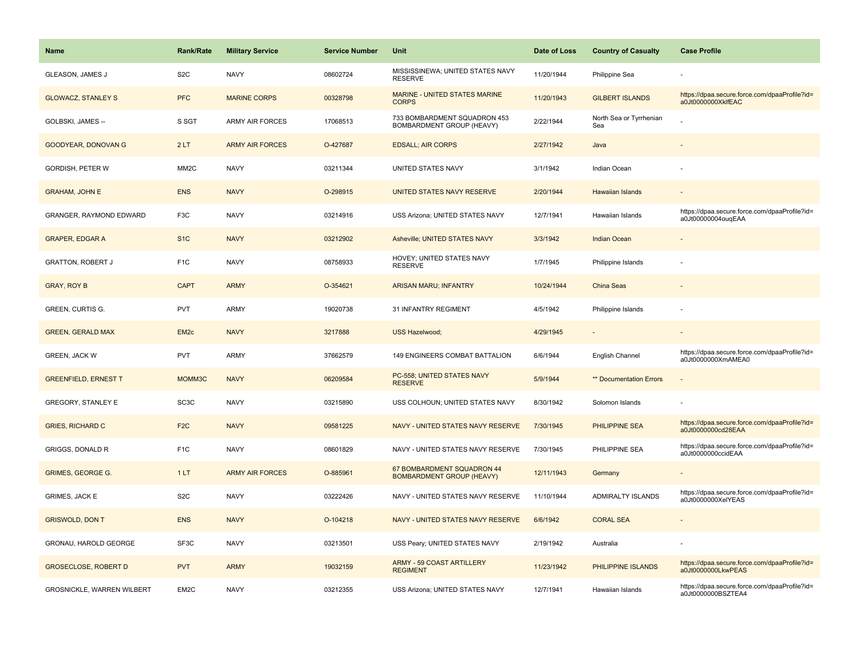| Name                        | <b>Rank/Rate</b>  | <b>Military Service</b> | <b>Service Number</b> | Unit                                                             | Date of Loss | <b>Country of Casualty</b>     | <b>Case Profile</b>                                                 |
|-----------------------------|-------------------|-------------------------|-----------------------|------------------------------------------------------------------|--------------|--------------------------------|---------------------------------------------------------------------|
| <b>GLEASON, JAMES J</b>     | S <sub>2</sub> C  | <b>NAVY</b>             | 08602724              | MISSISSINEWA; UNITED STATES NAVY<br><b>RESERVE</b>               | 11/20/1944   | Philippine Sea                 |                                                                     |
| <b>GLOWACZ, STANLEY S</b>   | <b>PFC</b>        | <b>MARINE CORPS</b>     | 00328798              | MARINE - UNITED STATES MARINE<br><b>CORPS</b>                    | 11/20/1943   | <b>GILBERT ISLANDS</b>         | https://dpaa.secure.force.com/dpaaProfile?id=<br>a0Jt0000000XklfEAC |
| GOLBSKI, JAMES --           | S SGT             | <b>ARMY AIR FORCES</b>  | 17068513              | 733 BOMBARDMENT SQUADRON 453<br><b>BOMBARDMENT GROUP (HEAVY)</b> | 2/22/1944    | North Sea or Tyrrhenian<br>Sea |                                                                     |
| GOODYEAR, DONOVAN G         | 2LT               | <b>ARMY AIR FORCES</b>  | O-427687              | <b>EDSALL; AIR CORPS</b>                                         | 2/27/1942    | Java                           |                                                                     |
| <b>GORDISH, PETER W</b>     | MM <sub>2</sub> C | <b>NAVY</b>             | 03211344              | UNITED STATES NAVY                                               | 3/1/1942     | Indian Ocean                   |                                                                     |
| <b>GRAHAM, JOHN E</b>       | <b>ENS</b>        | <b>NAVY</b>             | O-298915              | UNITED STATES NAVY RESERVE                                       | 2/20/1944    | Hawaiian Islands               |                                                                     |
| GRANGER, RAYMOND EDWARD     | F <sub>3</sub> C  | <b>NAVY</b>             | 03214916              | USS Arizona; UNITED STATES NAVY                                  | 12/7/1941    | Hawaiian Islands               | https://dpaa.secure.force.com/dpaaProfile?id=<br>a0Jt00000004ougEAA |
| <b>GRAPER, EDGAR A</b>      | S <sub>1C</sub>   | <b>NAVY</b>             | 03212902              | Asheville; UNITED STATES NAVY                                    | 3/3/1942     | <b>Indian Ocean</b>            |                                                                     |
| <b>GRATTON, ROBERT J</b>    | F <sub>1</sub> C  | <b>NAVY</b>             | 08758933              | HOVEY; UNITED STATES NAVY<br><b>RESERVE</b>                      | 1/7/1945     | Philippine Islands             |                                                                     |
| <b>GRAY, ROY B</b>          | <b>CAPT</b>       | <b>ARMY</b>             | O-354621              | <b>ARISAN MARU; INFANTRY</b>                                     | 10/24/1944   | China Seas                     |                                                                     |
| GREEN, CURTIS G.            | <b>PVT</b>        | <b>ARMY</b>             | 19020738              | 31 INFANTRY REGIMENT                                             | 4/5/1942     | Philippine Islands             |                                                                     |
| <b>GREEN, GERALD MAX</b>    | EM <sub>2c</sub>  | <b>NAVY</b>             | 3217888               | <b>USS Hazelwood;</b>                                            | 4/29/1945    |                                |                                                                     |
| <b>GREEN, JACK W</b>        | PVT               | <b>ARMY</b>             | 37662579              | 149 ENGINEERS COMBAT BATTALION                                   | 6/6/1944     | English Channel                | https://dpaa.secure.force.com/dpaaProfile?id=<br>a0Jt0000000XmAMEA0 |
| <b>GREENFIELD, ERNEST T</b> | MOMM3C            | <b>NAVY</b>             | 06209584              | PC-558; UNITED STATES NAVY<br><b>RESERVE</b>                     | 5/9/1944     | ** Documentation Errors        | $\overline{\phantom{a}}$                                            |
| GREGORY, STANLEY E          | SC <sub>3</sub> C | <b>NAVY</b>             | 03215890              | USS COLHOUN; UNITED STATES NAVY                                  | 8/30/1942    | Solomon Islands                |                                                                     |
| <b>GRIES, RICHARD C</b>     | F <sub>2</sub> C  | <b>NAVY</b>             | 09581225              | NAVY - UNITED STATES NAVY RESERVE                                | 7/30/1945    | <b>PHILIPPINE SEA</b>          | https://dpaa.secure.force.com/dpaaProfile?id=<br>a0Jt0000000cd28EAA |
| <b>GRIGGS, DONALD R</b>     | F <sub>1</sub> C  | <b>NAVY</b>             | 08601829              | NAVY - UNITED STATES NAVY RESERVE                                | 7/30/1945    | PHILIPPINE SEA                 | https://dpaa.secure.force.com/dpaaProfile?id=<br>a0Jt0000000ccidEAA |
| <b>GRIMES, GEORGE G.</b>    | 1LT               | <b>ARMY AIR FORCES</b>  | O-885961              | 67 BOMBARDMENT SQUADRON 44<br><b>BOMBARDMENT GROUP (HEAVY)</b>   | 12/11/1943   | Germany                        |                                                                     |
| GRIMES, JACK E              | S <sub>2</sub> C  | <b>NAVY</b>             | 03222426              | NAVY - UNITED STATES NAVY RESERVE                                | 11/10/1944   | ADMIRALTY ISLANDS              | https://dpaa.secure.force.com/dpaaProfile?id=<br>a0Jt0000000XelYEAS |
| <b>GRISWOLD, DON T</b>      | <b>ENS</b>        | <b>NAVY</b>             | O-104218              | NAVY - UNITED STATES NAVY RESERVE                                | 6/6/1942     | <b>CORAL SEA</b>               |                                                                     |
| GRONAU, HAROLD GEORGE       | SF3C              | <b>NAVY</b>             | 03213501              | USS Peary; UNITED STATES NAVY                                    | 2/19/1942    | Australia                      |                                                                     |
| <b>GROSECLOSE, ROBERT D</b> | <b>PVT</b>        | <b>ARMY</b>             | 19032159              | <b>ARMY - 59 COAST ARTILLERY</b><br><b>REGIMENT</b>              | 11/23/1942   | PHILIPPINE ISLANDS             | https://dpaa.secure.force.com/dpaaProfile?id=<br>a0Jt0000000LkwPEAS |
| GROSNICKLE, WARREN WILBERT  | EM2C              | <b>NAVY</b>             | 03212355              | USS Arizona; UNITED STATES NAVY                                  | 12/7/1941    | Hawaiian Islands               | https://dpaa.secure.force.com/dpaaProfile?id=<br>a0Jt0000000BSZTEA4 |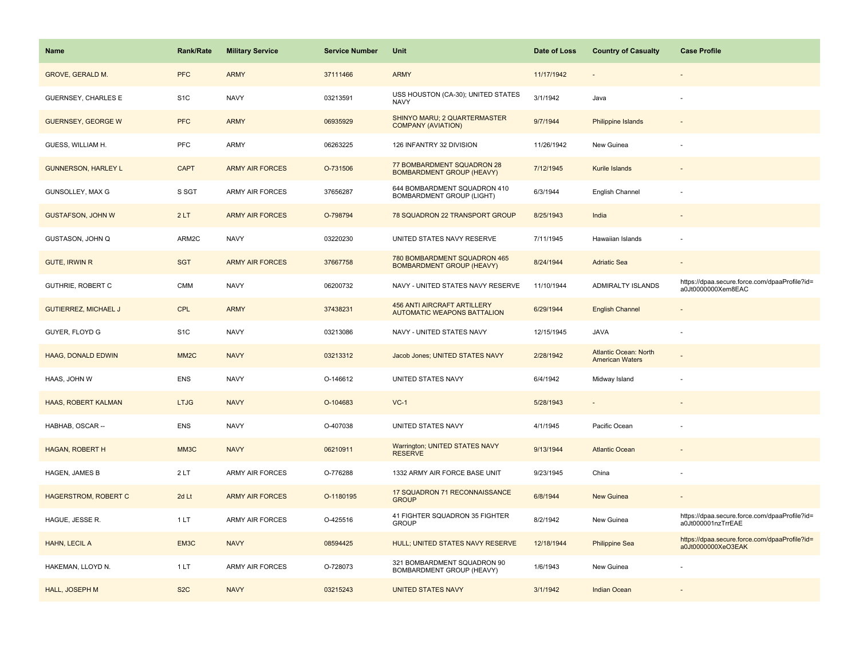| <b>Name</b>                 | Rank/Rate         | <b>Military Service</b> | <b>Service Number</b> | Unit                                                                     | Date of Loss | <b>Country of Casualty</b>                             | <b>Case Profile</b>                                                 |
|-----------------------------|-------------------|-------------------------|-----------------------|--------------------------------------------------------------------------|--------------|--------------------------------------------------------|---------------------------------------------------------------------|
| GROVE, GERALD M.            | <b>PFC</b>        | <b>ARMY</b>             | 37111466              | <b>ARMY</b>                                                              | 11/17/1942   |                                                        |                                                                     |
| GUERNSEY, CHARLES E         | S <sub>1</sub> C  | <b>NAVY</b>             | 03213591              | USS HOUSTON (CA-30); UNITED STATES<br><b>NAVY</b>                        | 3/1/1942     | Java                                                   |                                                                     |
| <b>GUERNSEY, GEORGE W</b>   | <b>PFC</b>        | <b>ARMY</b>             | 06935929              | SHINYO MARU; 2 QUARTERMASTER<br><b>COMPANY (AVIATION)</b>                | 9/7/1944     | <b>Philippine Islands</b>                              |                                                                     |
| GUESS, WILLIAM H.           | <b>PFC</b>        | ARMY                    | 06263225              | 126 INFANTRY 32 DIVISION                                                 | 11/26/1942   | New Guinea                                             |                                                                     |
| <b>GUNNERSON, HARLEY L</b>  | <b>CAPT</b>       | <b>ARMY AIR FORCES</b>  | O-731506              | 77 BOMBARDMENT SQUADRON 28<br><b>BOMBARDMENT GROUP (HEAVY)</b>           | 7/12/1945    | Kurile Islands                                         |                                                                     |
| GUNSOLLEY, MAX G            | S SGT             | ARMY AIR FORCES         | 37656287              | 644 BOMBARDMENT SQUADRON 410<br><b>BOMBARDMENT GROUP (LIGHT)</b>         | 6/3/1944     | English Channel                                        |                                                                     |
| <b>GUSTAFSON, JOHN W</b>    | 2LT               | <b>ARMY AIR FORCES</b>  | O-798794              | 78 SQUADRON 22 TRANSPORT GROUP                                           | 8/25/1943    | India                                                  |                                                                     |
| GUSTASON, JOHN Q            | ARM2C             | <b>NAVY</b>             | 03220230              | UNITED STATES NAVY RESERVE                                               | 7/11/1945    | Hawaiian Islands                                       |                                                                     |
| <b>GUTE, IRWIN R</b>        | <b>SGT</b>        | <b>ARMY AIR FORCES</b>  | 37667758              | 780 BOMBARDMENT SQUADRON 465<br><b>BOMBARDMENT GROUP (HEAVY)</b>         | 8/24/1944    | <b>Adriatic Sea</b>                                    |                                                                     |
| GUTHRIE, ROBERT C           | <b>CMM</b>        | <b>NAVY</b>             | 06200732              | NAVY - UNITED STATES NAVY RESERVE                                        | 11/10/1944   | ADMIRALTY ISLANDS                                      | https://dpaa.secure.force.com/dpaaProfile?id=<br>a0Jt0000000Xem8EAC |
| <b>GUTIERREZ, MICHAEL J</b> | <b>CPL</b>        | <b>ARMY</b>             | 37438231              | <b>456 ANTI AIRCRAFT ARTILLERY</b><br><b>AUTOMATIC WEAPONS BATTALION</b> | 6/29/1944    | <b>English Channel</b>                                 |                                                                     |
| GUYER, FLOYD G              | S <sub>1</sub> C  | <b>NAVY</b>             | 03213086              | NAVY - UNITED STATES NAVY                                                | 12/15/1945   | <b>JAVA</b>                                            |                                                                     |
| <b>HAAG, DONALD EDWIN</b>   | MM <sub>2</sub> C | <b>NAVY</b>             | 03213312              | Jacob Jones; UNITED STATES NAVY                                          | 2/28/1942    | <b>Atlantic Ocean: North</b><br><b>American Waters</b> |                                                                     |
| HAAS, JOHN W                | ENS               | <b>NAVY</b>             | O-146612              | UNITED STATES NAVY                                                       | 6/4/1942     | Midway Island                                          |                                                                     |
| HAAS, ROBERT KALMAN         | <b>LTJG</b>       | <b>NAVY</b>             | O-104683              | $VC-1$                                                                   | 5/28/1943    | $\sim$                                                 |                                                                     |
| HABHAB, OSCAR --            | <b>ENS</b>        | <b>NAVY</b>             | O-407038              | UNITED STATES NAVY                                                       | 4/1/1945     | Pacific Ocean                                          |                                                                     |
| HAGAN, ROBERT H             | MM3C              | <b>NAVY</b>             | 06210911              | <b>Warrington; UNITED STATES NAVY</b><br><b>RESERVE</b>                  | 9/13/1944    | <b>Atlantic Ocean</b>                                  |                                                                     |
| HAGEN, JAMES B              | 2LT               | ARMY AIR FORCES         | O-776288              | 1332 ARMY AIR FORCE BASE UNIT                                            | 9/23/1945    | China                                                  |                                                                     |
| <b>HAGERSTROM, ROBERT C</b> | 2d Lt             | <b>ARMY AIR FORCES</b>  | O-1180195             | 17 SQUADRON 71 RECONNAISSANCE<br><b>GROUP</b>                            | 6/8/1944     | New Guinea                                             |                                                                     |
| HAGUE, JESSE R.             | 1LT               | <b>ARMY AIR FORCES</b>  | O-425516              | 41 FIGHTER SQUADRON 35 FIGHTER<br><b>GROUP</b>                           | 8/2/1942     | New Guinea                                             | https://dpaa.secure.force.com/dpaaProfile?id=<br>a0Jt000001nzTrrEAE |
| HAHN, LECIL A               | EM3C              | <b>NAVY</b>             | 08594425              | HULL; UNITED STATES NAVY RESERVE                                         | 12/18/1944   | <b>Philippine Sea</b>                                  | https://dpaa.secure.force.com/dpaaProfile?id=<br>a0Jt0000000XeO3EAK |
| HAKEMAN, LLOYD N.           | 1LT               | <b>ARMY AIR FORCES</b>  | O-728073              | 321 BOMBARDMENT SQUADRON 90<br>BOMBARDMENT GROUP (HEAVY)                 | 1/6/1943     | New Guinea                                             |                                                                     |
| HALL, JOSEPH M              | S <sub>2</sub> C  | <b>NAVY</b>             | 03215243              | <b>UNITED STATES NAVY</b>                                                | 3/1/1942     | <b>Indian Ocean</b>                                    |                                                                     |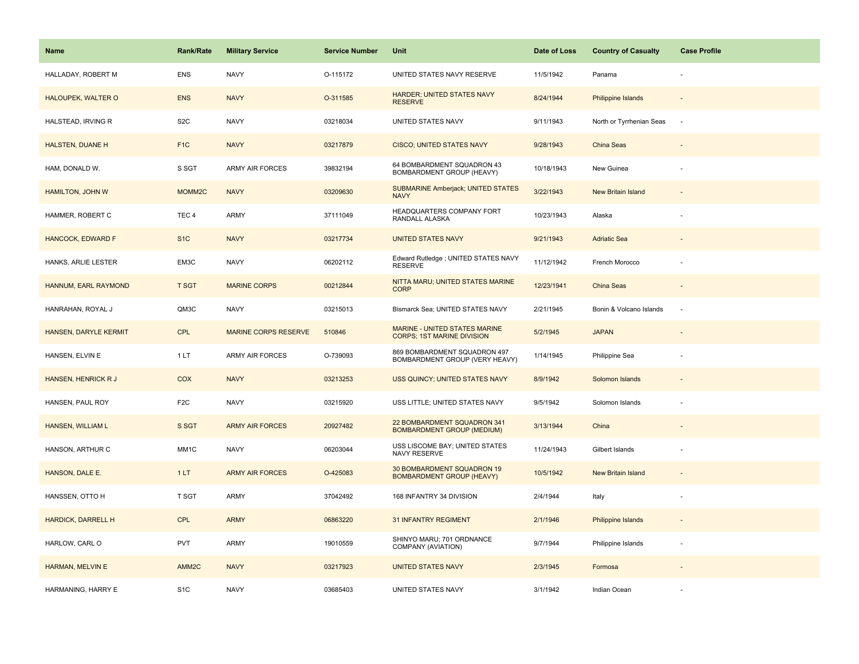| Name                      | <b>Rank/Rate</b>  | <b>Military Service</b>     | <b>Service Number</b> | Unit                                                               | Date of Loss | <b>Country of Casualty</b> | <b>Case Profile</b> |
|---------------------------|-------------------|-----------------------------|-----------------------|--------------------------------------------------------------------|--------------|----------------------------|---------------------|
| HALLADAY, ROBERT M        | <b>ENS</b>        | <b>NAVY</b>                 | O-115172              | UNITED STATES NAVY RESERVE                                         | 11/5/1942    | Panama                     |                     |
| HALOUPEK, WALTER O        | <b>ENS</b>        | <b>NAVY</b>                 | O-311585              | HARDER; UNITED STATES NAVY<br><b>RESERVE</b>                       | 8/24/1944    | <b>Philippine Islands</b>  |                     |
| HALSTEAD, IRVING R        | S <sub>2</sub> C  | <b>NAVY</b>                 | 03218034              | UNITED STATES NAVY                                                 | 9/11/1943    | North or Tyrrhenian Seas   | $\sim$              |
| HALSTEN, DUANE H          | F <sub>1</sub> C  | <b>NAVY</b>                 | 03217879              | <b>CISCO; UNITED STATES NAVY</b>                                   | 9/28/1943    | China Seas                 |                     |
| HAM, DONALD W.            | S SGT             | <b>ARMY AIR FORCES</b>      | 39832194              | 64 BOMBARDMENT SQUADRON 43<br>BOMBARDMENT GROUP (HEAVY)            | 10/18/1943   | New Guinea                 |                     |
| HAMILTON, JOHN W          | MOMM2C            | <b>NAVY</b>                 | 03209630              | <b>SUBMARINE Amberjack; UNITED STATES</b><br><b>NAVY</b>           | 3/22/1943    | New Britain Island         |                     |
| HAMMER, ROBERT C          | TEC <sub>4</sub>  | <b>ARMY</b>                 | 37111049              | HEADQUARTERS COMPANY FORT<br>RANDALL ALASKA                        | 10/23/1943   | Alaska                     |                     |
| HANCOCK, EDWARD F         | S <sub>1C</sub>   | <b>NAVY</b>                 | 03217734              | <b>UNITED STATES NAVY</b>                                          | 9/21/1943    | <b>Adriatic Sea</b>        |                     |
| HANKS, ARLIE LESTER       | EM3C              | <b>NAVY</b>                 | 06202112              | Edward Rutledge ; UNITED STATES NAVY<br><b>RESERVE</b>             | 11/12/1942   | French Morocco             |                     |
| HANNUM, EARL RAYMOND      | <b>T SGT</b>      | <b>MARINE CORPS</b>         | 00212844              | NITTA MARU; UNITED STATES MARINE<br><b>CORP</b>                    | 12/23/1941   | China Seas                 |                     |
| HANRAHAN, ROYAL J         | QM3C              | <b>NAVY</b>                 | 03215013              | Bismarck Sea; UNITED STATES NAVY                                   | 2/21/1945    | Bonin & Volcano Islands    |                     |
| HANSEN, DARYLE KERMIT     | CPL               | <b>MARINE CORPS RESERVE</b> | 510846                | MARINE - UNITED STATES MARINE<br><b>CORPS; 1ST MARINE DIVISION</b> | 5/2/1945     | <b>JAPAN</b>               |                     |
| HANSEN, ELVIN E           | 1LT               | ARMY AIR FORCES             | O-739093              | 869 BOMBARDMENT SQUADRON 497<br>BOMBARDMENT GROUP (VERY HEAVY)     | 1/14/1945    | Philippine Sea             |                     |
| HANSEN, HENRICK R J       | <b>COX</b>        | <b>NAVY</b>                 | 03213253              | USS QUINCY; UNITED STATES NAVY                                     | 8/9/1942     | Solomon Islands            |                     |
| HANSEN, PAUL ROY          | F <sub>2</sub> C  | <b>NAVY</b>                 | 03215920              | USS LITTLE; UNITED STATES NAVY                                     | 9/5/1942     | Solomon Islands            |                     |
| <b>HANSEN, WILLIAM L</b>  | S SGT             | <b>ARMY AIR FORCES</b>      | 20927482              | 22 BOMBARDMENT SQUADRON 341<br><b>BOMBARDMENT GROUP (MEDIUM)</b>   | 3/13/1944    | China                      |                     |
| HANSON, ARTHUR C          | MM <sub>1</sub> C | <b>NAVY</b>                 | 06203044              | USS LISCOME BAY; UNITED STATES<br>NAVY RESERVE                     | 11/24/1943   | Gilbert Islands            |                     |
| HANSON, DALE E.           | 1LT               | <b>ARMY AIR FORCES</b>      | O-425083              | 30 BOMBARDMENT SQUADRON 19<br><b>BOMBARDMENT GROUP (HEAVY)</b>     | 10/5/1942    | <b>New Britain Island</b>  |                     |
| HANSSEN, OTTO H           | <b>T SGT</b>      | <b>ARMY</b>                 | 37042492              | 168 INFANTRY 34 DIVISION                                           | 2/4/1944     | Italy                      | $\sim$              |
| <b>HARDICK, DARRELL H</b> | CPL               | <b>ARMY</b>                 | 06863220              | 31 INFANTRY REGIMENT                                               | 2/1/1946     | Philippine Islands         |                     |
| HARLOW, CARL O            | <b>PVT</b>        | ARMY                        | 19010559              | SHINYO MARU; 701 ORDNANCE<br>COMPANY (AVIATION)                    | 9/7/1944     | Philippine Islands         |                     |
| <b>HARMAN, MELVIN E</b>   | AMM <sub>2C</sub> | <b>NAVY</b>                 | 03217923              | <b>UNITED STATES NAVY</b>                                          | 2/3/1945     | Formosa                    |                     |
| HARMANING, HARRY E        | S <sub>1</sub> C  | <b>NAVY</b>                 | 03685403              | UNITED STATES NAVY                                                 | 3/1/1942     | Indian Ocean               |                     |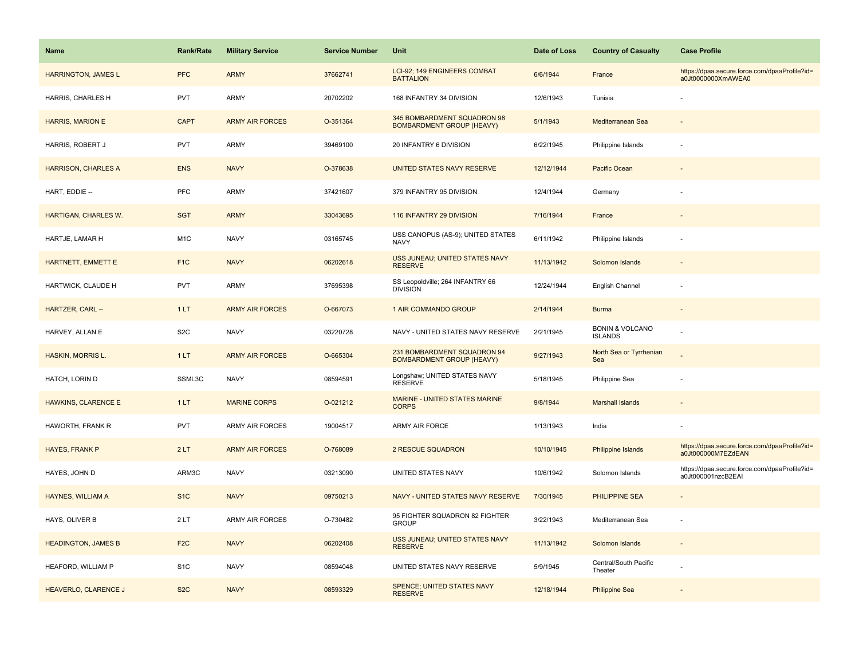| Name                       | <b>Rank/Rate</b> | <b>Military Service</b> | <b>Service Number</b> | Unit                                                            | Date of Loss | <b>Country of Casualty</b>                   | <b>Case Profile</b>                                                 |
|----------------------------|------------------|-------------------------|-----------------------|-----------------------------------------------------------------|--------------|----------------------------------------------|---------------------------------------------------------------------|
| <b>HARRINGTON, JAMES L</b> | <b>PFC</b>       | <b>ARMY</b>             | 37662741              | LCI-92; 149 ENGINEERS COMBAT<br><b>BATTALION</b>                | 6/6/1944     | France                                       | https://dpaa.secure.force.com/dpaaProfile?id=<br>a0Jt0000000XmAWEA0 |
| HARRIS, CHARLES H          | <b>PVT</b>       | ARMY                    | 20702202              | 168 INFANTRY 34 DIVISION                                        | 12/6/1943    | Tunisia                                      |                                                                     |
| <b>HARRIS, MARION E</b>    | <b>CAPT</b>      | <b>ARMY AIR FORCES</b>  | O-351364              | 345 BOMBARDMENT SQUADRON 98<br><b>BOMBARDMENT GROUP (HEAVY)</b> | 5/1/1943     | Mediterranean Sea                            |                                                                     |
| HARRIS, ROBERT J           | <b>PVT</b>       | ARMY                    | 39469100              | 20 INFANTRY 6 DIVISION                                          | 6/22/1945    | Philippine Islands                           |                                                                     |
| <b>HARRISON, CHARLES A</b> | <b>ENS</b>       | <b>NAVY</b>             | O-378638              | UNITED STATES NAVY RESERVE                                      | 12/12/1944   | <b>Pacific Ocean</b>                         |                                                                     |
| HART, EDDIE --             | PFC              | ARMY                    | 37421607              | 379 INFANTRY 95 DIVISION                                        | 12/4/1944    | Germany                                      |                                                                     |
| HARTIGAN, CHARLES W.       | <b>SGT</b>       | <b>ARMY</b>             | 33043695              | 116 INFANTRY 29 DIVISION                                        | 7/16/1944    | France                                       |                                                                     |
| HARTJE, LAMAR H            | M <sub>1</sub> C | <b>NAVY</b>             | 03165745              | USS CANOPUS (AS-9); UNITED STATES<br><b>NAVY</b>                | 6/11/1942    | Philippine Islands                           |                                                                     |
| HARTNETT, EMMETT E         | F <sub>1</sub> C | <b>NAVY</b>             | 06202618              | USS JUNEAU; UNITED STATES NAVY<br><b>RESERVE</b>                | 11/13/1942   | Solomon Islands                              |                                                                     |
| HARTWICK, CLAUDE H         | <b>PVT</b>       | ARMY                    | 37695398              | SS Leopoldville; 264 INFANTRY 66<br><b>DIVISION</b>             | 12/24/1944   | English Channel                              |                                                                     |
| HARTZER, CARL --           | 1LT              | <b>ARMY AIR FORCES</b>  | O-667073              | 1 AIR COMMANDO GROUP                                            | 2/14/1944    | <b>Burma</b>                                 |                                                                     |
| HARVEY, ALLAN E            | S <sub>2</sub> C | <b>NAVY</b>             | 03220728              | NAVY - UNITED STATES NAVY RESERVE                               | 2/21/1945    | <b>BONIN &amp; VOLCANO</b><br><b>ISLANDS</b> |                                                                     |
| <b>HASKIN, MORRIS L.</b>   | 1LT              | <b>ARMY AIR FORCES</b>  | O-665304              | 231 BOMBARDMENT SQUADRON 94<br><b>BOMBARDMENT GROUP (HEAVY)</b> | 9/27/1943    | North Sea or Tyrrhenian<br>Sea               |                                                                     |
| HATCH, LORIN D             | SSML3C           | <b>NAVY</b>             | 08594591              | Longshaw; UNITED STATES NAVY<br><b>RESERVE</b>                  | 5/18/1945    | Philippine Sea                               |                                                                     |
| <b>HAWKINS, CLARENCE E</b> | 1LT              | <b>MARINE CORPS</b>     | O-021212              | MARINE - UNITED STATES MARINE<br><b>CORPS</b>                   | 9/8/1944     | <b>Marshall Islands</b>                      |                                                                     |
| HAWORTH, FRANK R           | <b>PVT</b>       | ARMY AIR FORCES         | 19004517              | ARMY AIR FORCE                                                  | 1/13/1943    | India                                        |                                                                     |
| <b>HAYES, FRANK P</b>      | 2LT              | <b>ARMY AIR FORCES</b>  | O-768089              | 2 RESCUE SQUADRON                                               | 10/10/1945   | Philippine Islands                           | https://dpaa.secure.force.com/dpaaProfile?id=<br>a0Jt000000M7EZdEAN |
| HAYES, JOHN D              | ARM3C            | <b>NAVY</b>             | 03213090              | UNITED STATES NAVY                                              | 10/6/1942    | Solomon Islands                              | https://dpaa.secure.force.com/dpaaProfile?id=<br>a0Jt000001nzcB2EAI |
| <b>HAYNES, WILLIAM A</b>   | S <sub>1</sub> C | <b>NAVY</b>             | 09750213              | NAVY - UNITED STATES NAVY RESERVE                               | 7/30/1945    | PHILIPPINE SEA                               |                                                                     |
| HAYS, OLIVER B             | 2LT              | <b>ARMY AIR FORCES</b>  | O-730482              | 95 FIGHTER SQUADRON 82 FIGHTER<br><b>GROUP</b>                  | 3/22/1943    | Mediterranean Sea                            |                                                                     |
| <b>HEADINGTON, JAMES B</b> | F <sub>2</sub> C | <b>NAVY</b>             | 06202408              | USS JUNEAU; UNITED STATES NAVY<br><b>RESERVE</b>                | 11/13/1942   | Solomon Islands                              |                                                                     |
| HEAFORD, WILLIAM P         | S <sub>1</sub> C | <b>NAVY</b>             | 08594048              | UNITED STATES NAVY RESERVE                                      | 5/9/1945     | Central/South Pacific<br>Theater             |                                                                     |
| HEAVERLO, CLARENCE J       | S <sub>2</sub> C | <b>NAVY</b>             | 08593329              | <b>SPENCE; UNITED STATES NAVY</b><br><b>RESERVE</b>             | 12/18/1944   | <b>Philippine Sea</b>                        |                                                                     |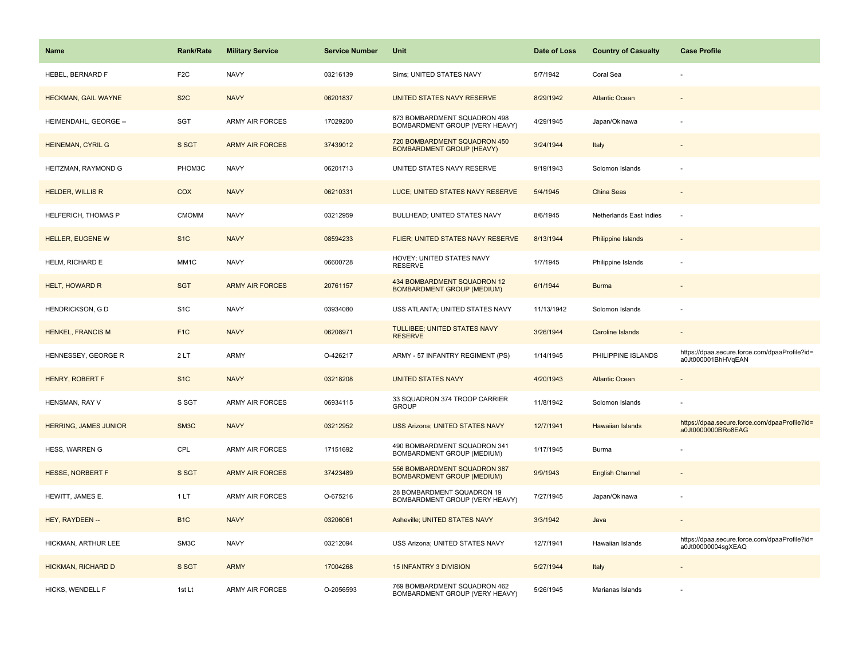| <b>Name</b>                  | <b>Rank/Rate</b> | <b>Military Service</b> | <b>Service Number</b> | Unit                                                              | Date of Loss | <b>Country of Casualty</b> | <b>Case Profile</b>                                                 |
|------------------------------|------------------|-------------------------|-----------------------|-------------------------------------------------------------------|--------------|----------------------------|---------------------------------------------------------------------|
| HEBEL, BERNARD F             | F <sub>2</sub> C | <b>NAVY</b>             | 03216139              | Sims; UNITED STATES NAVY                                          | 5/7/1942     | Coral Sea                  |                                                                     |
| <b>HECKMAN, GAIL WAYNE</b>   | S <sub>2</sub> C | <b>NAVY</b>             | 06201837              | UNITED STATES NAVY RESERVE                                        | 8/29/1942    | <b>Atlantic Ocean</b>      |                                                                     |
| HEIMENDAHL, GEORGE --        | <b>SGT</b>       | <b>ARMY AIR FORCES</b>  | 17029200              | 873 BOMBARDMENT SQUADRON 498<br>BOMBARDMENT GROUP (VERY HEAVY)    | 4/29/1945    | Japan/Okinawa              |                                                                     |
| <b>HEINEMAN, CYRIL G</b>     | S SGT            | <b>ARMY AIR FORCES</b>  | 37439012              | 720 BOMBARDMENT SQUADRON 450<br><b>BOMBARDMENT GROUP (HEAVY)</b>  | 3/24/1944    | Italy                      |                                                                     |
| HEITZMAN, RAYMOND G          | PHOM3C           | <b>NAVY</b>             | 06201713              | UNITED STATES NAVY RESERVE                                        | 9/19/1943    | Solomon Islands            |                                                                     |
| <b>HELDER, WILLIS R</b>      | COX              | <b>NAVY</b>             | 06210331              | LUCE; UNITED STATES NAVY RESERVE                                  | 5/4/1945     | China Seas                 | $\overline{\phantom{a}}$                                            |
| HELFERICH, THOMAS P          | <b>CMOMM</b>     | <b>NAVY</b>             | 03212959              | BULLHEAD; UNITED STATES NAVY                                      | 8/6/1945     | Netherlands East Indies    | ÷.                                                                  |
| <b>HELLER, EUGENE W</b>      | S <sub>1</sub> C | <b>NAVY</b>             | 08594233              | <b>FLIER; UNITED STATES NAVY RESERVE</b>                          | 8/13/1944    | <b>Philippine Islands</b>  |                                                                     |
| HELM, RICHARD E              | MM1C             | <b>NAVY</b>             | 06600728              | HOVEY; UNITED STATES NAVY<br><b>RESERVE</b>                       | 1/7/1945     | Philippine Islands         |                                                                     |
| <b>HELT, HOWARD R</b>        | <b>SGT</b>       | <b>ARMY AIR FORCES</b>  | 20761157              | 434 BOMBARDMENT SQUADRON 12<br><b>BOMBARDMENT GROUP (MEDIUM)</b>  | 6/1/1944     | <b>Burma</b>               |                                                                     |
| HENDRICKSON, G D             | S <sub>1</sub> C | <b>NAVY</b>             | 03934080              | USS ATLANTA; UNITED STATES NAVY                                   | 11/13/1942   | Solomon Islands            |                                                                     |
| <b>HENKEL, FRANCIS M</b>     | F <sub>1C</sub>  | <b>NAVY</b>             | 06208971              | <b>TULLIBEE; UNITED STATES NAVY</b><br><b>RESERVE</b>             | 3/26/1944    | Caroline Islands           | $\overline{\phantom{a}}$                                            |
| HENNESSEY, GEORGE R          | 2LT              | <b>ARMY</b>             | O-426217              | ARMY - 57 INFANTRY REGIMENT (PS)                                  | 1/14/1945    | PHILIPPINE ISLANDS         | https://dpaa.secure.force.com/dpaaProfile?id=<br>a0Jt000001BhHVqEAN |
| HENRY, ROBERT F              | S <sub>1</sub> C | <b>NAVY</b>             | 03218208              | <b>UNITED STATES NAVY</b>                                         | 4/20/1943    | <b>Atlantic Ocean</b>      |                                                                     |
| HENSMAN, RAY V               | S SGT            | <b>ARMY AIR FORCES</b>  | 06934115              | 33 SQUADRON 374 TROOP CARRIER<br><b>GROUP</b>                     | 11/8/1942    | Solomon Islands            |                                                                     |
| <b>HERRING, JAMES JUNIOR</b> | SM3C             | <b>NAVY</b>             | 03212952              | <b>USS Arizona; UNITED STATES NAVY</b>                            | 12/7/1941    | Hawaiian Islands           | https://dpaa.secure.force.com/dpaaProfile?id=<br>a0Jt0000000BRo8EAG |
| HESS, WARREN G               | CPL              | <b>ARMY AIR FORCES</b>  | 17151692              | 490 BOMBARDMENT SQUADRON 341<br>BOMBARDMENT GROUP (MEDIUM)        | 1/17/1945    | Burma                      |                                                                     |
| <b>HESSE, NORBERT F</b>      | S SGT            | <b>ARMY AIR FORCES</b>  | 37423489              | 556 BOMBARDMENT SQUADRON 387<br><b>BOMBARDMENT GROUP (MEDIUM)</b> | 9/9/1943     | <b>English Channel</b>     |                                                                     |
| HEWITT, JAMES E.             | 1 LT             | <b>ARMY AIR FORCES</b>  | O-675216              | 28 BOMBARDMENT SQUADRON 19<br>BOMBARDMENT GROUP (VERY HEAVY)      | 7/27/1945    | Japan/Okinawa              |                                                                     |
| HEY, RAYDEEN --              | B <sub>1</sub> C | <b>NAVY</b>             | 03206061              | Asheville; UNITED STATES NAVY                                     | 3/3/1942     | Java                       |                                                                     |
| HICKMAN, ARTHUR LEE          | SM3C             | <b>NAVY</b>             | 03212094              | USS Arizona; UNITED STATES NAVY                                   | 12/7/1941    | Hawaiian Islands           | https://dpaa.secure.force.com/dpaaProfile?id=<br>a0Jt00000004sgXEAQ |
| HICKMAN, RICHARD D           | S SGT            | <b>ARMY</b>             | 17004268              | 15 INFANTRY 3 DIVISION                                            | 5/27/1944    | Italy                      |                                                                     |
| HICKS, WENDELL F             | 1st Lt           | <b>ARMY AIR FORCES</b>  | O-2056593             | 769 BOMBARDMENT SQUADRON 462<br>BOMBARDMENT GROUP (VERY HEAVY)    | 5/26/1945    | Marianas Islands           |                                                                     |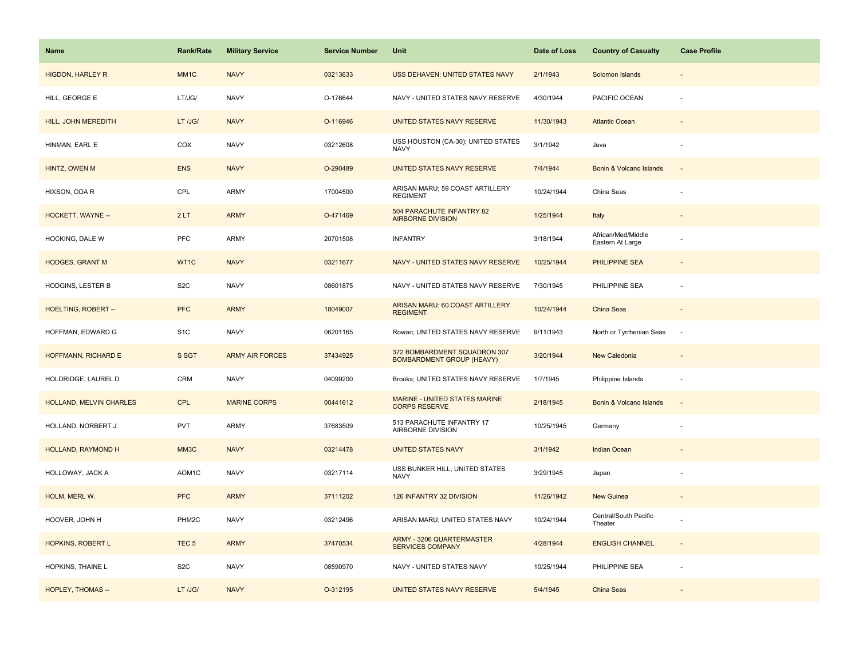| Name                     | <b>Rank/Rate</b>   | <b>Military Service</b> | <b>Service Number</b> | Unit                                                             | Date of Loss | <b>Country of Casualty</b>             | <b>Case Profile</b>      |
|--------------------------|--------------------|-------------------------|-----------------------|------------------------------------------------------------------|--------------|----------------------------------------|--------------------------|
| <b>HIGDON, HARLEY R</b>  | MM <sub>1</sub> C  | <b>NAVY</b>             | 03213633              | USS DEHAVEN; UNITED STATES NAVY                                  | 2/1/1943     | Solomon Islands                        |                          |
| HILL, GEORGE E           | LT/JG/             | <b>NAVY</b>             | O-176644              | NAVY - UNITED STATES NAVY RESERVE                                | 4/30/1944    | PACIFIC OCEAN                          |                          |
| HILL, JOHN MEREDITH      | LT /JG/            | <b>NAVY</b>             | O-116946              | UNITED STATES NAVY RESERVE                                       | 11/30/1943   | <b>Atlantic Ocean</b>                  |                          |
| HINMAN, EARL E           | COX                | <b>NAVY</b>             | 03212608              | USS HOUSTON (CA-30); UNITED STATES<br><b>NAVY</b>                | 3/1/1942     | Java                                   |                          |
| HINTZ, OWEN M            | <b>ENS</b>         | <b>NAVY</b>             | O-290489              | UNITED STATES NAVY RESERVE                                       | 7/4/1944     | Bonin & Volcano Islands                |                          |
| HIXSON, ODA R            | CPL                | ARMY                    | 17004500              | ARISAN MARU; 59 COAST ARTILLERY<br><b>REGIMENT</b>               | 10/24/1944   | China Seas                             |                          |
| HOCKETT, WAYNE --        | 2LT                | <b>ARMY</b>             | O-471469              | 504 PARACHUTE INFANTRY 82<br><b>AIRBORNE DIVISION</b>            | 1/25/1944    | Italy                                  | $\overline{\phantom{a}}$ |
| HOCKING, DALE W          | PFC                | ARMY                    | 20701508              | <b>INFANTRY</b>                                                  | 3/18/1944    | African/Med/Middle<br>Eastern At Large |                          |
| <b>HODGES, GRANT M</b>   | WT1C               | <b>NAVY</b>             | 03211677              | NAVY - UNITED STATES NAVY RESERVE                                | 10/25/1944   | PHILIPPINE SEA                         |                          |
| HODGINS, LESTER B        | S <sub>2</sub> C   | <b>NAVY</b>             | 08601875              | NAVY - UNITED STATES NAVY RESERVE                                | 7/30/1945    | PHILIPPINE SEA                         |                          |
| HOELTING, ROBERT --      | <b>PFC</b>         | <b>ARMY</b>             | 18049007              | ARISAN MARU; 60 COAST ARTILLERY<br><b>REGIMENT</b>               | 10/24/1944   | China Seas                             |                          |
| HOFFMAN, EDWARD G        | S <sub>1</sub> C   | <b>NAVY</b>             | 06201165              | Rowan; UNITED STATES NAVY RESERVE                                | 9/11/1943    | North or Tyrrhenian Seas               | $\overline{\phantom{a}}$ |
| HOFFMANN, RICHARD E      | S SGT              | <b>ARMY AIR FORCES</b>  | 37434925              | 372 BOMBARDMENT SQUADRON 307<br><b>BOMBARDMENT GROUP (HEAVY)</b> | 3/20/1944    | New Caledonia                          |                          |
| HOLDRIDGE, LAUREL D      | CRM                | <b>NAVY</b>             | 04099200              | Brooks; UNITED STATES NAVY RESERVE                               | 1/7/1945     | Philippine Islands                     | $\overline{\phantom{a}}$ |
| HOLLAND, MELVIN CHARLES  | <b>CPL</b>         | <b>MARINE CORPS</b>     | 00441612              | MARINE - UNITED STATES MARINE<br><b>CORPS RESERVE</b>            | 2/18/1945    | Bonin & Volcano Islands                | $\overline{\phantom{a}}$ |
| HOLLAND, NORBERT J.      | <b>PVT</b>         | <b>ARMY</b>             | 37683509              | 513 PARACHUTE INFANTRY 17<br>AIRBORNE DIVISION                   | 10/25/1945   | Germany                                |                          |
| HOLLAND, RAYMOND H       | MM3C               | <b>NAVY</b>             | 03214478              | <b>UNITED STATES NAVY</b>                                        | 3/1/1942     | <b>Indian Ocean</b>                    |                          |
| HOLLOWAY, JACK A         | AOM1C              | <b>NAVY</b>             | 03217114              | USS BUNKER HILL; UNITED STATES<br><b>NAVY</b>                    | 3/29/1945    | Japan                                  |                          |
| HOLM, MERL W.            | <b>PFC</b>         | <b>ARMY</b>             | 37111202              | 126 INFANTRY 32 DIVISION                                         | 11/26/1942   | <b>New Guinea</b>                      |                          |
| HOOVER, JOHN H           | PHM <sub>2</sub> C | <b>NAVY</b>             | 03212496              | ARISAN MARU; UNITED STATES NAVY                                  | 10/24/1944   | Central/South Pacific<br>Theater       |                          |
| HOPKINS, ROBERT L        | TEC <sub>5</sub>   | <b>ARMY</b>             | 37470534              | ARMY - 3206 QUARTERMASTER<br><b>SERVICES COMPANY</b>             | 4/28/1944    | <b>ENGLISH CHANNEL</b>                 | $\sim$                   |
| HOPKINS, THAINE L        | S <sub>2</sub> C   | <b>NAVY</b>             | 08590970              | NAVY - UNITED STATES NAVY                                        | 10/25/1944   | PHILIPPINE SEA                         |                          |
| <b>HOPLEY, THOMAS --</b> | LT /JG/            | <b>NAVY</b>             | O-312195              | UNITED STATES NAVY RESERVE                                       | 5/4/1945     | China Seas                             |                          |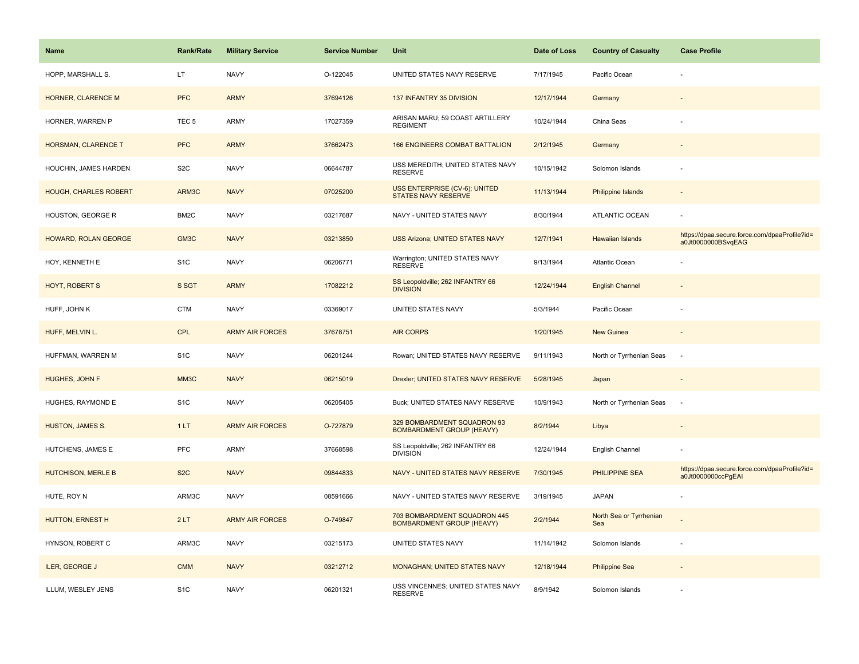| <b>Name</b>                  | <b>Rank/Rate</b> | <b>Military Service</b> | <b>Service Number</b> | Unit                                                             | Date of Loss | <b>Country of Casualty</b>     | <b>Case Profile</b>                                                 |
|------------------------------|------------------|-------------------------|-----------------------|------------------------------------------------------------------|--------------|--------------------------------|---------------------------------------------------------------------|
| HOPP, MARSHALL S.            | LT.              | <b>NAVY</b>             | O-122045              | UNITED STATES NAVY RESERVE                                       | 7/17/1945    | Pacific Ocean                  |                                                                     |
| HORNER, CLARENCE M           | <b>PFC</b>       | <b>ARMY</b>             | 37694126              | 137 INFANTRY 35 DIVISION                                         | 12/17/1944   | Germany                        |                                                                     |
| HORNER, WARREN P             | TEC <sub>5</sub> | <b>ARMY</b>             | 17027359              | ARISAN MARU; 59 COAST ARTILLERY<br><b>REGIMENT</b>               | 10/24/1944   | China Seas                     |                                                                     |
| HORSMAN, CLARENCE T          | <b>PFC</b>       | <b>ARMY</b>             | 37662473              | <b>166 ENGINEERS COMBAT BATTALION</b>                            | 2/12/1945    | Germany                        |                                                                     |
| HOUCHIN, JAMES HARDEN        | S <sub>2</sub> C | <b>NAVY</b>             | 06644787              | USS MEREDITH; UNITED STATES NAVY<br><b>RESERVE</b>               | 10/15/1942   | Solomon Islands                |                                                                     |
| <b>HOUGH, CHARLES ROBERT</b> | ARM3C            | <b>NAVY</b>             | 07025200              | USS ENTERPRISE (CV-6); UNITED<br><b>STATES NAVY RESERVE</b>      | 11/13/1944   | Philippine Islands             |                                                                     |
| HOUSTON, GEORGE R            | BM2C             | <b>NAVY</b>             | 03217687              | NAVY - UNITED STATES NAVY                                        | 8/30/1944    | ATLANTIC OCEAN                 |                                                                     |
| HOWARD, ROLAN GEORGE         | GM3C             | <b>NAVY</b>             | 03213850              | <b>USS Arizona; UNITED STATES NAVY</b>                           | 12/7/1941    | Hawaiian Islands               | https://dpaa.secure.force.com/dpaaProfile?id=<br>a0Jt0000000BSvqEAG |
| HOY, KENNETH E               | S <sub>1</sub> C | <b>NAVY</b>             | 06206771              | Warrington; UNITED STATES NAVY<br><b>RESERVE</b>                 | 9/13/1944    | Atlantic Ocean                 |                                                                     |
| <b>HOYT, ROBERT S</b>        | S SGT            | <b>ARMY</b>             | 17082212              | SS Leopoldville; 262 INFANTRY 66<br><b>DIVISION</b>              | 12/24/1944   | <b>English Channel</b>         |                                                                     |
| HUFF, JOHN K                 | <b>CTM</b>       | <b>NAVY</b>             | 03369017              | UNITED STATES NAVY                                               | 5/3/1944     | Pacific Ocean                  |                                                                     |
| HUFF, MELVIN L.              | <b>CPL</b>       | <b>ARMY AIR FORCES</b>  | 37678751              | <b>AIR CORPS</b>                                                 | 1/20/1945    | <b>New Guinea</b>              |                                                                     |
| HUFFMAN, WARREN M            | S <sub>1</sub> C | <b>NAVY</b>             | 06201244              | Rowan; UNITED STATES NAVY RESERVE                                | 9/11/1943    | North or Tyrrhenian Seas       | $\overline{\phantom{a}}$                                            |
| HUGHES, JOHN F               | MM3C             | <b>NAVY</b>             | 06215019              | Drexler; UNITED STATES NAVY RESERVE                              | 5/28/1945    | Japan                          | $\sim$                                                              |
| HUGHES, RAYMOND E            | S <sub>1</sub> C | <b>NAVY</b>             | 06205405              | Buck; UNITED STATES NAVY RESERVE                                 | 10/9/1943    | North or Tyrrhenian Seas       | $\sim$                                                              |
| <b>HUSTON, JAMES S.</b>      | 1LT              | <b>ARMY AIR FORCES</b>  | O-727879              | 329 BOMBARDMENT SQUADRON 93<br><b>BOMBARDMENT GROUP (HEAVY)</b>  | 8/2/1944     | Libya                          |                                                                     |
| HUTCHENS, JAMES E            | PFC              | <b>ARMY</b>             | 37668598              | SS Leopoldville; 262 INFANTRY 66<br><b>DIVISION</b>              | 12/24/1944   | English Channel                |                                                                     |
| HUTCHISON, MERLE B           | S <sub>2</sub> C | <b>NAVY</b>             | 09844833              | NAVY - UNITED STATES NAVY RESERVE                                | 7/30/1945    | PHILIPPINE SEA                 | https://dpaa.secure.force.com/dpaaProfile?id=<br>a0Jt0000000ccPgEAI |
| HUTE, ROY N                  | ARM3C            | <b>NAVY</b>             | 08591666              | NAVY - UNITED STATES NAVY RESERVE                                | 3/19/1945    | <b>JAPAN</b>                   |                                                                     |
| HUTTON, ERNEST H             | 2LT              | <b>ARMY AIR FORCES</b>  | O-749847              | 703 BOMBARDMENT SQUADRON 445<br><b>BOMBARDMENT GROUP (HEAVY)</b> | 2/2/1944     | North Sea or Tyrrhenian<br>Sea |                                                                     |
| HYNSON, ROBERT C             | ARM3C            | <b>NAVY</b>             | 03215173              | UNITED STATES NAVY                                               | 11/14/1942   | Solomon Islands                |                                                                     |
| <b>ILER, GEORGE J</b>        | <b>CMM</b>       | <b>NAVY</b>             | 03212712              | <b>MONAGHAN; UNITED STATES NAVY</b>                              | 12/18/1944   | <b>Philippine Sea</b>          |                                                                     |
| ILLUM, WESLEY JENS           | S <sub>1</sub> C | <b>NAVY</b>             | 06201321              | USS VINCENNES; UNITED STATES NAVY<br><b>RESERVE</b>              | 8/9/1942     | Solomon Islands                |                                                                     |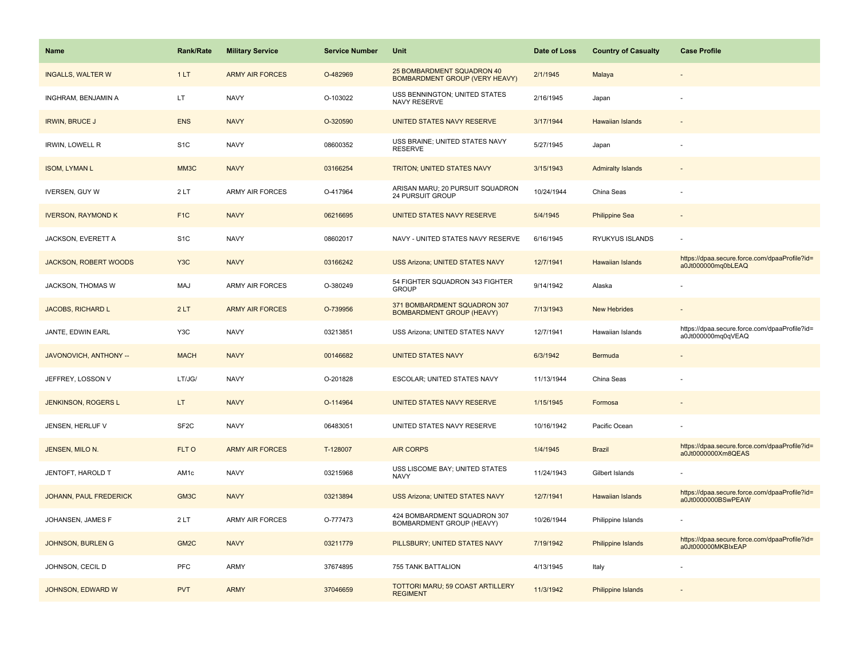| Name                      | <b>Rank/Rate</b>  | <b>Military Service</b> | <b>Service Number</b> | Unit                                                                | Date of Loss | <b>Country of Casualty</b> | <b>Case Profile</b>                                                 |
|---------------------------|-------------------|-------------------------|-----------------------|---------------------------------------------------------------------|--------------|----------------------------|---------------------------------------------------------------------|
| <b>INGALLS, WALTER W</b>  | 1LT               | <b>ARMY AIR FORCES</b>  | O-482969              | 25 BOMBARDMENT SQUADRON 40<br><b>BOMBARDMENT GROUP (VERY HEAVY)</b> | 2/1/1945     | Malaya                     |                                                                     |
| INGHRAM, BENJAMIN A       | LT                | <b>NAVY</b>             | O-103022              | USS BENNINGTON; UNITED STATES<br>NAVY RESERVE                       | 2/16/1945    | Japan                      |                                                                     |
| <b>IRWIN, BRUCE J</b>     | <b>ENS</b>        | <b>NAVY</b>             | O-320590              | UNITED STATES NAVY RESERVE                                          | 3/17/1944    | <b>Hawaiian Islands</b>    |                                                                     |
| <b>IRWIN, LOWELL R</b>    | S <sub>1</sub> C  | <b>NAVY</b>             | 08600352              | USS BRAINE; UNITED STATES NAVY<br><b>RESERVE</b>                    | 5/27/1945    | Japan                      |                                                                     |
| <b>ISOM, LYMAN L</b>      | MM3C              | <b>NAVY</b>             | 03166254              | TRITON; UNITED STATES NAVY                                          | 3/15/1943    | <b>Admiralty Islands</b>   |                                                                     |
| <b>IVERSEN, GUY W</b>     | 2LT               | ARMY AIR FORCES         | O-417964              | ARISAN MARU; 20 PURSUIT SQUADRON<br>24 PURSUIT GROUP                | 10/24/1944   | China Seas                 |                                                                     |
| <b>IVERSON, RAYMOND K</b> | F <sub>1C</sub>   | <b>NAVY</b>             | 06216695              | UNITED STATES NAVY RESERVE                                          | 5/4/1945     | <b>Philippine Sea</b>      |                                                                     |
| JACKSON, EVERETT A        | S <sub>1</sub> C  | <b>NAVY</b>             | 08602017              | NAVY - UNITED STATES NAVY RESERVE                                   | 6/16/1945    | RYUKYUS ISLANDS            |                                                                     |
| JACKSON, ROBERT WOODS     | Y <sub>3</sub> C  | <b>NAVY</b>             | 03166242              | <b>USS Arizona; UNITED STATES NAVY</b>                              | 12/7/1941    | Hawaiian Islands           | https://dpaa.secure.force.com/dpaaProfile?id=<br>a0Jt000000mq0bLEAQ |
| JACKSON, THOMAS W         | MAJ               | ARMY AIR FORCES         | O-380249              | 54 FIGHTER SQUADRON 343 FIGHTER<br><b>GROUP</b>                     | 9/14/1942    | Alaska                     |                                                                     |
| <b>JACOBS, RICHARD L</b>  | 2LT               | <b>ARMY AIR FORCES</b>  | O-739956              | 371 BOMBARDMENT SQUADRON 307<br><b>BOMBARDMENT GROUP (HEAVY)</b>    | 7/13/1943    | <b>New Hebrides</b>        |                                                                     |
| JANTE, EDWIN EARL         | Y3C               | <b>NAVY</b>             | 03213851              | USS Arizona; UNITED STATES NAVY                                     | 12/7/1941    | Hawaiian Islands           | https://dpaa.secure.force.com/dpaaProfile?id=<br>a0Jt000000mq0qVEAQ |
| JAVONOVICH, ANTHONY --    | <b>MACH</b>       | <b>NAVY</b>             | 00146682              | <b>UNITED STATES NAVY</b>                                           | 6/3/1942     | Bermuda                    |                                                                     |
| JEFFREY, LOSSON V         | LT/JG/            | <b>NAVY</b>             | O-201828              | ESCOLAR; UNITED STATES NAVY                                         | 11/13/1944   | China Seas                 |                                                                     |
| JENKINSON, ROGERS L       | LT.               | <b>NAVY</b>             | O-114964              | UNITED STATES NAVY RESERVE                                          | 1/15/1945    | Formosa                    |                                                                     |
| JENSEN, HERLUF V          | SF <sub>2C</sub>  | <b>NAVY</b>             | 06483051              | UNITED STATES NAVY RESERVE                                          | 10/16/1942   | Pacific Ocean              |                                                                     |
| JENSEN, MILO N.           | FLT O             | <b>ARMY AIR FORCES</b>  | T-128007              | <b>AIR CORPS</b>                                                    | 1/4/1945     | <b>Brazil</b>              | https://dpaa.secure.force.com/dpaaProfile?id=<br>a0Jt0000000Xm8QEAS |
| <b>JENTOFT, HAROLD T</b>  | AM1c              | <b>NAVY</b>             | 03215968              | USS LISCOME BAY; UNITED STATES<br><b>NAVY</b>                       | 11/24/1943   | Gilbert Islands            |                                                                     |
| JOHANN, PAUL FREDERICK    | GM3C              | <b>NAVY</b>             | 03213894              | USS Arizona; UNITED STATES NAVY                                     | 12/7/1941    | Hawaiian Islands           | https://dpaa.secure.force.com/dpaaProfile?id=<br>a0Jt0000000BSwPEAW |
| JOHANSEN, JAMES F         | 2 LT              | <b>ARMY AIR FORCES</b>  | O-777473              | 424 BOMBARDMENT SQUADRON 307<br>BOMBARDMENT GROUP (HEAVY)           | 10/26/1944   | Philippine Islands         |                                                                     |
| <b>JOHNSON, BURLEN G</b>  | GM <sub>2</sub> C | <b>NAVY</b>             | 03211779              | PILLSBURY; UNITED STATES NAVY                                       | 7/19/1942    | Philippine Islands         | https://dpaa.secure.force.com/dpaaProfile?id=<br>a0Jt000000MKBlxEAP |
| JOHNSON, CECIL D          | <b>PFC</b>        | <b>ARMY</b>             | 37674895              | 755 TANK BATTALION                                                  | 4/13/1945    | Italy                      |                                                                     |
| JOHNSON, EDWARD W         | <b>PVT</b>        | <b>ARMY</b>             | 37046659              | TOTTORI MARU; 59 COAST ARTILLERY<br><b>REGIMENT</b>                 | 11/3/1942    | Philippine Islands         |                                                                     |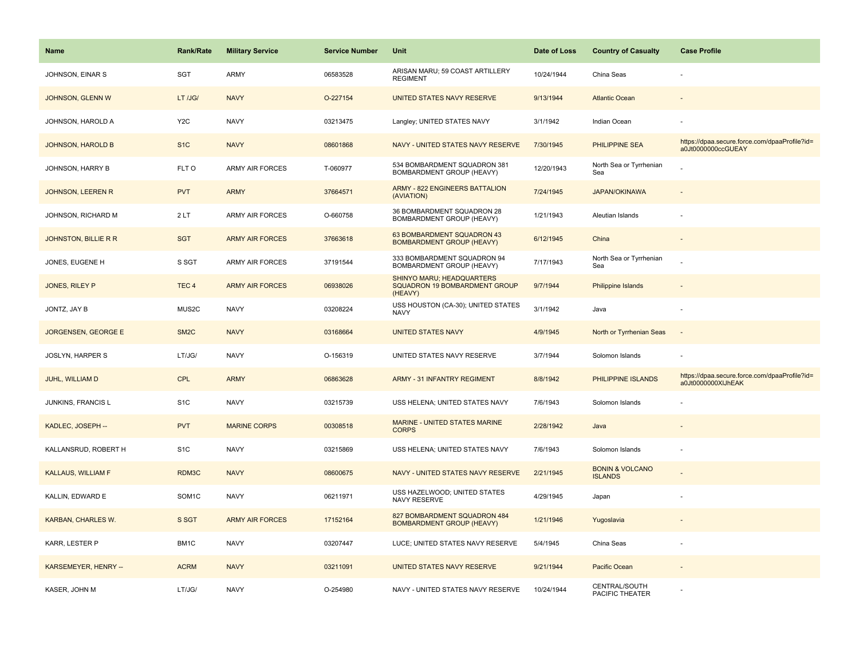| <b>Name</b>                 | <b>Rank/Rate</b>   | <b>Military Service</b> | <b>Service Number</b> | Unit                                                                  | Date of Loss | <b>Country of Casualty</b>                   | <b>Case Profile</b>                                                 |
|-----------------------------|--------------------|-------------------------|-----------------------|-----------------------------------------------------------------------|--------------|----------------------------------------------|---------------------------------------------------------------------|
| JOHNSON, EINAR S            | SGT                | <b>ARMY</b>             | 06583528              | ARISAN MARU; 59 COAST ARTILLERY<br><b>REGIMENT</b>                    | 10/24/1944   | China Seas                                   |                                                                     |
| JOHNSON, GLENN W            | LT /JG/            | <b>NAVY</b>             | O-227154              | UNITED STATES NAVY RESERVE                                            | 9/13/1944    | <b>Atlantic Ocean</b>                        |                                                                     |
| JOHNSON, HAROLD A           | Y <sub>2</sub> C   | <b>NAVY</b>             | 03213475              | Langley; UNITED STATES NAVY                                           | 3/1/1942     | Indian Ocean                                 |                                                                     |
| <b>JOHNSON, HAROLD B</b>    | S <sub>1</sub> C   | <b>NAVY</b>             | 08601868              | NAVY - UNITED STATES NAVY RESERVE                                     | 7/30/1945    | <b>PHILIPPINE SEA</b>                        | https://dpaa.secure.force.com/dpaaProfile?id=<br>a0Jt0000000ccGUEAY |
| JOHNSON, HARRY B            | FLT O              | <b>ARMY AIR FORCES</b>  | T-060977              | 534 BOMBARDMENT SQUADRON 381<br>BOMBARDMENT GROUP (HEAVY)             | 12/20/1943   | North Sea or Tyrrhenian<br>Sea               |                                                                     |
| JOHNSON, LEEREN R           | <b>PVT</b>         | <b>ARMY</b>             | 37664571              | <b>ARMY - 822 ENGINEERS BATTALION</b><br>(AVIATION)                   | 7/24/1945    | <b>JAPAN/OKINAWA</b>                         |                                                                     |
| JOHNSON, RICHARD M          | 2LT                | ARMY AIR FORCES         | O-660758              | 36 BOMBARDMENT SQUADRON 28<br><b>BOMBARDMENT GROUP (HEAVY)</b>        | 1/21/1943    | Aleutian Islands                             |                                                                     |
| <b>JOHNSTON, BILLIE R R</b> | <b>SGT</b>         | <b>ARMY AIR FORCES</b>  | 37663618              | 63 BOMBARDMENT SQUADRON 43<br><b>BOMBARDMENT GROUP (HEAVY)</b>        | 6/12/1945    | China                                        |                                                                     |
| JONES, EUGENE H             | S SGT              | <b>ARMY AIR FORCES</b>  | 37191544              | 333 BOMBARDMENT SQUADRON 94<br>BOMBARDMENT GROUP (HEAVY)              | 7/17/1943    | North Sea or Tyrrhenian<br>Sea               |                                                                     |
| JONES, RILEY P              | TEC <sub>4</sub>   | <b>ARMY AIR FORCES</b>  | 06938026              | SHINYO MARU; HEADQUARTERS<br>SQUADRON 19 BOMBARDMENT GROUP<br>(HEAVY) | 9/7/1944     | <b>Philippine Islands</b>                    |                                                                     |
| JONTZ, JAY B                | MUS2C              | <b>NAVY</b>             | 03208224              | USS HOUSTON (CA-30); UNITED STATES<br>NAVY                            | 3/1/1942     | Java                                         |                                                                     |
| JORGENSEN, GEORGE E         | SM <sub>2</sub> C  | <b>NAVY</b>             | 03168664              | <b>UNITED STATES NAVY</b>                                             | 4/9/1945     | North or Tyrrhenian Seas                     | $\overline{\phantom{a}}$                                            |
| <b>JOSLYN, HARPER S</b>     | LT/JG/             | <b>NAVY</b>             | O-156319              | UNITED STATES NAVY RESERVE                                            | 3/7/1944     | Solomon Islands                              |                                                                     |
| JUHL, WILLIAM D             | <b>CPL</b>         | <b>ARMY</b>             | 06863628              | <b>ARMY - 31 INFANTRY REGIMENT</b>                                    | 8/8/1942     | PHILIPPINE ISLANDS                           | https://dpaa.secure.force.com/dpaaProfile?id=<br>a0Jt0000000XIJhEAK |
| JUNKINS, FRANCIS L          | S <sub>1</sub> C   | <b>NAVY</b>             | 03215739              | USS HELENA; UNITED STATES NAVY                                        | 7/6/1943     | Solomon Islands                              |                                                                     |
| KADLEC, JOSEPH --           | <b>PVT</b>         | <b>MARINE CORPS</b>     | 00308518              | MARINE - UNITED STATES MARINE<br><b>CORPS</b>                         | 2/28/1942    | Java                                         |                                                                     |
| KALLANSRUD, ROBERT H        | S <sub>1</sub> C   | <b>NAVY</b>             | 03215869              | USS HELENA; UNITED STATES NAVY                                        | 7/6/1943     | Solomon Islands                              |                                                                     |
| <b>KALLAUS, WILLIAM F</b>   | RDM3C              | <b>NAVY</b>             | 08600675              | NAVY - UNITED STATES NAVY RESERVE                                     | 2/21/1945    | <b>BONIN &amp; VOLCANO</b><br><b>ISLANDS</b> |                                                                     |
| KALLIN, EDWARD E            | SOM <sub>1</sub> C | <b>NAVY</b>             | 06211971              | USS HAZELWOOD; UNITED STATES<br>NAVY RESERVE                          | 4/29/1945    | Japan                                        |                                                                     |
| KARBAN, CHARLES W.          | S SGT              | <b>ARMY AIR FORCES</b>  | 17152164              | 827 BOMBARDMENT SQUADRON 484<br><b>BOMBARDMENT GROUP (HEAVY)</b>      | 1/21/1946    | Yugoslavia                                   |                                                                     |
| KARR, LESTER P              | BM1C               | <b>NAVY</b>             | 03207447              | LUCE; UNITED STATES NAVY RESERVE                                      | 5/4/1945     | China Seas                                   |                                                                     |
| KARSEMEYER, HENRY --        | <b>ACRM</b>        | <b>NAVY</b>             | 03211091              | UNITED STATES NAVY RESERVE                                            | 9/21/1944    | Pacific Ocean                                |                                                                     |
| KASER, JOHN M               | LT/JG/             | <b>NAVY</b>             | O-254980              | NAVY - UNITED STATES NAVY RESERVE                                     | 10/24/1944   | CENTRAL/SOUTH<br>PACIFIC THEATER             |                                                                     |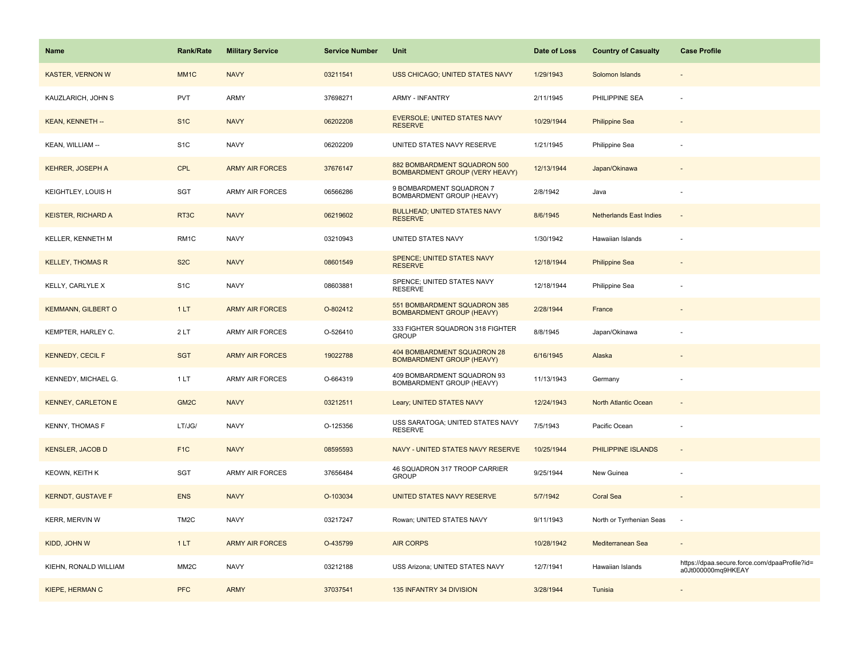| <b>Name</b>               | <b>Rank/Rate</b>  | <b>Military Service</b> | <b>Service Number</b> | Unit                                                             | Date of Loss | <b>Country of Casualty</b>     | <b>Case Profile</b>                                                 |
|---------------------------|-------------------|-------------------------|-----------------------|------------------------------------------------------------------|--------------|--------------------------------|---------------------------------------------------------------------|
| <b>KASTER, VERNON W</b>   | MM <sub>1</sub> C | <b>NAVY</b>             | 03211541              | USS CHICAGO; UNITED STATES NAVY                                  | 1/29/1943    | Solomon Islands                |                                                                     |
| KAUZLARICH, JOHN S        | <b>PVT</b>        | ARMY                    | 37698271              | <b>ARMY - INFANTRY</b>                                           | 2/11/1945    | PHILIPPINE SEA                 |                                                                     |
| KEAN, KENNETH --          | S <sub>1</sub> C  | <b>NAVY</b>             | 06202208              | <b>EVERSOLE; UNITED STATES NAVY</b><br><b>RESERVE</b>            | 10/29/1944   | <b>Philippine Sea</b>          |                                                                     |
| KEAN, WILLIAM --          | S <sub>1</sub> C  | <b>NAVY</b>             | 06202209              | UNITED STATES NAVY RESERVE                                       | 1/21/1945    | Philippine Sea                 |                                                                     |
| <b>KEHRER, JOSEPH A</b>   | <b>CPL</b>        | <b>ARMY AIR FORCES</b>  | 37676147              | 882 BOMBARDMENT SQUADRON 500<br>BOMBARDMENT GROUP (VERY HEAVY)   | 12/13/1944   | Japan/Okinawa                  |                                                                     |
| KEIGHTLEY, LOUIS H        | SGT               | <b>ARMY AIR FORCES</b>  | 06566286              | 9 BOMBARDMENT SQUADRON 7<br>BOMBARDMENT GROUP (HEAVY)            | 2/8/1942     | Java                           |                                                                     |
| <b>KEISTER, RICHARD A</b> | RT3C              | <b>NAVY</b>             | 06219602              | <b>BULLHEAD; UNITED STATES NAVY</b><br><b>RESERVE</b>            | 8/6/1945     | <b>Netherlands East Indies</b> | $\sim$                                                              |
| KELLER, KENNETH M         | RM1C              | <b>NAVY</b>             | 03210943              | UNITED STATES NAVY                                               | 1/30/1942    | Hawaiian Islands               |                                                                     |
| <b>KELLEY, THOMAS R</b>   | S <sub>2</sub> C  | <b>NAVY</b>             | 08601549              | <b>SPENCE; UNITED STATES NAVY</b><br><b>RESERVE</b>              | 12/18/1944   | <b>Philippine Sea</b>          |                                                                     |
| KELLY, CARLYLE X          | S <sub>1</sub> C  | <b>NAVY</b>             | 08603881              | SPENCE; UNITED STATES NAVY<br><b>RESERVE</b>                     | 12/18/1944   | Philippine Sea                 |                                                                     |
| <b>KEMMANN, GILBERT O</b> | 1LT               | <b>ARMY AIR FORCES</b>  | O-802412              | 551 BOMBARDMENT SQUADRON 385<br><b>BOMBARDMENT GROUP (HEAVY)</b> | 2/28/1944    | France                         |                                                                     |
| KEMPTER, HARLEY C.        | 2LT               | ARMY AIR FORCES         | O-526410              | 333 FIGHTER SQUADRON 318 FIGHTER<br><b>GROUP</b>                 | 8/8/1945     | Japan/Okinawa                  |                                                                     |
| <b>KENNEDY, CECIL F</b>   | <b>SGT</b>        | <b>ARMY AIR FORCES</b>  | 19022788              | 404 BOMBARDMENT SQUADRON 28<br><b>BOMBARDMENT GROUP (HEAVY)</b>  | 6/16/1945    | Alaska                         |                                                                     |
| KENNEDY, MICHAEL G.       | 1 LT              | ARMY AIR FORCES         | O-664319              | 409 BOMBARDMENT SQUADRON 93<br>BOMBARDMENT GROUP (HEAVY)         | 11/13/1943   | Germany                        |                                                                     |
| <b>KENNEY, CARLETON E</b> | GM <sub>2</sub> C | <b>NAVY</b>             | 03212511              | Leary; UNITED STATES NAVY                                        | 12/24/1943   | North Atlantic Ocean           |                                                                     |
| <b>KENNY, THOMAS F</b>    | LT/JG/            | <b>NAVY</b>             | O-125356              | USS SARATOGA; UNITED STATES NAVY<br><b>RESERVE</b>               | 7/5/1943     | Pacific Ocean                  |                                                                     |
| <b>KENSLER, JACOB D</b>   | F <sub>1</sub> C  | <b>NAVY</b>             | 08595593              | NAVY - UNITED STATES NAVY RESERVE                                | 10/25/1944   | PHILIPPINE ISLANDS             | $\sim$                                                              |
| <b>KEOWN, KEITH K</b>     | SGT               | ARMY AIR FORCES         | 37656484              | 46 SQUADRON 317 TROOP CARRIER<br><b>GROUP</b>                    | 9/25/1944    | New Guinea                     |                                                                     |
| <b>KERNDT, GUSTAVE F</b>  | <b>ENS</b>        | <b>NAVY</b>             | O-103034              | UNITED STATES NAVY RESERVE                                       | 5/7/1942     | <b>Coral Sea</b>               |                                                                     |
| KERR, MERVIN W            | TM <sub>2</sub> C | <b>NAVY</b>             | 03217247              | Rowan; UNITED STATES NAVY                                        | 9/11/1943    | North or Tyrrhenian Seas       |                                                                     |
| KIDD, JOHN W              | 1LT               | <b>ARMY AIR FORCES</b>  | O-435799              | <b>AIR CORPS</b>                                                 | 10/28/1942   | Mediterranean Sea              |                                                                     |
| KIEHN, RONALD WILLIAM     | MM <sub>2</sub> C | <b>NAVY</b>             | 03212188              | USS Arizona; UNITED STATES NAVY                                  | 12/7/1941    | Hawaiian Islands               | https://dpaa.secure.force.com/dpaaProfile?id=<br>a0Jt000000mq9HKEAY |
| KIEPE, HERMAN C           | <b>PFC</b>        | <b>ARMY</b>             | 37037541              | 135 INFANTRY 34 DIVISION                                         | 3/28/1944    | Tunisia                        |                                                                     |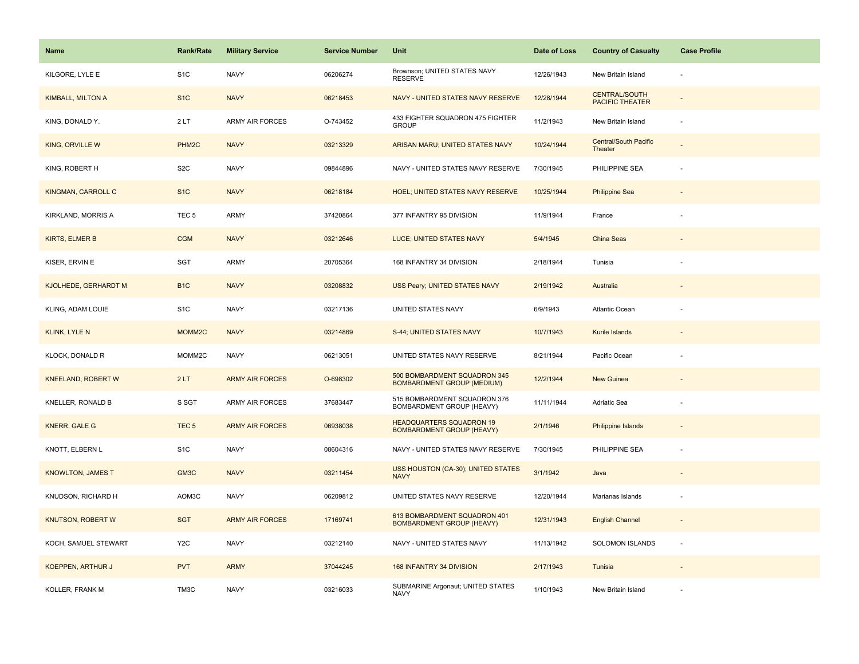| Name                        | <b>Rank/Rate</b>   | <b>Military Service</b> | <b>Service Number</b> | Unit                                                                | Date of Loss | <b>Country of Casualty</b>                     | <b>Case Profile</b> |
|-----------------------------|--------------------|-------------------------|-----------------------|---------------------------------------------------------------------|--------------|------------------------------------------------|---------------------|
| KILGORE, LYLE E             | S <sub>1</sub> C   | <b>NAVY</b>             | 06206274              | Brownson; UNITED STATES NAVY<br><b>RESERVE</b>                      | 12/26/1943   | New Britain Island                             |                     |
| <b>KIMBALL, MILTON A</b>    | S <sub>1</sub> C   | <b>NAVY</b>             | 06218453              | NAVY - UNITED STATES NAVY RESERVE                                   | 12/28/1944   | <b>CENTRAL/SOUTH</b><br><b>PACIFIC THEATER</b> |                     |
| KING, DONALD Y.             | 2LT                | <b>ARMY AIR FORCES</b>  | O-743452              | 433 FIGHTER SQUADRON 475 FIGHTER<br><b>GROUP</b>                    | 11/2/1943    | New Britain Island                             |                     |
| KING, ORVILLE W             | PHM <sub>2C</sub>  | <b>NAVY</b>             | 03213329              | ARISAN MARU; UNITED STATES NAVY                                     | 10/24/1944   | <b>Central/South Pacific</b><br>Theater        |                     |
| KING, ROBERT H              | S <sub>2</sub> C   | <b>NAVY</b>             | 09844896              | NAVY - UNITED STATES NAVY RESERVE                                   | 7/30/1945    | PHILIPPINE SEA                                 |                     |
| KINGMAN, CARROLL C          | S <sub>1</sub> C   | <b>NAVY</b>             | 06218184              | HOEL; UNITED STATES NAVY RESERVE                                    | 10/25/1944   | <b>Philippine Sea</b>                          |                     |
| KIRKLAND, MORRIS A          | TEC <sub>5</sub>   | ARMY                    | 37420864              | 377 INFANTRY 95 DIVISION                                            | 11/9/1944    | France                                         |                     |
| <b>KIRTS, ELMER B</b>       | <b>CGM</b>         | <b>NAVY</b>             | 03212646              | LUCE; UNITED STATES NAVY                                            | 5/4/1945     | China Seas                                     |                     |
| KISER, ERVIN E              | SGT                | ARMY                    | 20705364              | 168 INFANTRY 34 DIVISION                                            | 2/18/1944    | Tunisia                                        |                     |
| <b>KJOLHEDE, GERHARDT M</b> | B <sub>1</sub> C   | <b>NAVY</b>             | 03208832              | USS Peary; UNITED STATES NAVY                                       | 2/19/1942    | Australia                                      |                     |
| KLING, ADAM LOUIE           | S <sub>1</sub> C   | <b>NAVY</b>             | 03217136              | UNITED STATES NAVY                                                  | 6/9/1943     | Atlantic Ocean                                 |                     |
| <b>KLINK, LYLE N</b>        | MOMM <sub>2C</sub> | <b>NAVY</b>             | 03214869              | S-44; UNITED STATES NAVY                                            | 10/7/1943    | Kurile Islands                                 |                     |
| KLOCK, DONALD R             | MOMM2C             | <b>NAVY</b>             | 06213051              | UNITED STATES NAVY RESERVE                                          | 8/21/1944    | Pacific Ocean                                  |                     |
| KNEELAND, ROBERT W          | 2LT                | <b>ARMY AIR FORCES</b>  | O-698302              | 500 BOMBARDMENT SQUADRON 345<br><b>BOMBARDMENT GROUP (MEDIUM)</b>   | 12/2/1944    | New Guinea                                     |                     |
| KNELLER, RONALD B           | S SGT              | ARMY AIR FORCES         | 37683447              | 515 BOMBARDMENT SQUADRON 376<br>BOMBARDMENT GROUP (HEAVY)           | 11/11/1944   | Adriatic Sea                                   |                     |
| <b>KNERR, GALE G</b>        | TEC <sub>5</sub>   | <b>ARMY AIR FORCES</b>  | 06938038              | <b>HEADQUARTERS SQUADRON 19</b><br><b>BOMBARDMENT GROUP (HEAVY)</b> | 2/1/1946     | <b>Philippine Islands</b>                      |                     |
| KNOTT, ELBERN L             | S <sub>1</sub> C   | <b>NAVY</b>             | 08604316              | NAVY - UNITED STATES NAVY RESERVE                                   | 7/30/1945    | PHILIPPINE SEA                                 |                     |
| <b>KNOWLTON, JAMES T</b>    | GM3C               | <b>NAVY</b>             | 03211454              | USS HOUSTON (CA-30); UNITED STATES<br><b>NAVY</b>                   | 3/1/1942     | Java                                           |                     |
| KNUDSON, RICHARD H          | AOM3C              | <b>NAVY</b>             | 06209812              | UNITED STATES NAVY RESERVE                                          | 12/20/1944   | Marianas Islands                               |                     |
| KNUTSON, ROBERT W           | <b>SGT</b>         | <b>ARMY AIR FORCES</b>  | 17169741              | 613 BOMBARDMENT SQUADRON 401<br><b>BOMBARDMENT GROUP (HEAVY)</b>    | 12/31/1943   | <b>English Channel</b>                         |                     |
| KOCH, SAMUEL STEWART        | Y <sub>2</sub> C   | <b>NAVY</b>             | 03212140              | NAVY - UNITED STATES NAVY                                           | 11/13/1942   | SOLOMON ISLANDS                                | $\sim$              |
| <b>KOEPPEN, ARTHUR J</b>    | <b>PVT</b>         | <b>ARMY</b>             | 37044245              | 168 INFANTRY 34 DIVISION                                            | 2/17/1943    | Tunisia                                        |                     |
| KOLLER, FRANK M             | TM3C               | <b>NAVY</b>             | 03216033              | SUBMARINE Argonaut; UNITED STATES<br><b>NAVY</b>                    | 1/10/1943    | New Britain Island                             |                     |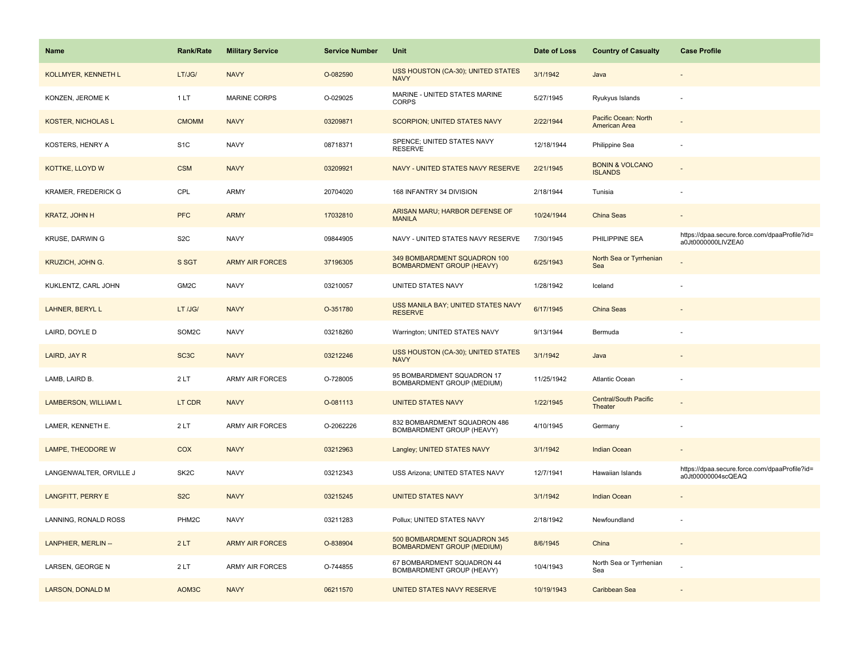| Name                       | <b>Rank/Rate</b>   | <b>Military Service</b> | <b>Service Number</b> | Unit                                                              | Date of Loss | <b>Country of Casualty</b>                   | <b>Case Profile</b>                                                 |
|----------------------------|--------------------|-------------------------|-----------------------|-------------------------------------------------------------------|--------------|----------------------------------------------|---------------------------------------------------------------------|
| <b>KOLLMYER, KENNETH L</b> | LT/JG/             | <b>NAVY</b>             | O-082590              | USS HOUSTON (CA-30); UNITED STATES<br><b>NAVY</b>                 | 3/1/1942     | Java                                         |                                                                     |
| KONZEN, JEROME K           | 1 LT               | <b>MARINE CORPS</b>     | O-029025              | MARINE - UNITED STATES MARINE<br><b>CORPS</b>                     | 5/27/1945    | Ryukyus Islands                              |                                                                     |
| <b>KOSTER, NICHOLAS L</b>  | <b>CMOMM</b>       | <b>NAVY</b>             | 03209871              | <b>SCORPION: UNITED STATES NAVY</b>                               | 2/22/1944    | Pacific Ocean: North<br>American Area        |                                                                     |
| KOSTERS, HENRY A           | S <sub>1</sub> C   | <b>NAVY</b>             | 08718371              | SPENCE; UNITED STATES NAVY<br><b>RESERVE</b>                      | 12/18/1944   | Philippine Sea                               |                                                                     |
| KOTTKE, LLOYD W            | <b>CSM</b>         | <b>NAVY</b>             | 03209921              | NAVY - UNITED STATES NAVY RESERVE                                 | 2/21/1945    | <b>BONIN &amp; VOLCANO</b><br><b>ISLANDS</b> |                                                                     |
| <b>KRAMER, FREDERICK G</b> | CPL                | <b>ARMY</b>             | 20704020              | 168 INFANTRY 34 DIVISION                                          | 2/18/1944    | Tunisia                                      |                                                                     |
| KRATZ, JOHN H              | <b>PFC</b>         | <b>ARMY</b>             | 17032810              | ARISAN MARU; HARBOR DEFENSE OF<br><b>MANILA</b>                   | 10/24/1944   | <b>China Seas</b>                            |                                                                     |
| KRUSE, DARWIN G            | S <sub>2</sub> C   | <b>NAVY</b>             | 09844905              | NAVY - UNITED STATES NAVY RESERVE                                 | 7/30/1945    | PHILIPPINE SEA                               | https://dpaa.secure.force.com/dpaaProfile?id=<br>a0Jt0000000LIVZEA0 |
| <b>KRUZICH, JOHN G.</b>    | S SGT              | <b>ARMY AIR FORCES</b>  | 37196305              | 349 BOMBARDMENT SQUADRON 100<br><b>BOMBARDMENT GROUP (HEAVY)</b>  | 6/25/1943    | North Sea or Tyrrhenian<br>Sea               |                                                                     |
| KUKLENTZ, CARL JOHN        | GM2C               | <b>NAVY</b>             | 03210057              | UNITED STATES NAVY                                                | 1/28/1942    | Iceland                                      |                                                                     |
| <b>LAHNER, BERYL L</b>     | LT /JG/            | <b>NAVY</b>             | O-351780              | USS MANILA BAY; UNITED STATES NAVY<br><b>RESERVE</b>              | 6/17/1945    | <b>China Seas</b>                            |                                                                     |
| LAIRD, DOYLE D             | SOM2C              | <b>NAVY</b>             | 03218260              | Warrington; UNITED STATES NAVY                                    | 9/13/1944    | Bermuda                                      |                                                                     |
| LAIRD, JAY R               | SC <sub>3</sub> C  | <b>NAVY</b>             | 03212246              | USS HOUSTON (CA-30); UNITED STATES<br><b>NAVY</b>                 | 3/1/1942     | Java                                         |                                                                     |
| LAMB, LAIRD B.             | 2LT                | ARMY AIR FORCES         | O-728005              | 95 BOMBARDMENT SQUADRON 17<br>BOMBARDMENT GROUP (MEDIUM)          | 11/25/1942   | <b>Atlantic Ocean</b>                        |                                                                     |
| LAMBERSON, WILLIAM L       | LT CDR             | <b>NAVY</b>             | O-081113              | <b>UNITED STATES NAVY</b>                                         | 1/22/1945    | <b>Central/South Pacific</b><br>Theater      |                                                                     |
| LAMER, KENNETH E.          | 2LT                | ARMY AIR FORCES         | O-2062226             | 832 BOMBARDMENT SQUADRON 486<br>BOMBARDMENT GROUP (HEAVY)         | 4/10/1945    | Germany                                      |                                                                     |
| LAMPE, THEODORE W          | COX                | <b>NAVY</b>             | 03212963              | Langley; UNITED STATES NAVY                                       | 3/1/1942     | <b>Indian Ocean</b>                          |                                                                     |
| LANGENWALTER, ORVILLE J    | SK <sub>2</sub> C  | <b>NAVY</b>             | 03212343              | USS Arizona; UNITED STATES NAVY                                   | 12/7/1941    | Hawaiian Islands                             | https://dpaa.secure.force.com/dpaaProfile?id=<br>a0Jt00000004scQEAQ |
| <b>LANGFITT, PERRY E</b>   | S <sub>2</sub> C   | <b>NAVY</b>             | 03215245              | <b>UNITED STATES NAVY</b>                                         | 3/1/1942     | <b>Indian Ocean</b>                          |                                                                     |
| LANNING, RONALD ROSS       | PHM <sub>2</sub> C | <b>NAVY</b>             | 03211283              | Pollux; UNITED STATES NAVY                                        | 2/18/1942    | Newfoundland                                 |                                                                     |
| LANPHIER, MERLIN --        | 2LT                | <b>ARMY AIR FORCES</b>  | O-838904              | 500 BOMBARDMENT SQUADRON 345<br><b>BOMBARDMENT GROUP (MEDIUM)</b> | 8/6/1945     | China                                        | $\sim$                                                              |
| LARSEN, GEORGE N           | 2LT                | ARMY AIR FORCES         | O-744855              | 67 BOMBARDMENT SQUADRON 44<br>BOMBARDMENT GROUP (HEAVY)           | 10/4/1943    | North Sea or Tyrrhenian<br>Sea               |                                                                     |
| LARSON, DONALD M           | AOM3C              | <b>NAVY</b>             | 06211570              | UNITED STATES NAVY RESERVE                                        | 10/19/1943   | Caribbean Sea                                |                                                                     |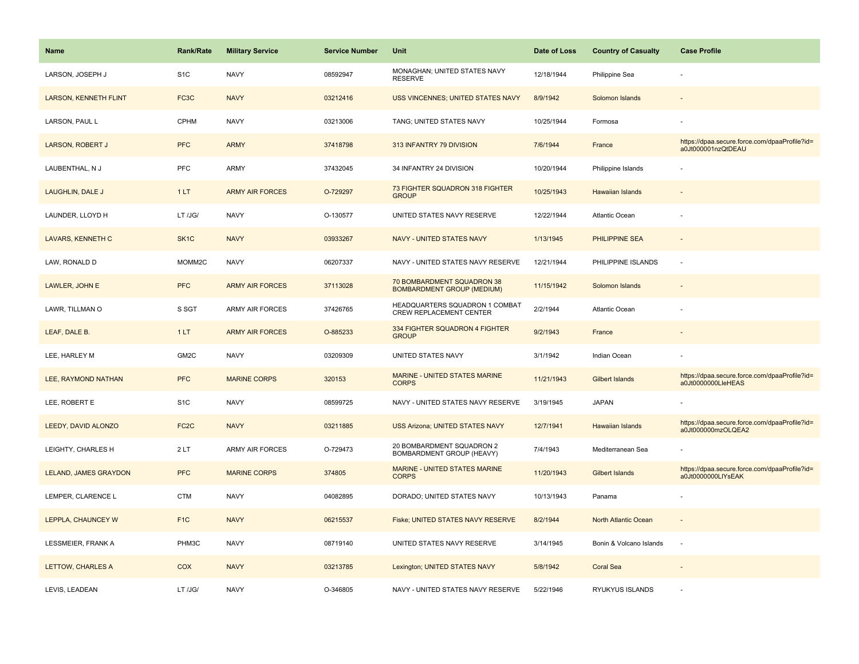| <b>Name</b>                  | <b>Rank/Rate</b>  | <b>Military Service</b> | <b>Service Number</b> | Unit                                                            | Date of Loss | <b>Country of Casualty</b> | <b>Case Profile</b>                                                 |
|------------------------------|-------------------|-------------------------|-----------------------|-----------------------------------------------------------------|--------------|----------------------------|---------------------------------------------------------------------|
| LARSON, JOSEPH J             | S <sub>1</sub> C  | <b>NAVY</b>             | 08592947              | MONAGHAN; UNITED STATES NAVY<br><b>RESERVE</b>                  | 12/18/1944   | Philippine Sea             |                                                                     |
| <b>LARSON, KENNETH FLINT</b> | FC3C              | <b>NAVY</b>             | 03212416              | USS VINCENNES; UNITED STATES NAVY                               | 8/9/1942     | Solomon Islands            |                                                                     |
| LARSON, PAUL L               | <b>CPHM</b>       | <b>NAVY</b>             | 03213006              | TANG; UNITED STATES NAVY                                        | 10/25/1944   | Formosa                    |                                                                     |
| <b>LARSON, ROBERT J</b>      | <b>PFC</b>        | <b>ARMY</b>             | 37418798              | 313 INFANTRY 79 DIVISION                                        | 7/6/1944     | France                     | https://dpaa.secure.force.com/dpaaProfile?id=<br>a0Jt000001nzQtDEAU |
| LAUBENTHAL, N J              | <b>PFC</b>        | ARMY                    | 37432045              | 34 INFANTRY 24 DIVISION                                         | 10/20/1944   | Philippine Islands         |                                                                     |
| LAUGHLIN, DALE J             | 1LT               | <b>ARMY AIR FORCES</b>  | O-729297              | 73 FIGHTER SQUADRON 318 FIGHTER<br><b>GROUP</b>                 | 10/25/1943   | Hawaiian Islands           |                                                                     |
| LAUNDER, LLOYD H             | LT /JG/           | <b>NAVY</b>             | O-130577              | UNITED STATES NAVY RESERVE                                      | 12/22/1944   | Atlantic Ocean             |                                                                     |
| <b>LAVARS, KENNETH C</b>     | SK <sub>1</sub> C | <b>NAVY</b>             | 03933267              | <b>NAVY - UNITED STATES NAVY</b>                                | 1/13/1945    | <b>PHILIPPINE SEA</b>      |                                                                     |
| LAW, RONALD D                | MOMM2C            | <b>NAVY</b>             | 06207337              | NAVY - UNITED STATES NAVY RESERVE                               | 12/21/1944   | PHILIPPINE ISLANDS         |                                                                     |
| LAWLER, JOHN E               | <b>PFC</b>        | <b>ARMY AIR FORCES</b>  | 37113028              | 70 BOMBARDMENT SQUADRON 38<br><b>BOMBARDMENT GROUP (MEDIUM)</b> | 11/15/1942   | Solomon Islands            |                                                                     |
| LAWR, TILLMAN O              | S SGT             | ARMY AIR FORCES         | 37426765              | HEADQUARTERS SQUADRON 1 COMBAT<br>CREW REPLACEMENT CENTER       | 2/2/1944     | Atlantic Ocean             |                                                                     |
| LEAF, DALE B.                | 1LT               | <b>ARMY AIR FORCES</b>  | O-885233              | 334 FIGHTER SQUADRON 4 FIGHTER<br><b>GROUP</b>                  | 9/2/1943     | France                     |                                                                     |
| LEE, HARLEY M                | GM2C              | <b>NAVY</b>             | 03209309              | UNITED STATES NAVY                                              | 3/1/1942     | Indian Ocean               |                                                                     |
| LEE, RAYMOND NATHAN          | <b>PFC</b>        | <b>MARINE CORPS</b>     | 320153                | MARINE - UNITED STATES MARINE<br><b>CORPS</b>                   | 11/21/1943   | <b>Gilbert Islands</b>     | https://dpaa.secure.force.com/dpaaProfile?id=<br>a0Jt0000000LleHEAS |
| LEE, ROBERT E                | S <sub>1</sub> C  | <b>NAVY</b>             | 08599725              | NAVY - UNITED STATES NAVY RESERVE                               | 3/19/1945    | <b>JAPAN</b>               |                                                                     |
| LEEDY, DAVID ALONZO          | FC <sub>2</sub> C | <b>NAVY</b>             | 03211885              | <b>USS Arizona; UNITED STATES NAVY</b>                          | 12/7/1941    | <b>Hawaiian Islands</b>    | https://dpaa.secure.force.com/dpaaProfile?id=<br>a0Jt000000mzOLQEA2 |
| LEIGHTY, CHARLES H           | 2LT               | ARMY AIR FORCES         | O-729473              | 20 BOMBARDMENT SQUADRON 2<br>BOMBARDMENT GROUP (HEAVY)          | 7/4/1943     | Mediterranean Sea          |                                                                     |
| LELAND, JAMES GRAYDON        | <b>PFC</b>        | <b>MARINE CORPS</b>     | 374805                | MARINE - UNITED STATES MARINE<br><b>CORPS</b>                   | 11/20/1943   | <b>Gilbert Islands</b>     | https://dpaa.secure.force.com/dpaaProfile?id=<br>a0Jt0000000LIYsEAK |
| LEMPER, CLARENCE L           | <b>CTM</b>        | <b>NAVY</b>             | 04082895              | DORADO; UNITED STATES NAVY                                      | 10/13/1943   | Panama                     |                                                                     |
| LEPPLA, CHAUNCEY W           | F <sub>1C</sub>   | <b>NAVY</b>             | 06215537              | Fiske; UNITED STATES NAVY RESERVE                               | 8/2/1944     | North Atlantic Ocean       |                                                                     |
| LESSMEIER, FRANK A           | PHM3C             | <b>NAVY</b>             | 08719140              | UNITED STATES NAVY RESERVE                                      | 3/14/1945    | Bonin & Volcano Islands    | ÷.                                                                  |
| <b>LETTOW, CHARLES A</b>     | COX               | <b>NAVY</b>             | 03213785              | Lexington; UNITED STATES NAVY                                   | 5/8/1942     | <b>Coral Sea</b>           |                                                                     |
| LEVIS, LEADEAN               | LT /JG/           | <b>NAVY</b>             | O-346805              | NAVY - UNITED STATES NAVY RESERVE                               | 5/22/1946    | RYUKYUS ISLANDS            |                                                                     |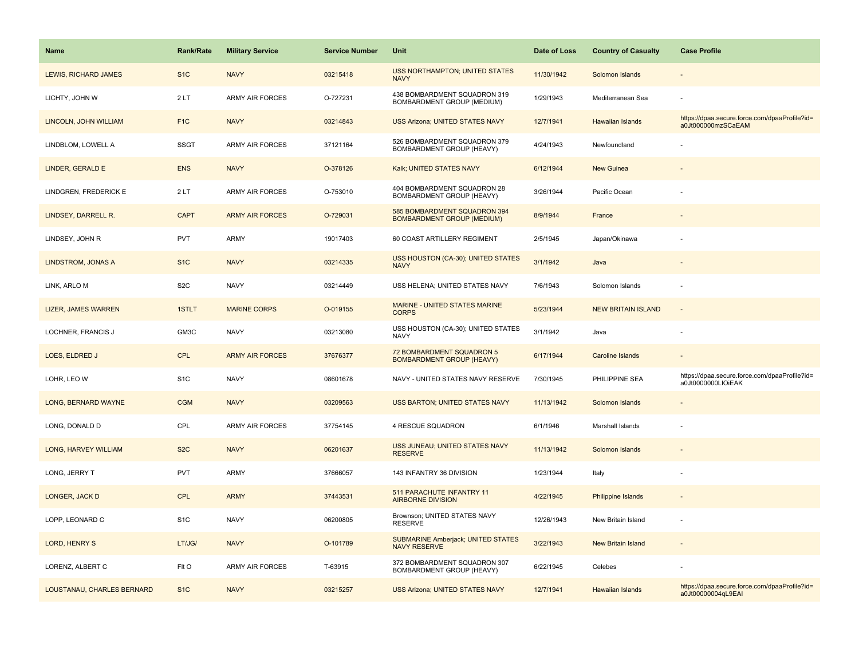| <b>Name</b>                | <b>Rank/Rate</b> | <b>Military Service</b> | <b>Service Number</b> | <b>Unit</b>                                                       | Date of Loss | <b>Country of Casualty</b> | <b>Case Profile</b>                                                 |
|----------------------------|------------------|-------------------------|-----------------------|-------------------------------------------------------------------|--------------|----------------------------|---------------------------------------------------------------------|
| LEWIS, RICHARD JAMES       | S <sub>1</sub> C | <b>NAVY</b>             | 03215418              | <b>USS NORTHAMPTON; UNITED STATES</b><br><b>NAVY</b>              | 11/30/1942   | Solomon Islands            |                                                                     |
| LICHTY, JOHN W             | 2LT              | <b>ARMY AIR FORCES</b>  | O-727231              | 438 BOMBARDMENT SQUADRON 319<br>BOMBARDMENT GROUP (MEDIUM)        | 1/29/1943    | Mediterranean Sea          |                                                                     |
| LINCOLN, JOHN WILLIAM      | F <sub>1</sub> C | <b>NAVY</b>             | 03214843              | <b>USS Arizona; UNITED STATES NAVY</b>                            | 12/7/1941    | Hawaiian Islands           | https://dpaa.secure.force.com/dpaaProfile?id=<br>a0Jt000000mzSCaEAM |
| LINDBLOM, LOWELL A         | <b>SSGT</b>      | <b>ARMY AIR FORCES</b>  | 37121164              | 526 BOMBARDMENT SQUADRON 379<br>BOMBARDMENT GROUP (HEAVY)         | 4/24/1943    | Newfoundland               |                                                                     |
| LINDER, GERALD E           | <b>ENS</b>       | <b>NAVY</b>             | O-378126              | Kalk; UNITED STATES NAVY                                          | 6/12/1944    | New Guinea                 |                                                                     |
| LINDGREN, FREDERICK E      | 2LT              | <b>ARMY AIR FORCES</b>  | O-753010              | 404 BOMBARDMENT SQUADRON 28<br>BOMBARDMENT GROUP (HEAVY)          | 3/26/1944    | Pacific Ocean              |                                                                     |
| LINDSEY, DARRELL R.        | <b>CAPT</b>      | <b>ARMY AIR FORCES</b>  | O-729031              | 585 BOMBARDMENT SQUADRON 394<br><b>BOMBARDMENT GROUP (MEDIUM)</b> | 8/9/1944     | France                     |                                                                     |
| LINDSEY, JOHN R            | <b>PVT</b>       | <b>ARMY</b>             | 19017403              | 60 COAST ARTILLERY REGIMENT                                       | 2/5/1945     | Japan/Okinawa              |                                                                     |
| LINDSTROM, JONAS A         | S <sub>1</sub> C | <b>NAVY</b>             | 03214335              | USS HOUSTON (CA-30); UNITED STATES<br><b>NAVY</b>                 | 3/1/1942     | Java                       |                                                                     |
| LINK, ARLO M               | S <sub>2</sub> C | <b>NAVY</b>             | 03214449              | USS HELENA; UNITED STATES NAVY                                    | 7/6/1943     | Solomon Islands            |                                                                     |
| <b>LIZER, JAMES WARREN</b> | 1STLT            | <b>MARINE CORPS</b>     | O-019155              | MARINE - UNITED STATES MARINE<br><b>CORPS</b>                     | 5/23/1944    | <b>NEW BRITAIN ISLAND</b>  | $\sim$                                                              |
| LOCHNER, FRANCIS J         | GM3C             | <b>NAVY</b>             | 03213080              | USS HOUSTON (CA-30); UNITED STATES<br><b>NAVY</b>                 | 3/1/1942     | Java                       |                                                                     |
| LOES, ELDRED J             | <b>CPL</b>       | <b>ARMY AIR FORCES</b>  | 37676377              | 72 BOMBARDMENT SQUADRON 5<br><b>BOMBARDMENT GROUP (HEAVY)</b>     | 6/17/1944    | Caroline Islands           |                                                                     |
| LOHR, LEO W                | S <sub>1</sub> C | <b>NAVY</b>             | 08601678              | NAVY - UNITED STATES NAVY RESERVE                                 | 7/30/1945    | PHILIPPINE SEA             | https://dpaa.secure.force.com/dpaaProfile?id=<br>a0Jt0000000LIOiEAK |
| LONG, BERNARD WAYNE        | <b>CGM</b>       | <b>NAVY</b>             | 03209563              | <b>USS BARTON; UNITED STATES NAVY</b>                             | 11/13/1942   | Solomon Islands            |                                                                     |
| LONG, DONALD D             | CPL              | <b>ARMY AIR FORCES</b>  | 37754145              | 4 RESCUE SQUADRON                                                 | 6/1/1946     | Marshall Islands           |                                                                     |
| LONG, HARVEY WILLIAM       | S <sub>2</sub> C | <b>NAVY</b>             | 06201637              | USS JUNEAU; UNITED STATES NAVY<br><b>RESERVE</b>                  | 11/13/1942   | Solomon Islands            |                                                                     |
| LONG, JERRY T              | PVT              | <b>ARMY</b>             | 37666057              | 143 INFANTRY 36 DIVISION                                          | 1/23/1944    | Italy                      |                                                                     |
| LONGER, JACK D             | <b>CPL</b>       | <b>ARMY</b>             | 37443531              | 511 PARACHUTE INFANTRY 11<br><b>AIRBORNE DIVISION</b>             | 4/22/1945    | Philippine Islands         |                                                                     |
| LOPP, LEONARD C            | S <sub>1</sub> C | <b>NAVY</b>             | 06200805              | Brownson; UNITED STATES NAVY<br><b>RESERVE</b>                    | 12/26/1943   | New Britain Island         |                                                                     |
| LORD, HENRY S              | LT/JG/           | <b>NAVY</b>             | O-101789              | <b>SUBMARINE Amberjack; UNITED STATES</b><br><b>NAVY RESERVE</b>  | 3/22/1943    | <b>New Britain Island</b>  |                                                                     |
| LORENZ, ALBERT C           | Flt O            | <b>ARMY AIR FORCES</b>  | T-63915               | 372 BOMBARDMENT SQUADRON 307<br>BOMBARDMENT GROUP (HEAVY)         | 6/22/1945    | Celebes                    |                                                                     |
| LOUSTANAU, CHARLES BERNARD | S <sub>1</sub> C | <b>NAVY</b>             | 03215257              | <b>USS Arizona; UNITED STATES NAVY</b>                            | 12/7/1941    | <b>Hawaiian Islands</b>    | https://dpaa.secure.force.com/dpaaProfile?id=<br>a0Jt00000004qL9EAI |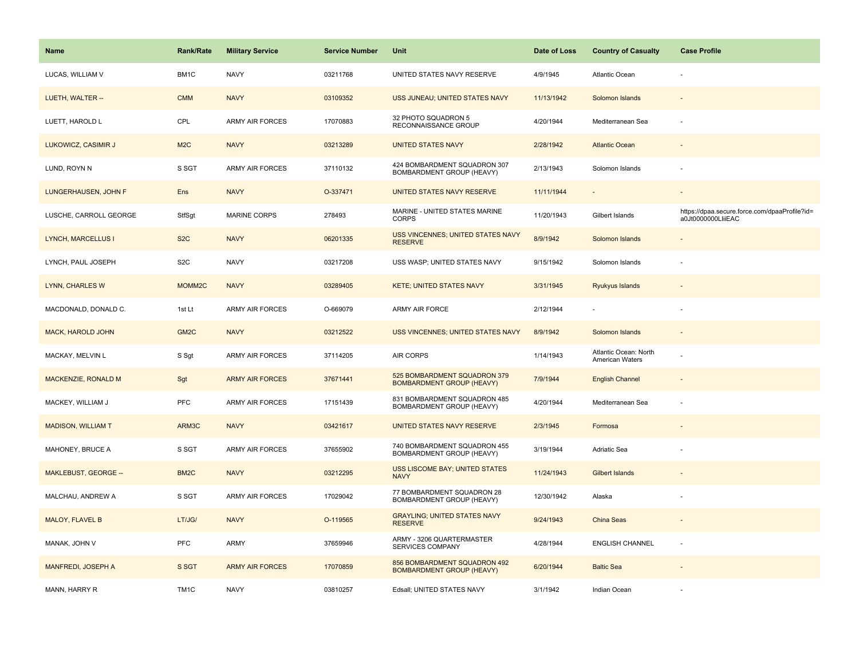| <b>Name</b>                | Rank/Rate          | <b>Military Service</b> | <b>Service Number</b> | Unit                                                             | Date of Loss | <b>Country of Casualty</b>               | <b>Case Profile</b>                                                 |
|----------------------------|--------------------|-------------------------|-----------------------|------------------------------------------------------------------|--------------|------------------------------------------|---------------------------------------------------------------------|
| LUCAS, WILLIAM V           | BM1C               | <b>NAVY</b>             | 03211768              | UNITED STATES NAVY RESERVE                                       | 4/9/1945     | Atlantic Ocean                           |                                                                     |
| LUETH, WALTER --           | <b>CMM</b>         | <b>NAVY</b>             | 03109352              | USS JUNEAU; UNITED STATES NAVY                                   | 11/13/1942   | Solomon Islands                          |                                                                     |
| LUETT, HAROLD L            | CPL                | <b>ARMY AIR FORCES</b>  | 17070883              | 32 PHOTO SQUADRON 5<br>RECONNAISSANCE GROUP                      | 4/20/1944    | Mediterranean Sea                        |                                                                     |
| LUKOWICZ, CASIMIR J        | M <sub>2</sub> C   | <b>NAVY</b>             | 03213289              | <b>UNITED STATES NAVY</b>                                        | 2/28/1942    | <b>Atlantic Ocean</b>                    |                                                                     |
| LUND, ROYN N               | S SGT              | <b>ARMY AIR FORCES</b>  | 37110132              | 424 BOMBARDMENT SQUADRON 307<br>BOMBARDMENT GROUP (HEAVY)        | 2/13/1943    | Solomon Islands                          |                                                                     |
| LUNGERHAUSEN, JOHN F       | Ens                | <b>NAVY</b>             | O-337471              | UNITED STATES NAVY RESERVE                                       | 11/11/1944   |                                          |                                                                     |
| LUSCHE, CARROLL GEORGE     | StfSgt             | <b>MARINE CORPS</b>     | 278493                | MARINE - UNITED STATES MARINE<br><b>CORPS</b>                    | 11/20/1943   | Gilbert Islands                          | https://dpaa.secure.force.com/dpaaProfile?id=<br>a0Jt0000000LliiEAC |
| <b>LYNCH, MARCELLUS I</b>  | S <sub>2</sub> C   | <b>NAVY</b>             | 06201335              | USS VINCENNES; UNITED STATES NAVY<br><b>RESERVE</b>              | 8/9/1942     | Solomon Islands                          |                                                                     |
| LYNCH, PAUL JOSEPH         | S <sub>2</sub> C   | <b>NAVY</b>             | 03217208              | USS WASP; UNITED STATES NAVY                                     | 9/15/1942    | Solomon Islands                          |                                                                     |
| LYNN, CHARLES W            | MOMM <sub>2C</sub> | <b>NAVY</b>             | 03289405              | <b>KETE; UNITED STATES NAVY</b>                                  | 3/31/1945    | Ryukyus Islands                          |                                                                     |
| MACDONALD, DONALD C.       | 1st Lt             | <b>ARMY AIR FORCES</b>  | O-669079              | <b>ARMY AIR FORCE</b>                                            | 2/12/1944    |                                          |                                                                     |
| <b>MACK, HAROLD JOHN</b>   | GM <sub>2C</sub>   | <b>NAVY</b>             | 03212522              | USS VINCENNES; UNITED STATES NAVY                                | 8/9/1942     | Solomon Islands                          | $\overline{\phantom{a}}$                                            |
| MACKAY, MELVIN L           | S Sgt              | <b>ARMY AIR FORCES</b>  | 37114205              | <b>AIR CORPS</b>                                                 | 1/14/1943    | Atlantic Ocean: North<br>American Waters |                                                                     |
| <b>MACKENZIE, RONALD M</b> | Sgt                | <b>ARMY AIR FORCES</b>  | 37671441              | 525 BOMBARDMENT SQUADRON 379<br><b>BOMBARDMENT GROUP (HEAVY)</b> | 7/9/1944     | <b>English Channel</b>                   |                                                                     |
| MACKEY, WILLIAM J          | <b>PFC</b>         | ARMY AIR FORCES         | 17151439              | 831 BOMBARDMENT SQUADRON 485<br>BOMBARDMENT GROUP (HEAVY)        | 4/20/1944    | Mediterranean Sea                        | ÷.                                                                  |
| <b>MADISON, WILLIAM T</b>  | ARM3C              | <b>NAVY</b>             | 03421617              | UNITED STATES NAVY RESERVE                                       | 2/3/1945     | Formosa                                  |                                                                     |
| MAHONEY, BRUCE A           | S SGT              | <b>ARMY AIR FORCES</b>  | 37655902              | 740 BOMBARDMENT SQUADRON 455<br>BOMBARDMENT GROUP (HEAVY)        | 3/19/1944    | Adriatic Sea                             |                                                                     |
| MAKLEBUST, GEORGE --       | BM <sub>2</sub> C  | <b>NAVY</b>             | 03212295              | USS LISCOME BAY; UNITED STATES<br><b>NAVY</b>                    | 11/24/1943   | <b>Gilbert Islands</b>                   |                                                                     |
| MALCHAU, ANDREW A          | S SGT              | ARMY AIR FORCES         | 17029042              | 77 BOMBARDMENT SQUADRON 28<br>BOMBARDMENT GROUP (HEAVY)          | 12/30/1942   | Alaska                                   |                                                                     |
| MALOY, FLAVEL B            | LT/JG/             | <b>NAVY</b>             | O-119565              | <b>GRAYLING; UNITED STATES NAVY</b><br><b>RESERVE</b>            | 9/24/1943    | China Seas                               |                                                                     |
| MANAK, JOHN V              | <b>PFC</b>         | <b>ARMY</b>             | 37659946              | ARMY - 3206 QUARTERMASTER<br>SERVICES COMPANY                    | 4/28/1944    | <b>ENGLISH CHANNEL</b>                   | ÷,                                                                  |
| <b>MANFREDI, JOSEPH A</b>  | S SGT              | <b>ARMY AIR FORCES</b>  | 17070859              | 856 BOMBARDMENT SQUADRON 492<br><b>BOMBARDMENT GROUP (HEAVY)</b> | 6/20/1944    | <b>Baltic Sea</b>                        |                                                                     |
| MANN, HARRY R              | TM <sub>1</sub> C  | <b>NAVY</b>             | 03810257              | Edsall; UNITED STATES NAVY                                       | 3/1/1942     | Indian Ocean                             |                                                                     |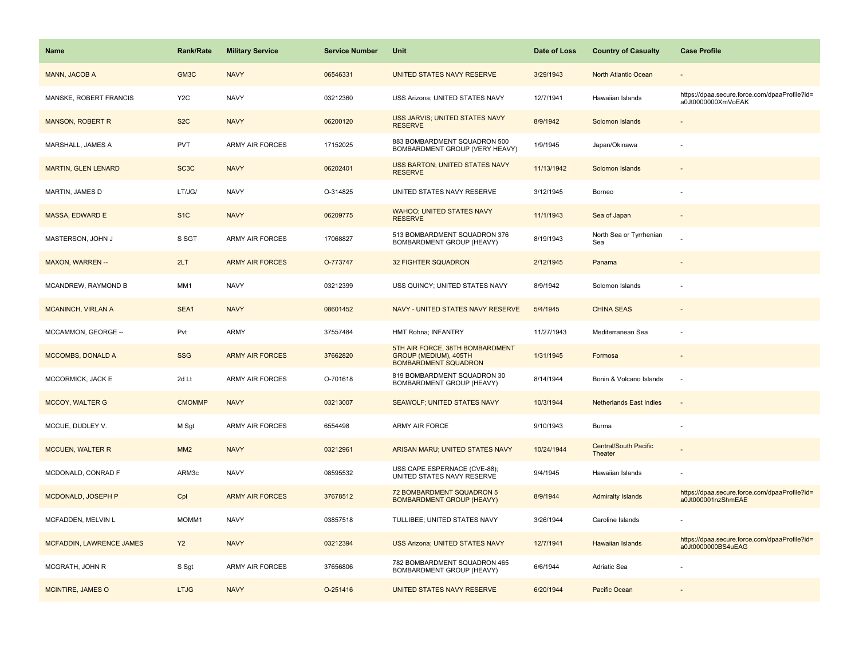| <b>Name</b>                     | <b>Rank/Rate</b>  | <b>Military Service</b> | <b>Service Number</b> | Unit                                                                                    | Date of Loss | <b>Country of Casualty</b>              | <b>Case Profile</b>                                                 |
|---------------------------------|-------------------|-------------------------|-----------------------|-----------------------------------------------------------------------------------------|--------------|-----------------------------------------|---------------------------------------------------------------------|
| MANN, JACOB A                   | GM3C              | <b>NAVY</b>             | 06546331              | UNITED STATES NAVY RESERVE                                                              | 3/29/1943    | North Atlantic Ocean                    |                                                                     |
| MANSKE, ROBERT FRANCIS          | Y <sub>2</sub> C  | <b>NAVY</b>             | 03212360              | USS Arizona; UNITED STATES NAVY                                                         | 12/7/1941    | Hawaiian Islands                        | https://dpaa.secure.force.com/dpaaProfile?id=<br>a0Jt0000000XmVoEAK |
| <b>MANSON, ROBERT R</b>         | S <sub>2</sub> C  | <b>NAVY</b>             | 06200120              | USS JARVIS; UNITED STATES NAVY<br><b>RESERVE</b>                                        | 8/9/1942     | Solomon Islands                         |                                                                     |
| MARSHALL, JAMES A               | <b>PVT</b>        | <b>ARMY AIR FORCES</b>  | 17152025              | 883 BOMBARDMENT SQUADRON 500<br>BOMBARDMENT GROUP (VERY HEAVY)                          | 1/9/1945     | Japan/Okinawa                           |                                                                     |
| <b>MARTIN, GLEN LENARD</b>      | SC <sub>3</sub> C | <b>NAVY</b>             | 06202401              | <b>USS BARTON; UNITED STATES NAVY</b><br><b>RESERVE</b>                                 | 11/13/1942   | Solomon Islands                         |                                                                     |
| MARTIN, JAMES D                 | LT/JG/            | <b>NAVY</b>             | O-314825              | UNITED STATES NAVY RESERVE                                                              | 3/12/1945    | Borneo                                  |                                                                     |
| <b>MASSA, EDWARD E</b>          | S <sub>1</sub> C  | <b>NAVY</b>             | 06209775              | <b>WAHOO; UNITED STATES NAVY</b><br><b>RESERVE</b>                                      | 11/1/1943    | Sea of Japan                            |                                                                     |
| MASTERSON, JOHN J               | S SGT             | <b>ARMY AIR FORCES</b>  | 17068827              | 513 BOMBARDMENT SQUADRON 376<br>BOMBARDMENT GROUP (HEAVY)                               | 8/19/1943    | North Sea or Tyrrhenian<br>Sea          |                                                                     |
| <b>MAXON, WARREN --</b>         | 2LT               | <b>ARMY AIR FORCES</b>  | O-773747              | <b>32 FIGHTER SQUADRON</b>                                                              | 2/12/1945    | Panama                                  |                                                                     |
| MCANDREW, RAYMOND B             | MM1               | <b>NAVY</b>             | 03212399              | USS QUINCY; UNITED STATES NAVY                                                          | 8/9/1942     | Solomon Islands                         |                                                                     |
| <b>MCANINCH, VIRLAN A</b>       | SEA1              | <b>NAVY</b>             | 08601452              | NAVY - UNITED STATES NAVY RESERVE                                                       | 5/4/1945     | <b>CHINA SEAS</b>                       |                                                                     |
| MCCAMMON, GEORGE --             | Pvt               | ARMY                    | 37557484              | HMT Rohna; INFANTRY                                                                     | 11/27/1943   | Mediterranean Sea                       |                                                                     |
| <b>MCCOMBS, DONALD A</b>        | <b>SSG</b>        | <b>ARMY AIR FORCES</b>  | 37662820              | 5TH AIR FORCE, 38TH BOMBARDMENT<br>GROUP (MEDIUM), 405TH<br><b>BOMBARDMENT SQUADRON</b> | 1/31/1945    | Formosa                                 |                                                                     |
| MCCORMICK, JACK E               | 2d Lt             | ARMY AIR FORCES         | O-701618              | 819 BOMBARDMENT SQUADRON 30<br>BOMBARDMENT GROUP (HEAVY)                                | 8/14/1944    | Bonin & Volcano Islands                 | ÷.                                                                  |
| <b>MCCOY, WALTER G</b>          | <b>CMOMMP</b>     | <b>NAVY</b>             | 03213007              | <b>SEAWOLF; UNITED STATES NAVY</b>                                                      | 10/3/1944    | <b>Netherlands East Indies</b>          |                                                                     |
| MCCUE, DUDLEY V.                | M Sgt             | <b>ARMY AIR FORCES</b>  | 6554498               | ARMY AIR FORCE                                                                          | 9/10/1943    | Burma                                   |                                                                     |
| <b>MCCUEN, WALTER R</b>         | MM2               | <b>NAVY</b>             | 03212961              | ARISAN MARU; UNITED STATES NAVY                                                         | 10/24/1944   | <b>Central/South Pacific</b><br>Theater |                                                                     |
| MCDONALD, CONRAD F              | ARM3c             | <b>NAVY</b>             | 08595532              | USS CAPE ESPERNACE (CVE-88);<br>UNITED STATES NAVY RESERVE                              | 9/4/1945     | Hawaiian Islands                        |                                                                     |
| MCDONALD, JOSEPH P              | Cpl               | <b>ARMY AIR FORCES</b>  | 37678512              | 72 BOMBARDMENT SQUADRON 5<br><b>BOMBARDMENT GROUP (HEAVY)</b>                           | 8/9/1944     | <b>Admiralty Islands</b>                | https://dpaa.secure.force.com/dpaaProfile?id=<br>a0Jt000001nzShmEAE |
| MCFADDEN, MELVIN L              | MOMM1             | <b>NAVY</b>             | 03857518              | TULLIBEE; UNITED STATES NAVY                                                            | 3/26/1944    | Caroline Islands                        |                                                                     |
| <b>MCFADDIN, LAWRENCE JAMES</b> | <b>Y2</b>         | <b>NAVY</b>             | 03212394              | <b>USS Arizona; UNITED STATES NAVY</b>                                                  | 12/7/1941    | <b>Hawaiian Islands</b>                 | https://dpaa.secure.force.com/dpaaProfile?id=<br>a0Jt0000000BS4uEAG |
| MCGRATH, JOHN R                 | S Sgt             | ARMY AIR FORCES         | 37656806              | 782 BOMBARDMENT SQUADRON 465<br>BOMBARDMENT GROUP (HEAVY)                               | 6/6/1944     | Adriatic Sea                            |                                                                     |
| <b>MCINTIRE, JAMES O</b>        | <b>LTJG</b>       | <b>NAVY</b>             | O-251416              | UNITED STATES NAVY RESERVE                                                              | 6/20/1944    | Pacific Ocean                           |                                                                     |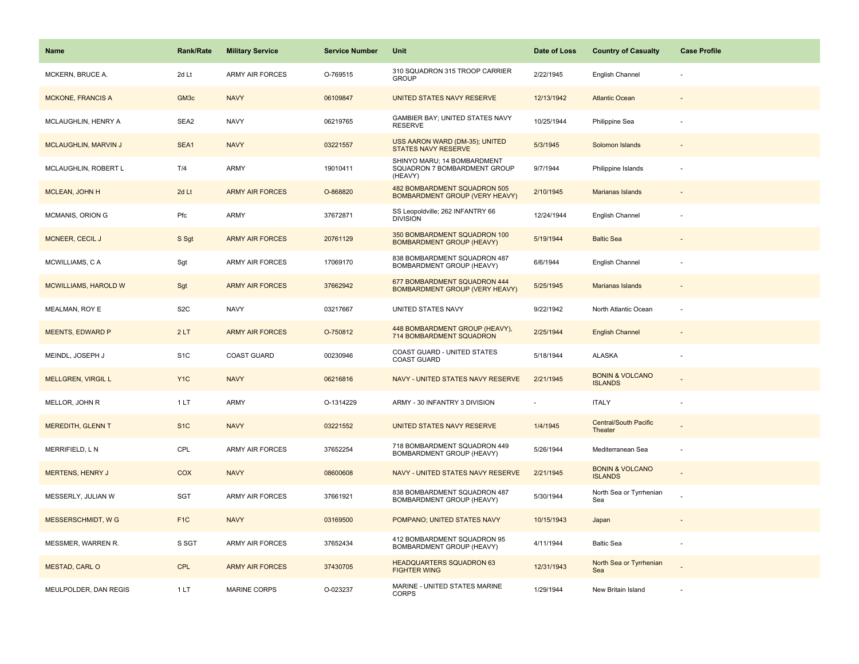| <b>Name</b>                 | <b>Rank/Rate</b> | <b>Military Service</b> | <b>Service Number</b> | Unit                                                                   | Date of Loss | <b>Country of Casualty</b>                   | <b>Case Profile</b> |
|-----------------------------|------------------|-------------------------|-----------------------|------------------------------------------------------------------------|--------------|----------------------------------------------|---------------------|
| MCKERN, BRUCE A.            | 2d Lt            | <b>ARMY AIR FORCES</b>  | O-769515              | 310 SQUADRON 315 TROOP CARRIER<br><b>GROUP</b>                         | 2/22/1945    | English Channel                              |                     |
| <b>MCKONE, FRANCIS A</b>    | GM <sub>3c</sub> | <b>NAVY</b>             | 06109847              | UNITED STATES NAVY RESERVE                                             | 12/13/1942   | <b>Atlantic Ocean</b>                        |                     |
| MCLAUGHLIN, HENRY A         | SEA2             | <b>NAVY</b>             | 06219765              | GAMBIER BAY; UNITED STATES NAVY<br><b>RESERVE</b>                      | 10/25/1944   | Philippine Sea                               |                     |
| <b>MCLAUGHLIN, MARVIN J</b> | SEA1             | <b>NAVY</b>             | 03221557              | USS AARON WARD (DM-35); UNITED<br>STATES NAVY RESERVE                  | 5/3/1945     | Solomon Islands                              |                     |
| MCLAUGHLIN, ROBERT L        | T/4              | <b>ARMY</b>             | 19010411              | SHINYO MARU: 14 BOMBARDMENT<br>SQUADRON 7 BOMBARDMENT GROUP<br>(HEAVY) | 9/7/1944     | Philippine Islands                           |                     |
| MCLEAN, JOHN H              | 2d Lt            | <b>ARMY AIR FORCES</b>  | O-868820              | 482 BOMBARDMENT SQUADRON 505<br><b>BOMBARDMENT GROUP (VERY HEAVY)</b>  | 2/10/1945    | Marianas Islands                             |                     |
| MCMANIS, ORION G            | Pfc              | ARMY                    | 37672871              | SS Leopoldville; 262 INFANTRY 66<br><b>DIVISION</b>                    | 12/24/1944   | English Channel                              |                     |
| <b>MCNEER, CECIL J</b>      | S Sgt            | <b>ARMY AIR FORCES</b>  | 20761129              | 350 BOMBARDMENT SQUADRON 100<br><b>BOMBARDMENT GROUP (HEAVY)</b>       | 5/19/1944    | <b>Baltic Sea</b>                            |                     |
| MCWILLIAMS, CA              | Sgt              | ARMY AIR FORCES         | 17069170              | 838 BOMBARDMENT SQUADRON 487<br>BOMBARDMENT GROUP (HEAVY)              | 6/6/1944     | English Channel                              |                     |
| <b>MCWILLIAMS, HAROLD W</b> | Sgt              | <b>ARMY AIR FORCES</b>  | 37662942              | 677 BOMBARDMENT SQUADRON 444<br><b>BOMBARDMENT GROUP (VERY HEAVY)</b>  | 5/25/1945    | Marianas Islands                             |                     |
| MEALMAN, ROY E              | S <sub>2</sub> C | <b>NAVY</b>             | 03217667              | UNITED STATES NAVY                                                     | 9/22/1942    | North Atlantic Ocean                         |                     |
| <b>MEENTS, EDWARD P</b>     | 2LT              | <b>ARMY AIR FORCES</b>  | O-750812              | 448 BOMBARDMENT GROUP (HEAVY),<br>714 BOMBARDMENT SQUADRON             | 2/25/1944    | <b>English Channel</b>                       |                     |
| MEINDL, JOSEPH J            | S <sub>1</sub> C | <b>COAST GUARD</b>      | 00230946              | COAST GUARD - UNITED STATES<br><b>COAST GUARD</b>                      | 5/18/1944    | <b>ALASKA</b>                                |                     |
| <b>MELLGREN, VIRGIL L</b>   | Y <sub>1</sub> C | <b>NAVY</b>             | 06216816              | NAVY - UNITED STATES NAVY RESERVE                                      | 2/21/1945    | <b>BONIN &amp; VOLCANO</b><br><b>ISLANDS</b> |                     |
| MELLOR, JOHN R              | 1 LT             | <b>ARMY</b>             | O-1314229             | ARMY - 30 INFANTRY 3 DIVISION                                          |              | <b>ITALY</b>                                 |                     |
| <b>MEREDITH, GLENN T</b>    | S <sub>1</sub> C | <b>NAVY</b>             | 03221552              | UNITED STATES NAVY RESERVE                                             | 1/4/1945     | <b>Central/South Pacific</b><br>Theater      |                     |
| MERRIFIELD, LN              | CPL              | <b>ARMY AIR FORCES</b>  | 37652254              | 718 BOMBARDMENT SQUADRON 449<br>BOMBARDMENT GROUP (HEAVY)              | 5/26/1944    | Mediterranean Sea                            |                     |
| <b>MERTENS, HENRY J</b>     | <b>COX</b>       | <b>NAVY</b>             | 08600608              | NAVY - UNITED STATES NAVY RESERVE                                      | 2/21/1945    | <b>BONIN &amp; VOLCANO</b><br><b>ISLANDS</b> |                     |
| MESSERLY, JULIAN W          | <b>SGT</b>       | <b>ARMY AIR FORCES</b>  | 37661921              | 838 BOMBARDMENT SQUADRON 487<br>BOMBARDMENT GROUP (HEAVY)              | 5/30/1944    | North Sea or Tyrrhenian<br>Sea               |                     |
| <b>MESSERSCHMIDT, WG</b>    | F <sub>1</sub> C | <b>NAVY</b>             | 03169500              | POMPANO; UNITED STATES NAVY                                            | 10/15/1943   | Japan                                        |                     |
| MESSMER, WARREN R.          | S SGT            | ARMY AIR FORCES         | 37652434              | 412 BOMBARDMENT SQUADRON 95<br>BOMBARDMENT GROUP (HEAVY)               | 4/11/1944    | <b>Baltic Sea</b>                            |                     |
| MESTAD, CARL O              | CPL              | <b>ARMY AIR FORCES</b>  | 37430705              | <b>HEADQUARTERS SQUADRON 63</b><br><b>FIGHTER WING</b>                 | 12/31/1943   | North Sea or Tyrrhenian<br>Sea               |                     |
| MEULPOLDER, DAN REGIS       | 1LT              | <b>MARINE CORPS</b>     | O-023237              | MARINE - UNITED STATES MARINE<br><b>CORPS</b>                          | 1/29/1944    | New Britain Island                           |                     |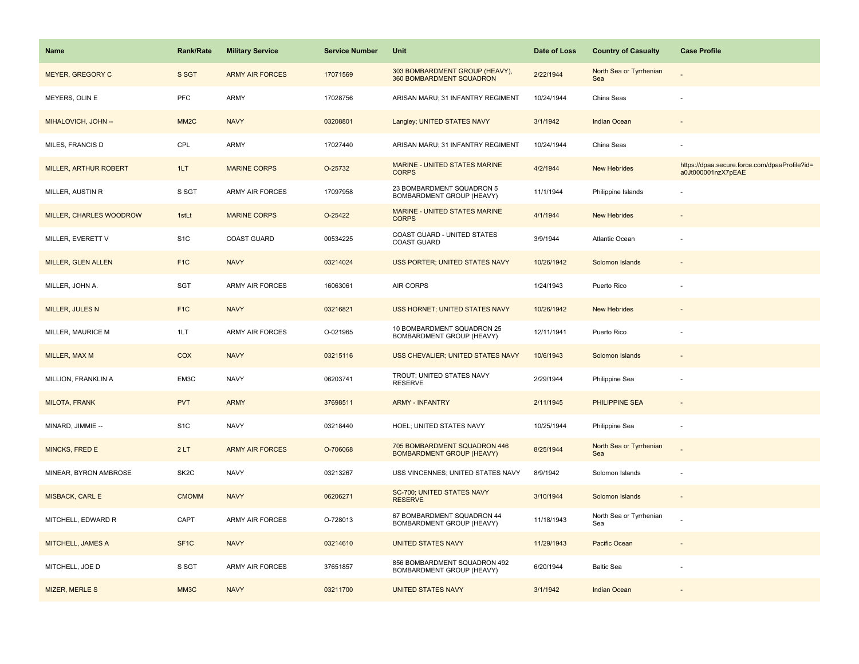| <b>Name</b>             | <b>Rank/Rate</b>  | <b>Military Service</b> | <b>Service Number</b> | Unit                                                             | Date of Loss | <b>Country of Casualty</b>     | <b>Case Profile</b>                                                 |
|-------------------------|-------------------|-------------------------|-----------------------|------------------------------------------------------------------|--------------|--------------------------------|---------------------------------------------------------------------|
| MEYER, GREGORY C        | S SGT             | <b>ARMY AIR FORCES</b>  | 17071569              | 303 BOMBARDMENT GROUP (HEAVY),<br>360 BOMBARDMENT SQUADRON       | 2/22/1944    | North Sea or Tyrrhenian<br>Sea |                                                                     |
| MEYERS, OLIN E          | PFC               | ARMY                    | 17028756              | ARISAN MARU; 31 INFANTRY REGIMENT                                | 10/24/1944   | China Seas                     |                                                                     |
| MIHALOVICH, JOHN --     | MM <sub>2</sub> C | <b>NAVY</b>             | 03208801              | Langley; UNITED STATES NAVY                                      | 3/1/1942     | <b>Indian Ocean</b>            |                                                                     |
| MILES, FRANCIS D        | CPL               | ARMY                    | 17027440              | ARISAN MARU; 31 INFANTRY REGIMENT                                | 10/24/1944   | China Seas                     |                                                                     |
| MILLER, ARTHUR ROBERT   | 1LT               | <b>MARINE CORPS</b>     | O-25732               | MARINE - UNITED STATES MARINE<br><b>CORPS</b>                    | 4/2/1944     | <b>New Hebrides</b>            | https://dpaa.secure.force.com/dpaaProfile?id=<br>a0Jt000001nzX7pEAE |
| MILLER, AUSTIN R        | S SGT             | <b>ARMY AIR FORCES</b>  | 17097958              | 23 BOMBARDMENT SQUADRON 5<br><b>BOMBARDMENT GROUP (HEAVY)</b>    | 11/1/1944    | Philippine Islands             |                                                                     |
| MILLER, CHARLES WOODROW | 1stLt             | <b>MARINE CORPS</b>     | O-25422               | <b>MARINE - UNITED STATES MARINE</b><br><b>CORPS</b>             | 4/1/1944     | <b>New Hebrides</b>            |                                                                     |
| MILLER, EVERETT V       | S <sub>1</sub> C  | COAST GUARD             | 00534225              | COAST GUARD - UNITED STATES<br>COAST GUARD                       | 3/9/1944     | Atlantic Ocean                 |                                                                     |
| MILLER, GLEN ALLEN      | F <sub>1</sub> C  | <b>NAVY</b>             | 03214024              | <b>USS PORTER: UNITED STATES NAVY</b>                            | 10/26/1942   | Solomon Islands                |                                                                     |
| MILLER, JOHN A.         | SGT               | <b>ARMY AIR FORCES</b>  | 16063061              | AIR CORPS                                                        | 1/24/1943    | Puerto Rico                    |                                                                     |
| <b>MILLER, JULES N</b>  | F <sub>1</sub> C  | <b>NAVY</b>             | 03216821              | USS HORNET; UNITED STATES NAVY                                   | 10/26/1942   | <b>New Hebrides</b>            |                                                                     |
| MILLER, MAURICE M       | 1LT               | ARMY AIR FORCES         | O-021965              | 10 BOMBARDMENT SQUADRON 25<br>BOMBARDMENT GROUP (HEAVY)          | 12/11/1941   | Puerto Rico                    |                                                                     |
| MILLER, MAX M           | COX               | <b>NAVY</b>             | 03215116              | USS CHEVALIER: UNITED STATES NAVY                                | 10/6/1943    | Solomon Islands                |                                                                     |
| MILLION, FRANKLIN A     | EM3C              | <b>NAVY</b>             | 06203741              | TROUT; UNITED STATES NAVY<br><b>RESERVE</b>                      | 2/29/1944    | Philippine Sea                 |                                                                     |
| <b>MILOTA, FRANK</b>    | <b>PVT</b>        | <b>ARMY</b>             | 37698511              | <b>ARMY - INFANTRY</b>                                           | 2/11/1945    | <b>PHILIPPINE SEA</b>          |                                                                     |
| MINARD, JIMMIE --       | S <sub>1</sub> C  | <b>NAVY</b>             | 03218440              | HOEL; UNITED STATES NAVY                                         | 10/25/1944   | Philippine Sea                 |                                                                     |
| <b>MINCKS, FRED E</b>   | 2LT               | <b>ARMY AIR FORCES</b>  | O-706068              | 705 BOMBARDMENT SQUADRON 446<br><b>BOMBARDMENT GROUP (HEAVY)</b> | 8/25/1944    | North Sea or Tyrrhenian<br>Sea |                                                                     |
| MINEAR, BYRON AMBROSE   | SK <sub>2</sub> C | <b>NAVY</b>             | 03213267              | USS VINCENNES; UNITED STATES NAVY                                | 8/9/1942     | Solomon Islands                |                                                                     |
| MISBACK, CARL E         | <b>CMOMM</b>      | <b>NAVY</b>             | 06206271              | SC-700; UNITED STATES NAVY<br><b>RESERVE</b>                     | 3/10/1944    | Solomon Islands                |                                                                     |
| MITCHELL, EDWARD R      | CAPT              | <b>ARMY AIR FORCES</b>  | O-728013              | 67 BOMBARDMENT SQUADRON 44<br>BOMBARDMENT GROUP (HEAVY)          | 11/18/1943   | North Sea or Tyrrhenian<br>Sea |                                                                     |
| MITCHELL, JAMES A       | SF <sub>1</sub> C | <b>NAVY</b>             | 03214610              | <b>UNITED STATES NAVY</b>                                        | 11/29/1943   | Pacific Ocean                  |                                                                     |
| MITCHELL, JOE D         | S SGT             | <b>ARMY AIR FORCES</b>  | 37651857              | 856 BOMBARDMENT SQUADRON 492<br>BOMBARDMENT GROUP (HEAVY)        | 6/20/1944    | <b>Baltic Sea</b>              |                                                                     |
| MIZER, MERLE S          | MM3C              | <b>NAVY</b>             | 03211700              | <b>UNITED STATES NAVY</b>                                        | 3/1/1942     | Indian Ocean                   |                                                                     |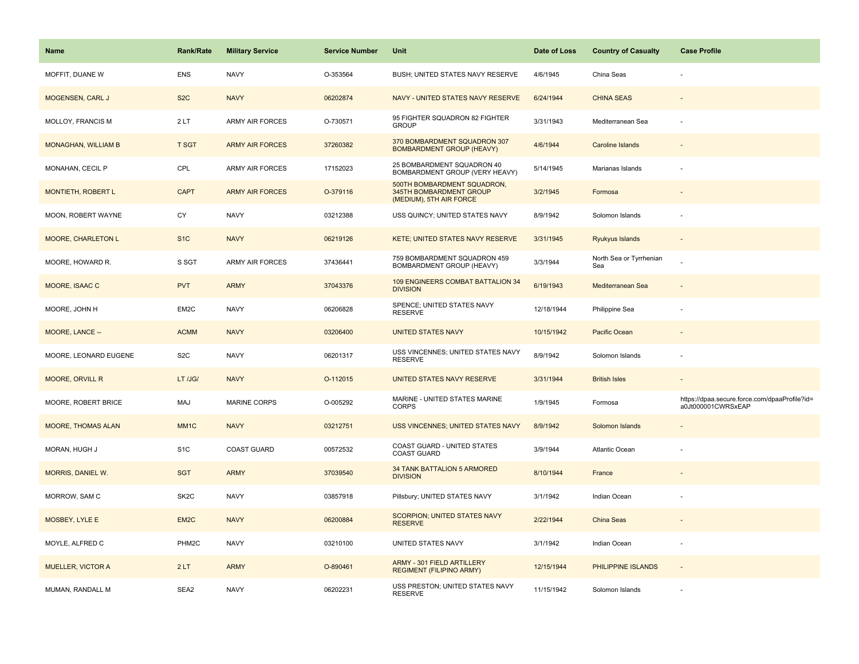| <b>Name</b>               | <b>Rank/Rate</b>  | <b>Military Service</b> | <b>Service Number</b> | Unit                                                                              | Date of Loss | <b>Country of Casualty</b>     | <b>Case Profile</b>                                                 |
|---------------------------|-------------------|-------------------------|-----------------------|-----------------------------------------------------------------------------------|--------------|--------------------------------|---------------------------------------------------------------------|
| MOFFIT, DUANE W           | <b>ENS</b>        | <b>NAVY</b>             | O-353564              | BUSH; UNITED STATES NAVY RESERVE                                                  | 4/6/1945     | China Seas                     |                                                                     |
| MOGENSEN, CARL J          | S <sub>2</sub> C  | <b>NAVY</b>             | 06202874              | NAVY - UNITED STATES NAVY RESERVE                                                 | 6/24/1944    | <b>CHINA SEAS</b>              |                                                                     |
| MOLLOY, FRANCIS M         | 2LT               | ARMY AIR FORCES         | O-730571              | 95 FIGHTER SQUADRON 82 FIGHTER<br><b>GROUP</b>                                    | 3/31/1943    | Mediterranean Sea              |                                                                     |
| MONAGHAN, WILLIAM B       | <b>T SGT</b>      | <b>ARMY AIR FORCES</b>  | 37260382              | 370 BOMBARDMENT SQUADRON 307<br><b>BOMBARDMENT GROUP (HEAVY)</b>                  | 4/6/1944     | <b>Caroline Islands</b>        |                                                                     |
| MONAHAN, CECIL P          | CPL               | ARMY AIR FORCES         | 17152023              | 25 BOMBARDMENT SQUADRON 40<br>BOMBARDMENT GROUP (VERY HEAVY)                      | 5/14/1945    | Marianas Islands               |                                                                     |
| MONTIETH, ROBERT L        | <b>CAPT</b>       | <b>ARMY AIR FORCES</b>  | O-379116              | 500TH BOMBARDMENT SQUADRON,<br>345TH BOMBARDMENT GROUP<br>(MEDIUM), 5TH AIR FORCE | 3/2/1945     | Formosa                        |                                                                     |
| MOON, ROBERT WAYNE        | CY                | <b>NAVY</b>             | 03212388              | USS QUINCY; UNITED STATES NAVY                                                    | 8/9/1942     | Solomon Islands                |                                                                     |
| <b>MOORE, CHARLETON L</b> | S <sub>1C</sub>   | <b>NAVY</b>             | 06219126              | <b>KETE; UNITED STATES NAVY RESERVE</b>                                           | 3/31/1945    | <b>Ryukyus Islands</b>         |                                                                     |
| MOORE, HOWARD R.          | S SGT             | ARMY AIR FORCES         | 37436441              | 759 BOMBARDMENT SQUADRON 459<br>BOMBARDMENT GROUP (HEAVY)                         | 3/3/1944     | North Sea or Tyrrhenian<br>Sea |                                                                     |
| MOORE, ISAAC C            | <b>PVT</b>        | <b>ARMY</b>             | 37043376              | 109 ENGINEERS COMBAT BATTALION 34<br><b>DIVISION</b>                              | 6/19/1943    | Mediterranean Sea              |                                                                     |
| MOORE, JOHN H             | EM2C              | <b>NAVY</b>             | 06206828              | SPENCE; UNITED STATES NAVY<br><b>RESERVE</b>                                      | 12/18/1944   | Philippine Sea                 |                                                                     |
| MOORE, LANCE --           | <b>ACMM</b>       | <b>NAVY</b>             | 03206400              | <b>UNITED STATES NAVY</b>                                                         | 10/15/1942   | Pacific Ocean                  |                                                                     |
| MOORE, LEONARD EUGENE     | S <sub>2</sub> C  | <b>NAVY</b>             | 06201317              | USS VINCENNES; UNITED STATES NAVY<br><b>RESERVE</b>                               | 8/9/1942     | Solomon Islands                |                                                                     |
| <b>MOORE, ORVILL R</b>    | LT /JG/           | <b>NAVY</b>             | O-112015              | UNITED STATES NAVY RESERVE                                                        | 3/31/1944    | <b>British Isles</b>           | $\sim$                                                              |
| MOORE, ROBERT BRICE       | MAJ               | <b>MARINE CORPS</b>     | O-005292              | MARINE - UNITED STATES MARINE<br><b>CORPS</b>                                     | 1/9/1945     | Formosa                        | https://dpaa.secure.force.com/dpaaProfile?id=<br>a0Jt000001CWRSxEAP |
| MOORE, THOMAS ALAN        | MM <sub>1</sub> C | <b>NAVY</b>             | 03212751              | USS VINCENNES; UNITED STATES NAVY                                                 | 8/9/1942     | Solomon Islands                |                                                                     |
| MORAN, HUGH J             | S <sub>1</sub> C  | <b>COAST GUARD</b>      | 00572532              | COAST GUARD - UNITED STATES<br><b>COAST GUARD</b>                                 | 3/9/1944     | Atlantic Ocean                 |                                                                     |
| MORRIS, DANIEL W.         | <b>SGT</b>        | <b>ARMY</b>             | 37039540              | 34 TANK BATTALION 5 ARMORED<br><b>DIVISION</b>                                    | 8/10/1944    | France                         |                                                                     |
| MORROW, SAM C             | SK <sub>2</sub> C | <b>NAVY</b>             | 03857918              | Pillsbury; UNITED STATES NAVY                                                     | 3/1/1942     | Indian Ocean                   |                                                                     |
| MOSBEY, LYLE E            | EM2C              | <b>NAVY</b>             | 06200884              | SCORPION; UNITED STATES NAVY<br><b>RESERVE</b>                                    | 2/22/1944    | China Seas                     |                                                                     |
| MOYLE, ALFRED C           | PHM2C             | <b>NAVY</b>             | 03210100              | UNITED STATES NAVY                                                                | 3/1/1942     | Indian Ocean                   |                                                                     |
| <b>MUELLER, VICTOR A</b>  | 2LT               | <b>ARMY</b>             | O-890461              | ARMY - 301 FIELD ARTILLERY<br><b>REGIMENT (FILIPINO ARMY)</b>                     | 12/15/1944   | PHILIPPINE ISLANDS             | $\sim$                                                              |
| MUMAN, RANDALL M          | SEA2              | <b>NAVY</b>             | 06202231              | USS PRESTON; UNITED STATES NAVY<br><b>RESERVE</b>                                 | 11/15/1942   | Solomon Islands                |                                                                     |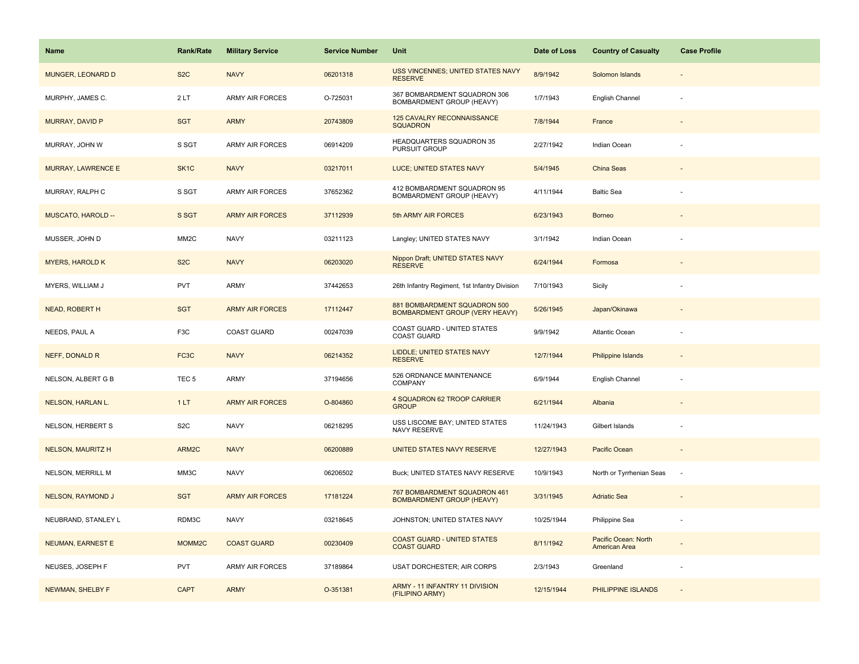| Name                     | <b>Rank/Rate</b>  | <b>Military Service</b> | <b>Service Number</b> | Unit                                                             | Date of Loss | <b>Country of Casualty</b>            | <b>Case Profile</b>      |
|--------------------------|-------------------|-------------------------|-----------------------|------------------------------------------------------------------|--------------|---------------------------------------|--------------------------|
| MUNGER, LEONARD D        | S <sub>2</sub> C  | <b>NAVY</b>             | 06201318              | USS VINCENNES; UNITED STATES NAVY<br><b>RESERVE</b>              | 8/9/1942     | Solomon Islands                       |                          |
| MURPHY, JAMES C.         | 2LT               | <b>ARMY AIR FORCES</b>  | O-725031              | 367 BOMBARDMENT SQUADRON 306<br><b>BOMBARDMENT GROUP (HEAVY)</b> | 1/7/1943     | English Channel                       |                          |
| <b>MURRAY, DAVID P</b>   | <b>SGT</b>        | <b>ARMY</b>             | 20743809              | 125 CAVALRY RECONNAISSANCE<br><b>SQUADRON</b>                    | 7/8/1944     | France                                |                          |
| MURRAY, JOHN W           | S SGT             | <b>ARMY AIR FORCES</b>  | 06914209              | HEADQUARTERS SQUADRON 35<br>PURSUIT GROUP                        | 2/27/1942    | Indian Ocean                          |                          |
| MURRAY, LAWRENCE E       | SK <sub>1</sub> C | <b>NAVY</b>             | 03217011              | LUCE; UNITED STATES NAVY                                         | 5/4/1945     | China Seas                            |                          |
| MURRAY, RALPH C          | S SGT             | ARMY AIR FORCES         | 37652362              | 412 BOMBARDMENT SQUADRON 95<br>BOMBARDMENT GROUP (HEAVY)         | 4/11/1944    | <b>Baltic Sea</b>                     |                          |
| MUSCATO, HAROLD --       | S SGT             | <b>ARMY AIR FORCES</b>  | 37112939              | 5th ARMY AIR FORCES                                              | 6/23/1943    | <b>Borneo</b>                         |                          |
| MUSSER, JOHN D           | MM <sub>2</sub> C | <b>NAVY</b>             | 03211123              | Langley; UNITED STATES NAVY                                      | 3/1/1942     | Indian Ocean                          |                          |
| <b>MYERS, HAROLD K</b>   | S <sub>2</sub> C  | <b>NAVY</b>             | 06203020              | Nippon Draft; UNITED STATES NAVY<br><b>RESERVE</b>               | 6/24/1944    | Formosa                               |                          |
| MYERS, WILLIAM J         | <b>PVT</b>        | ARMY                    | 37442653              | 26th Infantry Regiment, 1st Infantry Division                    | 7/10/1943    | Sicily                                |                          |
| <b>NEAD, ROBERT H</b>    | <b>SGT</b>        | <b>ARMY AIR FORCES</b>  | 17112447              | 881 BOMBARDMENT SQUADRON 500<br>BOMBARDMENT GROUP (VERY HEAVY)   | 5/26/1945    | Japan/Okinawa                         |                          |
| NEEDS, PAUL A            | F <sub>3</sub> C  | <b>COAST GUARD</b>      | 00247039              | COAST GUARD - UNITED STATES<br><b>COAST GUARD</b>                | 9/9/1942     | Atlantic Ocean                        |                          |
| NEFF, DONALD R           | FC3C              | <b>NAVY</b>             | 06214352              | LIDDLE; UNITED STATES NAVY<br><b>RESERVE</b>                     | 12/7/1944    | <b>Philippine Islands</b>             |                          |
| NELSON, ALBERT G B       | TEC <sub>5</sub>  | <b>ARMY</b>             | 37194656              | 526 ORDNANCE MAINTENANCE<br>COMPANY                              | 6/9/1944     | English Channel                       |                          |
| NELSON, HARLAN L.        | 1LT               | <b>ARMY AIR FORCES</b>  | O-804860              | 4 SQUADRON 62 TROOP CARRIER<br><b>GROUP</b>                      | 6/21/1944    | Albania                               |                          |
| NELSON, HERBERT S        | S <sub>2</sub> C  | <b>NAVY</b>             | 06218295              | USS LISCOME BAY; UNITED STATES<br>NAVY RESERVE                   | 11/24/1943   | Gilbert Islands                       |                          |
| <b>NELSON, MAURITZ H</b> | ARM2C             | <b>NAVY</b>             | 06200889              | UNITED STATES NAVY RESERVE                                       | 12/27/1943   | <b>Pacific Ocean</b>                  |                          |
| NELSON, MERRILL M        | MM3C              | <b>NAVY</b>             | 06206502              | Buck; UNITED STATES NAVY RESERVE                                 | 10/9/1943    | North or Tyrrhenian Seas              | $\overline{\phantom{a}}$ |
| <b>NELSON, RAYMOND J</b> | <b>SGT</b>        | <b>ARMY AIR FORCES</b>  | 17181224              | 767 BOMBARDMENT SQUADRON 461<br><b>BOMBARDMENT GROUP (HEAVY)</b> | 3/31/1945    | <b>Adriatic Sea</b>                   |                          |
| NEUBRAND, STANLEY L      | RDM3C             | <b>NAVY</b>             | 03218645              | JOHNSTON; UNITED STATES NAVY                                     | 10/25/1944   | Philippine Sea                        |                          |
| <b>NEUMAN, EARNEST E</b> | MOMM2C            | <b>COAST GUARD</b>      | 00230409              | <b>COAST GUARD - UNITED STATES</b><br><b>COAST GUARD</b>         | 8/11/1942    | Pacific Ocean: North<br>American Area |                          |
| NEUSES, JOSEPH F         | <b>PVT</b>        | ARMY AIR FORCES         | 37189864              | USAT DORCHESTER; AIR CORPS                                       | 2/3/1943     | Greenland                             |                          |
| NEWMAN, SHELBY F         | <b>CAPT</b>       | <b>ARMY</b>             | O-351381              | ARMY - 11 INFANTRY 11 DIVISION<br>(FILIPINO ARMY)                | 12/15/1944   | PHILIPPINE ISLANDS                    |                          |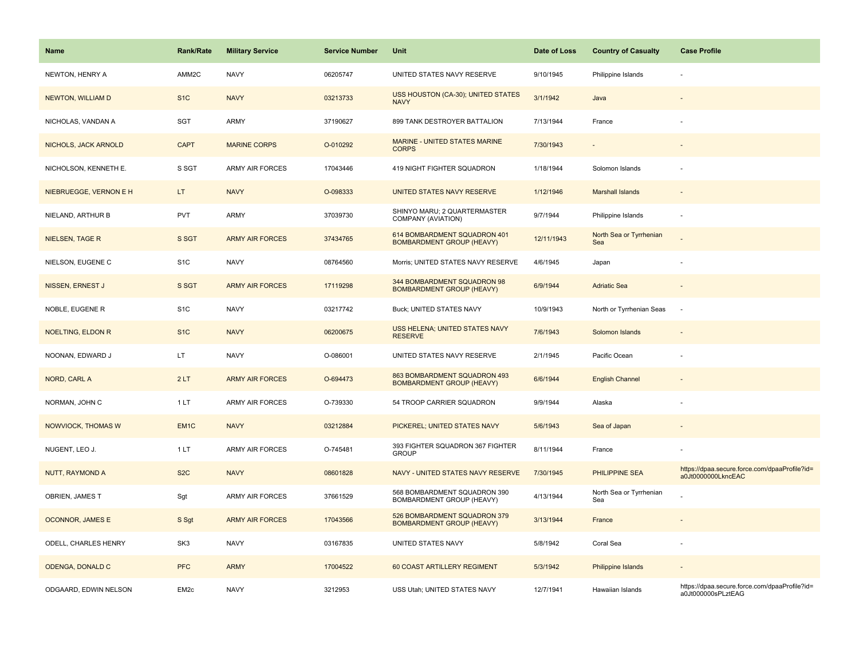| Name                     | <b>Rank/Rate</b> | <b>Military Service</b> | <b>Service Number</b> | Unit                                                             | Date of Loss | <b>Country of Casualty</b>     | <b>Case Profile</b>                                                 |
|--------------------------|------------------|-------------------------|-----------------------|------------------------------------------------------------------|--------------|--------------------------------|---------------------------------------------------------------------|
| NEWTON, HENRY A          | AMM2C            | <b>NAVY</b>             | 06205747              | UNITED STATES NAVY RESERVE                                       | 9/10/1945    | Philippine Islands             |                                                                     |
| <b>NEWTON, WILLIAM D</b> | S <sub>1</sub> C | <b>NAVY</b>             | 03213733              | USS HOUSTON (CA-30); UNITED STATES<br><b>NAVY</b>                | 3/1/1942     | Java                           |                                                                     |
| NICHOLAS, VANDAN A       | <b>SGT</b>       | <b>ARMY</b>             | 37190627              | 899 TANK DESTROYER BATTALION                                     | 7/13/1944    | France                         |                                                                     |
| NICHOLS, JACK ARNOLD     | <b>CAPT</b>      | <b>MARINE CORPS</b>     | O-010292              | <b>MARINE - UNITED STATES MARINE</b><br><b>CORPS</b>             | 7/30/1943    |                                |                                                                     |
| NICHOLSON, KENNETH E.    | S SGT            | <b>ARMY AIR FORCES</b>  | 17043446              | 419 NIGHT FIGHTER SQUADRON                                       | 1/18/1944    | Solomon Islands                |                                                                     |
| NIEBRUEGGE, VERNON E H   | LT.              | <b>NAVY</b>             | O-098333              | UNITED STATES NAVY RESERVE                                       | 1/12/1946    | <b>Marshall Islands</b>        | $\sim$                                                              |
| NIELAND, ARTHUR B        | <b>PVT</b>       | <b>ARMY</b>             | 37039730              | SHINYO MARU; 2 QUARTERMASTER<br>COMPANY (AVIATION)               | 9/7/1944     | Philippine Islands             | $\sim$                                                              |
| <b>NIELSEN, TAGE R</b>   | S SGT            | <b>ARMY AIR FORCES</b>  | 37434765              | 614 BOMBARDMENT SQUADRON 401<br><b>BOMBARDMENT GROUP (HEAVY)</b> | 12/11/1943   | North Sea or Tyrrhenian<br>Sea |                                                                     |
| NIELSON, EUGENE C        | S <sub>1</sub> C | <b>NAVY</b>             | 08764560              | Morris; UNITED STATES NAVY RESERVE                               | 4/6/1945     | Japan                          | $\sim$                                                              |
| NISSEN, ERNEST J         | S SGT            | <b>ARMY AIR FORCES</b>  | 17119298              | 344 BOMBARDMENT SQUADRON 98<br><b>BOMBARDMENT GROUP (HEAVY)</b>  | 6/9/1944     | <b>Adriatic Sea</b>            |                                                                     |
| NOBLE, EUGENE R          | S <sub>1</sub> C | <b>NAVY</b>             | 03217742              | Buck; UNITED STATES NAVY                                         | 10/9/1943    | North or Tyrrhenian Seas       | ÷.                                                                  |
| <b>NOELTING, ELDON R</b> | S <sub>1</sub> C | <b>NAVY</b>             | 06200675              | <b>USS HELENA; UNITED STATES NAVY</b><br><b>RESERVE</b>          | 7/6/1943     | Solomon Islands                |                                                                     |
| NOONAN, EDWARD J         | LT               | <b>NAVY</b>             | O-086001              | UNITED STATES NAVY RESERVE                                       | 2/1/1945     | Pacific Ocean                  |                                                                     |
| NORD, CARL A             | 2LT              | <b>ARMY AIR FORCES</b>  | O-694473              | 863 BOMBARDMENT SQUADRON 493<br><b>BOMBARDMENT GROUP (HEAVY)</b> | 6/6/1944     | <b>English Channel</b>         | $\overline{\phantom{a}}$                                            |
| NORMAN, JOHN C           | 1LT              | <b>ARMY AIR FORCES</b>  | O-739330              | 54 TROOP CARRIER SQUADRON                                        | 9/9/1944     | Alaska                         |                                                                     |
| NOWVIOCK, THOMAS W       | EM <sub>1C</sub> | <b>NAVY</b>             | 03212884              | PICKEREL; UNITED STATES NAVY                                     | 5/6/1943     | Sea of Japan                   |                                                                     |
| NUGENT, LEO J.           | 1LT              | <b>ARMY AIR FORCES</b>  | O-745481              | 393 FIGHTER SQUADRON 367 FIGHTER<br><b>GROUP</b>                 | 8/11/1944    | France                         |                                                                     |
| NUTT, RAYMOND A          | S <sub>2</sub> C | <b>NAVY</b>             | 08601828              | NAVY - UNITED STATES NAVY RESERVE                                | 7/30/1945    | <b>PHILIPPINE SEA</b>          | https://dpaa.secure.force.com/dpaaProfile?id=<br>a0Jt0000000LkncEAC |
| OBRIEN, JAMES T          | Sgt              | <b>ARMY AIR FORCES</b>  | 37661529              | 568 BOMBARDMENT SQUADRON 390<br>BOMBARDMENT GROUP (HEAVY)        | 4/13/1944    | North Sea or Tyrrhenian<br>Sea |                                                                     |
| OCONNOR, JAMES E         | S Sgt            | <b>ARMY AIR FORCES</b>  | 17043566              | 526 BOMBARDMENT SQUADRON 379<br><b>BOMBARDMENT GROUP (HEAVY)</b> | 3/13/1944    | France                         |                                                                     |
| ODELL, CHARLES HENRY     | SK <sub>3</sub>  | <b>NAVY</b>             | 03167835              | UNITED STATES NAVY                                               | 5/8/1942     | Coral Sea                      |                                                                     |
| ODENGA, DONALD C         | <b>PFC</b>       | <b>ARMY</b>             | 17004522              | 60 COAST ARTILLERY REGIMENT                                      | 5/3/1942     | <b>Philippine Islands</b>      |                                                                     |
| ODGAARD, EDWIN NELSON    | EM <sub>2c</sub> | <b>NAVY</b>             | 3212953               | USS Utah; UNITED STATES NAVY                                     | 12/7/1941    | Hawaiian Islands               | https://dpaa.secure.force.com/dpaaProfile?id=<br>a0Jt000000sPLztEAG |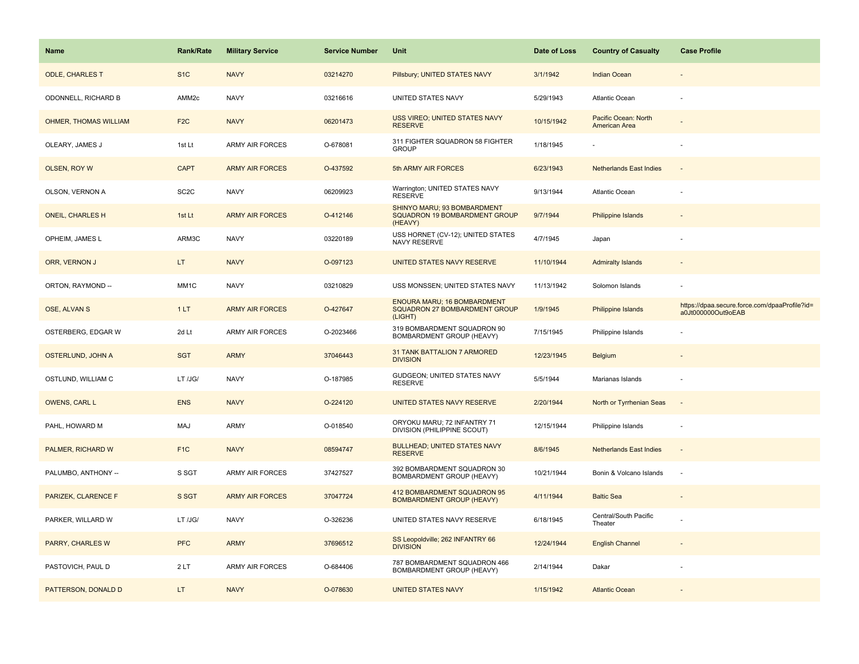| <b>Name</b>                  | Rank/Rate         | <b>Military Service</b> | <b>Service Number</b> | Unit                                                                    | Date of Loss | <b>Country of Casualty</b>            | <b>Case Profile</b>                                                 |
|------------------------------|-------------------|-------------------------|-----------------------|-------------------------------------------------------------------------|--------------|---------------------------------------|---------------------------------------------------------------------|
| <b>ODLE, CHARLES T</b>       | S <sub>1</sub> C  | <b>NAVY</b>             | 03214270              | Pillsbury; UNITED STATES NAVY                                           | 3/1/1942     | <b>Indian Ocean</b>                   |                                                                     |
| ODONNELL, RICHARD B          | AMM2c             | <b>NAVY</b>             | 03216616              | UNITED STATES NAVY                                                      | 5/29/1943    | Atlantic Ocean                        |                                                                     |
| <b>OHMER, THOMAS WILLIAM</b> | F <sub>2</sub> C  | <b>NAVY</b>             | 06201473              | USS VIREO; UNITED STATES NAVY<br><b>RESERVE</b>                         | 10/15/1942   | Pacific Ocean: North<br>American Area |                                                                     |
| OLEARY, JAMES J              | 1st Lt            | <b>ARMY AIR FORCES</b>  | O-678081              | 311 FIGHTER SQUADRON 58 FIGHTER<br><b>GROUP</b>                         | 1/18/1945    |                                       |                                                                     |
| OLSEN, ROY W                 | <b>CAPT</b>       | <b>ARMY AIR FORCES</b>  | O-437592              | 5th ARMY AIR FORCES                                                     | 6/23/1943    | <b>Netherlands East Indies</b>        |                                                                     |
| OLSON, VERNON A              | SC <sub>2</sub> C | <b>NAVY</b>             | 06209923              | Warrington; UNITED STATES NAVY<br><b>RESERVE</b>                        | 9/13/1944    | Atlantic Ocean                        |                                                                     |
| <b>ONEIL, CHARLES H</b>      | 1st Lt            | <b>ARMY AIR FORCES</b>  | O-412146              | SHINYO MARU; 93 BOMBARDMENT<br>SQUADRON 19 BOMBARDMENT GROUP<br>(HEAVY) | 9/7/1944     | Philippine Islands                    |                                                                     |
| OPHEIM, JAMES L              | ARM3C             | <b>NAVY</b>             | 03220189              | USS HORNET (CV-12); UNITED STATES<br>NAVY RESERVE                       | 4/7/1945     | Japan                                 |                                                                     |
| ORR, VERNON J                | LT.               | <b>NAVY</b>             | O-097123              | UNITED STATES NAVY RESERVE                                              | 11/10/1944   | <b>Admiralty Islands</b>              |                                                                     |
| ORTON, RAYMOND --            | MM1C              | <b>NAVY</b>             | 03210829              | USS MONSSEN; UNITED STATES NAVY                                         | 11/13/1942   | Solomon Islands                       |                                                                     |
| OSE, ALVAN S                 | 1LT               | <b>ARMY AIR FORCES</b>  | O-427647              | ENOURA MARU; 16 BOMBARDMENT<br>SQUADRON 27 BOMBARDMENT GROUP<br>(LIGHT) | 1/9/1945     | Philippine Islands                    | https://dpaa.secure.force.com/dpaaProfile?id=<br>a0Jt000000Out9oEAB |
| OSTERBERG, EDGAR W           | 2d Lt             | <b>ARMY AIR FORCES</b>  | O-2023466             | 319 BOMBARDMENT SQUADRON 90<br>BOMBARDMENT GROUP (HEAVY)                | 7/15/1945    | Philippine Islands                    |                                                                     |
| OSTERLUND, JOHN A            | <b>SGT</b>        | <b>ARMY</b>             | 37046443              | 31 TANK BATTALION 7 ARMORED<br><b>DIVISION</b>                          | 12/23/1945   | Belgium                               |                                                                     |
| OSTLUND, WILLIAM C           | LT /JG/           | <b>NAVY</b>             | O-187985              | GUDGEON; UNITED STATES NAVY<br><b>RESERVE</b>                           | 5/5/1944     | Marianas Islands                      | $\sim$                                                              |
| OWENS, CARL L                | <b>ENS</b>        | <b>NAVY</b>             | O-224120              | UNITED STATES NAVY RESERVE                                              | 2/20/1944    | North or Tyrrhenian Seas              | $\overline{\phantom{a}}$                                            |
| PAHL, HOWARD M               | MAJ               | ARMY                    | O-018540              | ORYOKU MARU; 72 INFANTRY 71<br>DIVISION (PHILIPPINE SCOUT)              | 12/15/1944   | Philippine Islands                    | ÷,                                                                  |
| PALMER, RICHARD W            | F <sub>1</sub> C  | <b>NAVY</b>             | 08594747              | <b>BULLHEAD; UNITED STATES NAVY</b><br><b>RESERVE</b>                   | 8/6/1945     | <b>Netherlands East Indies</b>        | $\overline{a}$                                                      |
| PALUMBO, ANTHONY --          | S SGT             | <b>ARMY AIR FORCES</b>  | 37427527              | 392 BOMBARDMENT SQUADRON 30<br>BOMBARDMENT GROUP (HEAVY)                | 10/21/1944   | Bonin & Volcano Islands               | $\overline{\phantom{a}}$                                            |
| PARIZEK, CLARENCE F          | S SGT             | <b>ARMY AIR FORCES</b>  | 37047724              | 412 BOMBARDMENT SQUADRON 95<br><b>BOMBARDMENT GROUP (HEAVY)</b>         | 4/11/1944    | <b>Baltic Sea</b>                     |                                                                     |
| PARKER, WILLARD W            | LT /JG/           | <b>NAVY</b>             | O-326236              | UNITED STATES NAVY RESERVE                                              | 6/18/1945    | Central/South Pacific<br>Theater      |                                                                     |
| PARRY, CHARLES W             | <b>PFC</b>        | <b>ARMY</b>             | 37696512              | SS Leopoldville; 262 INFANTRY 66<br><b>DIVISION</b>                     | 12/24/1944   | <b>English Channel</b>                |                                                                     |
| PASTOVICH, PAUL D            | 2 LT              | <b>ARMY AIR FORCES</b>  | O-684406              | 787 BOMBARDMENT SQUADRON 466<br>BOMBARDMENT GROUP (HEAVY)               | 2/14/1944    | Dakar                                 |                                                                     |
| PATTERSON, DONALD D          | LT.               | <b>NAVY</b>             | O-078630              | <b>UNITED STATES NAVY</b>                                               | 1/15/1942    | <b>Atlantic Ocean</b>                 |                                                                     |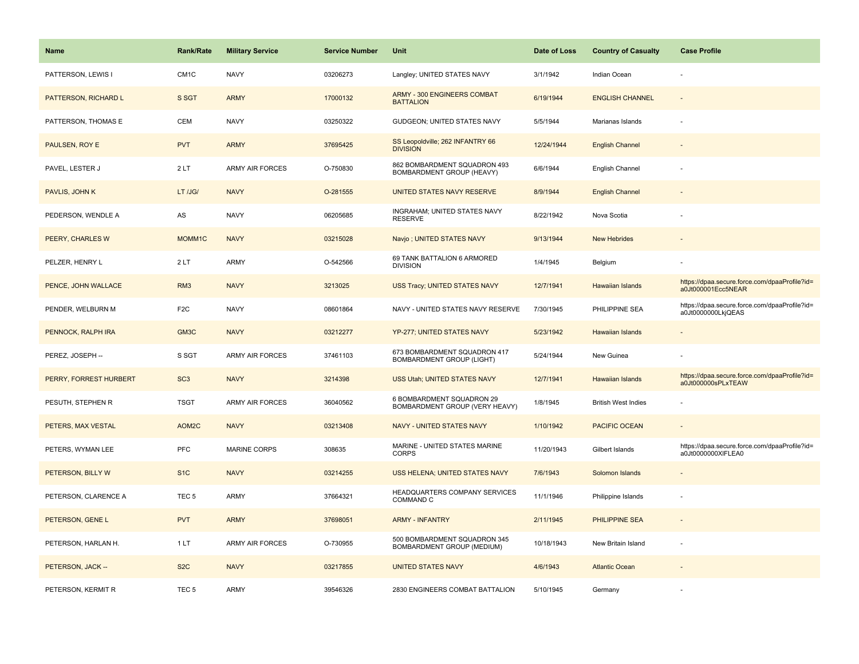| <b>Name</b>            | <b>Rank/Rate</b>  | <b>Military Service</b> | <b>Service Number</b> | Unit                                                        | Date of Loss | <b>Country of Casualty</b> | <b>Case Profile</b>                                                 |
|------------------------|-------------------|-------------------------|-----------------------|-------------------------------------------------------------|--------------|----------------------------|---------------------------------------------------------------------|
| PATTERSON, LEWIS I     | CM <sub>1</sub> C | <b>NAVY</b>             | 03206273              | Langley; UNITED STATES NAVY                                 | 3/1/1942     | Indian Ocean               |                                                                     |
| PATTERSON, RICHARD L   | S SGT             | <b>ARMY</b>             | 17000132              | <b>ARMY - 300 ENGINEERS COMBAT</b><br><b>BATTALION</b>      | 6/19/1944    | <b>ENGLISH CHANNEL</b>     |                                                                     |
| PATTERSON, THOMAS E    | <b>CEM</b>        | <b>NAVY</b>             | 03250322              | GUDGEON; UNITED STATES NAVY                                 | 5/5/1944     | Marianas Islands           |                                                                     |
| PAULSEN, ROY E         | <b>PVT</b>        | <b>ARMY</b>             | 37695425              | SS Leopoldville; 262 INFANTRY 66<br><b>DIVISION</b>         | 12/24/1944   | <b>English Channel</b>     |                                                                     |
| PAVEL, LESTER J        | 2LT               | <b>ARMY AIR FORCES</b>  | O-750830              | 862 BOMBARDMENT SQUADRON 493<br>BOMBARDMENT GROUP (HEAVY)   | 6/6/1944     | English Channel            |                                                                     |
| PAVLIS, JOHN K         | LT /JG/           | <b>NAVY</b>             | O-281555              | UNITED STATES NAVY RESERVE                                  | 8/9/1944     | <b>English Channel</b>     |                                                                     |
| PEDERSON, WENDLE A     | AS                | <b>NAVY</b>             | 06205685              | INGRAHAM; UNITED STATES NAVY<br><b>RESERVE</b>              | 8/22/1942    | Nova Scotia                |                                                                     |
| PEERY, CHARLES W       | MOMM1C            | <b>NAVY</b>             | 03215028              | Navjo; UNITED STATES NAVY                                   | 9/13/1944    | <b>New Hebrides</b>        |                                                                     |
| PELZER, HENRY L        | 2LT               | ARMY                    | O-542566              | 69 TANK BATTALION 6 ARMORED<br><b>DIVISION</b>              | 1/4/1945     | Belgium                    |                                                                     |
| PENCE, JOHN WALLACE    | RM <sub>3</sub>   | <b>NAVY</b>             | 3213025               | USS Tracy; UNITED STATES NAVY                               | 12/7/1941    | <b>Hawaiian Islands</b>    | https://dpaa.secure.force.com/dpaaProfile?id=<br>a0Jt000001Ecc5NEAR |
| PENDER, WELBURN M      | F <sub>2</sub> C  | <b>NAVY</b>             | 08601864              | NAVY - UNITED STATES NAVY RESERVE                           | 7/30/1945    | PHILIPPINE SEA             | https://dpaa.secure.force.com/dpaaProfile?id=<br>a0Jt0000000LkjQEAS |
| PENNOCK, RALPH IRA     | GM3C              | <b>NAVY</b>             | 03212277              | YP-277; UNITED STATES NAVY                                  | 5/23/1942    | <b>Hawaiian Islands</b>    |                                                                     |
| PEREZ, JOSEPH --       | S SGT             | <b>ARMY AIR FORCES</b>  | 37461103              | 673 BOMBARDMENT SQUADRON 417<br>BOMBARDMENT GROUP (LIGHT)   | 5/24/1944    | New Guinea                 |                                                                     |
| PERRY, FORREST HURBERT | SC <sub>3</sub>   | <b>NAVY</b>             | 3214398               | USS Utah; UNITED STATES NAVY                                | 12/7/1941    | Hawaiian Islands           | https://dpaa.secure.force.com/dpaaProfile?id=<br>a0Jt000000sPLxTEAW |
| PESUTH, STEPHEN R      | <b>TSGT</b>       | <b>ARMY AIR FORCES</b>  | 36040562              | 6 BOMBARDMENT SQUADRON 29<br>BOMBARDMENT GROUP (VERY HEAVY) | 1/8/1945     | <b>British West Indies</b> |                                                                     |
| PETERS, MAX VESTAL     | AOM2C             | <b>NAVY</b>             | 03213408              | <b>NAVY - UNITED STATES NAVY</b>                            | 1/10/1942    | <b>PACIFIC OCEAN</b>       |                                                                     |
| PETERS, WYMAN LEE      | <b>PFC</b>        | <b>MARINE CORPS</b>     | 308635                | MARINE - UNITED STATES MARINE<br><b>CORPS</b>               | 11/20/1943   | Gilbert Islands            | https://dpaa.secure.force.com/dpaaProfile?id=<br>a0Jt0000000XIFLEA0 |
| PETERSON, BILLY W      | S <sub>1C</sub>   | <b>NAVY</b>             | 03214255              | USS HELENA; UNITED STATES NAVY                              | 7/6/1943     | Solomon Islands            |                                                                     |
| PETERSON, CLARENCE A   | TEC <sub>5</sub>  | <b>ARMY</b>             | 37664321              | HEADQUARTERS COMPANY SERVICES<br>COMMAND C                  | 11/1/1946    | Philippine Islands         |                                                                     |
| PETERSON, GENE L       | <b>PVT</b>        | <b>ARMY</b>             | 37698051              | <b>ARMY - INFANTRY</b>                                      | 2/11/1945    | <b>PHILIPPINE SEA</b>      |                                                                     |
| PETERSON, HARLAN H.    | 1LT               | <b>ARMY AIR FORCES</b>  | O-730955              | 500 BOMBARDMENT SQUADRON 345<br>BOMBARDMENT GROUP (MEDIUM)  | 10/18/1943   | New Britain Island         |                                                                     |
| PETERSON, JACK --      | S <sub>2</sub> C  | <b>NAVY</b>             | 03217855              | <b>UNITED STATES NAVY</b>                                   | 4/6/1943     | <b>Atlantic Ocean</b>      |                                                                     |
| PETERSON, KERMIT R     | TEC <sub>5</sub>  | ARMY                    | 39546326              | 2830 ENGINEERS COMBAT BATTALION                             | 5/10/1945    | Germany                    |                                                                     |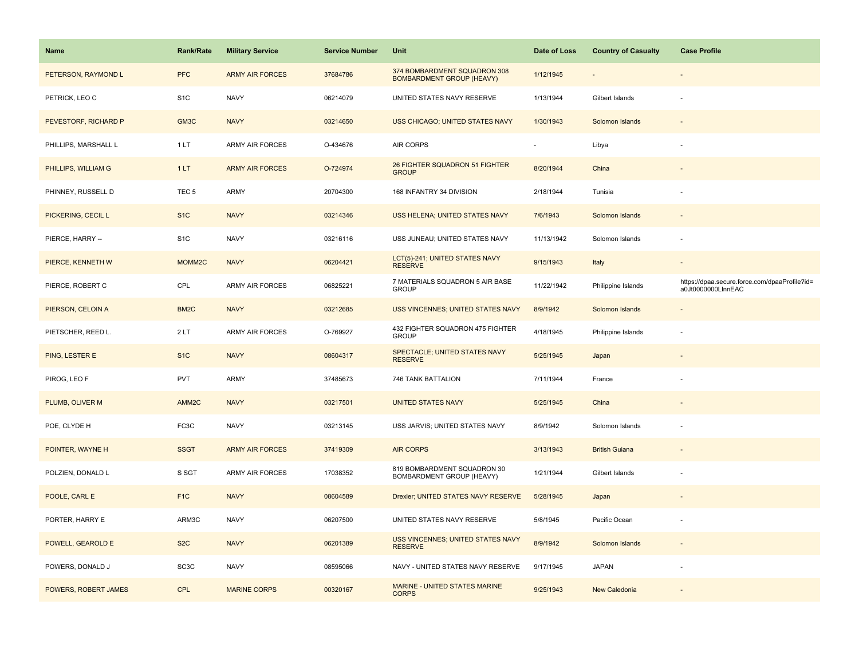| <b>Name</b>          | Rank/Rate         | <b>Military Service</b> | <b>Service Number</b> | Unit                                                             | Date of Loss | <b>Country of Casualty</b> | <b>Case Profile</b>                                                 |
|----------------------|-------------------|-------------------------|-----------------------|------------------------------------------------------------------|--------------|----------------------------|---------------------------------------------------------------------|
| PETERSON, RAYMOND L  | <b>PFC</b>        | <b>ARMY AIR FORCES</b>  | 37684786              | 374 BOMBARDMENT SQUADRON 308<br><b>BOMBARDMENT GROUP (HEAVY)</b> | 1/12/1945    |                            |                                                                     |
| PETRICK, LEO C       | S <sub>1</sub> C  | <b>NAVY</b>             | 06214079              | UNITED STATES NAVY RESERVE                                       | 1/13/1944    | Gilbert Islands            |                                                                     |
| PEVESTORF, RICHARD P | GM3C              | <b>NAVY</b>             | 03214650              | USS CHICAGO; UNITED STATES NAVY                                  | 1/30/1943    | Solomon Islands            |                                                                     |
| PHILLIPS, MARSHALL L | 1LT               | <b>ARMY AIR FORCES</b>  | O-434676              | AIR CORPS                                                        |              | Libya                      |                                                                     |
| PHILLIPS, WILLIAM G  | 1LT               | <b>ARMY AIR FORCES</b>  | O-724974              | 26 FIGHTER SQUADRON 51 FIGHTER<br><b>GROUP</b>                   | 8/20/1944    | China                      |                                                                     |
| PHINNEY, RUSSELL D   | TEC <sub>5</sub>  | ARMY                    | 20704300              | 168 INFANTRY 34 DIVISION                                         | 2/18/1944    | Tunisia                    |                                                                     |
| PICKERING, CECIL L   | S <sub>1</sub> C  | <b>NAVY</b>             | 03214346              | USS HELENA; UNITED STATES NAVY                                   | 7/6/1943     | Solomon Islands            | $\sim$                                                              |
| PIERCE, HARRY --     | S <sub>1</sub> C  | <b>NAVY</b>             | 03216116              | USS JUNEAU; UNITED STATES NAVY                                   | 11/13/1942   | Solomon Islands            |                                                                     |
| PIERCE, KENNETH W    | MOMM2C            | <b>NAVY</b>             | 06204421              | LCT(5)-241; UNITED STATES NAVY<br><b>RESERVE</b>                 | 9/15/1943    | Italy                      |                                                                     |
| PIERCE, ROBERT C     | CPL               | ARMY AIR FORCES         | 06825221              | 7 MATERIALS SQUADRON 5 AIR BASE<br><b>GROUP</b>                  | 11/22/1942   | Philippine Islands         | https://dpaa.secure.force.com/dpaaProfile?id=<br>a0Jt0000000LInnEAC |
| PIERSON, CELOIN A    | BM <sub>2</sub> C | <b>NAVY</b>             | 03212685              | USS VINCENNES; UNITED STATES NAVY                                | 8/9/1942     | Solomon Islands            |                                                                     |
| PIETSCHER, REED L.   | 2LT               | <b>ARMY AIR FORCES</b>  | O-769927              | 432 FIGHTER SQUADRON 475 FIGHTER<br><b>GROUP</b>                 | 4/18/1945    | Philippine Islands         |                                                                     |
| PING, LESTER E       | S <sub>1</sub> C  | <b>NAVY</b>             | 08604317              | SPECTACLE; UNITED STATES NAVY<br><b>RESERVE</b>                  | 5/25/1945    | Japan                      |                                                                     |
| PIROG, LEO F         | <b>PVT</b>        | <b>ARMY</b>             | 37485673              | 746 TANK BATTALION                                               | 7/11/1944    | France                     |                                                                     |
| PLUMB, OLIVER M      | AMM <sub>2C</sub> | <b>NAVY</b>             | 03217501              | <b>UNITED STATES NAVY</b>                                        | 5/25/1945    | China                      |                                                                     |
| POE, CLYDE H         | FC3C              | <b>NAVY</b>             | 03213145              | USS JARVIS; UNITED STATES NAVY                                   | 8/9/1942     | Solomon Islands            |                                                                     |
| POINTER, WAYNE H     | <b>SSGT</b>       | <b>ARMY AIR FORCES</b>  | 37419309              | <b>AIR CORPS</b>                                                 | 3/13/1943    | <b>British Guiana</b>      |                                                                     |
| POLZIEN, DONALD L    | S SGT             | ARMY AIR FORCES         | 17038352              | 819 BOMBARDMENT SQUADRON 30<br>BOMBARDMENT GROUP (HEAVY)         | 1/21/1944    | Gilbert Islands            |                                                                     |
| POOLE, CARL E        | F <sub>1C</sub>   | <b>NAVY</b>             | 08604589              | Drexler; UNITED STATES NAVY RESERVE                              | 5/28/1945    | Japan                      |                                                                     |
| PORTER, HARRY E      | ARM3C             | <b>NAVY</b>             | 06207500              | UNITED STATES NAVY RESERVE                                       | 5/8/1945     | Pacific Ocean              |                                                                     |
| POWELL, GEAROLD E    | S <sub>2</sub> C  | <b>NAVY</b>             | 06201389              | USS VINCENNES; UNITED STATES NAVY<br><b>RESERVE</b>              | 8/9/1942     | Solomon Islands            | $\sim$                                                              |
| POWERS, DONALD J     | SC <sub>3</sub> C | <b>NAVY</b>             | 08595066              | NAVY - UNITED STATES NAVY RESERVE                                | 9/17/1945    | <b>JAPAN</b>               |                                                                     |
| POWERS, ROBERT JAMES | <b>CPL</b>        | <b>MARINE CORPS</b>     | 00320167              | MARINE - UNITED STATES MARINE<br><b>CORPS</b>                    | 9/25/1943    | New Caledonia              |                                                                     |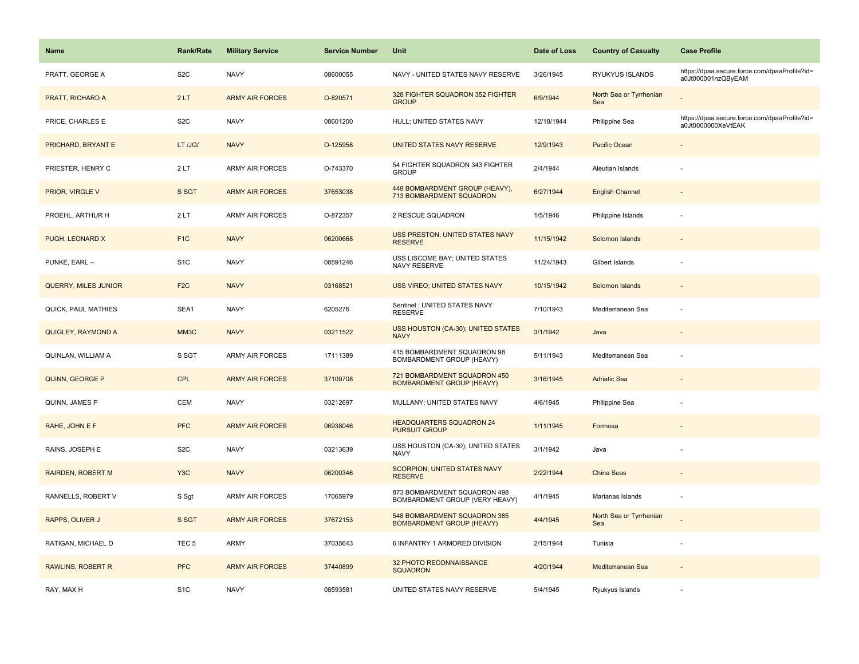| Name                        | <b>Rank/Rate</b> | <b>Military Service</b> | <b>Service Number</b> | Unit                                                             | Date of Loss | <b>Country of Casualty</b>     | <b>Case Profile</b>                                                 |
|-----------------------------|------------------|-------------------------|-----------------------|------------------------------------------------------------------|--------------|--------------------------------|---------------------------------------------------------------------|
| PRATT, GEORGE A             | S <sub>2</sub> C | <b>NAVY</b>             | 08600055              | NAVY - UNITED STATES NAVY RESERVE                                | 3/26/1945    | RYUKYUS ISLANDS                | https://dpaa.secure.force.com/dpaaProfile?id=<br>a0Jt000001nzQByEAM |
| PRATT, RICHARD A            | 2LT              | <b>ARMY AIR FORCES</b>  | O-820571              | 328 FIGHTER SQUADRON 352 FIGHTER<br><b>GROUP</b>                 | 6/9/1944     | North Sea or Tyrrhenian<br>Sea |                                                                     |
| PRICE, CHARLES E            | S <sub>2</sub> C | <b>NAVY</b>             | 08601200              | HULL; UNITED STATES NAVY                                         | 12/18/1944   | Philippine Sea                 | https://dpaa.secure.force.com/dpaaProfile?id=<br>a0Jt0000000XeVtEAK |
| PRICHARD, BRYANT E          | LT /JG/          | <b>NAVY</b>             | O-125958              | UNITED STATES NAVY RESERVE                                       | 12/9/1943    | Pacific Ocean                  |                                                                     |
| PRIESTER, HENRY C           | 2LT              | ARMY AIR FORCES         | O-743370              | 54 FIGHTER SQUADRON 343 FIGHTER<br><b>GROUP</b>                  | 2/4/1944     | Aleutian Islands               |                                                                     |
| PRIOR, VIRGLE V             | S SGT            | <b>ARMY AIR FORCES</b>  | 37653038              | 448 BOMBARDMENT GROUP (HEAVY),<br>713 BOMBARDMENT SQUADRON       | 6/27/1944    | <b>English Channel</b>         |                                                                     |
| PROEHL, ARTHUR H            | 2LT              | ARMY AIR FORCES         | O-872357              | 2 RESCUE SQUADRON                                                | 1/5/1946     | Philippine Islands             |                                                                     |
| PUGH, LEONARD X             | F <sub>1</sub> C | <b>NAVY</b>             | 06200668              | USS PRESTON; UNITED STATES NAVY<br><b>RESERVE</b>                | 11/15/1942   | Solomon Islands                |                                                                     |
| PUNKE, EARL --              | S <sub>1C</sub>  | <b>NAVY</b>             | 08591246              | USS LISCOME BAY; UNITED STATES<br>NAVY RESERVE                   | 11/24/1943   | Gilbert Islands                |                                                                     |
| <b>QUERRY, MILES JUNIOR</b> | F <sub>2C</sub>  | <b>NAVY</b>             | 03168521              | USS VIREO; UNITED STATES NAVY                                    | 10/15/1942   | Solomon Islands                |                                                                     |
| QUICK, PAUL MATHIES         | SEA1             | <b>NAVY</b>             | 6205276               | Sentinel ; UNITED STATES NAVY<br><b>RESERVE</b>                  | 7/10/1943    | Mediterranean Sea              |                                                                     |
| QUIGLEY, RAYMOND A          | MM3C             | <b>NAVY</b>             | 03211522              | USS HOUSTON (CA-30); UNITED STATES<br><b>NAVY</b>                | 3/1/1942     | Java                           |                                                                     |
| QUINLAN, WILLIAM A          | S SGT            | <b>ARMY AIR FORCES</b>  | 17111389              | 415 BOMBARDMENT SQUADRON 98<br>BOMBARDMENT GROUP (HEAVY)         | 5/11/1943    | Mediterranean Sea              |                                                                     |
| QUINN, GEORGE P             | <b>CPL</b>       | <b>ARMY AIR FORCES</b>  | 37109708              | 721 BOMBARDMENT SQUADRON 450<br><b>BOMBARDMENT GROUP (HEAVY)</b> | 3/16/1945    | <b>Adriatic Sea</b>            |                                                                     |
| QUINN, JAMES P              | CEM              | <b>NAVY</b>             | 03212697              | MULLANY; UNITED STATES NAVY                                      | 4/6/1945     | Philippine Sea                 |                                                                     |
| RAHE, JOHN E F              | <b>PFC</b>       | <b>ARMY AIR FORCES</b>  | 06938046              | <b>HEADQUARTERS SQUADRON 24</b><br><b>PURSUIT GROUP</b>          | 1/11/1945    | Formosa                        |                                                                     |
| RAINS, JOSEPH E             | S <sub>2</sub> C | <b>NAVY</b>             | 03213639              | USS HOUSTON (CA-30); UNITED STATES<br><b>NAVY</b>                | 3/1/1942     | Java                           |                                                                     |
| <b>RAIRDEN, ROBERT M</b>    | Y <sub>3</sub> C | <b>NAVY</b>             | 06200346              | SCORPION; UNITED STATES NAVY<br><b>RESERVE</b>                   | 2/22/1944    | China Seas                     |                                                                     |
| RANNELLS, ROBERT V          | S Sgt            | ARMY AIR FORCES         | 17065979              | 873 BOMBARDMENT SQUADRON 498<br>BOMBARDMENT GROUP (VERY HEAVY)   | 4/1/1945     | Marianas Islands               |                                                                     |
| RAPPS, OLIVER J             | S SGT            | <b>ARMY AIR FORCES</b>  | 37672153              | 548 BOMBARDMENT SQUADRON 385<br><b>BOMBARDMENT GROUP (HEAVY)</b> | 4/4/1945     | North Sea or Tyrrhenian<br>Sea |                                                                     |
| RATIGAN, MICHAEL D          | TEC <sub>5</sub> | <b>ARMY</b>             | 37035643              | 6 INFANTRY 1 ARMORED DIVISION                                    | 2/15/1944    | Tunisia                        |                                                                     |
| <b>RAWLINS, ROBERT R</b>    | <b>PFC</b>       | <b>ARMY AIR FORCES</b>  | 37440899              | 32 PHOTO RECONNAISSANCE<br><b>SQUADRON</b>                       | 4/20/1944    | Mediterranean Sea              |                                                                     |
| RAY, MAX H                  | S <sub>1</sub> C | <b>NAVY</b>             | 08593581              | UNITED STATES NAVY RESERVE                                       | 5/4/1945     | Ryukyus Islands                |                                                                     |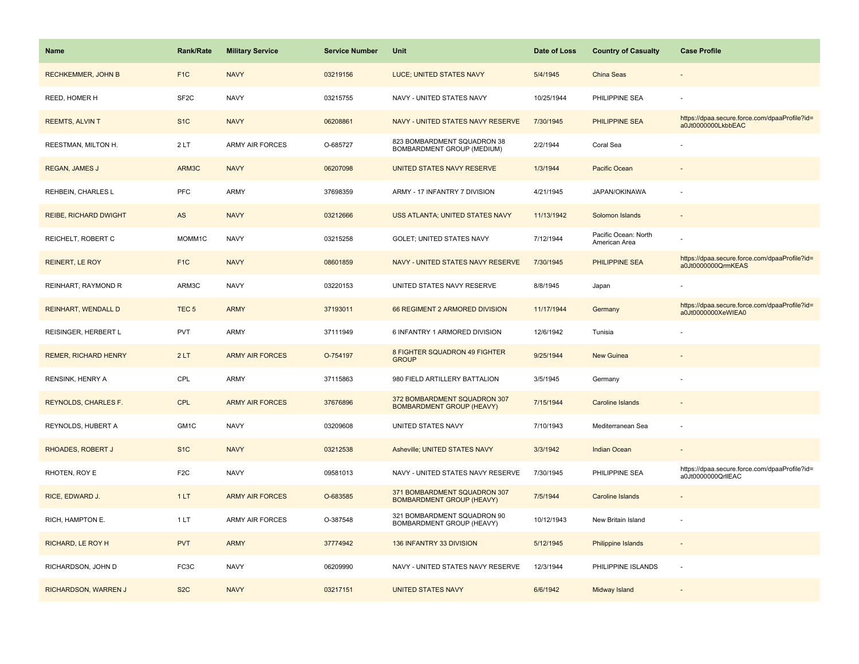| <b>Name</b>                  | <b>Rank/Rate</b>  | <b>Military Service</b> | <b>Service Number</b> | Unit                                                             | Date of Loss | <b>Country of Casualty</b>            | <b>Case Profile</b>                                                 |
|------------------------------|-------------------|-------------------------|-----------------------|------------------------------------------------------------------|--------------|---------------------------------------|---------------------------------------------------------------------|
| <b>RECHKEMMER, JOHN B</b>    | F <sub>1</sub> C  | <b>NAVY</b>             | 03219156              | LUCE; UNITED STATES NAVY                                         | 5/4/1945     | China Seas                            |                                                                     |
| REED, HOMER H                | SF <sub>2</sub> C | <b>NAVY</b>             | 03215755              | NAVY - UNITED STATES NAVY                                        | 10/25/1944   | PHILIPPINE SEA                        |                                                                     |
| <b>REEMTS, ALVIN T</b>       | S <sub>1</sub> C  | <b>NAVY</b>             | 06208861              | NAVY - UNITED STATES NAVY RESERVE                                | 7/30/1945    | PHILIPPINE SEA                        | https://dpaa.secure.force.com/dpaaProfile?id=<br>a0Jt0000000LkbbEAC |
| REESTMAN, MILTON H.          | 2LT               | <b>ARMY AIR FORCES</b>  | O-685727              | 823 BOMBARDMENT SQUADRON 38<br><b>BOMBARDMENT GROUP (MEDIUM)</b> | 2/2/1944     | Coral Sea                             |                                                                     |
| <b>REGAN, JAMES J</b>        | ARM3C             | <b>NAVY</b>             | 06207098              | UNITED STATES NAVY RESERVE                                       | 1/3/1944     | Pacific Ocean                         |                                                                     |
| REHBEIN, CHARLES L           | PFC               | <b>ARMY</b>             | 37698359              | ARMY - 17 INFANTRY 7 DIVISION                                    | 4/21/1945    | JAPAN/OKINAWA                         |                                                                     |
| <b>REIBE, RICHARD DWIGHT</b> | AS                | <b>NAVY</b>             | 03212666              | USS ATLANTA; UNITED STATES NAVY                                  | 11/13/1942   | Solomon Islands                       | $\sim$                                                              |
| REICHELT, ROBERT C           | MOMM1C            | <b>NAVY</b>             | 03215258              | GOLET; UNITED STATES NAVY                                        | 7/12/1944    | Pacific Ocean: North<br>American Area |                                                                     |
| <b>REINERT, LE ROY</b>       | F <sub>1C</sub>   | <b>NAVY</b>             | 08601859              | NAVY - UNITED STATES NAVY RESERVE                                | 7/30/1945    | <b>PHILIPPINE SEA</b>                 | https://dpaa.secure.force.com/dpaaProfile?id=<br>a0Jt0000000QrmKEAS |
| REINHART, RAYMOND R          | ARM3C             | <b>NAVY</b>             | 03220153              | UNITED STATES NAVY RESERVE                                       | 8/8/1945     | Japan                                 |                                                                     |
| <b>REINHART, WENDALL D</b>   | TEC <sub>5</sub>  | <b>ARMY</b>             | 37193011              | 66 REGIMENT 2 ARMORED DIVISION                                   | 11/17/1944   | Germany                               | https://dpaa.secure.force.com/dpaaProfile?id=<br>a0Jt0000000XeWIEA0 |
| REISINGER, HERBERT L         | <b>PVT</b>        | <b>ARMY</b>             | 37111949              | 6 INFANTRY 1 ARMORED DIVISION                                    | 12/6/1942    | Tunisia                               |                                                                     |
| <b>REMER, RICHARD HENRY</b>  | 2LT               | <b>ARMY AIR FORCES</b>  | O-754197              | 8 FIGHTER SQUADRON 49 FIGHTER<br><b>GROUP</b>                    | 9/25/1944    | <b>New Guinea</b>                     |                                                                     |
| RENSINK, HENRY A             | CPL               | <b>ARMY</b>             | 37115863              | 980 FIELD ARTILLERY BATTALION                                    | 3/5/1945     | Germany                               |                                                                     |
| REYNOLDS, CHARLES F.         | <b>CPL</b>        | <b>ARMY AIR FORCES</b>  | 37676896              | 372 BOMBARDMENT SQUADRON 307<br><b>BOMBARDMENT GROUP (HEAVY)</b> | 7/15/1944    | Caroline Islands                      |                                                                     |
| REYNOLDS, HUBERT A           | GM1C              | <b>NAVY</b>             | 03209608              | UNITED STATES NAVY                                               | 7/10/1943    | Mediterranean Sea                     |                                                                     |
| <b>RHOADES, ROBERT J</b>     | S <sub>1</sub> C  | <b>NAVY</b>             | 03212538              | Asheville; UNITED STATES NAVY                                    | 3/3/1942     | Indian Ocean                          |                                                                     |
| RHOTEN, ROY E                | F <sub>2</sub> C  | <b>NAVY</b>             | 09581013              | NAVY - UNITED STATES NAVY RESERVE                                | 7/30/1945    | PHILIPPINE SEA                        | https://dpaa.secure.force.com/dpaaProfile?id=<br>a0Jt0000000QrllEAC |
| RICE, EDWARD J.              | 1LT               | <b>ARMY AIR FORCES</b>  | O-683585              | 371 BOMBARDMENT SQUADRON 307<br><b>BOMBARDMENT GROUP (HEAVY)</b> | 7/5/1944     | Caroline Islands                      |                                                                     |
| RICH, HAMPTON E.             | 1LT               | <b>ARMY AIR FORCES</b>  | O-387548              | 321 BOMBARDMENT SQUADRON 90<br>BOMBARDMENT GROUP (HEAVY)         | 10/12/1943   | New Britain Island                    |                                                                     |
| <b>RICHARD, LE ROY H</b>     | <b>PVT</b>        | <b>ARMY</b>             | 37774942              | 136 INFANTRY 33 DIVISION                                         | 5/12/1945    | Philippine Islands                    |                                                                     |
| RICHARDSON, JOHN D           | FC3C              | <b>NAVY</b>             | 06209990              | NAVY - UNITED STATES NAVY RESERVE                                | 12/3/1944    | PHILIPPINE ISLANDS                    | $\overline{\phantom{a}}$                                            |
| RICHARDSON, WARREN J         | S <sub>2</sub> C  | <b>NAVY</b>             | 03217151              | <b>UNITED STATES NAVY</b>                                        | 6/6/1942     | Midway Island                         |                                                                     |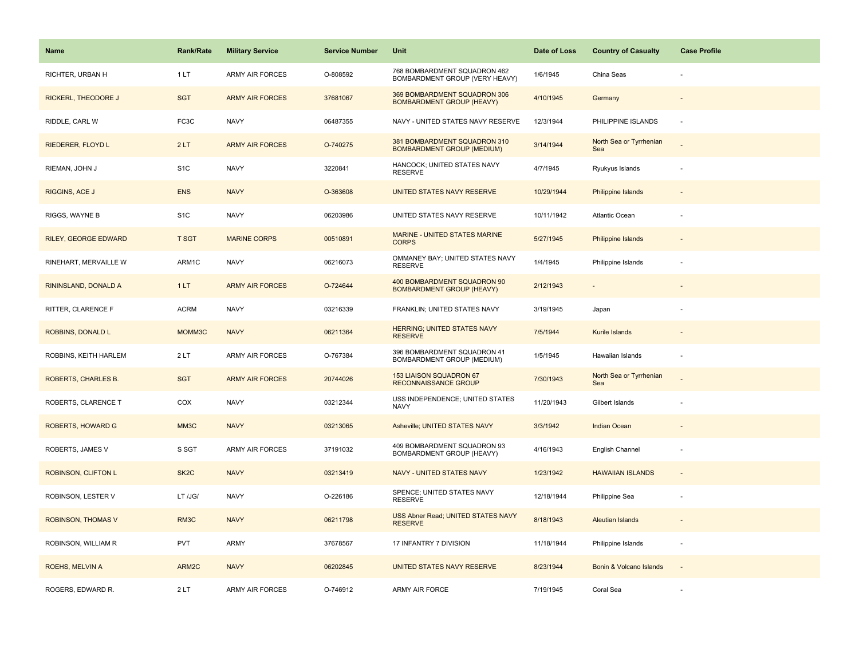| Name                     | <b>Rank/Rate</b>  | <b>Military Service</b> | <b>Service Number</b> | Unit                                                              | Date of Loss | <b>Country of Casualty</b>     | <b>Case Profile</b> |
|--------------------------|-------------------|-------------------------|-----------------------|-------------------------------------------------------------------|--------------|--------------------------------|---------------------|
| RICHTER, URBAN H         | 1LT               | ARMY AIR FORCES         | O-808592              | 768 BOMBARDMENT SQUADRON 462<br>BOMBARDMENT GROUP (VERY HEAVY)    | 1/6/1945     | China Seas                     |                     |
| RICKERL, THEODORE J      | <b>SGT</b>        | <b>ARMY AIR FORCES</b>  | 37681067              | 369 BOMBARDMENT SQUADRON 306<br><b>BOMBARDMENT GROUP (HEAVY)</b>  | 4/10/1945    | Germany                        |                     |
| RIDDLE, CARL W           | FC3C              | <b>NAVY</b>             | 06487355              | NAVY - UNITED STATES NAVY RESERVE                                 | 12/3/1944    | PHILIPPINE ISLANDS             |                     |
| RIEDERER, FLOYD L        | 2LT               | <b>ARMY AIR FORCES</b>  | O-740275              | 381 BOMBARDMENT SQUADRON 310<br><b>BOMBARDMENT GROUP (MEDIUM)</b> | 3/14/1944    | North Sea or Tyrrhenian<br>Sea |                     |
| RIEMAN, JOHN J           | S <sub>1</sub> C  | <b>NAVY</b>             | 3220841               | HANCOCK: UNITED STATES NAVY<br><b>RESERVE</b>                     | 4/7/1945     | Ryukyus Islands                |                     |
| RIGGINS, ACE J           | <b>ENS</b>        | <b>NAVY</b>             | O-363608              | UNITED STATES NAVY RESERVE                                        | 10/29/1944   | <b>Philippine Islands</b>      |                     |
| RIGGS, WAYNE B           | S <sub>1</sub> C  | <b>NAVY</b>             | 06203986              | UNITED STATES NAVY RESERVE                                        | 10/11/1942   | Atlantic Ocean                 |                     |
| RILEY, GEORGE EDWARD     | <b>T SGT</b>      | <b>MARINE CORPS</b>     | 00510891              | MARINE - UNITED STATES MARINE<br><b>CORPS</b>                     | 5/27/1945    | <b>Philippine Islands</b>      |                     |
| RINEHART, MERVAILLE W    | ARM1C             | <b>NAVY</b>             | 06216073              | OMMANEY BAY; UNITED STATES NAVY<br><b>RESERVE</b>                 | 1/4/1945     | Philippine Islands             |                     |
| RININSLAND, DONALD A     | 1LT               | <b>ARMY AIR FORCES</b>  | O-724644              | 400 BOMBARDMENT SQUADRON 90<br><b>BOMBARDMENT GROUP (HEAVY)</b>   | 2/12/1943    |                                |                     |
| RITTER, CLARENCE F       | <b>ACRM</b>       | <b>NAVY</b>             | 03216339              | FRANKLIN; UNITED STATES NAVY                                      | 3/19/1945    | Japan                          |                     |
| ROBBINS, DONALD L        | MOMM3C            | <b>NAVY</b>             | 06211364              | <b>HERRING; UNITED STATES NAVY</b><br><b>RESERVE</b>              | 7/5/1944     | Kurile Islands                 |                     |
| ROBBINS, KEITH HARLEM    | 2LT               | <b>ARMY AIR FORCES</b>  | O-767384              | 396 BOMBARDMENT SQUADRON 41<br>BOMBARDMENT GROUP (MEDIUM)         | 1/5/1945     | Hawaiian Islands               |                     |
| ROBERTS, CHARLES B.      | <b>SGT</b>        | <b>ARMY AIR FORCES</b>  | 20744026              | 153 LIAISON SQUADRON 67<br>RECONNAISSANCE GROUP                   | 7/30/1943    | North Sea or Tyrrhenian<br>Sea |                     |
| ROBERTS, CLARENCE T      | COX               | <b>NAVY</b>             | 03212344              | USS INDEPENDENCE; UNITED STATES<br><b>NAVY</b>                    | 11/20/1943   | Gilbert Islands                |                     |
| <b>ROBERTS, HOWARD G</b> | MM3C              | <b>NAVY</b>             | 03213065              | Asheville; UNITED STATES NAVY                                     | 3/3/1942     | Indian Ocean                   |                     |
| ROBERTS, JAMES V         | S SGT             | ARMY AIR FORCES         | 37191032              | 409 BOMBARDMENT SQUADRON 93<br>BOMBARDMENT GROUP (HEAVY)          | 4/16/1943    | English Channel                |                     |
| ROBINSON, CLIFTON L      | SK <sub>2</sub> C | <b>NAVY</b>             | 03213419              | NAVY - UNITED STATES NAVY                                         | 1/23/1942    | <b>HAWAIIAN ISLANDS</b>        |                     |
| ROBINSON, LESTER V       | LT /JG/           | <b>NAVY</b>             | O-226186              | SPENCE; UNITED STATES NAVY<br><b>RESERVE</b>                      | 12/18/1944   | Philippine Sea                 |                     |
| ROBINSON, THOMAS V       | RM3C              | <b>NAVY</b>             | 06211798              | USS Abner Read; UNITED STATES NAVY<br><b>RESERVE</b>              | 8/18/1943    | Aleutian Islands               |                     |
| ROBINSON, WILLIAM R      | <b>PVT</b>        | ARMY                    | 37678567              | 17 INFANTRY 7 DIVISION                                            | 11/18/1944   | Philippine Islands             |                     |
| ROEHS, MELVIN A          | ARM2C             | <b>NAVY</b>             | 06202845              | UNITED STATES NAVY RESERVE                                        | 8/23/1944    | Bonin & Volcano Islands        |                     |
| ROGERS, EDWARD R.        | 2LT               | <b>ARMY AIR FORCES</b>  | O-746912              | <b>ARMY AIR FORCE</b>                                             | 7/19/1945    | Coral Sea                      |                     |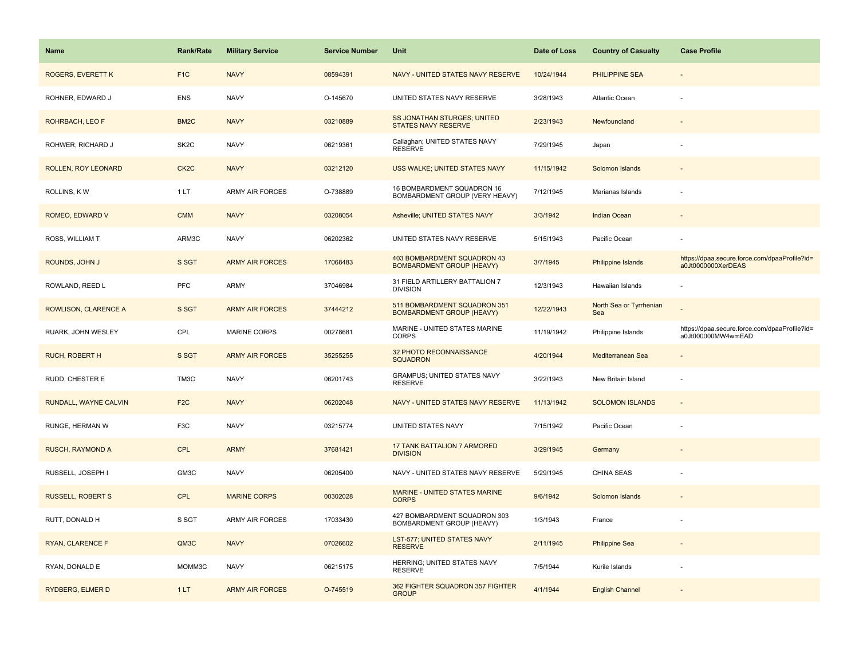| Name                       | Rank/Rate         | <b>Military Service</b> | <b>Service Number</b> | Unit                                                             | Date of Loss | <b>Country of Casualty</b>     | <b>Case Profile</b>                                                 |
|----------------------------|-------------------|-------------------------|-----------------------|------------------------------------------------------------------|--------------|--------------------------------|---------------------------------------------------------------------|
| <b>ROGERS, EVERETT K</b>   | F <sub>1</sub> C  | <b>NAVY</b>             | 08594391              | NAVY - UNITED STATES NAVY RESERVE                                | 10/24/1944   | <b>PHILIPPINE SEA</b>          |                                                                     |
| ROHNER, EDWARD J           | <b>ENS</b>        | <b>NAVY</b>             | O-145670              | UNITED STATES NAVY RESERVE                                       | 3/28/1943    | Atlantic Ocean                 |                                                                     |
| <b>ROHRBACH, LEO F</b>     | BM <sub>2</sub> C | <b>NAVY</b>             | 03210889              | SS JONATHAN STURGES; UNITED<br><b>STATES NAVY RESERVE</b>        | 2/23/1943    | Newfoundland                   |                                                                     |
| ROHWER, RICHARD J          | SK <sub>2</sub> C | <b>NAVY</b>             | 06219361              | Callaghan; UNITED STATES NAVY<br><b>RESERVE</b>                  | 7/29/1945    | Japan                          |                                                                     |
| <b>ROLLEN, ROY LEONARD</b> | CK <sub>2</sub> C | <b>NAVY</b>             | 03212120              | USS WALKE; UNITED STATES NAVY                                    | 11/15/1942   | Solomon Islands                |                                                                     |
| ROLLINS, KW                | 1LT               | ARMY AIR FORCES         | O-738889              | 16 BOMBARDMENT SQUADRON 16<br>BOMBARDMENT GROUP (VERY HEAVY)     | 7/12/1945    | Marianas Islands               |                                                                     |
| ROMEO, EDWARD V            | <b>CMM</b>        | <b>NAVY</b>             | 03208054              | Asheville; UNITED STATES NAVY                                    | 3/3/1942     | <b>Indian Ocean</b>            |                                                                     |
| ROSS, WILLIAM T            | ARM3C             | <b>NAVY</b>             | 06202362              | UNITED STATES NAVY RESERVE                                       | 5/15/1943    | Pacific Ocean                  |                                                                     |
| ROUNDS, JOHN J             | S SGT             | <b>ARMY AIR FORCES</b>  | 17068483              | 403 BOMBARDMENT SQUADRON 43<br><b>BOMBARDMENT GROUP (HEAVY)</b>  | 3/7/1945     | <b>Philippine Islands</b>      | https://dpaa.secure.force.com/dpaaProfile?id=<br>a0Jt0000000XerDEAS |
| ROWLAND, REED L            | <b>PFC</b>        | ARMY                    | 37046984              | 31 FIELD ARTILLERY BATTALION 7<br><b>DIVISION</b>                | 12/3/1943    | Hawaiian Islands               |                                                                     |
| ROWLISON, CLARENCE A       | S SGT             | <b>ARMY AIR FORCES</b>  | 37444212              | 511 BOMBARDMENT SQUADRON 351<br><b>BOMBARDMENT GROUP (HEAVY)</b> | 12/22/1943   | North Sea or Tyrrhenian<br>Sea |                                                                     |
| RUARK, JOHN WESLEY         | CPL               | <b>MARINE CORPS</b>     | 00278681              | MARINE - UNITED STATES MARINE<br><b>CORPS</b>                    | 11/19/1942   | Philippine Islands             | https://dpaa.secure.force.com/dpaaProfile?id=<br>a0Jt000000MW4wmEAD |
| <b>RUCH, ROBERT H</b>      | S SGT             | <b>ARMY AIR FORCES</b>  | 35255255              | 32 PHOTO RECONNAISSANCE<br><b>SQUADRON</b>                       | 4/20/1944    | Mediterranean Sea              |                                                                     |
| RUDD, CHESTER E            | TM3C              | <b>NAVY</b>             | 06201743              | <b>GRAMPUS; UNITED STATES NAVY</b><br><b>RESERVE</b>             | 3/22/1943    | New Britain Island             |                                                                     |
| RUNDALL, WAYNE CALVIN      | F <sub>2</sub> C  | <b>NAVY</b>             | 06202048              | NAVY - UNITED STATES NAVY RESERVE                                | 11/13/1942   | <b>SOLOMON ISLANDS</b>         | $\omega$                                                            |
| RUNGE, HERMAN W            | F <sub>3</sub> C  | <b>NAVY</b>             | 03215774              | UNITED STATES NAVY                                               | 7/15/1942    | Pacific Ocean                  |                                                                     |
| <b>RUSCH, RAYMOND A</b>    | <b>CPL</b>        | <b>ARMY</b>             | 37681421              | <b>17 TANK BATTALION 7 ARMORED</b><br><b>DIVISION</b>            | 3/29/1945    | Germany                        |                                                                     |
| RUSSELL, JOSEPH I          | GM3C              | <b>NAVY</b>             | 06205400              | NAVY - UNITED STATES NAVY RESERVE                                | 5/29/1945    | CHINA SEAS                     |                                                                     |
| <b>RUSSELL, ROBERT S</b>   | <b>CPL</b>        | <b>MARINE CORPS</b>     | 00302028              | MARINE - UNITED STATES MARINE<br><b>CORPS</b>                    | 9/6/1942     | Solomon Islands                |                                                                     |
| RUTT, DONALD H             | S SGT             | <b>ARMY AIR FORCES</b>  | 17033430              | 427 BOMBARDMENT SQUADRON 303<br><b>BOMBARDMENT GROUP (HEAVY)</b> | 1/3/1943     | France                         |                                                                     |
| RYAN, CLARENCE F           | QM3C              | <b>NAVY</b>             | 07026602              | LST-577; UNITED STATES NAVY<br><b>RESERVE</b>                    | 2/11/1945    | <b>Philippine Sea</b>          |                                                                     |
| RYAN, DONALD E             | MOMM3C            | <b>NAVY</b>             | 06215175              | HERRING; UNITED STATES NAVY<br><b>RESERVE</b>                    | 7/5/1944     | Kurile Islands                 |                                                                     |
| RYDBERG, ELMER D           | 1LT               | <b>ARMY AIR FORCES</b>  | O-745519              | 362 FIGHTER SQUADRON 357 FIGHTER<br><b>GROUP</b>                 | 4/1/1944     | <b>English Channel</b>         |                                                                     |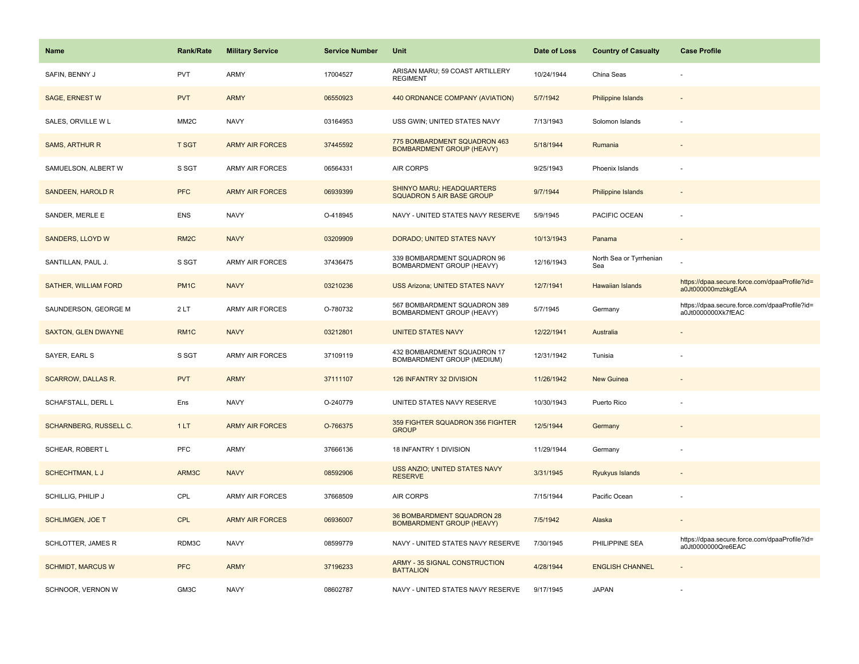| <b>Name</b>                   | <b>Rank/Rate</b>  | <b>Military Service</b> | <b>Service Number</b> | Unit                                                             | Date of Loss | <b>Country of Casualty</b>     | <b>Case Profile</b>                                                 |
|-------------------------------|-------------------|-------------------------|-----------------------|------------------------------------------------------------------|--------------|--------------------------------|---------------------------------------------------------------------|
| SAFIN, BENNY J                | <b>PVT</b>        | <b>ARMY</b>             | 17004527              | ARISAN MARU; 59 COAST ARTILLERY<br><b>REGIMENT</b>               | 10/24/1944   | China Seas                     |                                                                     |
| <b>SAGE, ERNEST W</b>         | <b>PVT</b>        | <b>ARMY</b>             | 06550923              | 440 ORDNANCE COMPANY (AVIATION)                                  | 5/7/1942     | <b>Philippine Islands</b>      |                                                                     |
| SALES, ORVILLE W L            | MM <sub>2</sub> C | <b>NAVY</b>             | 03164953              | USS GWIN; UNITED STATES NAVY                                     | 7/13/1943    | Solomon Islands                |                                                                     |
| <b>SAMS, ARTHUR R</b>         | <b>T SGT</b>      | <b>ARMY AIR FORCES</b>  | 37445592              | 775 BOMBARDMENT SQUADRON 463<br><b>BOMBARDMENT GROUP (HEAVY)</b> | 5/18/1944    | Rumania                        |                                                                     |
| SAMUELSON, ALBERT W           | S SGT             | <b>ARMY AIR FORCES</b>  | 06564331              | <b>AIR CORPS</b>                                                 | 9/25/1943    | Phoenix Islands                |                                                                     |
| SANDEEN, HAROLD R             | <b>PFC</b>        | <b>ARMY AIR FORCES</b>  | 06939399              | SHINYO MARU; HEADQUARTERS<br><b>SQUADRON 5 AIR BASE GROUP</b>    | 9/7/1944     | Philippine Islands             |                                                                     |
| SANDER, MERLE E               | <b>ENS</b>        | <b>NAVY</b>             | O-418945              | NAVY - UNITED STATES NAVY RESERVE                                | 5/9/1945     | PACIFIC OCEAN                  |                                                                     |
| <b>SANDERS, LLOYD W</b>       | RM <sub>2</sub> C | <b>NAVY</b>             | 03209909              | DORADO; UNITED STATES NAVY                                       | 10/13/1943   | Panama                         |                                                                     |
| SANTILLAN, PAUL J.            | S SGT             | <b>ARMY AIR FORCES</b>  | 37436475              | 339 BOMBARDMENT SQUADRON 96<br>BOMBARDMENT GROUP (HEAVY)         | 12/16/1943   | North Sea or Tyrrhenian<br>Sea |                                                                     |
| <b>SATHER, WILLIAM FORD</b>   | PM <sub>1</sub> C | <b>NAVY</b>             | 03210236              | <b>USS Arizona; UNITED STATES NAVY</b>                           | 12/7/1941    | <b>Hawaiian Islands</b>        | https://dpaa.secure.force.com/dpaaProfile?id=<br>a0Jt000000mzbkgEAA |
| SAUNDERSON, GEORGE M          | 2LT               | <b>ARMY AIR FORCES</b>  | O-780732              | 567 BOMBARDMENT SQUADRON 389<br>BOMBARDMENT GROUP (HEAVY)        | 5/7/1945     | Germany                        | https://dpaa.secure.force.com/dpaaProfile?id=<br>a0Jt0000000Xk7fEAC |
| <b>SAXTON, GLEN DWAYNE</b>    | RM <sub>1</sub> C | <b>NAVY</b>             | 03212801              | <b>UNITED STATES NAVY</b>                                        | 12/22/1941   | Australia                      |                                                                     |
| SAYER, EARL S                 | S SGT             | <b>ARMY AIR FORCES</b>  | 37109119              | 432 BOMBARDMENT SQUADRON 17<br>BOMBARDMENT GROUP (MEDIUM)        | 12/31/1942   | Tunisia                        |                                                                     |
| <b>SCARROW, DALLAS R.</b>     | <b>PVT</b>        | <b>ARMY</b>             | 37111107              | 126 INFANTRY 32 DIVISION                                         | 11/26/1942   | <b>New Guinea</b>              |                                                                     |
| SCHAFSTALL, DERL L            | Ens               | <b>NAVY</b>             | O-240779              | UNITED STATES NAVY RESERVE                                       | 10/30/1943   | Puerto Rico                    |                                                                     |
| <b>SCHARNBERG, RUSSELL C.</b> | 1LT               | <b>ARMY AIR FORCES</b>  | O-766375              | 359 FIGHTER SQUADRON 356 FIGHTER<br><b>GROUP</b>                 | 12/5/1944    | Germany                        |                                                                     |
| SCHEAR, ROBERT L              | PFC               | <b>ARMY</b>             | 37666136              | 18 INFANTRY 1 DIVISION                                           | 11/29/1944   | Germany                        |                                                                     |
| SCHECHTMAN, LJ                | ARM3C             | <b>NAVY</b>             | 08592906              | USS ANZIO; UNITED STATES NAVY<br><b>RESERVE</b>                  | 3/31/1945    | Ryukyus Islands                |                                                                     |
| SCHILLIG, PHILIP J            | CPL               | <b>ARMY AIR FORCES</b>  | 37668509              | AIR CORPS                                                        | 7/15/1944    | Pacific Ocean                  |                                                                     |
| <b>SCHLIMGEN, JOE T</b>       | CPL               | <b>ARMY AIR FORCES</b>  | 06936007              | 36 BOMBARDMENT SQUADRON 28<br><b>BOMBARDMENT GROUP (HEAVY)</b>   | 7/5/1942     | Alaska                         |                                                                     |
| <b>SCHLOTTER, JAMES R</b>     | RDM3C             | <b>NAVY</b>             | 08599779              | NAVY - UNITED STATES NAVY RESERVE                                | 7/30/1945    | PHILIPPINE SEA                 | https://dpaa.secure.force.com/dpaaProfile?id=<br>a0Jt0000000Qre6EAC |
| <b>SCHMIDT, MARCUS W</b>      | <b>PFC</b>        | <b>ARMY</b>             | 37196233              | <b>ARMY - 35 SIGNAL CONSTRUCTION</b><br><b>BATTALION</b>         | 4/28/1944    | <b>ENGLISH CHANNEL</b>         |                                                                     |
| SCHNOOR, VERNON W             | GM3C              | <b>NAVY</b>             | 08602787              | NAVY - UNITED STATES NAVY RESERVE                                | 9/17/1945    | <b>JAPAN</b>                   |                                                                     |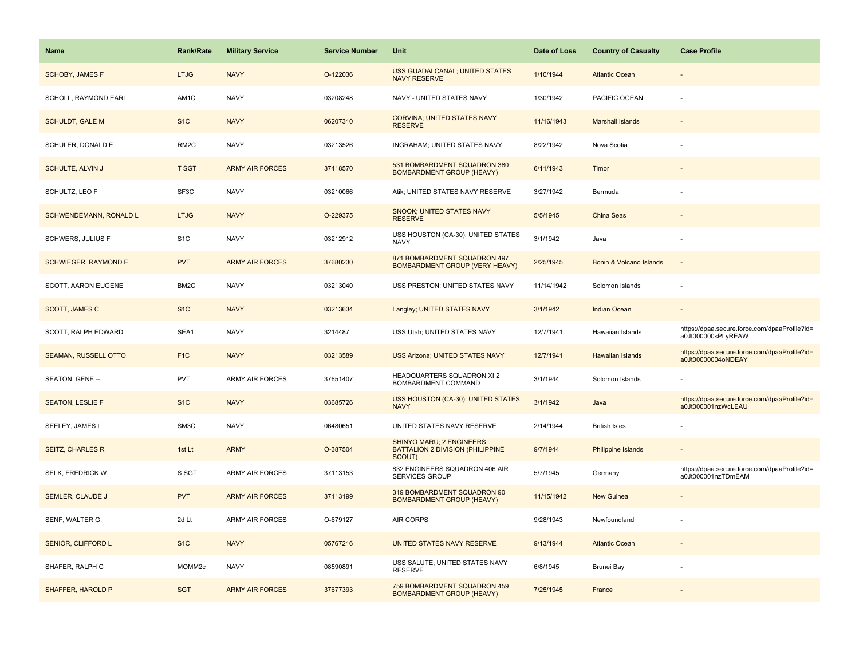| <b>Name</b>                 | Rank/Rate          | <b>Military Service</b> | <b>Service Number</b> | Unit                                                                                 | Date of Loss | <b>Country of Casualty</b> | <b>Case Profile</b>                                                 |
|-----------------------------|--------------------|-------------------------|-----------------------|--------------------------------------------------------------------------------------|--------------|----------------------------|---------------------------------------------------------------------|
| <b>SCHOBY, JAMES F</b>      | <b>LTJG</b>        | <b>NAVY</b>             | O-122036              | USS GUADALCANAL; UNITED STATES<br><b>NAVY RESERVE</b>                                | 1/10/1944    | <b>Atlantic Ocean</b>      |                                                                     |
| SCHOLL, RAYMOND EARL        | AM1C               | <b>NAVY</b>             | 03208248              | NAVY - UNITED STATES NAVY                                                            | 1/30/1942    | PACIFIC OCEAN              |                                                                     |
| <b>SCHULDT, GALE M</b>      | S <sub>1</sub> C   | <b>NAVY</b>             | 06207310              | <b>CORVINA; UNITED STATES NAVY</b><br><b>RESERVE</b>                                 | 11/16/1943   | <b>Marshall Islands</b>    |                                                                     |
| SCHULER, DONALD E           | RM <sub>2</sub> C  | <b>NAVY</b>             | 03213526              | INGRAHAM; UNITED STATES NAVY                                                         | 8/22/1942    | Nova Scotia                |                                                                     |
| <b>SCHULTE, ALVIN J</b>     | <b>T SGT</b>       | <b>ARMY AIR FORCES</b>  | 37418570              | 531 BOMBARDMENT SQUADRON 380<br><b>BOMBARDMENT GROUP (HEAVY)</b>                     | 6/11/1943    | Timor                      |                                                                     |
| SCHULTZ, LEO F              | SF3C               | <b>NAVY</b>             | 03210066              | Atik; UNITED STATES NAVY RESERVE                                                     | 3/27/1942    | Bermuda                    |                                                                     |
| SCHWENDEMANN, RONALD L      | <b>LTJG</b>        | <b>NAVY</b>             | O-229375              | <b>SNOOK; UNITED STATES NAVY</b><br><b>RESERVE</b>                                   | 5/5/1945     | China Seas                 |                                                                     |
| SCHWERS, JULIUS F           | S <sub>1</sub> C   | <b>NAVY</b>             | 03212912              | USS HOUSTON (CA-30); UNITED STATES<br><b>NAVY</b>                                    | 3/1/1942     | Java                       |                                                                     |
| <b>SCHWIEGER, RAYMOND E</b> | <b>PVT</b>         | <b>ARMY AIR FORCES</b>  | 37680230              | 871 BOMBARDMENT SQUADRON 497<br>BOMBARDMENT GROUP (VERY HEAVY)                       | 2/25/1945    | Bonin & Volcano Islands    |                                                                     |
| SCOTT, AARON EUGENE         | BM2C               | <b>NAVY</b>             | 03213040              | USS PRESTON; UNITED STATES NAVY                                                      | 11/14/1942   | Solomon Islands            |                                                                     |
| <b>SCOTT, JAMES C</b>       | S <sub>1</sub> C   | <b>NAVY</b>             | 03213634              | Langley; UNITED STATES NAVY                                                          | 3/1/1942     | <b>Indian Ocean</b>        |                                                                     |
| SCOTT, RALPH EDWARD         | SEA1               | <b>NAVY</b>             | 3214487               | USS Utah; UNITED STATES NAVY                                                         | 12/7/1941    | Hawaiian Islands           | https://dpaa.secure.force.com/dpaaProfile?id=<br>a0Jt000000sPLyREAW |
| <b>SEAMAN, RUSSELL OTTO</b> | F <sub>1C</sub>    | <b>NAVY</b>             | 03213589              | <b>USS Arizona; UNITED STATES NAVY</b>                                               | 12/7/1941    | <b>Hawaiian Islands</b>    | https://dpaa.secure.force.com/dpaaProfile?id=<br>a0Jt00000004oNDEAY |
| SEATON, GENE --             | PVT                | ARMY AIR FORCES         | 37651407              | HEADQUARTERS SQUADRON XI 2<br>BOMBARDMENT COMMAND                                    | 3/1/1944     | Solomon Islands            |                                                                     |
| <b>SEATON, LESLIE F</b>     | S <sub>1</sub> C   | <b>NAVY</b>             | 03685726              | USS HOUSTON (CA-30); UNITED STATES<br><b>NAVY</b>                                    | 3/1/1942     | Java                       | https://dpaa.secure.force.com/dpaaProfile?id=<br>a0Jt000001nzWcLEAU |
| SEELEY, JAMES L             | SM3C               | <b>NAVY</b>             | 06480651              | UNITED STATES NAVY RESERVE                                                           | 2/14/1944    | <b>British Isles</b>       |                                                                     |
| <b>SEITZ, CHARLES R</b>     | 1st Lt             | <b>ARMY</b>             | O-387504              | <b>SHINYO MARU; 2 ENGINEERS</b><br><b>BATTALION 2 DIVISION (PHILIPPINE</b><br>SCOUT) | 9/7/1944     | <b>Philippine Islands</b>  |                                                                     |
| SELK, FREDRICK W.           | S SGT              | ARMY AIR FORCES         | 37113153              | 832 ENGINEERS SQUADRON 406 AIR<br>SERVICES GROUP                                     | 5/7/1945     | Germany                    | https://dpaa.secure.force.com/dpaaProfile?id=<br>a0Jt000001nzTDmEAM |
| <b>SEMLER, CLAUDE J</b>     | <b>PVT</b>         | <b>ARMY AIR FORCES</b>  | 37113199              | 319 BOMBARDMENT SQUADRON 90<br><b>BOMBARDMENT GROUP (HEAVY)</b>                      | 11/15/1942   | <b>New Guinea</b>          |                                                                     |
| SENF, WALTER G.             | 2d Lt              | ARMY AIR FORCES         | O-679127              | AIR CORPS                                                                            | 9/28/1943    | Newfoundland               |                                                                     |
| SENIOR, CLIFFORD L          | S <sub>1</sub> C   | <b>NAVY</b>             | 05767216              | UNITED STATES NAVY RESERVE                                                           | 9/13/1944    | <b>Atlantic Ocean</b>      |                                                                     |
| SHAFER, RALPH C             | MOMM <sub>2c</sub> | <b>NAVY</b>             | 08590891              | USS SALUTE; UNITED STATES NAVY<br><b>RESERVE</b>                                     | 6/8/1945     | Brunei Bay                 |                                                                     |
| SHAFFER, HAROLD P           | <b>SGT</b>         | <b>ARMY AIR FORCES</b>  | 37677393              | 759 BOMBARDMENT SQUADRON 459<br><b>BOMBARDMENT GROUP (HEAVY)</b>                     | 7/25/1945    | France                     |                                                                     |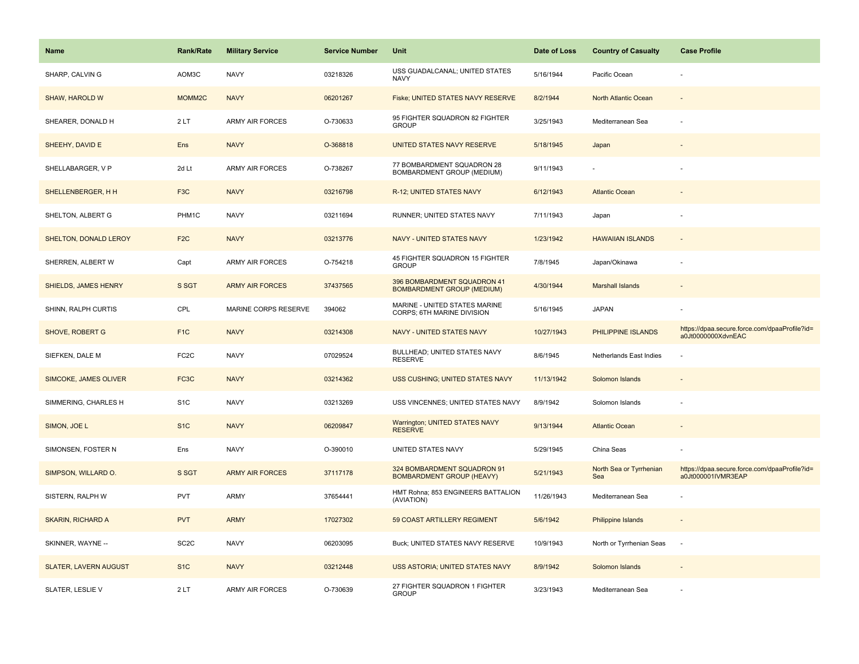| <b>Name</b>                  | <b>Rank/Rate</b>  | <b>Military Service</b> | <b>Service Number</b> | Unit                                                             | Date of Loss | <b>Country of Casualty</b>     | <b>Case Profile</b>                                                 |
|------------------------------|-------------------|-------------------------|-----------------------|------------------------------------------------------------------|--------------|--------------------------------|---------------------------------------------------------------------|
| SHARP, CALVIN G              | AOM3C             | <b>NAVY</b>             | 03218326              | USS GUADALCANAL; UNITED STATES<br><b>NAVY</b>                    | 5/16/1944    | Pacific Ocean                  |                                                                     |
| SHAW, HAROLD W               | MOMM2C            | <b>NAVY</b>             | 06201267              | Fiske; UNITED STATES NAVY RESERVE                                | 8/2/1944     | North Atlantic Ocean           |                                                                     |
| SHEARER, DONALD H            | 2LT               | <b>ARMY AIR FORCES</b>  | O-730633              | 95 FIGHTER SQUADRON 82 FIGHTER<br><b>GROUP</b>                   | 3/25/1943    | Mediterranean Sea              |                                                                     |
| SHEEHY, DAVID E              | Ens               | <b>NAVY</b>             | O-368818              | UNITED STATES NAVY RESERVE                                       | 5/18/1945    | Japan                          |                                                                     |
| SHELLABARGER, V P            | 2d Lt             | <b>ARMY AIR FORCES</b>  | O-738267              | 77 BOMBARDMENT SQUADRON 28<br>BOMBARDMENT GROUP (MEDIUM)         | 9/11/1943    |                                |                                                                     |
| SHELLENBERGER, H H           | F <sub>3</sub> C  | <b>NAVY</b>             | 03216798              | R-12; UNITED STATES NAVY                                         | 6/12/1943    | <b>Atlantic Ocean</b>          |                                                                     |
| SHELTON, ALBERT G            | PHM1C             | <b>NAVY</b>             | 03211694              | RUNNER; UNITED STATES NAVY                                       | 7/11/1943    | Japan                          |                                                                     |
| SHELTON, DONALD LEROY        | F <sub>2</sub> C  | <b>NAVY</b>             | 03213776              | NAVY - UNITED STATES NAVY                                        | 1/23/1942    | <b>HAWAIIAN ISLANDS</b>        |                                                                     |
| SHERREN, ALBERT W            | Capt              | ARMY AIR FORCES         | O-754218              | 45 FIGHTER SQUADRON 15 FIGHTER<br><b>GROUP</b>                   | 7/8/1945     | Japan/Okinawa                  |                                                                     |
| <b>SHIELDS, JAMES HENRY</b>  | S SGT             | <b>ARMY AIR FORCES</b>  | 37437565              | 396 BOMBARDMENT SQUADRON 41<br><b>BOMBARDMENT GROUP (MEDIUM)</b> | 4/30/1944    | <b>Marshall Islands</b>        |                                                                     |
| SHINN, RALPH CURTIS          | CPL               | MARINE CORPS RESERVE    | 394062                | MARINE - UNITED STATES MARINE<br>CORPS; 6TH MARINE DIVISION      | 5/16/1945    | <b>JAPAN</b>                   |                                                                     |
| SHOVE, ROBERT G              | F <sub>1C</sub>   | <b>NAVY</b>             | 03214308              | <b>NAVY - UNITED STATES NAVY</b>                                 | 10/27/1943   | PHILIPPINE ISLANDS             | https://dpaa.secure.force.com/dpaaProfile?id=<br>a0Jt0000000XdvnEAC |
| SIEFKEN, DALE M              | FC <sub>2</sub> C | <b>NAVY</b>             | 07029524              | BULLHEAD; UNITED STATES NAVY<br><b>RESERVE</b>                   | 8/6/1945     | Netherlands East Indies        |                                                                     |
| SIMCOKE, JAMES OLIVER        | FC3C              | <b>NAVY</b>             | 03214362              | <b>USS CUSHING; UNITED STATES NAVY</b>                           | 11/13/1942   | Solomon Islands                |                                                                     |
| SIMMERING, CHARLES H         | S <sub>1</sub> C  | <b>NAVY</b>             | 03213269              | USS VINCENNES; UNITED STATES NAVY                                | 8/9/1942     | Solomon Islands                |                                                                     |
| SIMON, JOE L                 | S <sub>1</sub> C  | <b>NAVY</b>             | 06209847              | <b>Warrington; UNITED STATES NAVY</b><br><b>RESERVE</b>          | 9/13/1944    | <b>Atlantic Ocean</b>          |                                                                     |
| SIMONSEN, FOSTER N           | Ens               | <b>NAVY</b>             | O-390010              | UNITED STATES NAVY                                               | 5/29/1945    | China Seas                     |                                                                     |
| SIMPSON, WILLARD O.          | S SGT             | <b>ARMY AIR FORCES</b>  | 37117178              | 324 BOMBARDMENT SQUADRON 91<br><b>BOMBARDMENT GROUP (HEAVY)</b>  | 5/21/1943    | North Sea or Tyrrhenian<br>Sea | https://dpaa.secure.force.com/dpaaProfile?id=<br>a0Jt000001IVMR3EAP |
| SISTERN, RALPH W             | <b>PVT</b>        | ARMY                    | 37654441              | HMT Rohna; 853 ENGINEERS BATTALION<br>(AVIATION)                 | 11/26/1943   | Mediterranean Sea              |                                                                     |
| <b>SKARIN, RICHARD A</b>     | <b>PVT</b>        | <b>ARMY</b>             | 17027302              | 59 COAST ARTILLERY REGIMENT                                      | 5/6/1942     | Philippine Islands             |                                                                     |
| SKINNER, WAYNE --            | SC <sub>2</sub> C | <b>NAVY</b>             | 06203095              | Buck; UNITED STATES NAVY RESERVE                                 | 10/9/1943    | North or Tyrrhenian Seas       | $\sim$                                                              |
| <b>SLATER, LAVERN AUGUST</b> | S <sub>1</sub> C  | <b>NAVY</b>             | 03212448              | USS ASTORIA; UNITED STATES NAVY                                  | 8/9/1942     | Solomon Islands                |                                                                     |
| SLATER, LESLIE V             | 2LT               | <b>ARMY AIR FORCES</b>  | O-730639              | 27 FIGHTER SQUADRON 1 FIGHTER<br><b>GROUP</b>                    | 3/23/1943    | Mediterranean Sea              |                                                                     |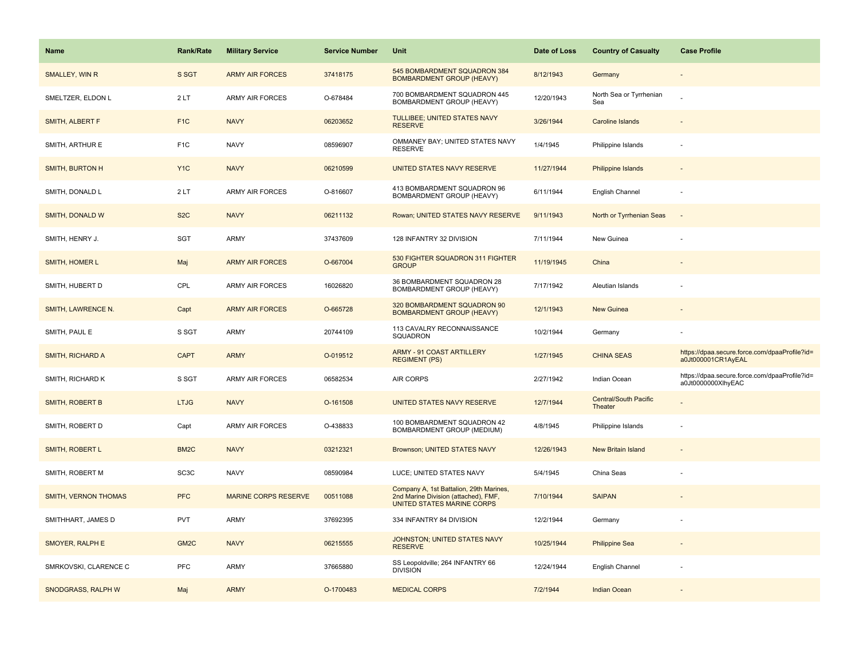| <b>Name</b>                 | <b>Rank/Rate</b>  | <b>Military Service</b>     | <b>Service Number</b> | Unit                                                                                                          | Date of Loss | <b>Country of Casualty</b>              | <b>Case Profile</b>                                                 |
|-----------------------------|-------------------|-----------------------------|-----------------------|---------------------------------------------------------------------------------------------------------------|--------------|-----------------------------------------|---------------------------------------------------------------------|
| SMALLEY, WIN R              | S SGT             | <b>ARMY AIR FORCES</b>      | 37418175              | 545 BOMBARDMENT SQUADRON 384<br><b>BOMBARDMENT GROUP (HEAVY)</b>                                              | 8/12/1943    | Germany                                 |                                                                     |
| SMELTZER, ELDON L           | 2LT               | <b>ARMY AIR FORCES</b>      | O-678484              | 700 BOMBARDMENT SQUADRON 445<br><b>BOMBARDMENT GROUP (HEAVY)</b>                                              | 12/20/1943   | North Sea or Tyrrhenian<br>Sea          |                                                                     |
| SMITH, ALBERT F             | F <sub>1</sub> C  | <b>NAVY</b>                 | 06203652              | TULLIBEE; UNITED STATES NAVY<br><b>RESERVE</b>                                                                | 3/26/1944    | Caroline Islands                        |                                                                     |
| SMITH, ARTHUR E             | F <sub>1</sub> C  | <b>NAVY</b>                 | 08596907              | OMMANEY BAY; UNITED STATES NAVY<br><b>RESERVE</b>                                                             | 1/4/1945     | Philippine Islands                      |                                                                     |
| <b>SMITH, BURTON H</b>      | Y <sub>1</sub> C  | <b>NAVY</b>                 | 06210599              | UNITED STATES NAVY RESERVE                                                                                    | 11/27/1944   | <b>Philippine Islands</b>               |                                                                     |
| SMITH, DONALD L             | 2LT               | <b>ARMY AIR FORCES</b>      | O-816607              | 413 BOMBARDMENT SQUADRON 96<br>BOMBARDMENT GROUP (HEAVY)                                                      | 6/11/1944    | English Channel                         |                                                                     |
| SMITH, DONALD W             | S <sub>2</sub> C  | <b>NAVY</b>                 | 06211132              | Rowan; UNITED STATES NAVY RESERVE                                                                             | 9/11/1943    | North or Tyrrhenian Seas                | $\overline{\phantom{a}}$                                            |
| SMITH, HENRY J.             | SGT               | <b>ARMY</b>                 | 37437609              | 128 INFANTRY 32 DIVISION                                                                                      | 7/11/1944    | New Guinea                              |                                                                     |
| SMITH, HOMER L              | Maj               | <b>ARMY AIR FORCES</b>      | O-667004              | 530 FIGHTER SQUADRON 311 FIGHTER<br><b>GROUP</b>                                                              | 11/19/1945   | China                                   |                                                                     |
| SMITH, HUBERT D             | CPL               | <b>ARMY AIR FORCES</b>      | 16026820              | 36 BOMBARDMENT SQUADRON 28<br>BOMBARDMENT GROUP (HEAVY)                                                       | 7/17/1942    | Aleutian Islands                        |                                                                     |
| SMITH, LAWRENCE N.          | Capt              | <b>ARMY AIR FORCES</b>      | O-665728              | 320 BOMBARDMENT SQUADRON 90<br><b>BOMBARDMENT GROUP (HEAVY)</b>                                               | 12/1/1943    | <b>New Guinea</b>                       |                                                                     |
| SMITH, PAUL E               | S SGT             | <b>ARMY</b>                 | 20744109              | 113 CAVALRY RECONNAISSANCE<br>SQUADRON                                                                        | 10/2/1944    | Germany                                 |                                                                     |
| SMITH, RICHARD A            | <b>CAPT</b>       | <b>ARMY</b>                 | O-019512              | ARMY - 91 COAST ARTILLERY<br><b>REGIMENT (PS)</b>                                                             | 1/27/1945    | <b>CHINA SEAS</b>                       | https://dpaa.secure.force.com/dpaaProfile?id=<br>a0Jt000001CR1AyEAL |
| SMITH, RICHARD K            | S SGT             | <b>ARMY AIR FORCES</b>      | 06582534              | AIR CORPS                                                                                                     | 2/27/1942    | Indian Ocean                            | https://dpaa.secure.force.com/dpaaProfile?id=<br>a0Jt0000000XlhyEAC |
| SMITH, ROBERT B             | <b>LTJG</b>       | <b>NAVY</b>                 | O-161508              | <b>UNITED STATES NAVY RESERVE</b>                                                                             | 12/7/1944    | <b>Central/South Pacific</b><br>Theater |                                                                     |
| SMITH, ROBERT D             | Capt              | <b>ARMY AIR FORCES</b>      | O-438833              | 100 BOMBARDMENT SQUADRON 42<br>BOMBARDMENT GROUP (MEDIUM)                                                     | 4/8/1945     | Philippine Islands                      |                                                                     |
| SMITH, ROBERT L             | BM <sub>2</sub> C | <b>NAVY</b>                 | 03212321              | Brownson; UNITED STATES NAVY                                                                                  | 12/26/1943   | <b>New Britain Island</b>               |                                                                     |
| SMITH, ROBERT M             | SC3C              | <b>NAVY</b>                 | 08590984              | LUCE; UNITED STATES NAVY                                                                                      | 5/4/1945     | China Seas                              |                                                                     |
| <b>SMITH, VERNON THOMAS</b> | <b>PFC</b>        | <b>MARINE CORPS RESERVE</b> | 00511088              | Company A, 1st Battalion, 29th Marines,<br>2nd Marine Division (attached), FMF,<br>UNITED STATES MARINE CORPS | 7/10/1944    | <b>SAIPAN</b>                           |                                                                     |
| SMITHHART, JAMES D          | <b>PVT</b>        | <b>ARMY</b>                 | 37692395              | 334 INFANTRY 84 DIVISION                                                                                      | 12/2/1944    | Germany                                 |                                                                     |
| SMOYER, RALPH E             | GM <sub>2</sub> C | <b>NAVY</b>                 | 06215555              | JOHNSTON; UNITED STATES NAVY<br><b>RESERVE</b>                                                                | 10/25/1944   | <b>Philippine Sea</b>                   |                                                                     |
| SMRKOVSKI, CLARENCE C       | <b>PFC</b>        | <b>ARMY</b>                 | 37665880              | SS Leopoldville; 264 INFANTRY 66<br><b>DIVISION</b>                                                           | 12/24/1944   | English Channel                         |                                                                     |
| SNODGRASS, RALPH W          | Maj               | <b>ARMY</b>                 | O-1700483             | <b>MEDICAL CORPS</b>                                                                                          | 7/2/1944     | <b>Indian Ocean</b>                     |                                                                     |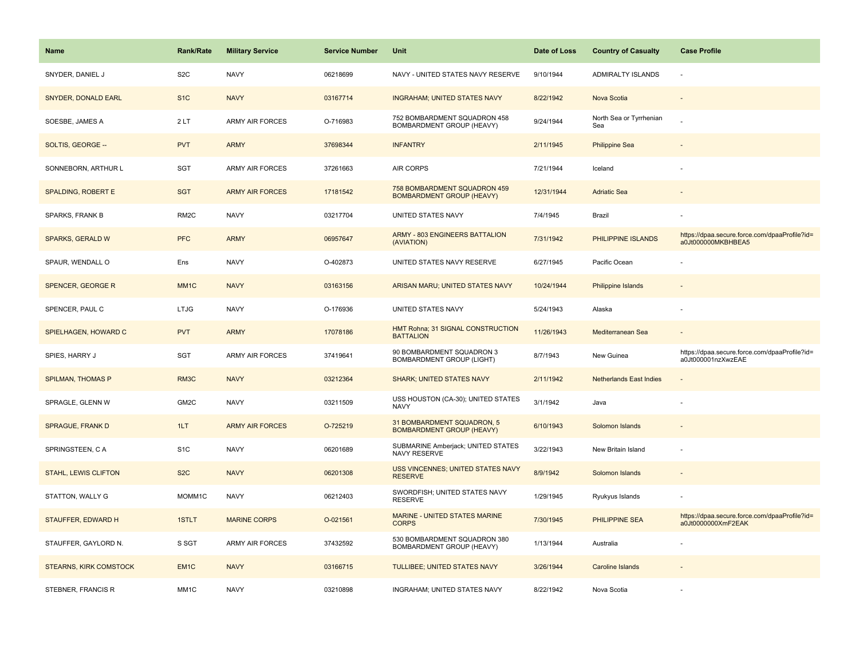| <b>Name</b>                   | <b>Rank/Rate</b>  | <b>Military Service</b> | <b>Service Number</b> | Unit                                                             | Date of Loss | <b>Country of Casualty</b>     | <b>Case Profile</b>                                                 |
|-------------------------------|-------------------|-------------------------|-----------------------|------------------------------------------------------------------|--------------|--------------------------------|---------------------------------------------------------------------|
| SNYDER, DANIEL J              | S <sub>2</sub> C  | <b>NAVY</b>             | 06218699              | NAVY - UNITED STATES NAVY RESERVE                                | 9/10/1944    | <b>ADMIRALTY ISLANDS</b>       |                                                                     |
| SNYDER, DONALD EARL           | S <sub>1</sub> C  | <b>NAVY</b>             | 03167714              | <b>INGRAHAM; UNITED STATES NAVY</b>                              | 8/22/1942    | Nova Scotia                    |                                                                     |
| SOESBE, JAMES A               | 2LT               | <b>ARMY AIR FORCES</b>  | O-716983              | 752 BOMBARDMENT SQUADRON 458<br>BOMBARDMENT GROUP (HEAVY)        | 9/24/1944    | North Sea or Tyrrhenian<br>Sea |                                                                     |
| SOLTIS, GEORGE --             | <b>PVT</b>        | <b>ARMY</b>             | 37698344              | <b>INFANTRY</b>                                                  | 2/11/1945    | <b>Philippine Sea</b>          |                                                                     |
| SONNEBORN, ARTHUR L           | <b>SGT</b>        | <b>ARMY AIR FORCES</b>  | 37261663              | <b>AIR CORPS</b>                                                 | 7/21/1944    | Iceland                        |                                                                     |
| <b>SPALDING, ROBERT E</b>     | <b>SGT</b>        | <b>ARMY AIR FORCES</b>  | 17181542              | 758 BOMBARDMENT SQUADRON 459<br><b>BOMBARDMENT GROUP (HEAVY)</b> | 12/31/1944   | <b>Adriatic Sea</b>            |                                                                     |
| SPARKS, FRANK B               | RM <sub>2</sub> C | <b>NAVY</b>             | 03217704              | UNITED STATES NAVY                                               | 7/4/1945     | Brazil                         |                                                                     |
| <b>SPARKS, GERALD W</b>       | <b>PFC</b>        | <b>ARMY</b>             | 06957647              | <b>ARMY - 803 ENGINEERS BATTALION</b><br>(AVIATION)              | 7/31/1942    | PHILIPPINE ISLANDS             | https://dpaa.secure.force.com/dpaaProfile?id=<br>a0Jt000000MKBHBEA5 |
| SPAUR, WENDALL O              | Ens               | <b>NAVY</b>             | O-402873              | UNITED STATES NAVY RESERVE                                       | 6/27/1945    | Pacific Ocean                  |                                                                     |
| <b>SPENCER, GEORGE R</b>      | MM <sub>1C</sub>  | <b>NAVY</b>             | 03163156              | ARISAN MARU; UNITED STATES NAVY                                  | 10/24/1944   | Philippine Islands             |                                                                     |
| SPENCER, PAUL C               | <b>LTJG</b>       | <b>NAVY</b>             | O-176936              | UNITED STATES NAVY                                               | 5/24/1943    | Alaska                         |                                                                     |
| SPIELHAGEN, HOWARD C          | <b>PVT</b>        | <b>ARMY</b>             | 17078186              | HMT Rohna; 31 SIGNAL CONSTRUCTION<br><b>BATTALION</b>            | 11/26/1943   | Mediterranean Sea              |                                                                     |
| SPIES, HARRY J                | <b>SGT</b>        | ARMY AIR FORCES         | 37419641              | 90 BOMBARDMENT SQUADRON 3<br>BOMBARDMENT GROUP (LIGHT)           | 8/7/1943     | New Guinea                     | https://dpaa.secure.force.com/dpaaProfile?id=<br>a0Jt000001nzXwzEAE |
| <b>SPILMAN, THOMAS P</b>      | RM3C              | <b>NAVY</b>             | 03212364              | <b>SHARK: UNITED STATES NAVY</b>                                 | 2/11/1942    | <b>Netherlands East Indies</b> |                                                                     |
| SPRAGLE, GLENN W              | GM2C              | <b>NAVY</b>             | 03211509              | USS HOUSTON (CA-30); UNITED STATES<br><b>NAVY</b>                | 3/1/1942     | Java                           |                                                                     |
| <b>SPRAGUE, FRANK D</b>       | 1LT               | <b>ARMY AIR FORCES</b>  | O-725219              | 31 BOMBARDMENT SQUADRON, 5<br><b>BOMBARDMENT GROUP (HEAVY)</b>   | 6/10/1943    | Solomon Islands                |                                                                     |
| SPRINGSTEEN, CA               | S <sub>1</sub> C  | <b>NAVY</b>             | 06201689              | SUBMARINE Amberjack; UNITED STATES<br>NAVY RESERVE               | 3/22/1943    | New Britain Island             |                                                                     |
| <b>STAHL, LEWIS CLIFTON</b>   | S <sub>2</sub> C  | <b>NAVY</b>             | 06201308              | USS VINCENNES; UNITED STATES NAVY<br><b>RESERVE</b>              | 8/9/1942     | Solomon Islands                |                                                                     |
| STATTON, WALLY G              | MOMM1C            | <b>NAVY</b>             | 06212403              | SWORDFISH; UNITED STATES NAVY<br><b>RESERVE</b>                  | 1/29/1945    | Ryukyus Islands                |                                                                     |
| <b>STAUFFER, EDWARD H</b>     | 1STLT             | <b>MARINE CORPS</b>     | O-021561              | MARINE - UNITED STATES MARINE<br><b>CORPS</b>                    | 7/30/1945    | <b>PHILIPPINE SEA</b>          | https://dpaa.secure.force.com/dpaaProfile?id=<br>a0Jt0000000XmF2EAK |
| STAUFFER, GAYLORD N.          | S SGT             | ARMY AIR FORCES         | 37432592              | 530 BOMBARDMENT SQUADRON 380<br>BOMBARDMENT GROUP (HEAVY)        | 1/13/1944    | Australia                      |                                                                     |
| <b>STEARNS, KIRK COMSTOCK</b> | EM <sub>1C</sub>  | <b>NAVY</b>             | 03166715              | TULLIBEE; UNITED STATES NAVY                                     | 3/26/1944    | <b>Caroline Islands</b>        |                                                                     |
| STEBNER, FRANCIS R            | MM <sub>1</sub> C | <b>NAVY</b>             | 03210898              | INGRAHAM; UNITED STATES NAVY                                     | 8/22/1942    | Nova Scotia                    |                                                                     |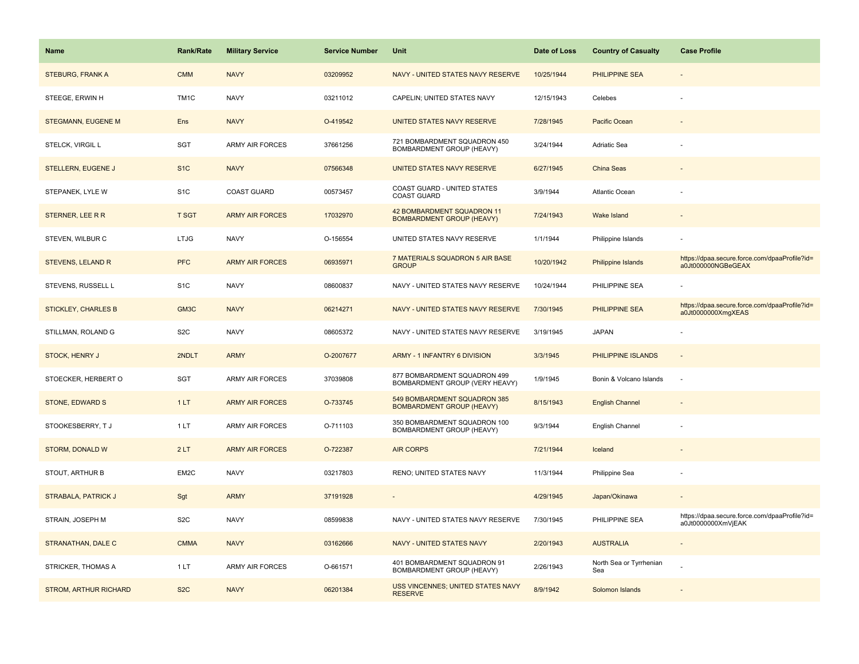| <b>Name</b>                  | <b>Rank/Rate</b> | <b>Military Service</b> | <b>Service Number</b> | Unit                                                             | Date of Loss | <b>Country of Casualty</b>     | <b>Case Profile</b>                                                 |
|------------------------------|------------------|-------------------------|-----------------------|------------------------------------------------------------------|--------------|--------------------------------|---------------------------------------------------------------------|
| <b>STEBURG, FRANK A</b>      | <b>CMM</b>       | <b>NAVY</b>             | 03209952              | NAVY - UNITED STATES NAVY RESERVE                                | 10/25/1944   | <b>PHILIPPINE SEA</b>          |                                                                     |
| STEEGE, ERWIN H              | TM1C             | <b>NAVY</b>             | 03211012              | CAPELIN; UNITED STATES NAVY                                      | 12/15/1943   | Celebes                        |                                                                     |
| <b>STEGMANN, EUGENE M</b>    | Ens              | <b>NAVY</b>             | O-419542              | UNITED STATES NAVY RESERVE                                       | 7/28/1945    | Pacific Ocean                  |                                                                     |
| STELCK, VIRGIL L             | <b>SGT</b>       | <b>ARMY AIR FORCES</b>  | 37661256              | 721 BOMBARDMENT SQUADRON 450<br>BOMBARDMENT GROUP (HEAVY)        | 3/24/1944    | Adriatic Sea                   |                                                                     |
| <b>STELLERN, EUGENE J</b>    | S <sub>1</sub> C | <b>NAVY</b>             | 07566348              | UNITED STATES NAVY RESERVE                                       | 6/27/1945    | <b>China Seas</b>              |                                                                     |
| STEPANEK, LYLE W             | S <sub>1</sub> C | <b>COAST GUARD</b>      | 00573457              | COAST GUARD - UNITED STATES<br><b>COAST GUARD</b>                | 3/9/1944     | Atlantic Ocean                 |                                                                     |
| STERNER, LEE R R             | <b>T SGT</b>     | <b>ARMY AIR FORCES</b>  | 17032970              | 42 BOMBARDMENT SQUADRON 11<br><b>BOMBARDMENT GROUP (HEAVY)</b>   | 7/24/1943    | <b>Wake Island</b>             |                                                                     |
| STEVEN, WILBUR C             | <b>LTJG</b>      | <b>NAVY</b>             | O-156554              | UNITED STATES NAVY RESERVE                                       | 1/1/1944     | Philippine Islands             |                                                                     |
| <b>STEVENS, LELAND R</b>     | <b>PFC</b>       | <b>ARMY AIR FORCES</b>  | 06935971              | 7 MATERIALS SQUADRON 5 AIR BASE<br><b>GROUP</b>                  | 10/20/1942   | Philippine Islands             | https://dpaa.secure.force.com/dpaaProfile?id=<br>a0Jt000000NGBeGEAX |
| STEVENS, RUSSELL L           | S <sub>1</sub> C | <b>NAVY</b>             | 08600837              | NAVY - UNITED STATES NAVY RESERVE                                | 10/24/1944   | PHILIPPINE SEA                 |                                                                     |
| <b>STICKLEY, CHARLES B</b>   | GM3C             | <b>NAVY</b>             | 06214271              | NAVY - UNITED STATES NAVY RESERVE                                | 7/30/1945    | PHILIPPINE SEA                 | https://dpaa.secure.force.com/dpaaProfile?id=<br>a0Jt0000000XmgXEAS |
| STILLMAN, ROLAND G           | S <sub>2</sub> C | <b>NAVY</b>             | 08605372              | NAVY - UNITED STATES NAVY RESERVE                                | 3/19/1945    | <b>JAPAN</b>                   |                                                                     |
| <b>STOCK, HENRY J</b>        | 2NDLT            | <b>ARMY</b>             | O-2007677             | ARMY - 1 INFANTRY 6 DIVISION                                     | 3/3/1945     | PHILIPPINE ISLANDS             |                                                                     |
| STOECKER, HERBERT O          | <b>SGT</b>       | ARMY AIR FORCES         | 37039808              | 877 BOMBARDMENT SQUADRON 499<br>BOMBARDMENT GROUP (VERY HEAVY)   | 1/9/1945     | Bonin & Volcano Islands        | ÷.                                                                  |
| <b>STONE, EDWARD S</b>       | 1LT              | <b>ARMY AIR FORCES</b>  | O-733745              | 549 BOMBARDMENT SQUADRON 385<br><b>BOMBARDMENT GROUP (HEAVY)</b> | 8/15/1943    | <b>English Channel</b>         |                                                                     |
| STOOKESBERRY, TJ             | 1 LT             | ARMY AIR FORCES         | O-711103              | 350 BOMBARDMENT SQUADRON 100<br>BOMBARDMENT GROUP (HEAVY)        | 9/3/1944     | English Channel                |                                                                     |
| <b>STORM, DONALD W</b>       | 2LT              | <b>ARMY AIR FORCES</b>  | O-722387              | <b>AIR CORPS</b>                                                 | 7/21/1944    | Iceland                        |                                                                     |
| STOUT, ARTHUR B              | EM2C             | <b>NAVY</b>             | 03217803              | RENO; UNITED STATES NAVY                                         | 11/3/1944    | Philippine Sea                 |                                                                     |
| <b>STRABALA, PATRICK J</b>   | Sgt              | <b>ARMY</b>             | 37191928              |                                                                  | 4/29/1945    | Japan/Okinawa                  |                                                                     |
| STRAIN, JOSEPH M             | S <sub>2</sub> C | <b>NAVY</b>             | 08599838              | NAVY - UNITED STATES NAVY RESERVE                                | 7/30/1945    | PHILIPPINE SEA                 | https://dpaa.secure.force.com/dpaaProfile?id=<br>a0Jt0000000XmVjEAK |
| STRANATHAN, DALE C           | <b>CMMA</b>      | <b>NAVY</b>             | 03162666              | <b>NAVY - UNITED STATES NAVY</b>                                 | 2/20/1943    | <b>AUSTRALIA</b>               |                                                                     |
| STRICKER, THOMAS A           | 1LT              | <b>ARMY AIR FORCES</b>  | O-661571              | 401 BOMBARDMENT SQUADRON 91<br>BOMBARDMENT GROUP (HEAVY)         | 2/26/1943    | North Sea or Tyrrhenian<br>Sea |                                                                     |
| <b>STROM, ARTHUR RICHARD</b> | S <sub>2</sub> C | <b>NAVY</b>             | 06201384              | USS VINCENNES; UNITED STATES NAVY<br><b>RESERVE</b>              | 8/9/1942     | Solomon Islands                |                                                                     |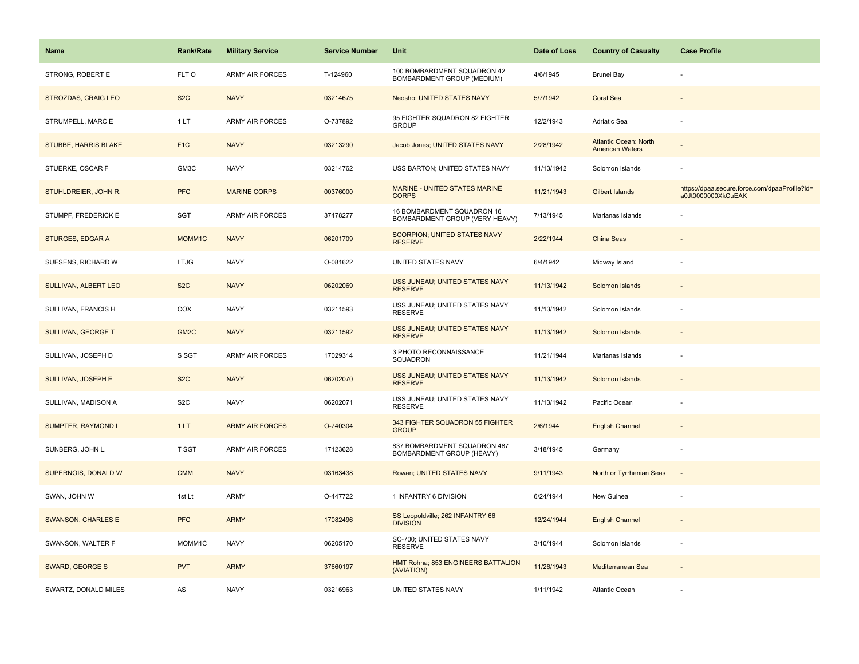| <b>Name</b>                 | Rank/Rate        | <b>Military Service</b> | <b>Service Number</b> | Unit                                                         | Date of Loss | <b>Country of Casualty</b>                             | <b>Case Profile</b>                                                 |
|-----------------------------|------------------|-------------------------|-----------------------|--------------------------------------------------------------|--------------|--------------------------------------------------------|---------------------------------------------------------------------|
| STRONG, ROBERT E            | FLT O            | <b>ARMY AIR FORCES</b>  | T-124960              | 100 BOMBARDMENT SQUADRON 42<br>BOMBARDMENT GROUP (MEDIUM)    | 4/6/1945     | Brunei Bay                                             |                                                                     |
| <b>STROZDAS, CRAIG LEO</b>  | S <sub>2</sub> C | <b>NAVY</b>             | 03214675              | Neosho; UNITED STATES NAVY                                   | 5/7/1942     | <b>Coral Sea</b>                                       |                                                                     |
| STRUMPELL, MARC E           | 1LT              | <b>ARMY AIR FORCES</b>  | O-737892              | 95 FIGHTER SQUADRON 82 FIGHTER<br><b>GROUP</b>               | 12/2/1943    | Adriatic Sea                                           |                                                                     |
| <b>STUBBE, HARRIS BLAKE</b> | F <sub>1</sub> C | <b>NAVY</b>             | 03213290              | Jacob Jones; UNITED STATES NAVY                              | 2/28/1942    | <b>Atlantic Ocean: North</b><br><b>American Waters</b> |                                                                     |
| STUERKE, OSCAR F            | GM3C             | <b>NAVY</b>             | 03214762              | USS BARTON; UNITED STATES NAVY                               | 11/13/1942   | Solomon Islands                                        |                                                                     |
| STUHLDREIER, JOHN R.        | <b>PFC</b>       | <b>MARINE CORPS</b>     | 00376000              | MARINE - UNITED STATES MARINE<br><b>CORPS</b>                | 11/21/1943   | Gilbert Islands                                        | https://dpaa.secure.force.com/dpaaProfile?id=<br>a0Jt0000000XkCuEAK |
| STUMPF, FREDERICK E         | SGT              | <b>ARMY AIR FORCES</b>  | 37478277              | 16 BOMBARDMENT SQUADRON 16<br>BOMBARDMENT GROUP (VERY HEAVY) | 7/13/1945    | Marianas Islands                                       |                                                                     |
| <b>STURGES, EDGAR A</b>     | MOMM1C           | <b>NAVY</b>             | 06201709              | <b>SCORPION; UNITED STATES NAVY</b><br><b>RESERVE</b>        | 2/22/1944    | <b>China Seas</b>                                      |                                                                     |
| SUESENS, RICHARD W          | <b>LTJG</b>      | <b>NAVY</b>             | O-081622              | UNITED STATES NAVY                                           | 6/4/1942     | Midway Island                                          |                                                                     |
| SULLIVAN, ALBERT LEO        | S <sub>2</sub> C | <b>NAVY</b>             | 06202069              | USS JUNEAU; UNITED STATES NAVY<br><b>RESERVE</b>             | 11/13/1942   | Solomon Islands                                        |                                                                     |
| SULLIVAN, FRANCIS H         | COX              | <b>NAVY</b>             | 03211593              | USS JUNEAU; UNITED STATES NAVY<br><b>RESERVE</b>             | 11/13/1942   | Solomon Islands                                        |                                                                     |
| <b>SULLIVAN, GEORGE T</b>   | GM <sub>2C</sub> | <b>NAVY</b>             | 03211592              | USS JUNEAU; UNITED STATES NAVY<br><b>RESERVE</b>             | 11/13/1942   | Solomon Islands                                        |                                                                     |
| SULLIVAN, JOSEPH D          | S SGT            | <b>ARMY AIR FORCES</b>  | 17029314              | 3 PHOTO RECONNAISSANCE<br>SQUADRON                           | 11/21/1944   | Marianas Islands                                       |                                                                     |
| <b>SULLIVAN, JOSEPH E</b>   | S <sub>2</sub> C | <b>NAVY</b>             | 06202070              | USS JUNEAU; UNITED STATES NAVY<br><b>RESERVE</b>             | 11/13/1942   | Solomon Islands                                        |                                                                     |
| SULLIVAN, MADISON A         | S <sub>2</sub> C | <b>NAVY</b>             | 06202071              | USS JUNEAU; UNITED STATES NAVY<br><b>RESERVE</b>             | 11/13/1942   | Pacific Ocean                                          |                                                                     |
| <b>SUMPTER, RAYMOND L</b>   | 1LT              | <b>ARMY AIR FORCES</b>  | O-740304              | 343 FIGHTER SQUADRON 55 FIGHTER<br><b>GROUP</b>              | 2/6/1944     | <b>English Channel</b>                                 |                                                                     |
| SUNBERG, JOHN L.            | T SGT            | <b>ARMY AIR FORCES</b>  | 17123628              | 837 BOMBARDMENT SQUADRON 487<br>BOMBARDMENT GROUP (HEAVY)    | 3/18/1945    | Germany                                                |                                                                     |
| SUPERNOIS, DONALD W         | <b>CMM</b>       | <b>NAVY</b>             | 03163438              | Rowan; UNITED STATES NAVY                                    | 9/11/1943    | North or Tyrrhenian Seas                               | $\sim$                                                              |
| SWAN, JOHN W                | 1st Lt           | <b>ARMY</b>             | O-447722              | 1 INFANTRY 6 DIVISION                                        | 6/24/1944    | New Guinea                                             |                                                                     |
| <b>SWANSON, CHARLES E</b>   | <b>PFC</b>       | <b>ARMY</b>             | 17082496              | SS Leopoldville; 262 INFANTRY 66<br><b>DIVISION</b>          | 12/24/1944   | <b>English Channel</b>                                 |                                                                     |
| SWANSON, WALTER F           | MOMM1C           | <b>NAVY</b>             | 06205170              | SC-700; UNITED STATES NAVY<br><b>RESERVE</b>                 | 3/10/1944    | Solomon Islands                                        | ÷,                                                                  |
| <b>SWARD, GEORGE S</b>      | <b>PVT</b>       | <b>ARMY</b>             | 37660197              | HMT Rohna; 853 ENGINEERS BATTALION<br>(AVIATION)             | 11/26/1943   | Mediterranean Sea                                      |                                                                     |
| SWARTZ, DONALD MILES        | AS               | <b>NAVY</b>             | 03216963              | UNITED STATES NAVY                                           | 1/11/1942    | <b>Atlantic Ocean</b>                                  |                                                                     |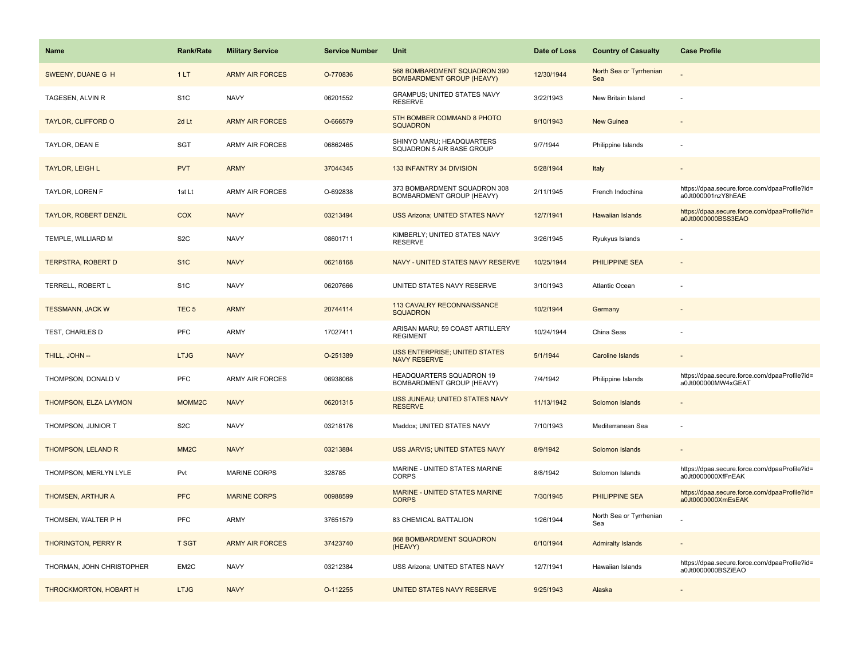| <b>Name</b>                | <b>Rank/Rate</b>   | <b>Military Service</b> | <b>Service Number</b> | Unit                                                             | Date of Loss | <b>Country of Casualty</b>     | <b>Case Profile</b>                                                 |
|----------------------------|--------------------|-------------------------|-----------------------|------------------------------------------------------------------|--------------|--------------------------------|---------------------------------------------------------------------|
| SWEENY, DUANE G H          | 1LT                | <b>ARMY AIR FORCES</b>  | O-770836              | 568 BOMBARDMENT SQUADRON 390<br><b>BOMBARDMENT GROUP (HEAVY)</b> | 12/30/1944   | North Sea or Tyrrhenian<br>Sea |                                                                     |
| TAGESEN, ALVIN R           | S <sub>1</sub> C   | <b>NAVY</b>             | 06201552              | GRAMPUS; UNITED STATES NAVY<br><b>RESERVE</b>                    | 3/22/1943    | New Britain Island             |                                                                     |
| <b>TAYLOR, CLIFFORD O</b>  | 2d Lt              | <b>ARMY AIR FORCES</b>  | O-666579              | 5TH BOMBER COMMAND 8 PHOTO<br><b>SQUADRON</b>                    | 9/10/1943    | <b>New Guinea</b>              |                                                                     |
| TAYLOR, DEAN E             | SGT                | <b>ARMY AIR FORCES</b>  | 06862465              | SHINYO MARU; HEADQUARTERS<br>SQUADRON 5 AIR BASE GROUP           | 9/7/1944     | Philippine Islands             |                                                                     |
| <b>TAYLOR, LEIGH L</b>     | <b>PVT</b>         | <b>ARMY</b>             | 37044345              | 133 INFANTRY 34 DIVISION                                         | 5/28/1944    | Italy                          |                                                                     |
| TAYLOR, LOREN F            | 1st Lt             | <b>ARMY AIR FORCES</b>  | O-692838              | 373 BOMBARDMENT SQUADRON 308<br>BOMBARDMENT GROUP (HEAVY)        | 2/11/1945    | French Indochina               | https://dpaa.secure.force.com/dpaaProfile?id=<br>a0Jt000001nzY8hEAE |
| TAYLOR, ROBERT DENZIL      | COX                | <b>NAVY</b>             | 03213494              | <b>USS Arizona; UNITED STATES NAVY</b>                           | 12/7/1941    | <b>Hawaiian Islands</b>        | https://dpaa.secure.force.com/dpaaProfile?id=<br>a0Jt0000000BSS3EAO |
| TEMPLE, WILLIARD M         | S <sub>2</sub> C   | <b>NAVY</b>             | 08601711              | KIMBERLY; UNITED STATES NAVY<br><b>RESERVE</b>                   | 3/26/1945    | Ryukyus Islands                |                                                                     |
| <b>TERPSTRA, ROBERT D</b>  | S <sub>1</sub> C   | <b>NAVY</b>             | 06218168              | NAVY - UNITED STATES NAVY RESERVE                                | 10/25/1944   | <b>PHILIPPINE SEA</b>          |                                                                     |
| TERRELL, ROBERT L          | S <sub>1</sub> C   | <b>NAVY</b>             | 06207666              | UNITED STATES NAVY RESERVE                                       | 3/10/1943    | <b>Atlantic Ocean</b>          |                                                                     |
| <b>TESSMANN, JACK W</b>    | TEC <sub>5</sub>   | <b>ARMY</b>             | 20744114              | 113 CAVALRY RECONNAISSANCE<br><b>SQUADRON</b>                    | 10/2/1944    | Germany                        |                                                                     |
| TEST, CHARLES D            | PFC                | <b>ARMY</b>             | 17027411              | ARISAN MARU; 59 COAST ARTILLERY<br><b>REGIMENT</b>               | 10/24/1944   | China Seas                     |                                                                     |
| THILL, JOHN --             | <b>LTJG</b>        | <b>NAVY</b>             | O-251389              | <b>USS ENTERPRISE; UNITED STATES</b><br><b>NAVY RESERVE</b>      | 5/1/1944     | <b>Caroline Islands</b>        |                                                                     |
| THOMPSON, DONALD V         | <b>PFC</b>         | <b>ARMY AIR FORCES</b>  | 06938068              | HEADQUARTERS SQUADRON 19<br>BOMBARDMENT GROUP (HEAVY)            | 7/4/1942     | Philippine Islands             | https://dpaa.secure.force.com/dpaaProfile?id=<br>a0Jt000000MW4xGEAT |
| THOMPSON, ELZA LAYMON      | MOMM <sub>2C</sub> | <b>NAVY</b>             | 06201315              | USS JUNEAU; UNITED STATES NAVY<br><b>RESERVE</b>                 | 11/13/1942   | Solomon Islands                |                                                                     |
| THOMPSON, JUNIOR T         | S <sub>2</sub> C   | <b>NAVY</b>             | 03218176              | Maddox; UNITED STATES NAVY                                       | 7/10/1943    | Mediterranean Sea              |                                                                     |
| THOMPSON, LELAND R         | MM <sub>2</sub> C  | <b>NAVY</b>             | 03213884              | USS JARVIS; UNITED STATES NAVY                                   | 8/9/1942     | Solomon Islands                |                                                                     |
| THOMPSON, MERLYN LYLE      | Pvt                | <b>MARINE CORPS</b>     | 328785                | MARINE - UNITED STATES MARINE<br><b>CORPS</b>                    | 8/8/1942     | Solomon Islands                | https://dpaa.secure.force.com/dpaaProfile?id=<br>a0Jt0000000XfFnEAK |
| THOMSEN, ARTHUR A          | <b>PFC</b>         | <b>MARINE CORPS</b>     | 00988599              | MARINE - UNITED STATES MARINE<br><b>CORPS</b>                    | 7/30/1945    | <b>PHILIPPINE SEA</b>          | https://dpaa.secure.force.com/dpaaProfile?id=<br>a0Jt0000000XmEsEAK |
| THOMSEN, WALTER P H        | <b>PFC</b>         | <b>ARMY</b>             | 37651579              | 83 CHEMICAL BATTALION                                            | 1/26/1944    | North Sea or Tyrrhenian<br>Sea |                                                                     |
| <b>THORINGTON, PERRY R</b> | <b>T SGT</b>       | <b>ARMY AIR FORCES</b>  | 37423740              | 868 BOMBARDMENT SQUADRON<br>(HEAVY)                              | 6/10/1944    | <b>Admiralty Islands</b>       |                                                                     |
| THORMAN, JOHN CHRISTOPHER  | EM2C               | <b>NAVY</b>             | 03212384              | USS Arizona; UNITED STATES NAVY                                  | 12/7/1941    | Hawaiian Islands               | https://dpaa.secure.force.com/dpaaProfile?id=<br>a0Jt0000000BSZiEAO |
| THROCKMORTON, HOBART H     | <b>LTJG</b>        | <b>NAVY</b>             | O-112255              | UNITED STATES NAVY RESERVE                                       | 9/25/1943    | Alaska                         |                                                                     |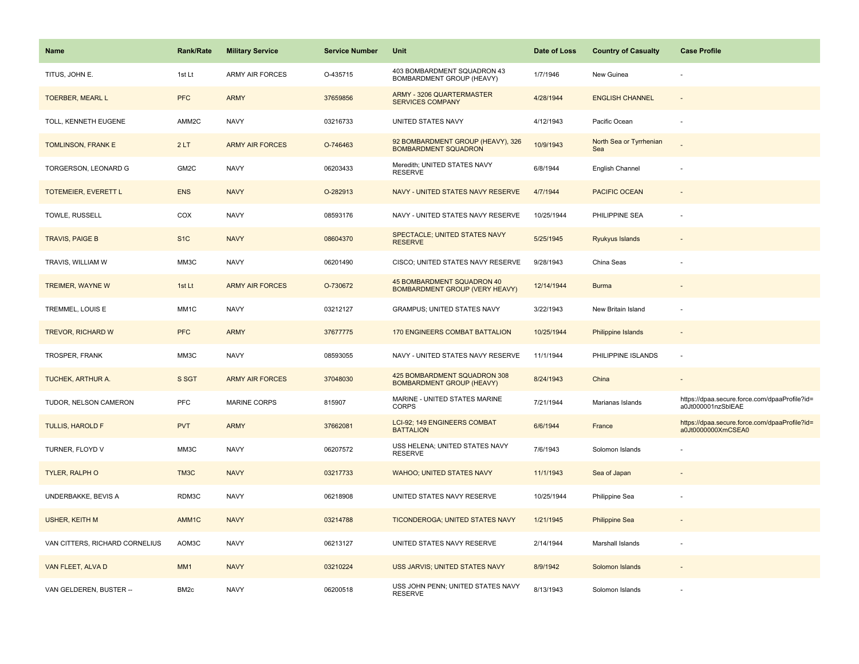| <b>Name</b>                    | <b>Rank/Rate</b>  | <b>Military Service</b> | <b>Service Number</b> | Unit                                                             | Date of Loss | <b>Country of Casualty</b>     | <b>Case Profile</b>                                                 |
|--------------------------------|-------------------|-------------------------|-----------------------|------------------------------------------------------------------|--------------|--------------------------------|---------------------------------------------------------------------|
| TITUS, JOHN E.                 | 1st Lt            | <b>ARMY AIR FORCES</b>  | O-435715              | 403 BOMBARDMENT SQUADRON 43<br>BOMBARDMENT GROUP (HEAVY)         | 1/7/1946     | New Guinea                     |                                                                     |
| <b>TOERBER, MEARL L</b>        | <b>PFC</b>        | <b>ARMY</b>             | 37659856              | ARMY - 3206 QUARTERMASTER<br><b>SERVICES COMPANY</b>             | 4/28/1944    | <b>ENGLISH CHANNEL</b>         |                                                                     |
| TOLL, KENNETH EUGENE           | AMM2C             | <b>NAVY</b>             | 03216733              | UNITED STATES NAVY                                               | 4/12/1943    | Pacific Ocean                  |                                                                     |
| TOMLINSON, FRANK E             | 2LT               | <b>ARMY AIR FORCES</b>  | O-746463              | 92 BOMBARDMENT GROUP (HEAVY), 326<br><b>BOMBARDMENT SQUADRON</b> | 10/9/1943    | North Sea or Tyrrhenian<br>Sea |                                                                     |
| TORGERSON, LEONARD G           | GM <sub>2</sub> C | <b>NAVY</b>             | 06203433              | Meredith: UNITED STATES NAVY<br><b>RESERVE</b>                   | 6/8/1944     | English Channel                |                                                                     |
| TOTEMEIER, EVERETT L           | <b>ENS</b>        | <b>NAVY</b>             | O-282913              | NAVY - UNITED STATES NAVY RESERVE                                | 4/7/1944     | PACIFIC OCEAN                  |                                                                     |
| TOWLE, RUSSELL                 | COX               | <b>NAVY</b>             | 08593176              | NAVY - UNITED STATES NAVY RESERVE                                | 10/25/1944   | PHILIPPINE SEA                 |                                                                     |
| <b>TRAVIS, PAIGE B</b>         | S <sub>1</sub> C  | <b>NAVY</b>             | 08604370              | SPECTACLE; UNITED STATES NAVY<br><b>RESERVE</b>                  | 5/25/1945    | Ryukyus Islands                |                                                                     |
| TRAVIS, WILLIAM W              | MM3C              | <b>NAVY</b>             | 06201490              | CISCO; UNITED STATES NAVY RESERVE                                | 9/28/1943    | China Seas                     |                                                                     |
| <b>TREIMER, WAYNE W</b>        | 1st Lt            | <b>ARMY AIR FORCES</b>  | O-730672              | 45 BOMBARDMENT SQUADRON 40<br>BOMBARDMENT GROUP (VERY HEAVY)     | 12/14/1944   | <b>Burma</b>                   |                                                                     |
| TREMMEL, LOUIS E               | MM1C              | <b>NAVY</b>             | 03212127              | <b>GRAMPUS; UNITED STATES NAVY</b>                               | 3/22/1943    | New Britain Island             |                                                                     |
| <b>TREVOR, RICHARD W</b>       | <b>PFC</b>        | <b>ARMY</b>             | 37677775              | 170 ENGINEERS COMBAT BATTALION                                   | 10/25/1944   | Philippine Islands             |                                                                     |
| TROSPER, FRANK                 | MM3C              | <b>NAVY</b>             | 08593055              | NAVY - UNITED STATES NAVY RESERVE                                | 11/1/1944    | PHILIPPINE ISLANDS             |                                                                     |
| TUCHEK, ARTHUR A.              | S SGT             | <b>ARMY AIR FORCES</b>  | 37048030              | 425 BOMBARDMENT SQUADRON 308<br><b>BOMBARDMENT GROUP (HEAVY)</b> | 8/24/1943    | China                          | $\sim$                                                              |
| TUDOR, NELSON CAMERON          | PFC               | <b>MARINE CORPS</b>     | 815907                | MARINE - UNITED STATES MARINE<br><b>CORPS</b>                    | 7/21/1944    | Marianas Islands               | https://dpaa.secure.force.com/dpaaProfile?id=<br>a0Jt000001nzSblEAE |
| TULLIS, HAROLD F               | <b>PVT</b>        | <b>ARMY</b>             | 37662081              | LCI-92; 149 ENGINEERS COMBAT<br><b>BATTALION</b>                 | 6/6/1944     | France                         | https://dpaa.secure.force.com/dpaaProfile?id=<br>a0Jt0000000XmCSEA0 |
| TURNER, FLOYD V                | MM3C              | <b>NAVY</b>             | 06207572              | USS HELENA; UNITED STATES NAVY<br><b>RESERVE</b>                 | 7/6/1943     | Solomon Islands                |                                                                     |
| TYLER, RALPH O                 | TM3C              | <b>NAVY</b>             | 03217733              | <b>WAHOO; UNITED STATES NAVY</b>                                 | 11/1/1943    | Sea of Japan                   |                                                                     |
| UNDERBAKKE, BEVIS A            | RDM3C             | <b>NAVY</b>             | 06218908              | UNITED STATES NAVY RESERVE                                       | 10/25/1944   | Philippine Sea                 |                                                                     |
| <b>USHER, KEITH M</b>          | AMM1C             | <b>NAVY</b>             | 03214788              | TICONDEROGA; UNITED STATES NAVY                                  | 1/21/1945    | <b>Philippine Sea</b>          |                                                                     |
| VAN CITTERS, RICHARD CORNELIUS | AOM3C             | <b>NAVY</b>             | 06213127              | UNITED STATES NAVY RESERVE                                       | 2/14/1944    | Marshall Islands               |                                                                     |
| VAN FLEET, ALVA D              | MM <sub>1</sub>   | <b>NAVY</b>             | 03210224              | USS JARVIS; UNITED STATES NAVY                                   | 8/9/1942     | Solomon Islands                |                                                                     |
| VAN GELDEREN, BUSTER --        | BM <sub>2c</sub>  | <b>NAVY</b>             | 06200518              | USS JOHN PENN; UNITED STATES NAVY<br><b>RESERVE</b>              | 8/13/1943    | Solomon Islands                |                                                                     |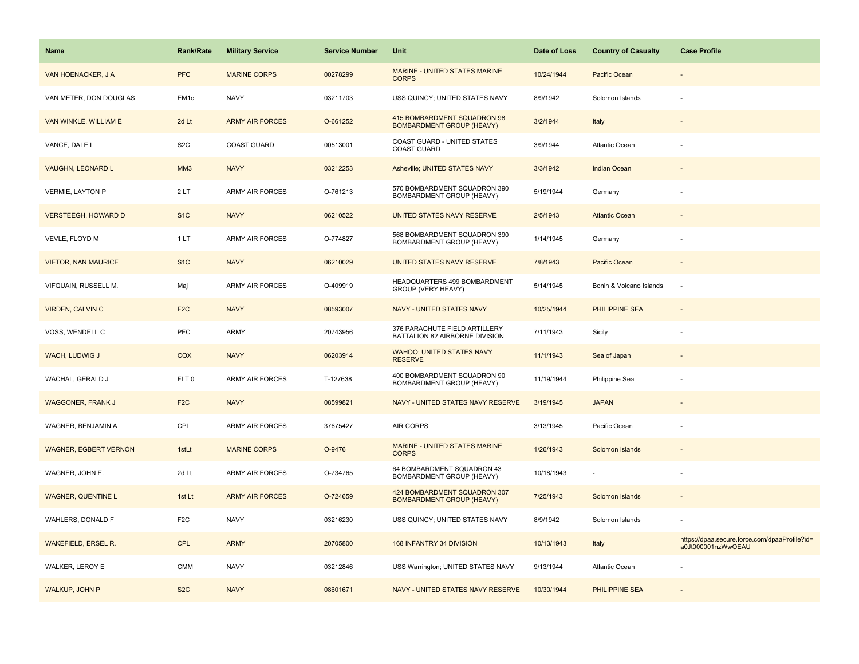| <b>Name</b>                  | <b>Rank/Rate</b> | <b>Military Service</b> | <b>Service Number</b> | Unit                                                             | Date of Loss | <b>Country of Casualty</b> | <b>Case Profile</b>                                                 |
|------------------------------|------------------|-------------------------|-----------------------|------------------------------------------------------------------|--------------|----------------------------|---------------------------------------------------------------------|
| VAN HOENACKER, J A           | <b>PFC</b>       | <b>MARINE CORPS</b>     | 00278299              | MARINE - UNITED STATES MARINE<br><b>CORPS</b>                    | 10/24/1944   | Pacific Ocean              |                                                                     |
| VAN METER, DON DOUGLAS       | EM <sub>1c</sub> | <b>NAVY</b>             | 03211703              | USS QUINCY; UNITED STATES NAVY                                   | 8/9/1942     | Solomon Islands            |                                                                     |
| VAN WINKLE, WILLIAM E        | 2d Lt            | <b>ARMY AIR FORCES</b>  | O-661252              | 415 BOMBARDMENT SQUADRON 98<br><b>BOMBARDMENT GROUP (HEAVY)</b>  | 3/2/1944     | Italy                      |                                                                     |
| VANCE, DALE L                | S <sub>2</sub> C | <b>COAST GUARD</b>      | 00513001              | COAST GUARD - UNITED STATES<br><b>COAST GUARD</b>                | 3/9/1944     | <b>Atlantic Ocean</b>      |                                                                     |
| <b>VAUGHN, LEONARD L</b>     | MM <sub>3</sub>  | <b>NAVY</b>             | 03212253              | Asheville; UNITED STATES NAVY                                    | 3/3/1942     | <b>Indian Ocean</b>        |                                                                     |
| VERMIE, LAYTON P             | 2LT              | <b>ARMY AIR FORCES</b>  | O-761213              | 570 BOMBARDMENT SQUADRON 390<br>BOMBARDMENT GROUP (HEAVY)        | 5/19/1944    | Germany                    |                                                                     |
| <b>VERSTEEGH, HOWARD D</b>   | S <sub>1</sub> C | <b>NAVY</b>             | 06210522              | UNITED STATES NAVY RESERVE                                       | 2/5/1943     | <b>Atlantic Ocean</b>      |                                                                     |
| VEVLE, FLOYD M               | 1 LT             | <b>ARMY AIR FORCES</b>  | O-774827              | 568 BOMBARDMENT SQUADRON 390<br>BOMBARDMENT GROUP (HEAVY)        | 1/14/1945    | Germany                    |                                                                     |
| <b>VIETOR, NAN MAURICE</b>   | S <sub>1</sub> C | <b>NAVY</b>             | 06210029              | UNITED STATES NAVY RESERVE                                       | 7/8/1943     | Pacific Ocean              |                                                                     |
| VIFQUAIN, RUSSELL M.         | Maj              | <b>ARMY AIR FORCES</b>  | O-409919              | HEADQUARTERS 499 BOMBARDMENT<br>GROUP (VERY HEAVY)               | 5/14/1945    | Bonin & Volcano Islands    | $\sim$                                                              |
| <b>VIRDEN, CALVIN C</b>      | F <sub>2</sub> C | <b>NAVY</b>             | 08593007              | NAVY - UNITED STATES NAVY                                        | 10/25/1944   | <b>PHILIPPINE SEA</b>      |                                                                     |
| VOSS, WENDELL C              | PFC              | <b>ARMY</b>             | 20743956              | 376 PARACHUTE FIELD ARTILLERY<br>BATTALION 82 AIRBORNE DIVISION  | 7/11/1943    | Sicily                     |                                                                     |
| WACH, LUDWIG J               | COX              | <b>NAVY</b>             | 06203914              | <b>WAHOO; UNITED STATES NAVY</b><br><b>RESERVE</b>               | 11/1/1943    | Sea of Japan               |                                                                     |
| WACHAL, GERALD J             | FLT <sub>0</sub> | <b>ARMY AIR FORCES</b>  | T-127638              | 400 BOMBARDMENT SQUADRON 90<br>BOMBARDMENT GROUP (HEAVY)         | 11/19/1944   | Philippine Sea             |                                                                     |
| <b>WAGGONER, FRANK J</b>     | F <sub>2</sub> C | <b>NAVY</b>             | 08599821              | NAVY - UNITED STATES NAVY RESERVE                                | 3/19/1945    | <b>JAPAN</b>               |                                                                     |
| WAGNER, BENJAMIN A           | CPL              | ARMY AIR FORCES         | 37675427              | AIR CORPS                                                        | 3/13/1945    | Pacific Ocean              |                                                                     |
| <b>WAGNER, EGBERT VERNON</b> | 1stLt            | <b>MARINE CORPS</b>     | O-9476                | MARINE - UNITED STATES MARINE<br><b>CORPS</b>                    | 1/26/1943    | Solomon Islands            |                                                                     |
| WAGNER, JOHN E.              | 2d Lt            | ARMY AIR FORCES         | O-734765              | 64 BOMBARDMENT SQUADRON 43<br>BOMBARDMENT GROUP (HEAVY)          | 10/18/1943   |                            |                                                                     |
| <b>WAGNER, QUENTINE L</b>    | 1st Lt           | <b>ARMY AIR FORCES</b>  | O-724659              | 424 BOMBARDMENT SQUADRON 307<br><b>BOMBARDMENT GROUP (HEAVY)</b> | 7/25/1943    | Solomon Islands            |                                                                     |
| WAHLERS, DONALD F            | F <sub>2</sub> C | <b>NAVY</b>             | 03216230              | USS QUINCY; UNITED STATES NAVY                                   | 8/9/1942     | Solomon Islands            |                                                                     |
| <b>WAKEFIELD, ERSEL R.</b>   | <b>CPL</b>       | <b>ARMY</b>             | 20705800              | 168 INFANTRY 34 DIVISION                                         | 10/13/1943   | Italy                      | https://dpaa.secure.force.com/dpaaProfile?id=<br>a0Jt000001nzWwOEAU |
| WALKER, LEROY E              | <b>CMM</b>       | <b>NAVY</b>             | 03212846              | USS Warrington; UNITED STATES NAVY                               | 9/13/1944    | Atlantic Ocean             |                                                                     |
| WALKUP, JOHN P               | S <sub>2</sub> C | <b>NAVY</b>             | 08601671              | NAVY - UNITED STATES NAVY RESERVE                                | 10/30/1944   | <b>PHILIPPINE SEA</b>      |                                                                     |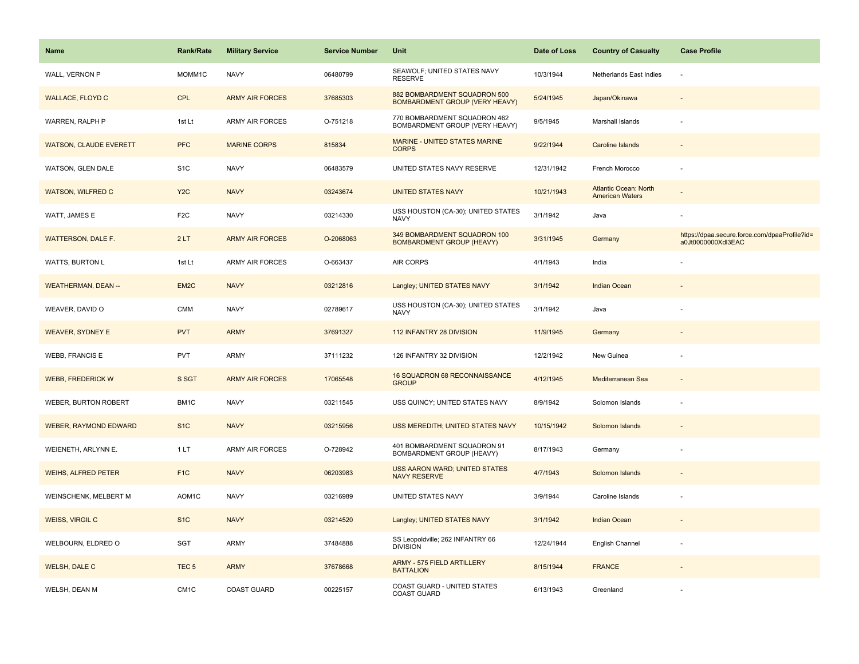| Name                          | <b>Rank/Rate</b>  | <b>Military Service</b> | <b>Service Number</b> | Unit                                                                  | Date of Loss | <b>Country of Casualty</b>                             | <b>Case Profile</b>                                                 |
|-------------------------------|-------------------|-------------------------|-----------------------|-----------------------------------------------------------------------|--------------|--------------------------------------------------------|---------------------------------------------------------------------|
| WALL, VERNON P                | MOMM1C            | <b>NAVY</b>             | 06480799              | SEAWOLF; UNITED STATES NAVY<br><b>RESERVE</b>                         | 10/3/1944    | Netherlands East Indies                                | ÷,                                                                  |
| <b>WALLACE, FLOYD C</b>       | <b>CPL</b>        | <b>ARMY AIR FORCES</b>  | 37685303              | 882 BOMBARDMENT SQUADRON 500<br><b>BOMBARDMENT GROUP (VERY HEAVY)</b> | 5/24/1945    | Japan/Okinawa                                          |                                                                     |
| WARREN, RALPH P               | 1st Lt            | <b>ARMY AIR FORCES</b>  | O-751218              | 770 BOMBARDMENT SQUADRON 462<br>BOMBARDMENT GROUP (VERY HEAVY)        | 9/5/1945     | Marshall Islands                                       |                                                                     |
| <b>WATSON, CLAUDE EVERETT</b> | <b>PFC</b>        | <b>MARINE CORPS</b>     | 815834                | MARINE - UNITED STATES MARINE<br><b>CORPS</b>                         | 9/22/1944    | <b>Caroline Islands</b>                                |                                                                     |
| WATSON, GLEN DALE             | S <sub>1</sub> C  | <b>NAVY</b>             | 06483579              | UNITED STATES NAVY RESERVE                                            | 12/31/1942   | French Morocco                                         |                                                                     |
| <b>WATSON, WILFRED C</b>      | Y <sub>2</sub> C  | <b>NAVY</b>             | 03243674              | <b>UNITED STATES NAVY</b>                                             | 10/21/1943   | <b>Atlantic Ocean: North</b><br><b>American Waters</b> |                                                                     |
| WATT, JAMES E                 | F <sub>2</sub> C  | <b>NAVY</b>             | 03214330              | USS HOUSTON (CA-30); UNITED STATES<br><b>NAVY</b>                     | 3/1/1942     | Java                                                   |                                                                     |
| WATTERSON, DALE F.            | 2LT               | <b>ARMY AIR FORCES</b>  | O-2068063             | 349 BOMBARDMENT SQUADRON 100<br><b>BOMBARDMENT GROUP (HEAVY)</b>      | 3/31/1945    | Germany                                                | https://dpaa.secure.force.com/dpaaProfile?id=<br>a0Jt0000000Xdl3EAC |
| WATTS, BURTON L               | 1st Lt            | ARMY AIR FORCES         | O-663437              | AIR CORPS                                                             | 4/1/1943     | India                                                  |                                                                     |
| <b>WEATHERMAN, DEAN --</b>    | EM <sub>2</sub> C | <b>NAVY</b>             | 03212816              | Langley; UNITED STATES NAVY                                           | 3/1/1942     | <b>Indian Ocean</b>                                    |                                                                     |
| WEAVER, DAVID O               | <b>CMM</b>        | <b>NAVY</b>             | 02789617              | USS HOUSTON (CA-30); UNITED STATES<br>NAVY                            | 3/1/1942     | Java                                                   |                                                                     |
| <b>WEAVER, SYDNEY E</b>       | <b>PVT</b>        | <b>ARMY</b>             | 37691327              | 112 INFANTRY 28 DIVISION                                              | 11/9/1945    | Germany                                                | $\overline{\phantom{a}}$                                            |
| <b>WEBB, FRANCIS E</b>        | PVT               | <b>ARMY</b>             | 37111232              | 126 INFANTRY 32 DIVISION                                              | 12/2/1942    | New Guinea                                             |                                                                     |
| <b>WEBB, FREDERICK W</b>      | S SGT             | <b>ARMY AIR FORCES</b>  | 17065548              | 16 SQUADRON 68 RECONNAISSANCE<br><b>GROUP</b>                         | 4/12/1945    | Mediterranean Sea                                      | $\sim$                                                              |
| WEBER, BURTON ROBERT          | BM1C              | <b>NAVY</b>             | 03211545              | USS QUINCY; UNITED STATES NAVY                                        | 8/9/1942     | Solomon Islands                                        |                                                                     |
| <b>WEBER, RAYMOND EDWARD</b>  | S <sub>1</sub> C  | <b>NAVY</b>             | 03215956              | USS MEREDITH; UNITED STATES NAVY                                      | 10/15/1942   | Solomon Islands                                        |                                                                     |
| WEIENETH, ARLYNN E.           | 1LT               | ARMY AIR FORCES         | O-728942              | 401 BOMBARDMENT SQUADRON 91<br>BOMBARDMENT GROUP (HEAVY)              | 8/17/1943    | Germany                                                |                                                                     |
| <b>WEIHS, ALFRED PETER</b>    | F <sub>1</sub> C  | <b>NAVY</b>             | 06203983              | <b>USS AARON WARD; UNITED STATES</b><br><b>NAVY RESERVE</b>           | 4/7/1943     | Solomon Islands                                        |                                                                     |
| WEINSCHENK, MELBERT M         | AOM1C             | <b>NAVY</b>             | 03216989              | UNITED STATES NAVY                                                    | 3/9/1944     | Caroline Islands                                       | $\sim$                                                              |
| <b>WEISS, VIRGIL C</b>        | S <sub>1</sub> C  | <b>NAVY</b>             | 03214520              | Langley; UNITED STATES NAVY                                           | 3/1/1942     | <b>Indian Ocean</b>                                    |                                                                     |
| WELBOURN, ELDRED O            | SGT               | <b>ARMY</b>             | 37484888              | SS Leopoldville; 262 INFANTRY 66<br><b>DIVISION</b>                   | 12/24/1944   | English Channel                                        |                                                                     |
| <b>WELSH, DALE C</b>          | TEC <sub>5</sub>  | <b>ARMY</b>             | 37678668              | ARMY - 575 FIELD ARTILLERY<br><b>BATTALION</b>                        | 8/15/1944    | <b>FRANCE</b>                                          |                                                                     |
| WELSH, DEAN M                 | CM <sub>1</sub> C | <b>COAST GUARD</b>      | 00225157              | COAST GUARD - UNITED STATES<br><b>COAST GUARD</b>                     | 6/13/1943    | Greenland                                              |                                                                     |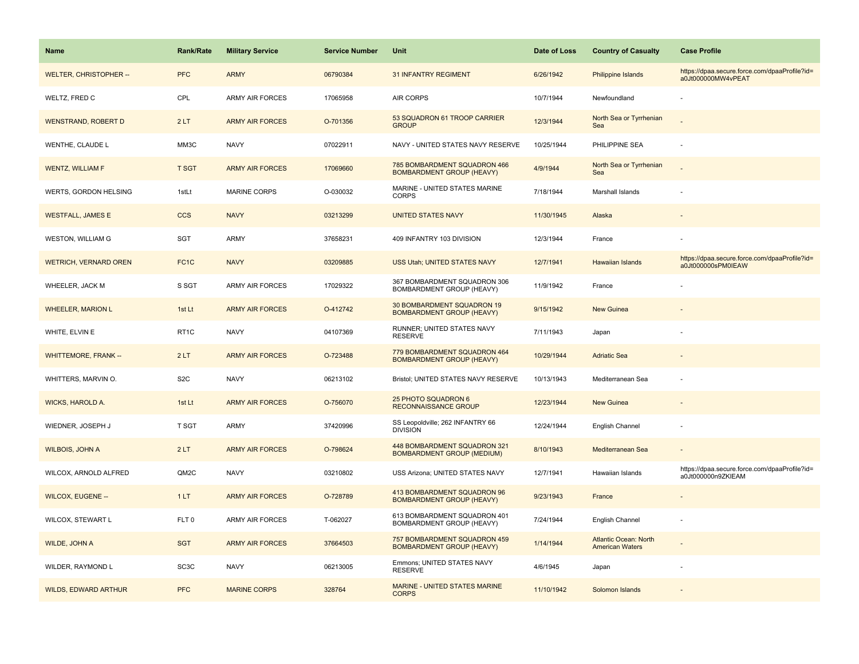| <b>Name</b>                  | <b>Rank/Rate</b>  | <b>Military Service</b> | <b>Service Number</b> | Unit                                                              | Date of Loss | <b>Country of Casualty</b>                             | <b>Case Profile</b>                                                 |
|------------------------------|-------------------|-------------------------|-----------------------|-------------------------------------------------------------------|--------------|--------------------------------------------------------|---------------------------------------------------------------------|
| WELTER, CHRISTOPHER --       | <b>PFC</b>        | <b>ARMY</b>             | 06790384              | <b>31 INFANTRY REGIMENT</b>                                       | 6/26/1942    | <b>Philippine Islands</b>                              | https://dpaa.secure.force.com/dpaaProfile?id=<br>a0Jt000000MW4vPEAT |
| WELTZ, FRED C                | CPL               | <b>ARMY AIR FORCES</b>  | 17065958              | <b>AIR CORPS</b>                                                  | 10/7/1944    | Newfoundland                                           |                                                                     |
| <b>WENSTRAND, ROBERT D</b>   | 2LT               | <b>ARMY AIR FORCES</b>  | O-701356              | 53 SQUADRON 61 TROOP CARRIER<br><b>GROUP</b>                      | 12/3/1944    | North Sea or Tyrrhenian<br>Sea                         |                                                                     |
| WENTHE, CLAUDE L             | MM3C              | <b>NAVY</b>             | 07022911              | NAVY - UNITED STATES NAVY RESERVE                                 | 10/25/1944   | PHILIPPINE SEA                                         |                                                                     |
| <b>WENTZ, WILLIAM F</b>      | <b>T SGT</b>      | <b>ARMY AIR FORCES</b>  | 17069660              | 785 BOMBARDMENT SQUADRON 466<br><b>BOMBARDMENT GROUP (HEAVY)</b>  | 4/9/1944     | North Sea or Tyrrhenian<br>Sea                         |                                                                     |
| WERTS, GORDON HELSING        | 1stLt             | <b>MARINE CORPS</b>     | O-030032              | MARINE - UNITED STATES MARINE<br><b>CORPS</b>                     | 7/18/1944    | Marshall Islands                                       |                                                                     |
| <b>WESTFALL, JAMES E</b>     | <b>CCS</b>        | <b>NAVY</b>             | 03213299              | <b>UNITED STATES NAVY</b>                                         | 11/30/1945   | Alaska                                                 |                                                                     |
| <b>WESTON, WILLIAM G</b>     | SGT               | <b>ARMY</b>             | 37658231              | 409 INFANTRY 103 DIVISION                                         | 12/3/1944    | France                                                 |                                                                     |
| <b>WETRICH, VERNARD OREN</b> | FC <sub>1</sub> C | <b>NAVY</b>             | 03209885              | USS Utah; UNITED STATES NAVY                                      | 12/7/1941    | Hawaiian Islands                                       | https://dpaa.secure.force.com/dpaaProfile?id=<br>a0Jt000000sPM0IEAW |
| WHEELER, JACK M              | S SGT             | <b>ARMY AIR FORCES</b>  | 17029322              | 367 BOMBARDMENT SQUADRON 306<br>BOMBARDMENT GROUP (HEAVY)         | 11/9/1942    | France                                                 |                                                                     |
| <b>WHEELER, MARION L</b>     | 1st Lt            | <b>ARMY AIR FORCES</b>  | O-412742              | 30 BOMBARDMENT SQUADRON 19<br><b>BOMBARDMENT GROUP (HEAVY)</b>    | 9/15/1942    | <b>New Guinea</b>                                      |                                                                     |
| WHITE, ELVIN E               | RT <sub>1</sub> C | <b>NAVY</b>             | 04107369              | RUNNER; UNITED STATES NAVY<br><b>RESERVE</b>                      | 7/11/1943    | Japan                                                  |                                                                     |
| <b>WHITTEMORE, FRANK --</b>  | 2LT               | <b>ARMY AIR FORCES</b>  | O-723488              | 779 BOMBARDMENT SQUADRON 464<br><b>BOMBARDMENT GROUP (HEAVY)</b>  | 10/29/1944   | <b>Adriatic Sea</b>                                    |                                                                     |
| WHITTERS, MARVIN O.          | S <sub>2</sub> C  | <b>NAVY</b>             | 06213102              | Bristol; UNITED STATES NAVY RESERVE                               | 10/13/1943   | Mediterranean Sea                                      |                                                                     |
| WICKS, HAROLD A.             | 1st Lt            | <b>ARMY AIR FORCES</b>  | O-756070              | 25 PHOTO SQUADRON 6<br><b>RECONNAISSANCE GROUP</b>                | 12/23/1944   | New Guinea                                             |                                                                     |
| WIEDNER, JOSEPH J            | T SGT             | <b>ARMY</b>             | 37420996              | SS Leopoldville; 262 INFANTRY 66<br><b>DIVISION</b>               | 12/24/1944   | English Channel                                        |                                                                     |
| <b>WILBOIS, JOHN A</b>       | 2LT               | <b>ARMY AIR FORCES</b>  | O-798624              | 448 BOMBARDMENT SQUADRON 321<br><b>BOMBARDMENT GROUP (MEDIUM)</b> | 8/10/1943    | Mediterranean Sea                                      |                                                                     |
| WILCOX, ARNOLD ALFRED        | QM2C              | <b>NAVY</b>             | 03210802              | USS Arizona; UNITED STATES NAVY                                   | 12/7/1941    | Hawaiian Islands                                       | https://dpaa.secure.force.com/dpaaProfile?id=<br>a0Jt000000n9ZKIEAM |
| <b>WILCOX, EUGENE --</b>     | 1LT               | <b>ARMY AIR FORCES</b>  | O-728789              | 413 BOMBARDMENT SQUADRON 96<br><b>BOMBARDMENT GROUP (HEAVY)</b>   | 9/23/1943    | France                                                 |                                                                     |
| WILCOX, STEWART L            | FLT <sub>0</sub>  | <b>ARMY AIR FORCES</b>  | T-062027              | 613 BOMBARDMENT SQUADRON 401<br><b>BOMBARDMENT GROUP (HEAVY)</b>  | 7/24/1944    | English Channel                                        |                                                                     |
| <b>WILDE, JOHN A</b>         | <b>SGT</b>        | <b>ARMY AIR FORCES</b>  | 37664503              | 757 BOMBARDMENT SQUADRON 459<br><b>BOMBARDMENT GROUP (HEAVY)</b>  | 1/14/1944    | <b>Atlantic Ocean: North</b><br><b>American Waters</b> |                                                                     |
| WILDER, RAYMOND L            | SC <sub>3</sub> C | <b>NAVY</b>             | 06213005              | Emmons; UNITED STATES NAVY<br><b>RESERVE</b>                      | 4/6/1945     | Japan                                                  |                                                                     |
| <b>WILDS, EDWARD ARTHUR</b>  | <b>PFC</b>        | <b>MARINE CORPS</b>     | 328764                | <b>MARINE - UNITED STATES MARINE</b><br><b>CORPS</b>              | 11/10/1942   | Solomon Islands                                        |                                                                     |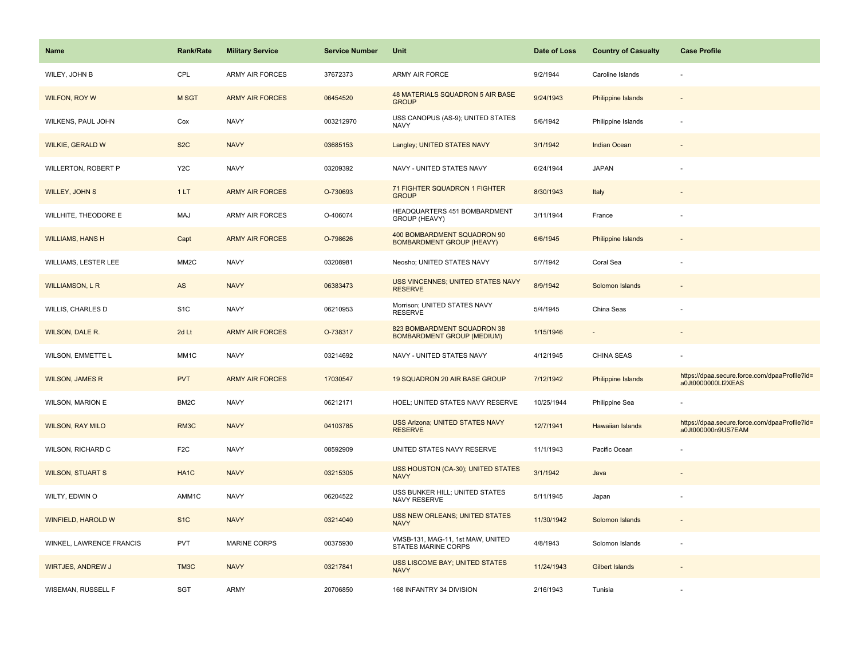| <b>Name</b>                 | <b>Rank/Rate</b>  | <b>Military Service</b> | <b>Service Number</b> | Unit                                                             | Date of Loss | <b>Country of Casualty</b> | <b>Case Profile</b>                                                 |
|-----------------------------|-------------------|-------------------------|-----------------------|------------------------------------------------------------------|--------------|----------------------------|---------------------------------------------------------------------|
| WILEY, JOHN B               | CPL               | <b>ARMY AIR FORCES</b>  | 37672373              | <b>ARMY AIR FORCE</b>                                            | 9/2/1944     | Caroline Islands           |                                                                     |
| <b>WILFON, ROY W</b>        | M SGT             | <b>ARMY AIR FORCES</b>  | 06454520              | 48 MATERIALS SQUADRON 5 AIR BASE<br><b>GROUP</b>                 | 9/24/1943    | <b>Philippine Islands</b>  |                                                                     |
| WILKENS, PAUL JOHN          | Cox               | <b>NAVY</b>             | 003212970             | USS CANOPUS (AS-9); UNITED STATES<br><b>NAVY</b>                 | 5/6/1942     | Philippine Islands         |                                                                     |
| <b>WILKIE, GERALD W</b>     | S <sub>2</sub> C  | <b>NAVY</b>             | 03685153              | Langley; UNITED STATES NAVY                                      | 3/1/1942     | Indian Ocean               |                                                                     |
| WILLERTON, ROBERT P         | Y <sub>2</sub> C  | <b>NAVY</b>             | 03209392              | NAVY - UNITED STATES NAVY                                        | 6/24/1944    | <b>JAPAN</b>               |                                                                     |
| WILLEY, JOHN S              | 1LT               | <b>ARMY AIR FORCES</b>  | O-730693              | 71 FIGHTER SQUADRON 1 FIGHTER<br><b>GROUP</b>                    | 8/30/1943    | Italy                      |                                                                     |
| WILLHITE, THEODORE E        | MAJ               | ARMY AIR FORCES         | O-406074              | HEADQUARTERS 451 BOMBARDMENT<br>GROUP (HEAVY)                    | 3/11/1944    | France                     |                                                                     |
| <b>WILLIAMS, HANS H</b>     | Capt              | <b>ARMY AIR FORCES</b>  | O-798626              | 400 BOMBARDMENT SQUADRON 90<br><b>BOMBARDMENT GROUP (HEAVY)</b>  | 6/6/1945     | Philippine Islands         |                                                                     |
| <b>WILLIAMS, LESTER LEE</b> | MM <sub>2</sub> C | <b>NAVY</b>             | 03208981              | Neosho; UNITED STATES NAVY                                       | 5/7/1942     | Coral Sea                  |                                                                     |
| <b>WILLIAMSON, L R</b>      | AS                | <b>NAVY</b>             | 06383473              | USS VINCENNES; UNITED STATES NAVY<br><b>RESERVE</b>              | 8/9/1942     | Solomon Islands            |                                                                     |
| WILLIS, CHARLES D           | S <sub>1</sub> C  | <b>NAVY</b>             | 06210953              | Morrison; UNITED STATES NAVY<br><b>RESERVE</b>                   | 5/4/1945     | China Seas                 |                                                                     |
| WILSON, DALE R.             | 2d Lt             | <b>ARMY AIR FORCES</b>  | O-738317              | 823 BOMBARDMENT SQUADRON 38<br><b>BOMBARDMENT GROUP (MEDIUM)</b> | 1/15/1946    | $\overline{\phantom{a}}$   |                                                                     |
| WILSON, EMMETTE L           | MM1C              | <b>NAVY</b>             | 03214692              | NAVY - UNITED STATES NAVY                                        | 4/12/1945    | <b>CHINA SEAS</b>          |                                                                     |
| <b>WILSON, JAMES R</b>      | <b>PVT</b>        | <b>ARMY AIR FORCES</b>  | 17030547              | 19 SQUADRON 20 AIR BASE GROUP                                    | 7/12/1942    | Philippine Islands         | https://dpaa.secure.force.com/dpaaProfile?id=<br>a0Jt0000000LI2XEAS |
| WILSON, MARION E            | BM2C              | <b>NAVY</b>             | 06212171              | HOEL; UNITED STATES NAVY RESERVE                                 | 10/25/1944   | Philippine Sea             |                                                                     |
| <b>WILSON, RAY MILO</b>     | RM3C              | <b>NAVY</b>             | 04103785              | <b>USS Arizona; UNITED STATES NAVY</b><br><b>RESERVE</b>         | 12/7/1941    | <b>Hawaiian Islands</b>    | https://dpaa.secure.force.com/dpaaProfile?id=<br>a0Jt000000n9US7EAM |
| WILSON, RICHARD C           | F <sub>2</sub> C  | <b>NAVY</b>             | 08592909              | UNITED STATES NAVY RESERVE                                       | 11/1/1943    | Pacific Ocean              |                                                                     |
| <b>WILSON, STUART S</b>     | HA <sub>1</sub> C | <b>NAVY</b>             | 03215305              | USS HOUSTON (CA-30); UNITED STATES<br><b>NAVY</b>                | 3/1/1942     | Java                       |                                                                     |
| WILTY, EDWIN O              | AMM1C             | <b>NAVY</b>             | 06204522              | USS BUNKER HILL; UNITED STATES<br>NAVY RESERVE                   | 5/11/1945    | Japan                      |                                                                     |
| WINFIELD, HAROLD W          | S <sub>1C</sub>   | <b>NAVY</b>             | 03214040              | <b>USS NEW ORLEANS; UNITED STATES</b><br><b>NAVY</b>             | 11/30/1942   | Solomon Islands            |                                                                     |
| WINKEL, LAWRENCE FRANCIS    | <b>PVT</b>        | <b>MARINE CORPS</b>     | 00375930              | VMSB-131, MAG-11, 1st MAW, UNITED<br><b>STATES MARINE CORPS</b>  | 4/8/1943     | Solomon Islands            |                                                                     |
| <b>WIRTJES, ANDREW J</b>    | TM <sub>3</sub> C | <b>NAVY</b>             | 03217841              | <b>USS LISCOME BAY; UNITED STATES</b><br><b>NAVY</b>             | 11/24/1943   | <b>Gilbert Islands</b>     |                                                                     |
| <b>WISEMAN, RUSSELL F</b>   | <b>SGT</b>        | ARMY                    | 20706850              | 168 INFANTRY 34 DIVISION                                         | 2/16/1943    | Tunisia                    |                                                                     |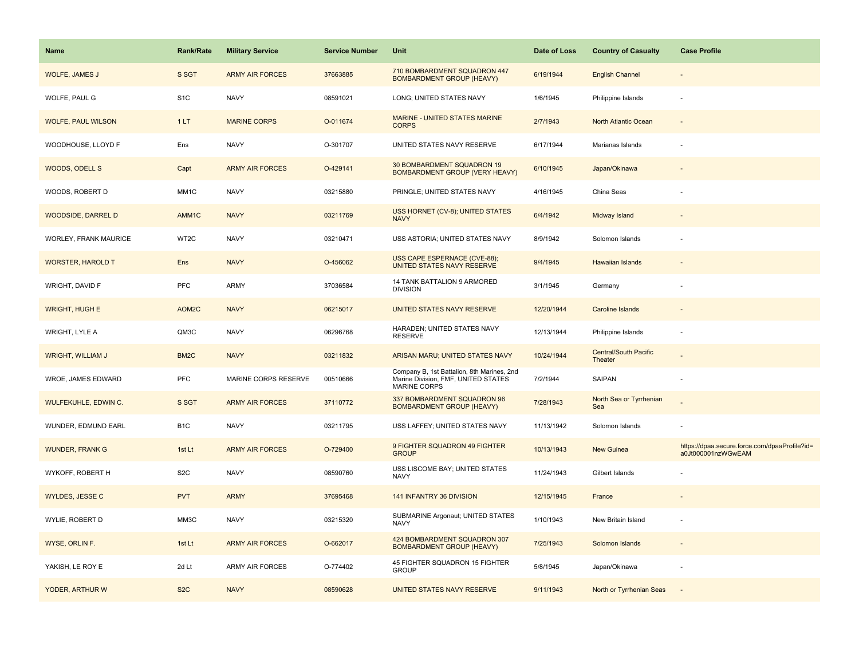| <b>Name</b>               | <b>Rank/Rate</b>  | <b>Military Service</b> | <b>Service Number</b> | Unit                                                                                              | Date of Loss | <b>Country of Casualty</b>              | <b>Case Profile</b>                                                 |
|---------------------------|-------------------|-------------------------|-----------------------|---------------------------------------------------------------------------------------------------|--------------|-----------------------------------------|---------------------------------------------------------------------|
| <b>WOLFE, JAMES J</b>     | S SGT             | <b>ARMY AIR FORCES</b>  | 37663885              | 710 BOMBARDMENT SQUADRON 447<br><b>BOMBARDMENT GROUP (HEAVY)</b>                                  | 6/19/1944    | <b>English Channel</b>                  |                                                                     |
| WOLFE, PAUL G             | S <sub>1</sub> C  | <b>NAVY</b>             | 08591021              | LONG; UNITED STATES NAVY                                                                          | 1/6/1945     | Philippine Islands                      |                                                                     |
| <b>WOLFE, PAUL WILSON</b> | 1LT               | <b>MARINE CORPS</b>     | O-011674              | MARINE - UNITED STATES MARINE<br><b>CORPS</b>                                                     | 2/7/1943     | North Atlantic Ocean                    |                                                                     |
| WOODHOUSE, LLOYD F        | Ens               | <b>NAVY</b>             | O-301707              | UNITED STATES NAVY RESERVE                                                                        | 6/17/1944    | Marianas Islands                        |                                                                     |
| WOODS, ODELL S            | Capt              | <b>ARMY AIR FORCES</b>  | O-429141              | 30 BOMBARDMENT SQUADRON 19<br><b>BOMBARDMENT GROUP (VERY HEAVY)</b>                               | 6/10/1945    | Japan/Okinawa                           |                                                                     |
| WOODS, ROBERT D           | MM1C              | <b>NAVY</b>             | 03215880              | PRINGLE; UNITED STATES NAVY                                                                       | 4/16/1945    | China Seas                              |                                                                     |
| <b>WOODSIDE, DARREL D</b> | AMM1C             | <b>NAVY</b>             | 03211769              | USS HORNET (CV-8); UNITED STATES<br><b>NAVY</b>                                                   | 6/4/1942     | Midway Island                           |                                                                     |
| WORLEY, FRANK MAURICE     | WT2C              | <b>NAVY</b>             | 03210471              | USS ASTORIA; UNITED STATES NAVY                                                                   | 8/9/1942     | Solomon Islands                         |                                                                     |
| <b>WORSTER, HAROLD T</b>  | Ens               | <b>NAVY</b>             | O-456062              | USS CAPE ESPERNACE (CVE-88);<br>UNITED STATES NAVY RESERVE                                        | 9/4/1945     | <b>Hawaiian Islands</b>                 |                                                                     |
| WRIGHT, DAVID F           | PFC               | ARMY                    | 37036584              | 14 TANK BATTALION 9 ARMORED<br><b>DIVISION</b>                                                    | 3/1/1945     | Germany                                 |                                                                     |
| <b>WRIGHT, HUGH E</b>     | AOM2C             | <b>NAVY</b>             | 06215017              | UNITED STATES NAVY RESERVE                                                                        | 12/20/1944   | <b>Caroline Islands</b>                 |                                                                     |
| WRIGHT, LYLE A            | QM3C              | <b>NAVY</b>             | 06296768              | HARADEN; UNITED STATES NAVY<br><b>RESERVE</b>                                                     | 12/13/1944   | Philippine Islands                      |                                                                     |
| <b>WRIGHT, WILLIAM J</b>  | BM <sub>2</sub> C | <b>NAVY</b>             | 03211832              | ARISAN MARU; UNITED STATES NAVY                                                                   | 10/24/1944   | <b>Central/South Pacific</b><br>Theater |                                                                     |
| WROE, JAMES EDWARD        | PFC               | MARINE CORPS RESERVE    | 00510666              | Company B, 1st Battalion, 8th Marines, 2nd<br>Marine Division, FMF, UNITED STATES<br>MARINE CORPS | 7/2/1944     | SAIPAN                                  |                                                                     |
| WULFEKUHLE, EDWIN C.      | S SGT             | <b>ARMY AIR FORCES</b>  | 37110772              | 337 BOMBARDMENT SQUADRON 96<br><b>BOMBARDMENT GROUP (HEAVY)</b>                                   | 7/28/1943    | North Sea or Tyrrhenian<br>Sea          |                                                                     |
| WUNDER, EDMUND EARL       | B <sub>1</sub> C  | <b>NAVY</b>             | 03211795              | USS LAFFEY; UNITED STATES NAVY                                                                    | 11/13/1942   | Solomon Islands                         |                                                                     |
| <b>WUNDER, FRANK G</b>    | 1st Lt            | <b>ARMY AIR FORCES</b>  | O-729400              | 9 FIGHTER SQUADRON 49 FIGHTER<br><b>GROUP</b>                                                     | 10/13/1943   | New Guinea                              | https://dpaa.secure.force.com/dpaaProfile?id=<br>a0Jt000001nzWGwEAM |
| WYKOFF, ROBERT H          | S <sub>2</sub> C  | <b>NAVY</b>             | 08590760              | USS LISCOME BAY; UNITED STATES<br><b>NAVY</b>                                                     | 11/24/1943   | Gilbert Islands                         |                                                                     |
| <b>WYLDES, JESSE C</b>    | <b>PVT</b>        | <b>ARMY</b>             | 37695468              | 141 INFANTRY 36 DIVISION                                                                          | 12/15/1945   | France                                  |                                                                     |
| WYLIE, ROBERT D           | MM3C              | <b>NAVY</b>             | 03215320              | SUBMARINE Argonaut; UNITED STATES<br><b>NAVY</b>                                                  | 1/10/1943    | New Britain Island                      |                                                                     |
| WYSE, ORLIN F.            | 1st Lt            | <b>ARMY AIR FORCES</b>  | O-662017              | 424 BOMBARDMENT SQUADRON 307<br><b>BOMBARDMENT GROUP (HEAVY)</b>                                  | 7/25/1943    | Solomon Islands                         |                                                                     |
| YAKISH, LE ROY E          | 2d Lt             | <b>ARMY AIR FORCES</b>  | O-774402              | 45 FIGHTER SQUADRON 15 FIGHTER<br><b>GROUP</b>                                                    | 5/8/1945     | Japan/Okinawa                           |                                                                     |
| YODER, ARTHUR W           | S <sub>2</sub> C  | <b>NAVY</b>             | 08590628              | UNITED STATES NAVY RESERVE                                                                        | 9/11/1943    | North or Tyrrhenian Seas                |                                                                     |